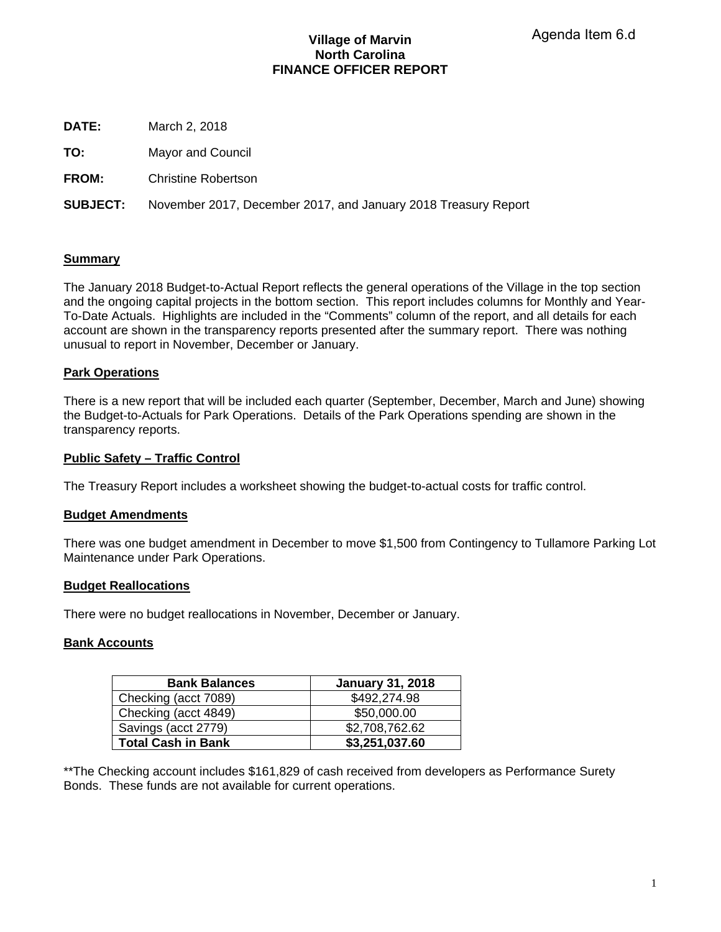# **Village of Marvin North Carolina FINANCE OFFICER REPORT**

**DATE:** March 2, 2018

**TO:** Mayor and Council

**FROM:** Christine Robertson

**SUBJECT:** November 2017, December 2017, and January 2018 Treasury Report

# **Summary**

The January 2018 Budget-to-Actual Report reflects the general operations of the Village in the top section and the ongoing capital projects in the bottom section. This report includes columns for Monthly and Year-To-Date Actuals. Highlights are included in the "Comments" column of the report, and all details for each account are shown in the transparency reports presented after the summary report. There was nothing unusual to report in November, December or January.

# **Park Operations**

There is a new report that will be included each quarter (September, December, March and June) showing the Budget-to-Actuals for Park Operations. Details of the Park Operations spending are shown in the transparency reports.

# **Public Safety – Traffic Control**

The Treasury Report includes a worksheet showing the budget-to-actual costs for traffic control.

## **Budget Amendments**

There was one budget amendment in December to move \$1,500 from Contingency to Tullamore Parking Lot Maintenance under Park Operations.

## **Budget Reallocations**

There were no budget reallocations in November, December or January.

## **Bank Accounts**

| <b>Bank Balances</b>      | <b>January 31, 2018</b> |
|---------------------------|-------------------------|
| Checking (acct 7089)      | \$492,274.98            |
| Checking (acct 4849)      | \$50,000.00             |
| Savings (acct 2779)       | \$2,708,762.62          |
| <b>Total Cash in Bank</b> | \$3,251,037.60          |

\*\*The Checking account includes \$161,829 of cash received from developers as Performance Surety Bonds. These funds are not available for current operations.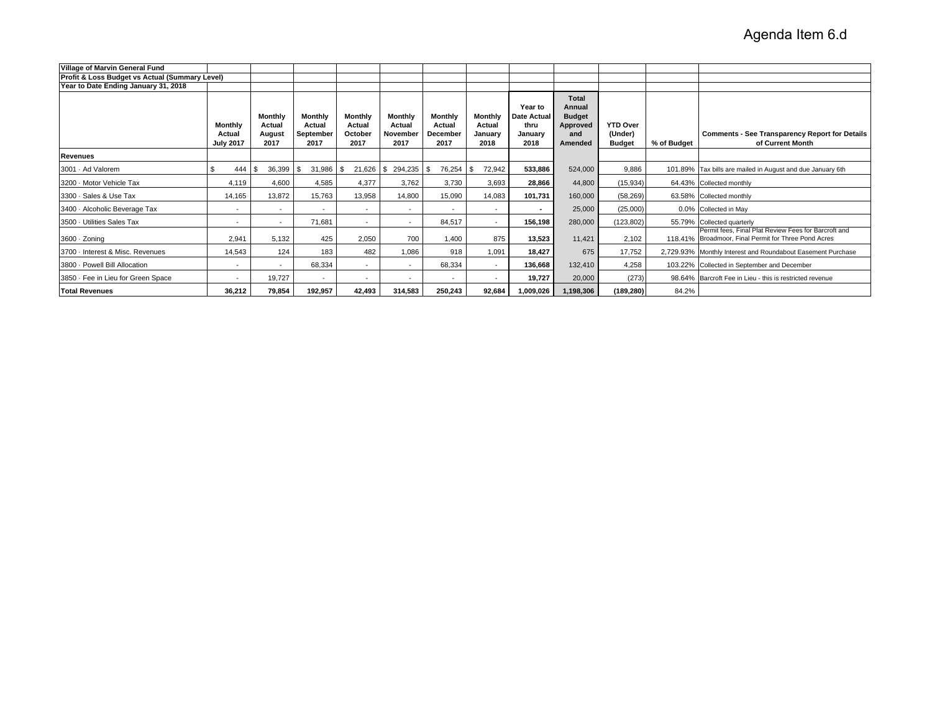| Village of Marvin General Fund                 |                                       |                                            |                                        |                                      |                                              |                                              |                                      |                                                          |                                                                       |                                             |             |                                                                                                              |
|------------------------------------------------|---------------------------------------|--------------------------------------------|----------------------------------------|--------------------------------------|----------------------------------------------|----------------------------------------------|--------------------------------------|----------------------------------------------------------|-----------------------------------------------------------------------|---------------------------------------------|-------------|--------------------------------------------------------------------------------------------------------------|
| Profit & Loss Budget vs Actual (Summary Level) |                                       |                                            |                                        |                                      |                                              |                                              |                                      |                                                          |                                                                       |                                             |             |                                                                                                              |
| Year to Date Ending January 31, 2018           |                                       |                                            |                                        |                                      |                                              |                                              |                                      |                                                          |                                                                       |                                             |             |                                                                                                              |
|                                                | Monthly<br>Actual<br><b>July 2017</b> | <b>Monthly</b><br>Actual<br>August<br>2017 | Monthly<br>Actual<br>September<br>2017 | Monthly<br>Actual<br>October<br>2017 | <b>Monthly</b><br>Actual<br>November<br>2017 | <b>Monthly</b><br>Actual<br>December<br>2017 | Monthly<br>Actual<br>January<br>2018 | Year to<br><b>Date Actual</b><br>thru<br>January<br>2018 | <b>Total</b><br>Annual<br><b>Budget</b><br>Approved<br>and<br>Amended | <b>YTD Over</b><br>(Under)<br><b>Budget</b> | % of Budget | <b>Comments - See Transparency Report for Details</b><br>of Current Month                                    |
| <b>Revenues</b>                                |                                       |                                            |                                        |                                      |                                              |                                              |                                      |                                                          |                                                                       |                                             |             |                                                                                                              |
| 3001 Ad Valorem                                | \$<br>444                             | 36,399<br>- \$                             | 31,986<br>£.                           | 21,626<br>\$.                        | 294,235<br>\$                                | 76,254                                       | 72,942                               | 533,886                                                  | 524,000                                                               | 9,886                                       |             | 101.89% Tax bills are mailed in August and due January 6th                                                   |
| 3200 Motor Vehicle Tax                         | 4,119                                 | 4,600                                      | 4,585                                  | 4,377                                | 3,762                                        | 3,730                                        | 3,693                                | 28,866                                                   | 44,800                                                                | (15,934)                                    |             | 64.43% Collected monthly                                                                                     |
| 3300 Sales & Use Tax                           | 14,165                                | 13,872                                     | 15,763                                 | 13,958                               | 14,800                                       | 15,090                                       | 14,083                               | 101,731                                                  | 160,000                                                               | (58, 269)                                   |             | 63.58% Collected monthly                                                                                     |
| 3400 - Alcoholic Beverage Tax                  | ٠                                     | $\overline{\phantom{a}}$                   |                                        | $\overline{\phantom{a}}$             |                                              |                                              | $\overline{\phantom{a}}$             |                                                          | 25,000                                                                | (25,000)                                    |             | 0.0% Collected in May                                                                                        |
| 3500 Utilities Sales Tax                       | $\overline{\phantom{a}}$              | $\overline{\phantom{a}}$                   | 71,681                                 | $\overline{\phantom{a}}$             | $\overline{\phantom{a}}$                     | 84,517                                       | $\sim$                               | 156,198                                                  | 280,000                                                               | (123, 802)                                  |             | 55.79% Collected quarterly                                                                                   |
| 3600 Zoning                                    | 2,941                                 | 5,132                                      | 425                                    | 2,050                                | 700                                          | 1.400                                        | 875                                  | 13.523                                                   | 11,421                                                                | 2,102                                       |             | Permit fees. Final Plat Review Fees for Barcroft and<br>118.41% Broadmoor, Final Permit for Three Pond Acres |
| 3700 - Interest & Misc. Revenues               | 14,543                                | 124                                        | 183                                    | 482                                  | 1,086                                        | 918                                          | 1,091                                | 18.427                                                   | 675                                                                   | 17,752                                      |             | 2,729.93% Monthly Interest and Roundabout Easement Purchase                                                  |
| 3800 Powell Bill Allocation                    | $\overline{\phantom{a}}$              | $\overline{\phantom{a}}$                   | 68,334                                 | $\overline{\phantom{a}}$             | $\overline{\phantom{a}}$                     | 68,334                                       | $\overline{\phantom{a}}$             | 136,668                                                  | 132,410                                                               | 4,258                                       |             | 103.22% Collected in September and December                                                                  |
| 3850 Fee in Lieu for Green Space               | -                                     | 19,727                                     | $\overline{\phantom{a}}$               | $\sim$                               | $\overline{\phantom{a}}$                     | $\overline{\phantom{a}}$                     | $\overline{\phantom{a}}$             | 19,727                                                   | 20,000                                                                | (273)                                       |             | 98.64% Barcroft Fee in Lieu - this is restricted revenue                                                     |
| <b>Total Revenues</b>                          | 36,212                                | 79,854                                     | 192,957                                | 42,493                               | 314,583                                      | 250,243                                      | 92,684                               | 1,009,026                                                | 1,198,306                                                             | (189, 280)                                  | 84.2%       |                                                                                                              |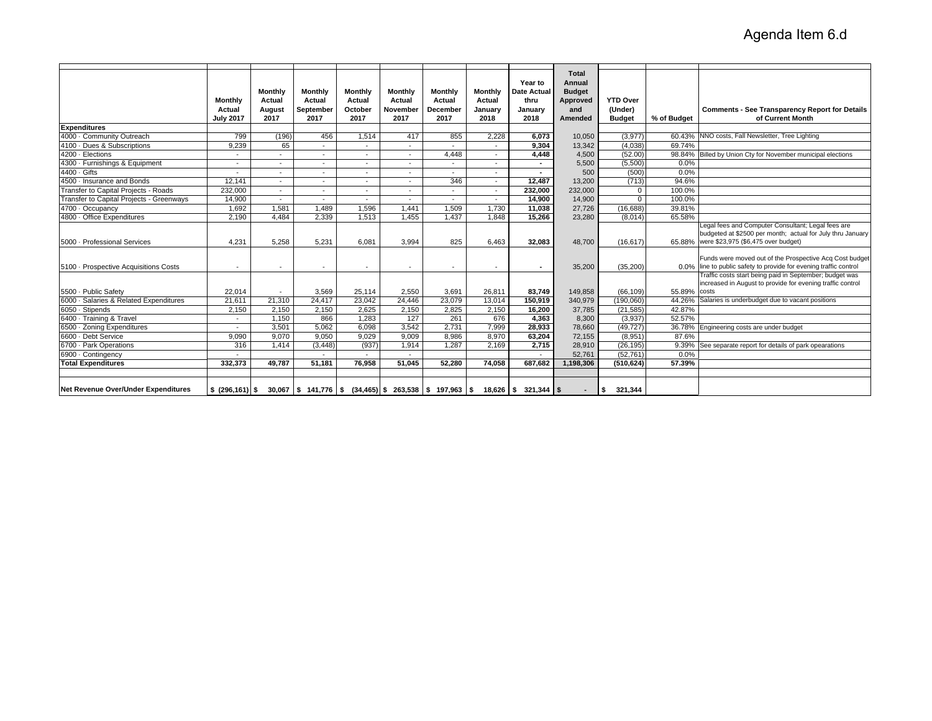|                                          | <b>Monthly</b><br>Actual<br><b>July 2017</b> | Monthly<br>Actual<br>August<br>2017 | <b>Monthly</b><br>Actual<br>September<br>2017 | Monthly<br>Actual<br>October<br>2017 | Monthly<br>Actual<br>November<br>2017 | <b>Monthly</b><br>Actual<br><b>December</b><br>2017 | <b>Monthly</b><br>Actual<br>January<br>2018 | Year to<br><b>Date Actual</b><br>thru<br>January<br>2018                                                | <b>Total</b><br>Annual<br><b>Budget</b><br>Approved<br>and<br>Amended | <b>YTD Over</b><br>(Under)<br><b>Budget</b> | % of Budget | <b>Comments - See Transparency Report for Details</b><br>of Current Month                                                                                      |
|------------------------------------------|----------------------------------------------|-------------------------------------|-----------------------------------------------|--------------------------------------|---------------------------------------|-----------------------------------------------------|---------------------------------------------|---------------------------------------------------------------------------------------------------------|-----------------------------------------------------------------------|---------------------------------------------|-------------|----------------------------------------------------------------------------------------------------------------------------------------------------------------|
| <b>Expenditures</b>                      |                                              |                                     |                                               |                                      |                                       |                                                     |                                             |                                                                                                         |                                                                       |                                             |             |                                                                                                                                                                |
| 4000 Community Outreach                  | 799                                          | (196)                               | 456                                           | 1,514                                | 417                                   | 855                                                 | 2,228                                       | 6,073                                                                                                   | 10,050                                                                | (3,977)                                     |             | 60.43% NNO costs, Fall Newsletter, Tree Lighting                                                                                                               |
| 4100 Dues & Subscriptions                | 9,239                                        | 65                                  | $\sim$                                        | ٠                                    | $\sim$                                |                                                     |                                             | 9,304                                                                                                   | 13,342                                                                | (4,038)                                     | 69.74%      |                                                                                                                                                                |
| 4200 Elections                           | $\sim$                                       | $\overline{a}$                      | $\sim$                                        | $\overline{\phantom{a}}$             | $\sim$                                | 4,448                                               | $\sim$                                      | 4,448                                                                                                   | 4,500                                                                 | (52.00)                                     |             | 98.84% Billed by Union Cty for November municipal elections                                                                                                    |
| 4300 Furnishings & Equipment             | $\sim$                                       | $\overline{\phantom{a}}$            | $\overline{\phantom{a}}$                      | $\overline{\phantom{a}}$             | $\sim$                                | $\sim$                                              | $\sim$                                      | $\sim$                                                                                                  | 5,500                                                                 | (5,500)                                     | 0.0%        |                                                                                                                                                                |
| 4400 Gifts                               |                                              | $\overline{\phantom{a}}$            | $\overline{\phantom{a}}$                      | ٠                                    | $\overline{\phantom{a}}$              | $\overline{a}$                                      |                                             | $\sim$                                                                                                  | 500                                                                   | (500)                                       | 0.0%        |                                                                                                                                                                |
| 4500 · Insurance and Bonds               | 12.141                                       | $\overline{\phantom{a}}$            | $\sim$                                        | $\blacksquare$                       | $\sim$                                | 346                                                 | $\sim$                                      | 12.487                                                                                                  | 13.200                                                                | (713)                                       | 94.6%       |                                                                                                                                                                |
| Transfer to Capital Projects - Roads     | 232,000                                      | $\overline{\phantom{a}}$            | $\sim$                                        | ٠                                    | $\overline{\phantom{a}}$              | $\sim$                                              | $\overline{\phantom{0}}$                    | 232,000                                                                                                 | 232,000                                                               | $\mathbf{0}$                                | 100.0%      |                                                                                                                                                                |
| Transfer to Capital Projects - Greenways | 14,900                                       | $\overline{\phantom{a}}$            | $\blacksquare$                                | $\overline{\phantom{a}}$             | $\sim$                                | $\sim$                                              | $\sim$                                      | 14,900                                                                                                  | 14,900                                                                | $\mathbf{0}$                                | 100.0%      |                                                                                                                                                                |
| 4700 · Occupancy                         | 1,692                                        | 1,581                               | 1,489                                         | 1,596                                | 1,441                                 | 1,509                                               | 1,730                                       | 11,038                                                                                                  | 27,726                                                                | (16, 688)                                   | 39.81%      |                                                                                                                                                                |
| 4800 Office Expenditures                 | 2,190                                        | 4.484                               | 2.339                                         | 1,513                                | 1,455                                 | 1,437                                               | 1.848                                       | 15,266                                                                                                  | 23,280                                                                | (8,014)                                     | 65.58%      |                                                                                                                                                                |
| 5000 - Professional Services             | 4,231                                        | 5,258                               | 5,231                                         | 6,081                                | 3,994                                 | 825                                                 | 6,463                                       | 32,083                                                                                                  | 48,700                                                                | (16, 617)                                   |             | Legal fees and Computer Consultant; Legal fees are<br>budgeted at \$2500 per month; actual for July thru January<br>65.88% were \$23,975 (\$6,475 over budget) |
| 5100 - Prospective Acquisitions Costs    | $\overline{\phantom{a}}$                     | $\overline{\phantom{a}}$            | $\overline{\phantom{a}}$                      | $\overline{\phantom{a}}$             | $\sim$                                | $\overline{\phantom{a}}$                            | $\overline{\phantom{0}}$                    | $\sim$                                                                                                  | 35,200                                                                | (35, 200)                                   |             | Funds were moved out of the Prospective Acq Cost budget<br>0.0% line to public safety to provide for evening traffic control                                   |
| 5500 - Public Safety                     | 22,014                                       | $\overline{\phantom{a}}$            | 3,569                                         | 25,114                               | 2,550                                 | 3.691                                               | 26.811                                      | 83,749                                                                                                  | 149,858                                                               | (66, 109)                                   | 55.89%      | Traffic costs start being paid in September; budget was<br>increased in August to provide for evening traffic control<br>costs                                 |
| 6000 · Salaries & Related Expenditures   | 21,611                                       | 21,310                              | 24,417                                        | 23,042                               | 24,446                                | 23,079                                              | 13,014                                      | 150,919                                                                                                 | 340,979                                                               | (190,060)                                   | 44.26%      | Salaries is underbudget due to vacant positions                                                                                                                |
| 6050 · Stipends                          | 2,150                                        | 2,150                               | 2,150                                         | 2,625                                | 2,150                                 | 2,825                                               | 2,150                                       | 16,200                                                                                                  | 37,785                                                                | (21, 585)                                   | 42.87%      |                                                                                                                                                                |
| 6400 · Training & Travel                 | $\sim$                                       | 1,150                               | 866                                           | 1,283                                | 127                                   | 261                                                 | 676                                         | 4,363                                                                                                   | 8,300                                                                 | (3,937)                                     | 52.57%      |                                                                                                                                                                |
| 6500 · Zoning Expenditures               | $\overline{a}$                               | 3.501                               | 5.062                                         | 6,098                                | 3,542                                 | 2,731                                               | 7.999                                       | 28,933                                                                                                  | 78.660                                                                | (49, 727)                                   |             | 36.78% Engineering costs are under budget                                                                                                                      |
| 6600 Debt Service                        | 9,090                                        | 9,070                               | 9.050                                         | 9,029                                | 9,009                                 | 8.986                                               | 8,970                                       | 63,204                                                                                                  | 72,155                                                                | (8,951)                                     | 87.6%       |                                                                                                                                                                |
| 6700 - Park Operations                   | 316                                          | 1.414                               | (3, 448)                                      | (937)                                | 1,914                                 | 1.287                                               | 2.169                                       | 2,715                                                                                                   | 28.910                                                                | (26, 195)                                   |             | 9.39% See separate report for details of park opearations                                                                                                      |
| 6900 Contingency                         | $\sim$                                       |                                     |                                               |                                      |                                       |                                                     |                                             |                                                                                                         | 52.761                                                                | (52, 761)                                   | 0.0%        |                                                                                                                                                                |
| <b>Total Expenditures</b>                | 332,373                                      | 49.787                              | 51.181                                        | 76.958                               | 51.045                                | 52.280                                              | 74,058                                      | 687.682                                                                                                 | 1,198,306                                                             | (510, 624)                                  | 57.39%      |                                                                                                                                                                |
| Net Revenue Over/Under Expenditures      | \$ (296.161) \$                              |                                     |                                               |                                      |                                       |                                                     |                                             | $30,067$   \$ $141,776$   \$ $(34,465)$   \$ $263,538$   \$ $197,963$   \$ $18,626$   \$ $321,344$   \$ |                                                                       | 321.344                                     |             |                                                                                                                                                                |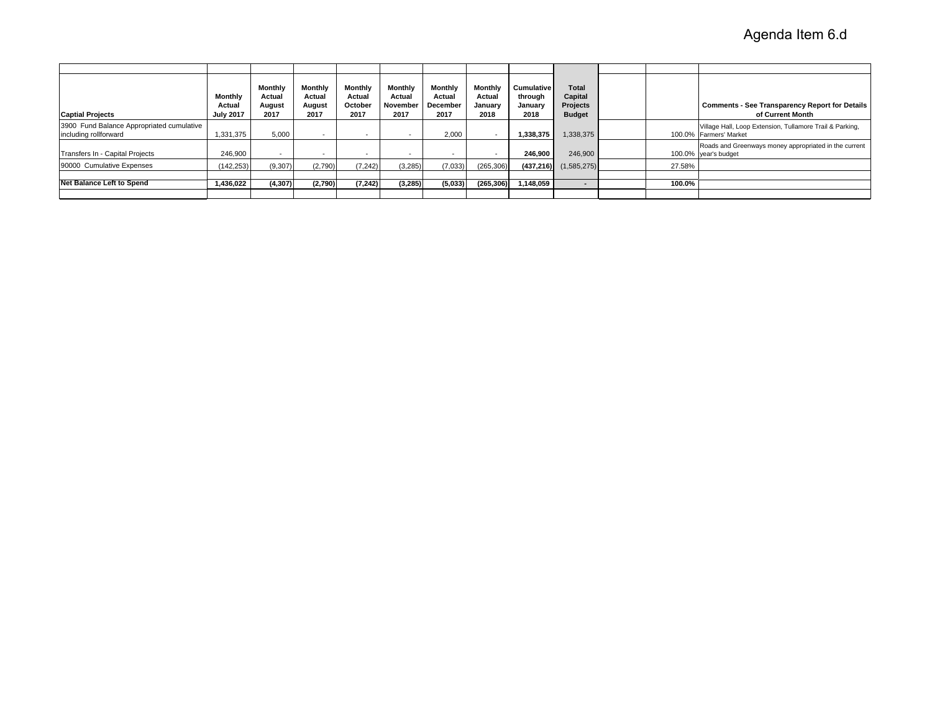| <b>Captial Projects</b>                                            | Monthly<br>Actual<br><b>July 2017</b> | Monthly<br>Actual<br>August<br>2017 | <b>Monthly</b><br>Actual<br>August<br>2017 | Monthly<br>Actual<br>October<br>2017 | Monthly<br>Actual<br>November<br>2017 | Monthly<br>Actual<br>December<br>2017 | Monthly<br>Actual<br>January<br>2018 | <b>Cumulative</b><br>through<br>Januarv<br>2018 | Total<br>Capital<br>Projects<br><b>Budget</b> |        | <b>Comments - See Transparency Report for Details</b><br>of Current Month          |
|--------------------------------------------------------------------|---------------------------------------|-------------------------------------|--------------------------------------------|--------------------------------------|---------------------------------------|---------------------------------------|--------------------------------------|-------------------------------------------------|-----------------------------------------------|--------|------------------------------------------------------------------------------------|
| 3900 Fund Balance Appropriated cumulative<br>including rollforward | 1,331,375                             | 5,000                               | $\overline{\phantom{0}}$                   | $\sim$                               | $\overline{\phantom{a}}$              | 2,000                                 | $\overline{\phantom{a}}$             | 1,338,375                                       | 1,338,375                                     |        | Village Hall, Loop Extension, Tullamore Trail & Parking,<br>100.0% Farmers' Market |
| Transfers In - Capital Projects                                    | 246.900                               | $\sim$                              | $\overline{\phantom{a}}$                   | $\overline{\phantom{0}}$             | $\sim$                                | $\overline{\phantom{a}}$              | $\overline{\phantom{0}}$             | 246.900                                         | 246,900                                       |        | Roads and Greenways money appropriated in the current<br>100.0% year's budget      |
| 90000 Cumulative Expenses                                          | (142.253)                             | (9,307)                             | (2,790)                                    | (7, 242)                             | (3,285)                               | (7,033)                               | (265, 306)                           |                                                 | $(437,216)$ $(1,585,275)$                     | 27.58% |                                                                                    |
|                                                                    |                                       |                                     |                                            |                                      |                                       |                                       |                                      |                                                 |                                               |        |                                                                                    |
| <b>Net Balance Left to Spend</b>                                   | 1,436,022                             | (4, 307)                            | (2,790)                                    | (7, 242)                             | (3,285)                               | (5,033)                               | (265, 306)                           | 1,148,059                                       | $\overline{\phantom{0}}$                      | 100.0% |                                                                                    |
|                                                                    |                                       |                                     |                                            |                                      |                                       |                                       |                                      |                                                 |                                               |        |                                                                                    |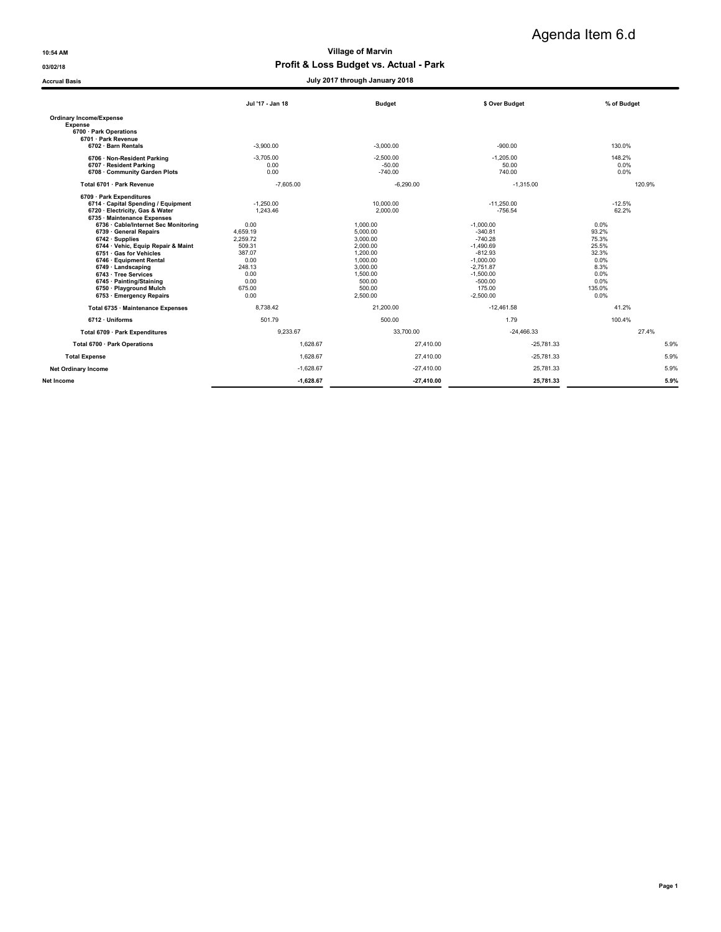**Accrual Basis** 

10:54 AM Village of Marvin

# 03/02/18 03/02/18 CONSERVENT PROFIT & LOSS Budget vs. Actual - Park

# Agenda Item 6.d

|  | July 2017 through January 2018 |  |
|--|--------------------------------|--|
|  |                                |  |

|                                                                                                                                                                                                                                                                                                                                                                                                                                     | Jul '17 - Jan 18                                                                                                        | <b>Budget</b>                                                                                                                             | \$ Over Budget                                                                                                                                                     | % of Budget                                                                                             |
|-------------------------------------------------------------------------------------------------------------------------------------------------------------------------------------------------------------------------------------------------------------------------------------------------------------------------------------------------------------------------------------------------------------------------------------|-------------------------------------------------------------------------------------------------------------------------|-------------------------------------------------------------------------------------------------------------------------------------------|--------------------------------------------------------------------------------------------------------------------------------------------------------------------|---------------------------------------------------------------------------------------------------------|
| <b>Ordinary Income/Expense</b><br><b>Expense</b><br>6700 · Park Operations<br>6701 · Park Revenue                                                                                                                                                                                                                                                                                                                                   |                                                                                                                         |                                                                                                                                           |                                                                                                                                                                    |                                                                                                         |
| 6702 · Barn Rentals                                                                                                                                                                                                                                                                                                                                                                                                                 | $-3.900.00$                                                                                                             | $-3.000.00$                                                                                                                               | $-900.00$                                                                                                                                                          | 130.0%                                                                                                  |
| 6706 · Non-Resident Parking<br>6707 · Resident Parking<br>6708 · Community Garden Plots                                                                                                                                                                                                                                                                                                                                             | $-3.705.00$<br>0.00<br>0.00                                                                                             | $-2.500.00$<br>$-50.00$<br>$-740.00$                                                                                                      | $-1.205.00$<br>50.00<br>740.00                                                                                                                                     | 148.2%<br>0.0%<br>0.0%                                                                                  |
| Total 6701 · Park Revenue                                                                                                                                                                                                                                                                                                                                                                                                           | $-7,605.00$                                                                                                             | $-6,290.00$                                                                                                                               | $-1,315.00$                                                                                                                                                        | 120.9%                                                                                                  |
| 6709 · Park Expenditures<br>6714 · Capital Spending / Equipment<br>6720 · Electricity, Gas & Water<br>6735 · Maintenance Expenses<br>6736 · Cable/Internet Sec Monitoring<br>6739 · General Repairs<br>$6742 \cdot$ Supplies<br>6744 · Vehic, Equip Repair & Maint<br>6751 · Gas for Vehicles<br>6746 · Equipment Rental<br>$6749 \cdot$ Landscaping<br>6743 · Tree Services<br>6745 · Painting/Staining<br>6750 · Playground Mulch | $-1.250.00$<br>1.243.46<br>0.00<br>4,659.19<br>2,259.72<br>509.31<br>387.07<br>0.00<br>248.13<br>0.00<br>0.00<br>675.00 | 10.000.00<br>2.000.00<br>1.000.00<br>5.000.00<br>3.000.00<br>2.000.00<br>1.200.00<br>1.000.00<br>3,000.00<br>1.500.00<br>500.00<br>500.00 | $-11.250.00$<br>$-756.54$<br>$-1.000.00$<br>$-340.81$<br>$-740.28$<br>$-1.490.69$<br>$-812.93$<br>$-1.000.00$<br>$-2,751.87$<br>$-1.500.00$<br>$-500.00$<br>175.00 | $-12.5%$<br>62.2%<br>0.0%<br>93.2%<br>75.3%<br>25.5%<br>32.3%<br>0.0%<br>8.3%<br>0.0%<br>0.0%<br>135.0% |
| 6753 · Emergency Repairs<br>Total 6735 · Maintenance Expenses                                                                                                                                                                                                                                                                                                                                                                       | 0.00<br>8.738.42                                                                                                        | 2.500.00<br>21.200.00                                                                                                                     | $-2.500.00$<br>$-12.461.58$                                                                                                                                        | 0.0%<br>41.2%                                                                                           |
| 6712 · Uniforms                                                                                                                                                                                                                                                                                                                                                                                                                     | 501.79                                                                                                                  | 500.00                                                                                                                                    | 1.79                                                                                                                                                               | 100.4%                                                                                                  |
| Total 6709 · Park Expenditures                                                                                                                                                                                                                                                                                                                                                                                                      | 9.233.67                                                                                                                | 33,700.00                                                                                                                                 | $-24,466.33$                                                                                                                                                       | 27.4%                                                                                                   |
| Total 6700 · Park Operations                                                                                                                                                                                                                                                                                                                                                                                                        | 1.628.67                                                                                                                | 27,410.00                                                                                                                                 | $-25.781.33$                                                                                                                                                       | 5.9%                                                                                                    |
| <b>Total Expense</b>                                                                                                                                                                                                                                                                                                                                                                                                                | 1.628.67                                                                                                                | 27.410.00                                                                                                                                 | $-25,781.33$                                                                                                                                                       | 5.9%                                                                                                    |
| <b>Net Ordinary Income</b>                                                                                                                                                                                                                                                                                                                                                                                                          | $-1,628.67$                                                                                                             | $-27,410.00$                                                                                                                              | 25,781.33                                                                                                                                                          | 5.9%                                                                                                    |
| Net Income                                                                                                                                                                                                                                                                                                                                                                                                                          | $-1,628.67$                                                                                                             | $-27,410.00$                                                                                                                              | 25,781.33                                                                                                                                                          | 5.9%                                                                                                    |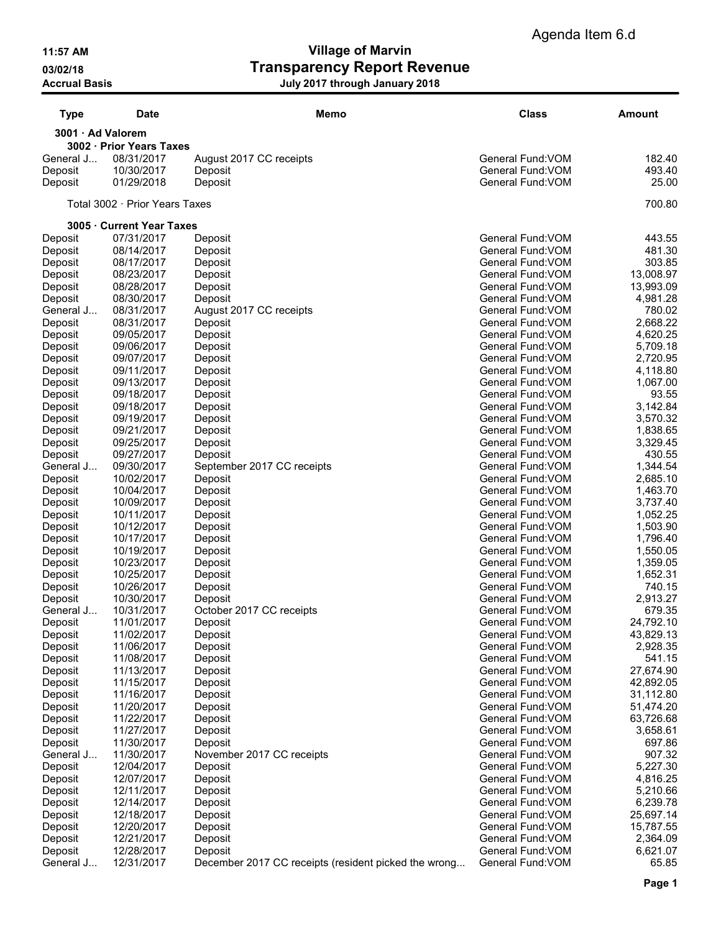# 11:57 AM Village of Marvin 03/02/18 Contract Transparency Report Revenue Accrual Basis July 2017 through January 2018

| <b>Type</b>        | Date                           | Memo                                                 | <b>Class</b>                           | Amount                 |
|--------------------|--------------------------------|------------------------------------------------------|----------------------------------------|------------------------|
| 3001 · Ad Valorem  | 3002 · Prior Years Taxes       |                                                      |                                        |                        |
| General J          | 08/31/2017                     | August 2017 CC receipts                              | General Fund: VOM                      | 182.40                 |
| Deposit            | 10/30/2017                     | Deposit                                              | General Fund: VOM                      | 493.40                 |
| Deposit            | 01/29/2018                     | Deposit                                              | General Fund: VOM                      | 25.00                  |
|                    | Total 3002 · Prior Years Taxes |                                                      |                                        | 700.80                 |
|                    | 3005 · Current Year Taxes      |                                                      |                                        |                        |
| Deposit            | 07/31/2017                     | Deposit                                              | General Fund: VOM                      | 443.55                 |
| Deposit            | 08/14/2017                     | Deposit                                              | General Fund: VOM                      | 481.30                 |
| Deposit            | 08/17/2017                     | Deposit                                              | General Fund: VOM                      | 303.85                 |
| Deposit            | 08/23/2017                     | Deposit                                              | General Fund: VOM                      | 13,008.97              |
| Deposit            | 08/28/2017                     | Deposit                                              | General Fund: VOM                      | 13,993.09              |
| Deposit            | 08/30/2017                     | Deposit                                              | General Fund: VOM                      | 4,981.28               |
| General J          | 08/31/2017<br>08/31/2017       | August 2017 CC receipts                              | General Fund: VOM<br>General Fund: VOM | 780.02                 |
| Deposit<br>Deposit | 09/05/2017                     | Deposit<br>Deposit                                   | General Fund: VOM                      | 2,668.22<br>4,620.25   |
| Deposit            | 09/06/2017                     | Deposit                                              | General Fund: VOM                      | 5,709.18               |
| Deposit            | 09/07/2017                     | Deposit                                              | General Fund: VOM                      | 2,720.95               |
| Deposit            | 09/11/2017                     | Deposit                                              | General Fund: VOM                      | 4,118.80               |
| Deposit            | 09/13/2017                     | Deposit                                              | General Fund: VOM                      | 1,067.00               |
| Deposit            | 09/18/2017                     | Deposit                                              | General Fund:VOM                       | 93.55                  |
| Deposit            | 09/18/2017                     | Deposit                                              | General Fund: VOM                      | 3,142.84               |
| Deposit            | 09/19/2017                     | Deposit                                              | General Fund: VOM                      | 3,570.32               |
| Deposit            | 09/21/2017                     | Deposit                                              | General Fund: VOM                      | 1,838.65               |
| Deposit            | 09/25/2017                     | Deposit                                              | General Fund: VOM                      | 3,329.45               |
| Deposit            | 09/27/2017                     | Deposit                                              | General Fund: VOM                      | 430.55                 |
| General J          | 09/30/2017                     | September 2017 CC receipts                           | General Fund: VOM                      | 1,344.54               |
| Deposit            | 10/02/2017                     | Deposit                                              | General Fund: VOM                      | 2,685.10               |
| Deposit            | 10/04/2017                     | Deposit                                              | General Fund: VOM<br>General Fund: VOM | 1,463.70               |
| Deposit<br>Deposit | 10/09/2017<br>10/11/2017       | Deposit<br>Deposit                                   | General Fund: VOM                      | 3,737.40<br>1,052.25   |
| Deposit            | 10/12/2017                     | Deposit                                              | General Fund: VOM                      | 1,503.90               |
| Deposit            | 10/17/2017                     | Deposit                                              | General Fund: VOM                      | 1,796.40               |
| Deposit            | 10/19/2017                     | Deposit                                              | General Fund: VOM                      | 1,550.05               |
| Deposit            | 10/23/2017                     | Deposit                                              | General Fund: VOM                      | 1,359.05               |
| Deposit            | 10/25/2017                     | Deposit                                              | General Fund:VOM                       | 1,652.31               |
| Deposit            | 10/26/2017                     | Deposit                                              | General Fund: VOM                      | 740.15                 |
| Deposit            | 10/30/2017                     | Deposit                                              | General Fund: VOM                      | 2,913.27               |
| General J          | 10/31/2017                     | October 2017 CC receipts                             | General Fund: VOM                      | 679.35                 |
| Deposit            | 11/01/2017                     | Deposit                                              | General Fund:VOM                       | 24,792.10              |
| Deposit            | 11/02/2017                     | Deposit                                              | General Fund: VOM                      | 43,829.13              |
| Deposit            | 11/06/2017                     | Deposit                                              | General Fund: VOM                      | 2,928.35               |
| Deposit            | 11/08/2017                     | Deposit                                              | General Fund: VOM                      | 541.15                 |
| Deposit<br>Deposit | 11/13/2017<br>11/15/2017       | Deposit<br>Deposit                                   | General Fund: VOM<br>General Fund: VOM | 27,674.90<br>42,892.05 |
| Deposit            | 11/16/2017                     | Deposit                                              | General Fund: VOM                      | 31,112.80              |
| Deposit            | 11/20/2017                     | Deposit                                              | General Fund: VOM                      | 51,474.20              |
| Deposit            | 11/22/2017                     | Deposit                                              | General Fund: VOM                      | 63,726.68              |
| Deposit            | 11/27/2017                     | Deposit                                              | General Fund: VOM                      | 3,658.61               |
| Deposit            | 11/30/2017                     | Deposit                                              | General Fund: VOM                      | 697.86                 |
| General J          | 11/30/2017                     | November 2017 CC receipts                            | General Fund: VOM                      | 907.32                 |
| Deposit            | 12/04/2017                     | Deposit                                              | General Fund: VOM                      | 5,227.30               |
| Deposit            | 12/07/2017                     | Deposit                                              | General Fund: VOM                      | 4,816.25               |
| Deposit            | 12/11/2017                     | Deposit                                              | General Fund: VOM                      | 5,210.66               |
| Deposit            | 12/14/2017                     | Deposit                                              | General Fund: VOM                      | 6,239.78               |
| Deposit            | 12/18/2017                     | Deposit                                              | General Fund: VOM                      | 25,697.14              |
| Deposit            | 12/20/2017                     | Deposit                                              | General Fund: VOM                      | 15,787.55              |
| Deposit            | 12/21/2017                     | Deposit                                              | General Fund: VOM                      | 2,364.09               |
| Deposit            | 12/28/2017                     | Deposit                                              | General Fund: VOM                      | 6,621.07               |
| General J          | 12/31/2017                     | December 2017 CC receipts (resident picked the wrong | General Fund: VOM                      | 65.85                  |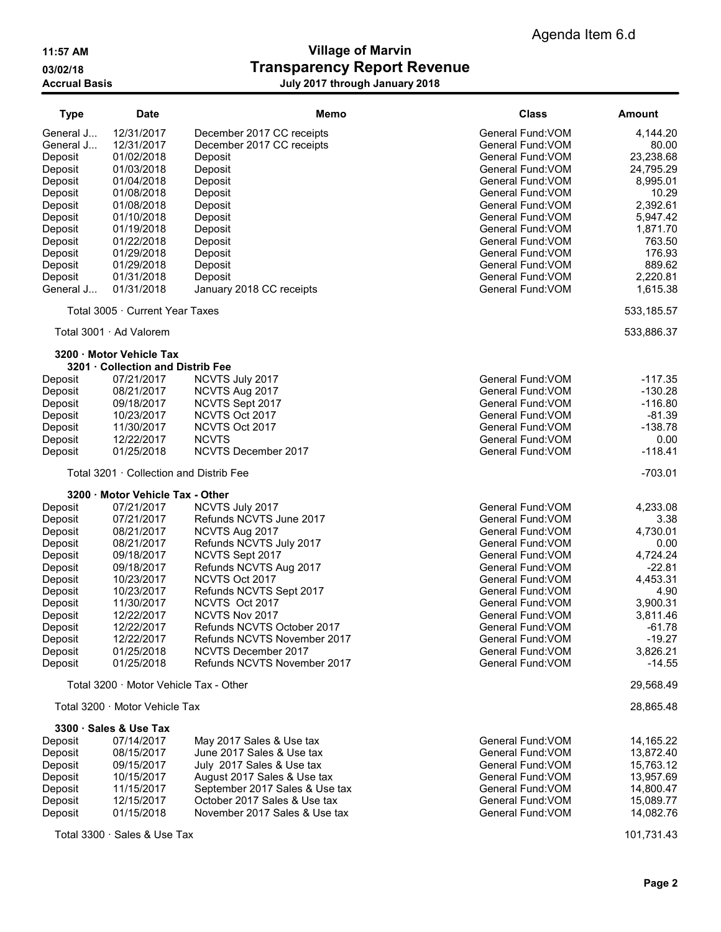# 11:57 AM Village of Marvin 03/02/18 Contract Transparency Report Revenue Accrual Basis July 2017 through January 2018

| <b>Type</b>          | <b>Date</b>                                                 | Memo                                     | <b>Class</b>                           | <b>Amount</b>        |
|----------------------|-------------------------------------------------------------|------------------------------------------|----------------------------------------|----------------------|
| General J            | 12/31/2017                                                  | December 2017 CC receipts                | General Fund: VOM                      | 4,144.20             |
| General J            | 12/31/2017                                                  | December 2017 CC receipts                | General Fund: VOM                      | 80.00                |
| Deposit              | 01/02/2018                                                  | Deposit                                  | General Fund: VOM                      | 23,238.68            |
| Deposit              | 01/03/2018                                                  | Deposit                                  | General Fund: VOM                      | 24,795.29            |
| Deposit              | 01/04/2018                                                  | Deposit                                  | General Fund:VOM                       | 8,995.01             |
| Deposit              | 01/08/2018                                                  | Deposit                                  | General Fund: VOM                      | 10.29                |
| Deposit              | 01/08/2018                                                  | Deposit                                  | General Fund: VOM                      | 2,392.61             |
| Deposit              | 01/10/2018                                                  | Deposit                                  | General Fund: VOM                      | 5,947.42             |
| Deposit              | 01/19/2018                                                  | Deposit                                  | General Fund: VOM                      | 1,871.70             |
| Deposit              | 01/22/2018                                                  | Deposit                                  | General Fund: VOM                      | 763.50               |
| Deposit              | 01/29/2018<br>01/29/2018                                    | Deposit                                  | General Fund: VOM<br>General Fund: VOM | 176.93<br>889.62     |
| Deposit              | 01/31/2018                                                  | Deposit<br>Deposit                       | General Fund: VOM                      | 2,220.81             |
| Deposit<br>General J | 01/31/2018                                                  | January 2018 CC receipts                 | General Fund: VOM                      | 1,615.38             |
|                      | Total 3005 · Current Year Taxes                             |                                          |                                        | 533,185.57           |
|                      |                                                             |                                          |                                        |                      |
|                      | Total 3001 · Ad Valorem                                     |                                          |                                        | 533,886.37           |
|                      | 3200 Motor Vehicle Tax<br>3201 · Collection and Distrib Fee |                                          |                                        |                      |
| Deposit              | 07/21/2017                                                  | NCVTS July 2017                          | General Fund: VOM                      | $-117.35$            |
| Deposit              | 08/21/2017                                                  | NCVTS Aug 2017                           | General Fund: VOM                      | $-130.28$            |
| Deposit              | 09/18/2017                                                  | NCVTS Sept 2017                          | General Fund: VOM                      | $-116.80$            |
| Deposit              | 10/23/2017                                                  | NCVTS Oct 2017                           | General Fund: VOM                      | $-81.39$             |
| Deposit              | 11/30/2017                                                  | NCVTS Oct 2017                           | General Fund: VOM                      | $-138.78$            |
| Deposit              | 12/22/2017                                                  | <b>NCVTS</b>                             | General Fund: VOM                      | 0.00                 |
| Deposit              | 01/25/2018                                                  | <b>NCVTS December 2017</b>               | General Fund: VOM                      | $-118.41$            |
|                      | Total 3201 · Collection and Distrib Fee                     |                                          |                                        | $-703.01$            |
|                      | 3200 · Motor Vehicle Tax - Other                            |                                          |                                        |                      |
| Deposit              | 07/21/2017                                                  | NCVTS July 2017                          | General Fund: VOM                      | 4,233.08             |
| Deposit              | 07/21/2017                                                  | Refunds NCVTS June 2017                  | General Fund: VOM                      | 3.38                 |
| Deposit              | 08/21/2017                                                  | NCVTS Aug 2017                           | General Fund: VOM                      | 4,730.01             |
| Deposit              | 08/21/2017                                                  | Refunds NCVTS July 2017                  | General Fund: VOM                      | 0.00                 |
| Deposit              | 09/18/2017<br>09/18/2017                                    | NCVTS Sept 2017                          | General Fund: VOM                      | 4,724.24             |
| Deposit<br>Deposit   | 10/23/2017                                                  | Refunds NCVTS Aug 2017<br>NCVTS Oct 2017 | General Fund: VOM<br>General Fund: VOM | $-22.81$<br>4,453.31 |
| Deposit              | 10/23/2017                                                  | Refunds NCVTS Sept 2017                  | General Fund: VOM                      | 4.90                 |
| Deposit              | 11/30/2017                                                  | NCVTS Oct 2017                           | General Fund: VOM                      | 3,900.31             |
| Deposit              | 12/22/2017                                                  | NCVTS Nov 2017                           | General Fund:VOM                       | 3,811.46             |
| Deposit              | 12/22/2017                                                  | Refunds NCVTS October 2017               | General Fund: VOM                      | $-61.78$             |
| Deposit              | 12/22/2017                                                  | Refunds NCVTS November 2017              | General Fund: VOM                      | $-19.27$             |
| Deposit              | 01/25/2018                                                  | NCVTS December 2017                      | General Fund: VOM                      | 3,826.21             |
| Deposit              | 01/25/2018                                                  | Refunds NCVTS November 2017              | General Fund: VOM                      | $-14.55$             |
|                      | Total 3200 · Motor Vehicle Tax - Other                      |                                          |                                        | 29,568.49            |
|                      | Total 3200 Motor Vehicle Tax                                |                                          |                                        | 28,865.48            |
|                      | 3300 · Sales & Use Tax                                      |                                          |                                        |                      |
| Deposit              | 07/14/2017                                                  | May 2017 Sales & Use tax                 | General Fund: VOM                      | 14,165.22            |
| Deposit              | 08/15/2017                                                  | June 2017 Sales & Use tax                | General Fund: VOM                      | 13,872.40            |
| Deposit              | 09/15/2017                                                  | July 2017 Sales & Use tax                | General Fund: VOM                      | 15,763.12            |
| Deposit              | 10/15/2017                                                  | August 2017 Sales & Use tax              | General Fund: VOM                      | 13,957.69            |
| Deposit              | 11/15/2017                                                  | September 2017 Sales & Use tax           | General Fund: VOM                      | 14,800.47            |
| Deposit              | 12/15/2017                                                  | October 2017 Sales & Use tax             | General Fund: VOM                      | 15,089.77            |
| Deposit              | 01/15/2018                                                  | November 2017 Sales & Use tax            | General Fund: VOM                      | 14,082.76            |
|                      | Total 3300 · Sales & Use Tax                                |                                          |                                        | 101,731.43           |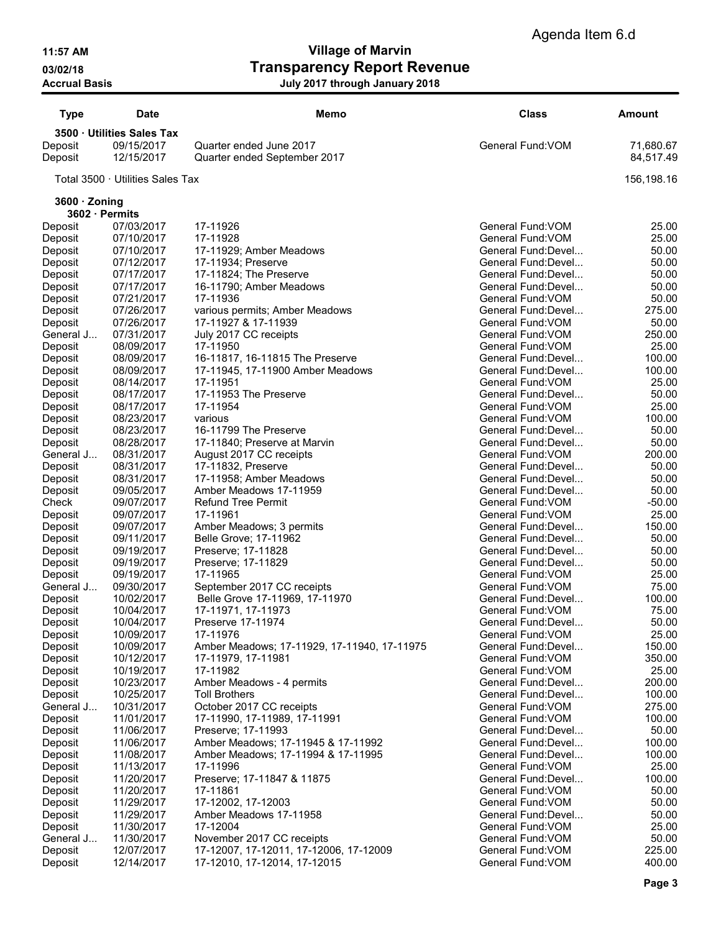11:57 AM Village of Marvin 03/02/18 **Transparency Report Revenue** Accrual Basis July 2017 through January 2018

| <b>Type</b>          | Date                             | Memo                                                     | <b>Class</b>                               | Amount                 |
|----------------------|----------------------------------|----------------------------------------------------------|--------------------------------------------|------------------------|
|                      | 3500 · Utilities Sales Tax       |                                                          |                                            |                        |
| Deposit<br>Deposit   | 09/15/2017<br>12/15/2017         | Quarter ended June 2017<br>Quarter ended September 2017  | General Fund: VOM                          | 71,680.67<br>84,517.49 |
|                      | Total 3500 · Utilities Sales Tax |                                                          |                                            | 156,198.16             |
| 3600 · Zoning        |                                  |                                                          |                                            |                        |
| 3602 · Permits       |                                  |                                                          |                                            |                        |
| Deposit              | 07/03/2017                       | 17-11926                                                 | General Fund: VOM                          | 25.00                  |
| Deposit              | 07/10/2017                       | 17-11928                                                 | General Fund: VOM                          | 25.00                  |
| Deposit              | 07/10/2017<br>07/12/2017         | 17-11929; Amber Meadows                                  | General Fund: Devel<br>General Fund:Devel  | 50.00<br>50.00         |
| Deposit<br>Deposit   | 07/17/2017                       | 17-11934; Preserve<br>17-11824; The Preserve             | General Fund: Devel                        | 50.00                  |
| Deposit              | 07/17/2017                       | 16-11790; Amber Meadows                                  | General Fund: Devel                        | 50.00                  |
| Deposit              | 07/21/2017                       | 17-11936                                                 | General Fund: VOM                          | 50.00                  |
| Deposit              | 07/26/2017                       | various permits; Amber Meadows                           | General Fund: Devel                        | 275.00                 |
| Deposit              | 07/26/2017                       | 17-11927 & 17-11939                                      | General Fund: VOM                          | 50.00                  |
| General J            | 07/31/2017                       | July 2017 CC receipts                                    | General Fund: VOM                          | 250.00                 |
| Deposit              | 08/09/2017                       | 17-11950                                                 | General Fund: VOM                          | 25.00                  |
| Deposit              | 08/09/2017                       | 16-11817, 16-11815 The Preserve                          | General Fund: Devel                        | 100.00                 |
| Deposit              | 08/09/2017                       | 17-11945, 17-11900 Amber Meadows                         | General Fund: Devel                        | 100.00                 |
| Deposit              | 08/14/2017                       | 17-11951                                                 | General Fund: VOM                          | 25.00                  |
| Deposit              | 08/17/2017                       | 17-11953 The Preserve                                    | General Fund: Devel                        | 50.00                  |
| Deposit              | 08/17/2017<br>08/23/2017         | 17-11954<br>various                                      | General Fund: VOM<br>General Fund: VOM     | 25.00<br>100.00        |
| Deposit<br>Deposit   | 08/23/2017                       | 16-11799 The Preserve                                    | General Fund: Devel                        | 50.00                  |
| Deposit              | 08/28/2017                       | 17-11840; Preserve at Marvin                             | General Fund: Devel                        | 50.00                  |
| General J            | 08/31/2017                       | August 2017 CC receipts                                  | General Fund: VOM                          | 200.00                 |
| Deposit              | 08/31/2017                       | 17-11832, Preserve                                       | General Fund: Devel                        | 50.00                  |
| Deposit              | 08/31/2017                       | 17-11958; Amber Meadows                                  | General Fund: Devel                        | 50.00                  |
| Deposit              | 09/05/2017                       | Amber Meadows 17-11959                                   | General Fund: Devel                        | 50.00                  |
| Check                | 09/07/2017                       | <b>Refund Tree Permit</b>                                | General Fund: VOM                          | $-50.00$               |
| Deposit              | 09/07/2017                       | 17-11961                                                 | General Fund: VOM                          | 25.00                  |
| Deposit              | 09/07/2017                       | Amber Meadows; 3 permits                                 | General Fund: Devel                        | 150.00                 |
| Deposit              | 09/11/2017                       | Belle Grove; 17-11962                                    | General Fund: Devel                        | 50.00                  |
| Deposit              | 09/19/2017                       | Preserve; 17-11828                                       | General Fund: Devel<br>General Fund: Devel | 50.00                  |
| Deposit              | 09/19/2017<br>09/19/2017         | Preserve; 17-11829<br>17-11965                           | General Fund: VOM                          | 50.00<br>25.00         |
| Deposit<br>General J | 09/30/2017                       | September 2017 CC receipts                               | General Fund: VOM                          | 75.00                  |
| Deposit              | 10/02/2017                       | Belle Grove 17-11969, 17-11970                           | General Fund: Devel                        | 100.00                 |
| Deposit              | 10/04/2017                       | 17-11971, 17-11973                                       | General Fund: VOM                          | 75.00                  |
| Deposit              | 10/04/2017                       | Preserve 17-11974                                        | General Fund:Devel                         | 50.00                  |
| Deposit              | 10/09/2017                       | 17-11976                                                 | General Fund: VOM                          | 25.00                  |
| Deposit              | 10/09/2017                       | Amber Meadows; 17-11929, 17-11940, 17-11975              | General Fund: Devel                        | 150.00                 |
| Deposit              | 10/12/2017                       | 17-11979, 17-11981                                       | General Fund: VOM                          | 350.00                 |
| Deposit              | 10/19/2017                       | 17-11982                                                 | General Fund: VOM                          | 25.00                  |
| Deposit              | 10/23/2017                       | Amber Meadows - 4 permits                                | General Fund: Devel                        | 200.00                 |
| Deposit              | 10/25/2017                       | <b>Toll Brothers</b>                                     | General Fund: Devel                        | 100.00                 |
| General J            | 10/31/2017                       | October 2017 CC receipts                                 | General Fund: VOM                          | 275.00                 |
| Deposit              | 11/01/2017                       | 17-11990, 17-11989, 17-11991                             | General Fund: VOM                          | 100.00<br>50.00        |
| Deposit<br>Deposit   | 11/06/2017<br>11/06/2017         | Preserve; 17-11993<br>Amber Meadows; 17-11945 & 17-11992 | General Fund: Devel<br>General Fund: Devel | 100.00                 |
| Deposit              | 11/08/2017                       | Amber Meadows; 17-11994 & 17-11995                       | General Fund: Devel                        | 100.00                 |
| Deposit              | 11/13/2017                       | 17-11996                                                 | General Fund: VOM                          | 25.00                  |
| Deposit              | 11/20/2017                       | Preserve; 17-11847 & 11875                               | General Fund: Devel                        | 100.00                 |
| Deposit              | 11/20/2017                       | 17-11861                                                 | General Fund: VOM                          | 50.00                  |
| Deposit              | 11/29/2017                       | 17-12002, 17-12003                                       | General Fund: VOM                          | 50.00                  |
| Deposit              | 11/29/2017                       | Amber Meadows 17-11958                                   | General Fund: Devel                        | 50.00                  |
| Deposit              | 11/30/2017                       | 17-12004                                                 | General Fund: VOM                          | 25.00                  |
| General J            | 11/30/2017                       | November 2017 CC receipts                                | General Fund: VOM                          | 50.00                  |
| Deposit              | 12/07/2017                       | 17-12007, 17-12011, 17-12006, 17-12009                   | General Fund: VOM                          | 225.00                 |
| Deposit              | 12/14/2017                       | 17-12010, 17-12014, 17-12015                             | General Fund: VOM                          | 400.00                 |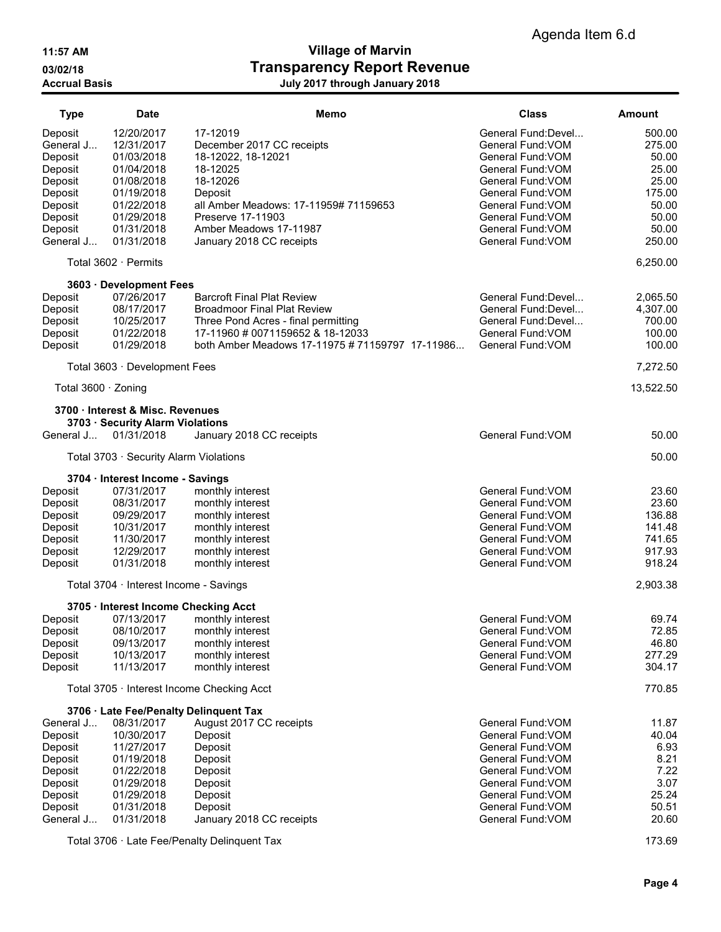# 11:57 AM Village of Marvin 03/02/18 Contract Transparency Report Revenue Accrual Basis July 2017 through January 2018

| <b>Type</b>         | <b>Date</b>                            | Memo                                            | <b>Class</b>        | <b>Amount</b> |
|---------------------|----------------------------------------|-------------------------------------------------|---------------------|---------------|
| Deposit             | 12/20/2017                             | 17-12019                                        | General Fund: Devel | 500.00        |
| General J           | 12/31/2017                             | December 2017 CC receipts                       | General Fund: VOM   | 275.00        |
| Deposit             | 01/03/2018                             | 18-12022, 18-12021                              | General Fund: VOM   | 50.00         |
| Deposit             | 01/04/2018                             | 18-12025                                        | General Fund: VOM   | 25.00         |
| Deposit             | 01/08/2018                             | 18-12026                                        | General Fund: VOM   | 25.00         |
| Deposit             | 01/19/2018                             | Deposit                                         | General Fund: VOM   | 175.00        |
| Deposit             | 01/22/2018                             | all Amber Meadows: 17-11959# 71159653           | General Fund: VOM   | 50.00         |
| Deposit             | 01/29/2018                             | Preserve 17-11903                               | General Fund: VOM   | 50.00         |
| Deposit             | 01/31/2018                             | Amber Meadows 17-11987                          | General Fund: VOM   | 50.00         |
| General J           | 01/31/2018                             | January 2018 CC receipts                        | General Fund: VOM   | 250.00        |
|                     | Total 3602 · Permits                   |                                                 |                     | 6,250.00      |
|                     | 3603 · Development Fees                |                                                 |                     |               |
| Deposit             | 07/26/2017                             | <b>Barcroft Final Plat Review</b>               | General Fund: Devel | 2,065.50      |
| Deposit             | 08/17/2017                             | <b>Broadmoor Final Plat Review</b>              | General Fund: Devel | 4,307.00      |
| Deposit             | 10/25/2017                             | Three Pond Acres - final permitting             | General Fund: Devel | 700.00        |
| Deposit             | 01/22/2018                             | 17-11960 # 0071159652 & 18-12033                | General Fund: VOM   | 100.00        |
| Deposit             | 01/29/2018                             | both Amber Meadows 17-11975 # 71159797 17-11986 | General Fund: VOM   | 100.00        |
|                     | Total 3603 · Development Fees          |                                                 |                     | 7,272.50      |
| Total 3600 · Zoning |                                        |                                                 |                     | 13,522.50     |
|                     | 3700 · Interest & Misc. Revenues       |                                                 |                     |               |
|                     | 3703 · Security Alarm Violations       |                                                 |                     |               |
| General J           | 01/31/2018                             | January 2018 CC receipts                        | General Fund: VOM   | 50.00         |
|                     | Total 3703 · Security Alarm Violations |                                                 |                     | 50.00         |
|                     | 3704 · Interest Income - Savings       |                                                 |                     |               |
| Deposit             | 07/31/2017                             | monthly interest                                | General Fund: VOM   | 23.60         |
| Deposit             | 08/31/2017                             | monthly interest                                | General Fund: VOM   | 23.60         |
| Deposit             | 09/29/2017                             | monthly interest                                | General Fund: VOM   | 136.88        |
| Deposit             | 10/31/2017                             | monthly interest                                | General Fund: VOM   | 141.48        |
| Deposit             | 11/30/2017                             | monthly interest                                | General Fund: VOM   | 741.65        |
| Deposit             | 12/29/2017                             | monthly interest                                | General Fund: VOM   | 917.93        |
| Deposit             | 01/31/2018                             | monthly interest                                | General Fund: VOM   | 918.24        |
|                     | Total 3704 · Interest Income - Savings |                                                 |                     | 2,903.38      |
|                     | 3705 · Interest Income Checking Acct   |                                                 |                     |               |
| Deposit             | 07/13/2017                             | monthly interest                                | General Fund: VOM   | 69.74         |
| Deposit             | 08/10/2017                             | monthly interest                                | General Fund: VOM   | 72.85         |
| Deposit             | 09/13/2017                             | monthly interest                                | General Fund: VOM   | 46.80         |
| Deposit             | 10/13/2017                             | monthly interest                                | General Fund: VOM   | 277.29        |
| Deposit             | 11/13/2017                             | monthly interest                                | General Fund: VOM   | 304.17        |
|                     |                                        | Total 3705 · Interest Income Checking Acct      |                     | 770.85        |
|                     |                                        | 3706 · Late Fee/Penalty Delinquent Tax          |                     |               |
| General J           | 08/31/2017                             | August 2017 CC receipts                         | General Fund: VOM   | 11.87         |
| Deposit             | 10/30/2017                             | Deposit                                         | General Fund: VOM   | 40.04         |
| Deposit             | 11/27/2017                             | Deposit                                         | General Fund: VOM   | 6.93          |
| Deposit             | 01/19/2018                             | Deposit                                         | General Fund: VOM   | 8.21          |
| Deposit             | 01/22/2018                             | Deposit                                         | General Fund: VOM   | 7.22          |
| Deposit             | 01/29/2018                             | Deposit                                         | General Fund: VOM   | 3.07          |
| Deposit             | 01/29/2018                             | Deposit                                         | General Fund: VOM   | 25.24         |
| Deposit             | 01/31/2018                             | Deposit                                         | General Fund: VOM   | 50.51         |
| General J           | 01/31/2018                             | January 2018 CC receipts                        | General Fund: VOM   | 20.60         |
|                     |                                        |                                                 |                     |               |

Total 3706 · Late Fee/Penalty Delinquent Tax 173.69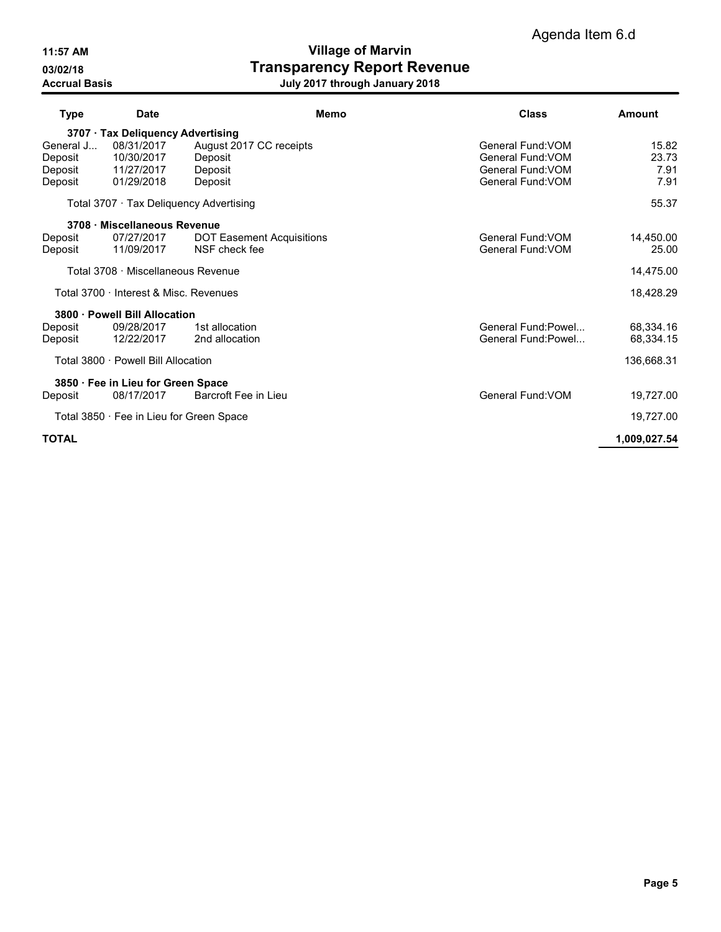11:57 AM Village of Marvin 03/02/18 **Transparency Report Revenue** Accrual Basis July 2017 through January 2018

| <b>Type</b>        | <b>Date</b>                              | Memo                             | Class                                  | Amount       |
|--------------------|------------------------------------------|----------------------------------|----------------------------------------|--------------|
|                    | 3707 · Tax Deliquency Advertising        |                                  |                                        |              |
| General J          | 08/31/2017                               | August 2017 CC receipts          | General Fund: VOM                      | 15.82        |
| Deposit            | 10/30/2017                               | Deposit                          | General Fund: VOM                      | 23.73        |
| Deposit<br>Deposit | 11/27/2017<br>01/29/2018                 | Deposit<br>Deposit               | General Fund: VOM<br>General Fund: VOM | 7.91<br>7.91 |
|                    |                                          |                                  |                                        |              |
|                    | Total 3707 Tax Deliquency Advertising    |                                  |                                        | 55.37        |
|                    | 3708 · Miscellaneous Revenue             |                                  |                                        |              |
| Deposit            | 07/27/2017                               | <b>DOT Easement Acquisitions</b> | General Fund: VOM                      | 14,450.00    |
| Deposit            | 11/09/2017                               | NSF check fee                    | General Fund: VOM                      | 25.00        |
|                    | Total 3708 · Miscellaneous Revenue       |                                  |                                        | 14,475.00    |
|                    | Total 3700 · Interest & Misc. Revenues   |                                  |                                        | 18,428.29    |
|                    | 3800 · Powell Bill Allocation            |                                  |                                        |              |
| Deposit            | 09/28/2017                               | 1st allocation                   | General Fund: Powel                    | 68,334.16    |
| Deposit            | 12/22/2017                               | 2nd allocation                   | General Fund:Powel                     | 68,334.15    |
|                    | Total 3800 · Powell Bill Allocation      |                                  |                                        | 136,668.31   |
|                    | 3850 · Fee in Lieu for Green Space       |                                  |                                        |              |
| Deposit            | 08/17/2017                               | Barcroft Fee in Lieu             | General Fund: VOM                      | 19,727.00    |
|                    | Total 3850 · Fee in Lieu for Green Space |                                  |                                        | 19,727.00    |
| <b>TOTAL</b>       |                                          |                                  |                                        | 1,009,027.54 |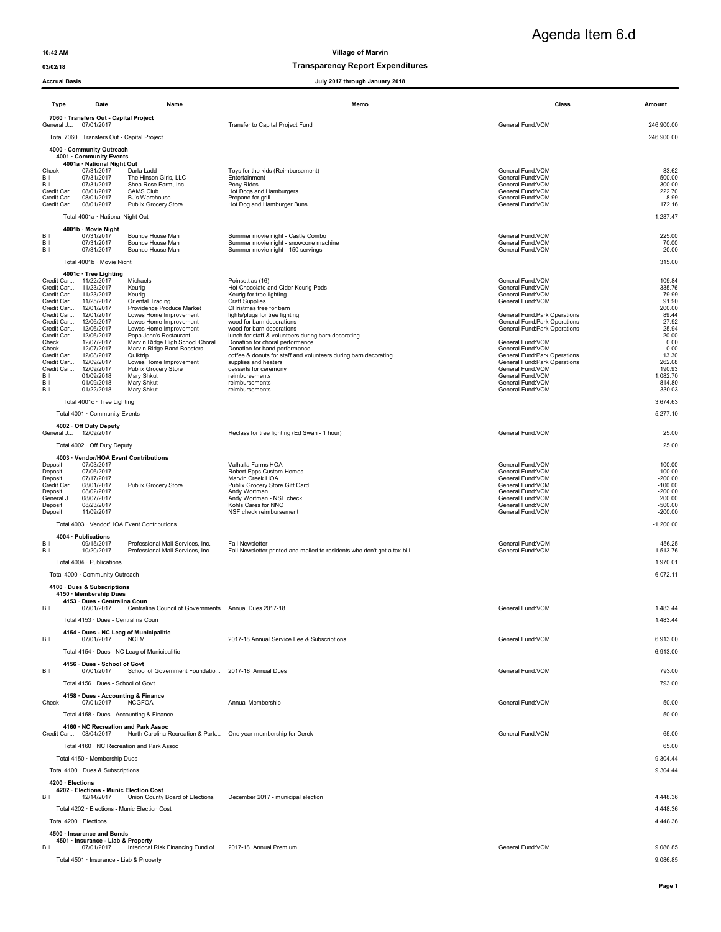### 03/02/18 Transparency Report Expenditures

| <b>Accrual Basis</b>                           |                                                                           |                                                                                                       | July 2017 through January 2018                                                                     |                                                                |                        |
|------------------------------------------------|---------------------------------------------------------------------------|-------------------------------------------------------------------------------------------------------|----------------------------------------------------------------------------------------------------|----------------------------------------------------------------|------------------------|
| <b>Type</b>                                    | Date                                                                      | Name                                                                                                  | Memo                                                                                               | Class                                                          | Amount                 |
|                                                | 7060 · Transfers Out - Capital Project                                    |                                                                                                       |                                                                                                    |                                                                |                        |
| General J 07/01/2017                           |                                                                           |                                                                                                       | Transfer to Capital Project Fund                                                                   | General Fund:VOM                                               | 246,900.00             |
|                                                | Total 7060 · Transfers Out - Capital Project<br>4000 · Community Outreach |                                                                                                       |                                                                                                    |                                                                | 246,900.00             |
|                                                | 4001 · Community Events                                                   |                                                                                                       |                                                                                                    |                                                                |                        |
| Check                                          | 4001a · National Night Out<br>07/31/2017                                  | Darla Ladd                                                                                            | Toys for the kids (Reimbursement)                                                                  | General Fund: VOM                                              | 83.62                  |
| Bill<br>Bill                                   | 07/31/2017<br>07/31/2017                                                  | The Hinson Girls, LLC<br>Shea Rose Farm, Inc.                                                         | Entertainment<br>Pony Rides                                                                        | General Fund: VOM<br>General Fund: VOM                         | 500.00<br>300.00       |
| Credit Car<br>Credit Car 08/01/2017            | 08/01/2017                                                                | <b>SAMS Club</b><br>BJ's Warehouse                                                                    | Hot Dogs and Hamburgers<br>Propane for grill                                                       | General Fund: VOM<br>General Fund: VOM                         | 222.70<br>8.99         |
| Credit Car 08/01/2017                          |                                                                           | Publix Grocery Store                                                                                  | Hot Dog and Hamburger Buns                                                                         | General Fund: VOM                                              | 172.16                 |
|                                                | Total 4001a · National Night Out                                          |                                                                                                       |                                                                                                    |                                                                | 1,287.47               |
| Bill                                           | 4001b · Movie Night<br>07/31/2017                                         | Bounce House Man                                                                                      | Summer movie night - Castle Combo                                                                  | General Fund: VOM                                              | 225.00                 |
| Bill<br>Bill                                   | 07/31/2017<br>07/31/2017                                                  | Bounce House Man<br>Bounce House Man                                                                  | Summer movie night - snowcone machine<br>Summer movie night - 150 servings                         | General Fund: VOM<br>General Fund: VOM                         | 70.00<br>20.00         |
|                                                | Total 4001b · Movie Night                                                 |                                                                                                       |                                                                                                    |                                                                | 315.00                 |
|                                                | 4001c · Tree Lighting                                                     |                                                                                                       |                                                                                                    |                                                                |                        |
| Credit Car 11/22/2017<br>Credit Car 11/23/2017 |                                                                           | Michaels<br>Keurig                                                                                    | Poinsettias (16)<br>Hot Chocolate and Cider Keurig Pods                                            | General Fund: VOM<br>General Fund: VOM                         | 109.84<br>335.76       |
| Credit Car 11/23/2017<br>Credit Car 11/25/2017 |                                                                           | Keurig<br>Oriental Trading                                                                            | Keurig for tree lighting<br><b>Craft Supplies</b>                                                  | General Fund:VOM<br>General Fund: VOM                          | 79.99<br>91.90         |
| Credit Car 12/01/2017                          |                                                                           | Providence Produce Market                                                                             | CHristmas tree for barn                                                                            |                                                                | 200.00                 |
| Credit Car 12/01/2017<br>Credit Car 12/06/2017 |                                                                           | Lowes Home Improvement<br>Lowes Home Improvement                                                      | lights/plugs for tree lighting<br>wood for barn decorations                                        | General Fund: Park Operations<br>General Fund: Park Operations | 89.44<br>27.92         |
| Credit Car 12/06/2017<br>Credit Car 12/06/2017 |                                                                           | Lowes Home Improvement<br>Papa John's Restaurant                                                      | wood for barn decorations<br>lunch for staff & volunteers during barn decorating                   | General Fund: Park Operations                                  | 25.94<br>20.00         |
| Check<br>Check                                 | 12/07/2017<br>12/07/2017                                                  | Marvin Ridge High School Choral<br>Marvin Ridge Band Boosters                                         | Donation for choral performance<br>Donation for band performance                                   | General Fund: VOM<br>General Fund: VOM                         | 0.00<br>0.00           |
| Credit Car 12/08/2017<br>Credit Car            | 12/09/2017                                                                | Quiktrip<br>Lowes Home Improvement                                                                    | coffee & donuts for staff and volunteers during barn decorating<br>supplies and heaters            | General Fund: Park Operations<br>General Fund: Park Operations | 13.30<br>262.08        |
| Credit Car                                     | 12/09/2017                                                                | Publix Grocery Store                                                                                  | desserts for ceremony                                                                              | General Fund:VOM                                               | 190.93                 |
| Bill<br>Bill                                   | 01/09/2018<br>01/09/2018                                                  | Mary Shkut<br>Mary Shkut                                                                              | reimbursements<br>reimbursements                                                                   | General Fund: VOM<br>General Fund: VOM                         | 1,082.70<br>814.80     |
| Bill                                           | 01/22/2018                                                                | Mary Shkut                                                                                            | reimbursements                                                                                     | General Fund: VOM                                              | 330.03                 |
|                                                | Total 4001c · Tree Lighting                                               |                                                                                                       |                                                                                                    |                                                                | 3,674.63               |
|                                                | Total 4001 · Community Events                                             |                                                                                                       |                                                                                                    |                                                                | 5,277.10               |
| General J 12/09/2017                           | 4002 · Off Duty Deputy                                                    |                                                                                                       | Reclass for tree lighting (Ed Swan - 1 hour)                                                       | General Fund: VOM                                              | 25.00                  |
|                                                | Total 4002 · Off Duty Deputy                                              |                                                                                                       |                                                                                                    |                                                                | 25.00                  |
|                                                |                                                                           | 4003 · Vendor/HOA Event Contributions                                                                 |                                                                                                    |                                                                |                        |
| Deposit<br>Deposit                             | 07/03/2017<br>07/06/2017                                                  |                                                                                                       | Valhalla Farms HOA<br>Robert Epps Custom Homes                                                     | General Fund: VOM<br>General Fund:VOM                          | $-100.00$<br>$-100.00$ |
| Deposit<br>Credit Car                          | 07/17/2017<br>08/01/2017                                                  | Publix Grocery Store                                                                                  | Marvin Creek HOA<br>Publix Grocery Store Gift Card                                                 | General Fund: VOM<br>General Fund:VOM                          | $-200.00$<br>$-100.00$ |
| Deposit<br>General J                           | 08/02/2017<br>08/07/2017                                                  |                                                                                                       | Andy Wortman<br>Andy Wortman - NSF check                                                           | General Fund: VOM<br>General Fund: VOM                         | $-200.00$<br>200.00    |
| Deposit                                        | 08/23/2017                                                                |                                                                                                       | Kohls Cares for NNO<br>NSF check reimbursement                                                     | General Fund: VOM                                              | $-500.00$<br>$-200.00$ |
| Deposit                                        | 11/09/2017                                                                | Total 4003 · Vendor/HOA Event Contributions                                                           |                                                                                                    | General Fund: VOM                                              | $-1,200.00$            |
|                                                | 4004 · Publications                                                       |                                                                                                       |                                                                                                    |                                                                |                        |
| Bill<br>Bill                                   | 09/15/2017<br>10/20/2017                                                  | Professional Mail Services, Inc.<br>Professional Mail Services, Inc.                                  | <b>Fall Newsletter</b><br>Fall Newsletter printed and mailed to residents who don't get a tax bill | General Fund: VOM<br>General Fund: VOM                         | 456.25                 |
|                                                | Total 4004 · Publications                                                 |                                                                                                       |                                                                                                    |                                                                | 1,513.76<br>1,970.01   |
|                                                | Total 4000 · Community Outreach                                           |                                                                                                       |                                                                                                    |                                                                | 6,072.11               |
|                                                | 4100 · Dues & Subscriptions                                               |                                                                                                       |                                                                                                    |                                                                |                        |
|                                                | 4150 · Membership Dues<br>4153 · Dues - Centralina Coun                   |                                                                                                       |                                                                                                    |                                                                |                        |
| Bill                                           | 07/01/2017                                                                | Centralina Council of Governments Annual Dues 2017-18                                                 |                                                                                                    | General Fund: VOM                                              | 1,483.44               |
|                                                | Total 4153 · Dues - Centralina Coun                                       |                                                                                                       |                                                                                                    |                                                                | 1,483.44               |
|                                                |                                                                           | 4154 · Dues - NC Leag of Municipalitie                                                                |                                                                                                    |                                                                |                        |
| Bill                                           | 07/01/2017                                                                | <b>NCLM</b>                                                                                           | 2017-18 Annual Service Fee & Subscriptions                                                         | General Fund: VOM                                              | 6,913.00               |
|                                                |                                                                           | Total 4154 · Dues - NC Leag of Municipalitie                                                          |                                                                                                    |                                                                | 6,913.00               |
| Bill                                           | 4156 · Dues - School of Govt<br>07/01/2017                                | School of Government Foundatio 2017-18 Annual Dues                                                    |                                                                                                    | General Fund: VOM                                              | 793.00                 |
|                                                | Total 4156 · Dues - School of Govt                                        |                                                                                                       |                                                                                                    |                                                                | 793.00                 |
|                                                | 4158 · Dues - Accounting & Finance                                        |                                                                                                       |                                                                                                    |                                                                |                        |
| Check                                          | 07/01/2017                                                                | <b>NCGFOA</b>                                                                                         | Annual Membership                                                                                  | General Fund: VOM                                              | 50.00                  |
|                                                |                                                                           | Total 4158 · Dues - Accounting & Finance                                                              |                                                                                                    |                                                                | 50.00                  |
| Credit Car 08/04/2017                          |                                                                           | 4160 · NC Recreation and Park Assoc<br>North Carolina Recreation & Park One year membership for Derek |                                                                                                    | General Fund:VOM                                               | 65.00                  |
|                                                |                                                                           | Total 4160 · NC Recreation and Park Assoc                                                             |                                                                                                    |                                                                | 65.00                  |
|                                                | Total 4150 · Membership Dues                                              |                                                                                                       |                                                                                                    |                                                                | 9,304.44               |
|                                                | Total 4100 · Dues & Subscriptions                                         |                                                                                                       |                                                                                                    |                                                                | 9,304.44               |
| 4200 · Elections                               |                                                                           |                                                                                                       |                                                                                                    |                                                                |                        |
| Bill                                           | 4202 · Elections - Munic Election Cost<br>12/14/2017                      | Union County Board of Elections                                                                       | December 2017 - municipal election                                                                 |                                                                | 4,448.36               |
|                                                |                                                                           | Total 4202 · Elections - Munic Election Cost                                                          |                                                                                                    |                                                                | 4,448.36               |
|                                                | Total 4200 · Elections                                                    |                                                                                                       |                                                                                                    |                                                                | 4,448.36               |
|                                                | 4500 · Insurance and Bonds                                                |                                                                                                       |                                                                                                    |                                                                |                        |
| Bill                                           | 4501 · Insurance - Liab & Property<br>07/01/2017                          | Interlocal Risk Financing Fund of  2017-18 Annual Premium                                             |                                                                                                    | General Fund: VOM                                              | 9,086.85               |

Total 4501 · Insurance - Liab & Property 9,086.85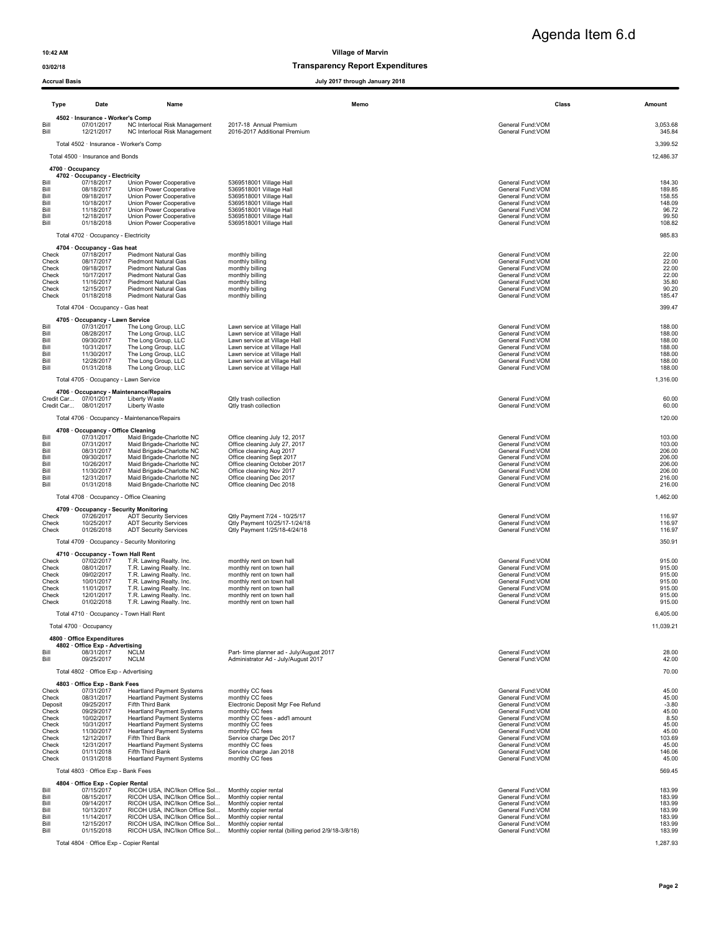Agenda Item 6.d

10:42 AM Village of Marvin

### 03/02/18 Transparency Report Expenditures

|                                                                                                   | Acciudi Dasis                                                                                                                                                                           |                                                                                                                                                                                                                                                                                                                                                          | July 2017 through January 2010                                                                                                                                                                                                                                 |                                                                                                                                                                                                                                     |                                                                                                    |
|---------------------------------------------------------------------------------------------------|-----------------------------------------------------------------------------------------------------------------------------------------------------------------------------------------|----------------------------------------------------------------------------------------------------------------------------------------------------------------------------------------------------------------------------------------------------------------------------------------------------------------------------------------------------------|----------------------------------------------------------------------------------------------------------------------------------------------------------------------------------------------------------------------------------------------------------------|-------------------------------------------------------------------------------------------------------------------------------------------------------------------------------------------------------------------------------------|----------------------------------------------------------------------------------------------------|
|                                                                                                   | Type<br>Date                                                                                                                                                                            | Name                                                                                                                                                                                                                                                                                                                                                     | Memo                                                                                                                                                                                                                                                           | Class                                                                                                                                                                                                                               | Amount                                                                                             |
| Bill<br>Bill                                                                                      | 4502 · Insurance - Worker's Comp<br>07/01/2017<br>12/21/2017                                                                                                                            | NC Interlocal Risk Management<br>NC Interlocal Risk Management                                                                                                                                                                                                                                                                                           | 2017-18 Annual Premium<br>2016-2017 Additional Premium                                                                                                                                                                                                         | General Fund: VOM<br>General Fund: VOM                                                                                                                                                                                              | 3,053.68<br>345.84                                                                                 |
|                                                                                                   | Total 4502 · Insurance - Worker's Comp                                                                                                                                                  |                                                                                                                                                                                                                                                                                                                                                          |                                                                                                                                                                                                                                                                |                                                                                                                                                                                                                                     | 3,399.52                                                                                           |
|                                                                                                   | Total 4500 · Insurance and Bonds                                                                                                                                                        |                                                                                                                                                                                                                                                                                                                                                          |                                                                                                                                                                                                                                                                |                                                                                                                                                                                                                                     | 12,486.37                                                                                          |
| Bill<br>Bill<br>Bill<br>Bill<br>Bill<br>Bill<br>Bill                                              | 4700 · Occupancy<br>4702 · Occupancy - Electricity<br>07/18/2017<br>08/18/2017<br>09/18/2017<br>10/18/2017<br>11/18/2017<br>12/18/2017<br>01/18/2018                                    | Union Power Cooperative<br>Union Power Cooperative<br>Union Power Cooperative<br>Union Power Cooperative<br>Union Power Cooperative<br>Union Power Cooperative<br>Union Power Cooperative                                                                                                                                                                | 5369518001 Village Hall<br>5369518001 Village Hall<br>5369518001 Village Hall<br>5369518001 Village Hall<br>5369518001 Village Hall<br>5369518001 Village Hall<br>5369518001 Village Hall                                                                      | General Fund: VOM<br>General Fund: VOM<br>General Fund: VOM<br>General Fund: VOM<br>General Fund: VOM<br>General Fund: VOM<br>General Fund: VOM                                                                                     | 184.30<br>189.85<br>158.55<br>148.09<br>96.72<br>99.50<br>108.82                                   |
|                                                                                                   | Total 4702 · Occupancy - Electricity                                                                                                                                                    |                                                                                                                                                                                                                                                                                                                                                          |                                                                                                                                                                                                                                                                |                                                                                                                                                                                                                                     | 985.83                                                                                             |
| Check<br>Check<br>Check<br>Check<br>Check<br>Check<br>Check                                       | 4704 · Occupancy - Gas heat<br>07/18/2017<br>08/17/2017<br>09/18/2017<br>10/17/2017<br>11/16/2017<br>12/15/2017<br>01/18/2018<br>Total 4704 · Occupancy - Gas heat                      | <b>Piedmont Natural Gas</b><br><b>Piedmont Natural Gas</b><br><b>Piedmont Natural Gas</b><br>Piedmont Natural Gas<br>Piedmont Natural Gas<br>Piedmont Natural Gas<br>Piedmont Natural Gas                                                                                                                                                                | monthly billing<br>monthly billing<br>monthly billing<br>monthly billing<br>monthly billing<br>monthly billing<br>monthly billing                                                                                                                              | General Fund: VOM<br>General Fund: VOM<br>General Fund: VOM<br>General Fund: VOM<br>General Fund: VOM<br>General Fund: VOM<br>General Fund: VOM                                                                                     | 22.00<br>22.00<br>22.00<br>22.00<br>35.80<br>90.20<br>185.47<br>399.47                             |
|                                                                                                   | 4705 · Occupancy - Lawn Service                                                                                                                                                         |                                                                                                                                                                                                                                                                                                                                                          |                                                                                                                                                                                                                                                                |                                                                                                                                                                                                                                     |                                                                                                    |
| Bil<br>Bill<br>Bill<br>Bill<br>Bill<br>Bill<br>Bill                                               | 07/31/2017<br>08/28/2017<br>09/30/2017<br>10/31/2017<br>11/30/2017<br>12/28/2017<br>01/31/2018                                                                                          | The Long Group, LLC<br>The Long Group, LLC<br>The Long Group, LLC<br>The Long Group, LLC<br>The Long Group, LLC<br>The Long Group, LLC<br>The Long Group, LLC                                                                                                                                                                                            | Lawn service at Village Hall<br>Lawn service at Village Hall<br>Lawn service at Village Hall<br>Lawn service at Village Hall<br>Lawn service at Village Hall<br>Lawn service at Village Hall<br>Lawn service at Village Hall                                   | General Fund: VOM<br>General Fund: VOM<br>General Fund: VOM<br>General Fund: VOM<br>General Fund: VOM<br>General Fund: VOM<br>General Fund:VOM                                                                                      | 188.00<br>188.00<br>188.00<br>188.00<br>188.00<br>188.00<br>188.00                                 |
|                                                                                                   | Total 4705 · Occupancy - Lawn Service                                                                                                                                                   |                                                                                                                                                                                                                                                                                                                                                          |                                                                                                                                                                                                                                                                |                                                                                                                                                                                                                                     | 1,316.00                                                                                           |
|                                                                                                   | 4706 · Occupancy - Maintenance/Repairs<br>Credit Car 07/01/2017<br>Credit Car<br>08/01/2017                                                                                             | Liberty Waste<br>Liberty Waste                                                                                                                                                                                                                                                                                                                           | Otly trash collection<br>Qtly trash collection                                                                                                                                                                                                                 | General Fund: VOM<br>General Fund: VOM                                                                                                                                                                                              | 60.00<br>60.00                                                                                     |
|                                                                                                   | Total 4706 · Occupancy - Maintenance/Repairs                                                                                                                                            |                                                                                                                                                                                                                                                                                                                                                          |                                                                                                                                                                                                                                                                |                                                                                                                                                                                                                                     | 120.00                                                                                             |
| Bill<br>Bill<br>Bill<br>Bill<br>Bill<br>Bill<br>Bill<br>Bill                                      | 4708 · Occupancy - Office Cleaning<br>07/31/2017<br>07/31/2017<br>08/31/2017<br>09/30/2017<br>10/26/2017<br>11/30/2017<br>12/31/2017<br>01/31/2018                                      | Maid Brigade-Charlotte NC<br>Maid Brigade-Charlotte NC<br>Maid Brigade-Charlotte NC<br>Maid Brigade-Charlotte NC<br>Maid Brigade-Charlotte NC<br>Maid Brigade-Charlotte NC<br>Maid Brigade-Charlotte NC<br>Maid Brigade-Charlotte NC                                                                                                                     | Office cleaning July 12, 2017<br>Office cleaning July 27, 2017<br>Office cleaning Aug 2017<br>Office cleaning Sept 2017<br>Office cleaning October 2017<br>Office cleaning Nov 2017<br>Office cleaning Dec 2017<br>Office cleaning Dec 2018                    | General Fund: VOM<br>General Fund: VOM<br>General Fund: VOM<br>General Fund: VOM<br>General Fund: VOM<br>General Fund: VOM<br>General Fund: VOM<br>General Fund: VOM                                                                | 103.00<br>103.00<br>206.00<br>206.00<br>206.00<br>206.00<br>216.00<br>216.00                       |
|                                                                                                   | Total 4708 · Occupancy - Office Cleaning                                                                                                                                                |                                                                                                                                                                                                                                                                                                                                                          |                                                                                                                                                                                                                                                                |                                                                                                                                                                                                                                     | 1,462.00                                                                                           |
| Check<br>Check<br>Check                                                                           | 4709 Occupancy - Security Monitoring<br>07/26/2017<br>10/25/2017<br>01/26/2018                                                                                                          | <b>ADT Security Services</b><br><b>ADT Security Services</b><br><b>ADT Security Services</b>                                                                                                                                                                                                                                                             | Qtly Payment 7/24 - 10/25/17<br>Qtly Payment 10/25/17-1/24/18<br>Qtly Payment 1/25/18-4/24/18                                                                                                                                                                  | General Fund:VOM<br>General Fund:VOM<br>General Fund:VOM                                                                                                                                                                            | 116.97<br>116.97<br>116.97                                                                         |
|                                                                                                   | Total 4709 · Occupancy - Security Monitoring                                                                                                                                            |                                                                                                                                                                                                                                                                                                                                                          |                                                                                                                                                                                                                                                                |                                                                                                                                                                                                                                     | 350.91                                                                                             |
| Check<br>Check<br>Check<br>Check<br>Check<br>Check<br>Check                                       | 4710 · Occupancy - Town Hall Rent<br>07/02/2017<br>08/01/2017<br>09/02/2017<br>10/01/2017<br>11/01/2017<br>12/01/2017<br>01/02/2018                                                     | T.R. Lawing Realty. Inc.<br>T.R. Lawing Realty. Inc.<br>T.R. Lawing Realty. Inc.<br>T.R. Lawing Realty. Inc.<br>T.R. Lawing Realty. Inc.<br>T.R. Lawing Realty. Inc.<br>T.R. Lawing Realty. Inc.                                                                                                                                                         | monthly rent on town hall<br>monthly rent on town hall<br>monthly rent on town hall<br>monthly rent on town hall<br>monthly rent on town hall<br>monthly rent on town hall<br>monthly rent on town hall                                                        | General Fund: VOM<br>General Fund: VOM<br>General Fund: VOM<br>General Fund: VOM<br>General Fund: VOM<br>General Fund: VOM<br>General Fund: VOM                                                                                     | 915.00<br>915.00<br>915.00<br>915.00<br>915.00<br>915.00<br>915.00                                 |
|                                                                                                   | Total 4710 · Occupancy - Town Hall Rent                                                                                                                                                 |                                                                                                                                                                                                                                                                                                                                                          |                                                                                                                                                                                                                                                                |                                                                                                                                                                                                                                     | 6,405.00                                                                                           |
|                                                                                                   | Total 4700 · Occupancy<br>4800 · Office Expenditures                                                                                                                                    |                                                                                                                                                                                                                                                                                                                                                          |                                                                                                                                                                                                                                                                |                                                                                                                                                                                                                                     | 11,039.21                                                                                          |
| Bill<br>Bill                                                                                      | 4802 · Office Exp - Advertising<br>08/31/2017<br>09/25/2017                                                                                                                             | <b>NCLM</b><br><b>NCLM</b>                                                                                                                                                                                                                                                                                                                               | Part- time planner ad - July/August 2017<br>Administrator Ad - July/August 2017                                                                                                                                                                                | General Fund: VOM<br>General Fund: VOM                                                                                                                                                                                              | 28.00<br>42.00                                                                                     |
|                                                                                                   | Total 4802 · Office Exp - Advertising                                                                                                                                                   |                                                                                                                                                                                                                                                                                                                                                          |                                                                                                                                                                                                                                                                |                                                                                                                                                                                                                                     | 70.00                                                                                              |
| Check<br>Check<br>Deposit<br>Check<br>Check<br>Check<br>Check<br>Check<br>Check<br>Check<br>Check | 4803 · Office Exp - Bank Fees<br>07/31/2017<br>08/31/2017<br>09/25/2017<br>09/29/2017<br>10/02/2017<br>10/31/2017<br>11/30/2017<br>12/12/2017<br>12/31/2017<br>01/11/2018<br>01/31/2018 | <b>Heartland Payment Systems</b><br><b>Heartland Payment Systems</b><br>Fifth Third Bank<br><b>Heartland Payment Systems</b><br><b>Heartland Payment Systems</b><br><b>Heartland Payment Systems</b><br><b>Heartland Payment Systems</b><br>Fifth Third Bank<br><b>Heartland Payment Systems</b><br>Fifth Third Bank<br><b>Heartland Payment Systems</b> | monthly CC fees<br>monthly CC fees<br>Electronic Deposit Mgr Fee Refund<br>monthly CC fees<br>monthly CC fees - add'l amount<br>monthly CC fees<br>monthly CC fees<br>Service charge Dec 2017<br>monthly CC fees<br>Service charge Jan 2018<br>monthly CC fees | General Fund: VOM<br>General Fund: VOM<br>General Fund: VOM<br>General Fund: VOM<br>General Fund: VOM<br>General Fund: VOM<br>General Fund: VOM<br>General Fund: VOM<br>General Fund: VOM<br>General Fund: VOM<br>General Fund: VOM | 45.00<br>45.00<br>$-3.80$<br>45.00<br>8.50<br>45.00<br>45.00<br>103.69<br>45.00<br>146.06<br>45.00 |
|                                                                                                   | Total 4803 · Office Exp - Bank Fees                                                                                                                                                     |                                                                                                                                                                                                                                                                                                                                                          |                                                                                                                                                                                                                                                                |                                                                                                                                                                                                                                     | 569.45                                                                                             |
| Bill<br>Bill<br>Bill<br>Bill<br>Bill<br>Bill<br>Bill                                              | 4804 · Office Exp - Copier Rental<br>07/15/2017<br>08/15/2017<br>09/14/2017<br>10/13/2017<br>11/14/2017<br>12/15/2017<br>01/15/2018                                                     | RICOH USA, INC/Ikon Office Sol<br>RICOH USA, INC/Ikon Office Sol<br>RICOH USA, INC/Ikon Office Sol<br>RICOH USA, INC/Ikon Office Sol<br>RICOH USA, INC/Ikon Office Sol<br>RICOH USA, INC/Ikon Office Sol<br>RICOH USA, INC/Ikon Office Sol                                                                                                               | Monthly copier rental<br>Monthly copier rental<br>Monthly copier rental<br>Monthly copier rental<br>Monthly copier rental<br>Monthly copier rental<br>Monthly copier rental (billing period 2/9/18-3/8/18)                                                     | General Fund:VOM<br>General Fund:VOM<br>General Fund:VOM<br>General Fund:VOM<br>General Fund:VOM<br>General Fund:VOM<br>General Fund:VOM                                                                                            | 183.99<br>183.99<br>183.99<br>183.99<br>183.99<br>183.99<br>183.99                                 |
|                                                                                                   | Total 4804 · Office Exp - Copier Rental                                                                                                                                                 |                                                                                                                                                                                                                                                                                                                                                          |                                                                                                                                                                                                                                                                |                                                                                                                                                                                                                                     | 1,287.93                                                                                           |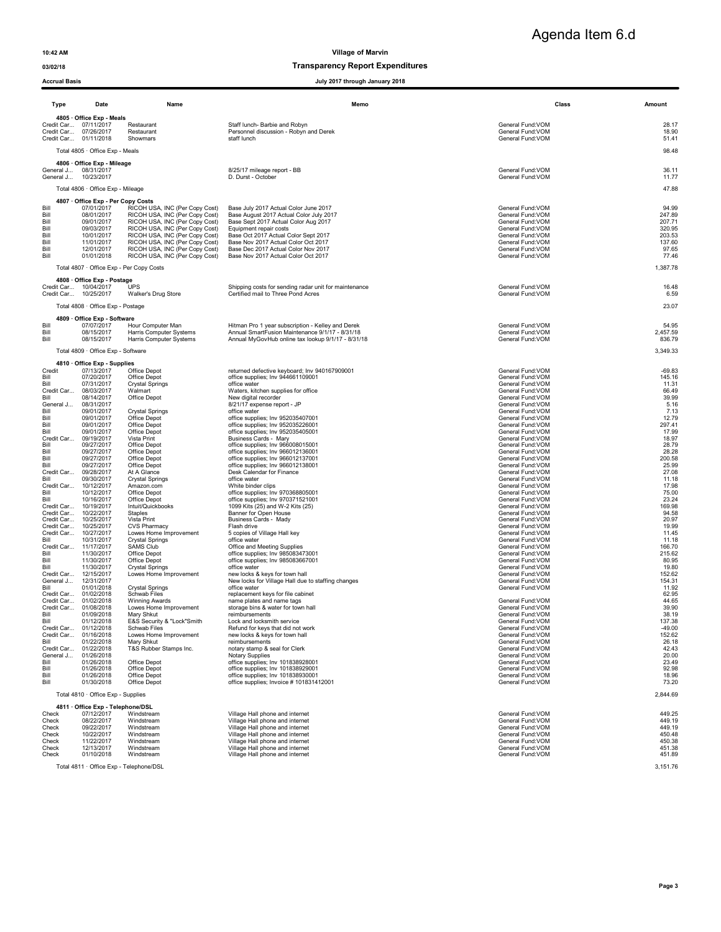### 03/02/18 Transparency Report Expenditures

### Accrual Basis July 2017 through January 2018

| Agenda Item 6.d |  |
|-----------------|--|
|                 |  |

| <b>Type</b>           | Date<br>Name                                    |                                                                  | Memo                                                                                                 |                                        | Class | Amount            |
|-----------------------|-------------------------------------------------|------------------------------------------------------------------|------------------------------------------------------------------------------------------------------|----------------------------------------|-------|-------------------|
|                       | 4805 Office Exp - Meals                         |                                                                  |                                                                                                      |                                        |       |                   |
| Credit Car 07/26/2017 | Credit Car 07/11/2017                           | Restaurant<br>Restaurant                                         | Staff lunch- Barbie and Robyn<br>Personnel discussion - Robyn and Derek                              | General Fund:VOM<br>General Fund: VOM  |       | 28.17<br>18.90    |
|                       | Credit Car 01/11/2018                           | Showmars                                                         | staff lunch                                                                                          | General Fund:VOM                       |       | 51.41             |
|                       | Total 4805 · Office Exp - Meals                 |                                                                  |                                                                                                      |                                        |       | 98.48             |
|                       | 4806 · Office Exp - Mileage                     |                                                                  |                                                                                                      |                                        |       |                   |
|                       | General J 08/31/2017                            |                                                                  | 8/25/17 mileage report - BB                                                                          | General Fund: VOM                      |       | 36.11             |
| General J 10/23/2017  |                                                 |                                                                  | D. Durst - October                                                                                   | General Fund:VOM                       |       | 11.77             |
|                       | Total 4806 · Office Exp - Mileage               |                                                                  |                                                                                                      |                                        |       | 47.88             |
|                       | 4807 Office Exp - Per Copy Costs                |                                                                  |                                                                                                      |                                        |       |                   |
| Bill                  | 07/01/2017                                      | RICOH USA, INC (Per Copy Cost)                                   | Base July 2017 Actual Color June 2017                                                                | General Fund: VOM                      |       | 94.99             |
| Bill<br>Bill          | 08/01/2017<br>09/01/2017                        | RICOH USA, INC (Per Copy Cost)<br>RICOH USA, INC (Per Copy Cost) | Base August 2017 Actual Color July 2017<br>Base Sept 2017 Actual Color Aug 2017                      | General Fund: VOM<br>General Fund:VOM  |       | 247.89<br>207.71  |
| Bill                  | 09/03/2017                                      | RICOH USA, INC (Per Copy Cost)                                   | Equipment repair costs                                                                               | General Fund: VOM                      |       | 320.95            |
| Bill                  | 10/01/2017<br>11/01/2017                        | RICOH USA, INC (Per Copy Cost)                                   | Base Oct 2017 Actual Color Sept 2017<br>Base Nov 2017 Actual Color Oct 2017                          | General Fund:VOM                       |       | 203.53            |
| Bill<br>Bill          | 12/01/2017                                      | RICOH USA, INC (Per Copy Cost)<br>RICOH USA, INC (Per Copy Cost) | Base Dec 2017 Actual Color Nov 2017                                                                  | General Fund:VOM<br>General Fund: VOM  |       | 137.60<br>97.65   |
| Bill                  | 01/01/2018                                      | RICOH USA, INC (Per Copy Cost)                                   | Base Nov 2017 Actual Color Oct 2017                                                                  | General Fund: VOM                      |       | 77.46             |
|                       | Total 4807 · Office Exp - Per Copy Costs        |                                                                  |                                                                                                      |                                        |       | 1,387.78          |
|                       | 4808 · Office Exp - Postage                     |                                                                  |                                                                                                      |                                        |       |                   |
|                       | Credit Car 10/04/2017                           | UPS                                                              | Shipping costs for sending radar unit for maintenance                                                | General Fund: VOM                      |       | 16.48             |
| Credit Car 10/25/2017 |                                                 | Walker's Drug Store                                              | Certified mail to Three Pond Acres                                                                   | General Fund:VOM                       |       | 6.59              |
|                       | Total 4808 · Office Exp - Postage               |                                                                  |                                                                                                      |                                        |       | 23.07             |
|                       | 4809 · Office Exp - Software                    |                                                                  |                                                                                                      |                                        |       |                   |
| Bill<br>Bill          | 07/07/2017<br>08/15/2017                        | Hour Computer Man<br>Harris Computer Systems                     | Hitman Pro 1 year subscription - Kelley and Derek<br>Annual SmartFusion Maintenance 9/1/17 - 8/31/18 | General Fund: VOM<br>General Fund: VOM |       | 54.95<br>2,457.59 |
| Bill                  | 08/15/2017                                      | Harris Computer Systems                                          | Annual MyGovHub online tax lookup 9/1/17 - 8/31/18                                                   | General Fund: VOM                      |       | 836.79            |
|                       | Total 4809 · Office Exp - Software              |                                                                  |                                                                                                      |                                        |       | 3,349.33          |
|                       | 4810 Office Exp - Supplies                      |                                                                  |                                                                                                      |                                        |       |                   |
| Credit                | 07/13/2017                                      | Office Depot                                                     | returned defective keyboard; Inv 940167909001                                                        | General Fund: VOM                      |       | $-69.83$          |
| Bill<br>Bill          | 07/20/2017<br>07/31/2017                        | Office Depot<br><b>Crystal Springs</b>                           | office supplies; Inv 944661109001<br>office water                                                    | General Fund:VOM<br>General Fund:VOM   |       | 145.16<br>11.31   |
| Credit Car            | 08/03/2017                                      | Walmart                                                          | Waters, kitchen supplies for office                                                                  | General Fund:VOM                       |       | 66.49             |
| Bill                  | 08/14/2017                                      | Office Depot                                                     | New digital recorder                                                                                 | General Fund:VOM                       |       | 39.99             |
| General J<br>Bill     | 08/31/2017<br>09/01/2017                        | <b>Crystal Springs</b>                                           | 8/21/17 expense report - JP<br>office water                                                          | General Fund:VOM<br>General Fund: VOM  |       | 5.16<br>7.13      |
| Bill                  | 09/01/2017                                      | Office Depot                                                     | office supplies; Inv 952035407001                                                                    | General Fund: VOM                      |       | 12.79             |
| Bill<br>Bill          | 09/01/2017<br>09/01/2017                        | Office Depot<br>Office Depot                                     | office supplies; Inv 952035226001<br>office supplies; Inv 952035405001                               | General Fund:VOM<br>General Fund: VOM  |       | 297.41<br>17.99   |
| Credit Car            | 09/19/2017                                      | Vista Print                                                      | Business Cards - Mary                                                                                | General Fund: VOM                      |       | 18.97             |
| Bill                  | 09/27/2017                                      | Office Depot                                                     | office supplies; Inv 966008015001                                                                    | General Fund: VOM                      |       | 28.79             |
| Bill<br>Bill          | 09/27/2017<br>09/27/2017                        | Office Depot<br>Office Depot                                     | office supplies; Inv 966012136001<br>office supplies; Inv 966012137001                               | General Fund: VOM<br>General Fund:VOM  |       | 28.28<br>200.58   |
| Bill                  | 09/27/2017                                      | Office Depot                                                     | office supplies; Inv 966012138001                                                                    | General Fund:VOM                       |       | 25.99             |
| Credit Car<br>Bill    | 09/28/2017<br>09/30/2017                        | At A Glance<br><b>Crystal Springs</b>                            | Desk Calendar for Finance<br>office water                                                            | General Fund: VOM<br>General Fund:VOM  |       | 27.08<br>11.18    |
|                       | Credit Car 10/12/2017                           | Amazon.com                                                       | White binder clips                                                                                   | General Fund: VOM                      |       | 17.98             |
| Bill<br>Bill          | 10/12/2017<br>10/16/2017                        | Office Depot<br>Office Depot                                     | office supplies; Inv 970368805001<br>office supplies; Inv 970371521001                               | General Fund: VOM                      |       | 75.00<br>23.24    |
| Credit Car 10/19/2017 |                                                 | Intuit/Quickbooks                                                | 1099 Kits (25) and W-2 Kits (25)                                                                     | General Fund: VOM<br>General Fund: VOM |       | 169.98            |
|                       | Credit Car 10/22/2017                           | Staples                                                          | Banner for Open House                                                                                | General Fund: VOM                      |       | 94.58             |
| Credit Car            | Credit Car 10/25/2017<br>10/25/2017             | Vista Print<br><b>CVS Pharmacy</b>                               | Business Cards - Mady<br>Flash drive                                                                 | General Fund:VOM<br>General Fund:VOM   |       | 20.97<br>19.99    |
| Credit Car            | 10/27/2017                                      | Lowes Home Improvement                                           | 5 copies of Village Hall key                                                                         | General Fund: VOM                      |       | 11.45             |
| Bill<br>Credit Car    | 10/31/2017<br>11/17/2017                        | <b>Crystal Springs</b><br>SAMS Club                              | office water<br>Office and Meeting Supplies                                                          | General Fund: VOM<br>General Fund: VOM |       | 11.18<br>166.70   |
| Bill                  | 11/30/2017                                      | Office Depot                                                     | office supplies; Inv 985083473001                                                                    | General Fund: VOM                      |       | 215.62            |
| Bill                  | 11/30/2017                                      | Office Depot                                                     | office supplies; Inv 985083667001                                                                    | General Fund: VOM                      |       | 80.95             |
| Bill<br>Credit Car    | 11/30/2017<br>12/15/2017                        | <b>Crystal Springs</b><br>Lowes Home Improvement                 | office water<br>new locks & keys for town hall                                                       | General Fund:VOM<br>General Fund: VOM  |       | 19.80<br>152.62   |
| General J             | 12/31/2017                                      |                                                                  | New locks for Village Hall due to staffing changes                                                   | General Fund: VOM                      |       | 154.31            |
| Bill                  | 01/01/2018<br>Credit Car 01/02/2018             | <b>Crystal Springs</b><br>Schwab Files                           | office water<br>replacement keys for file cabinet                                                    | General Fund: VOM                      |       | 11.92<br>62.95    |
|                       | Credit Car 01/02/2018                           | Winning Awards                                                   | name plates and name tags                                                                            | General Fund:VOM                       |       | 44.65             |
|                       | Credit Car 01/08/2018                           | Lowes Home Improvement                                           | storage bins & water for town hall                                                                   | General Fund: VOM                      |       | 39.90             |
| Bill<br>Bill          | 01/09/2018<br>01/12/2018                        | Mary Shkut<br>E&S Security & "Lock"Smith                         | reimbursements<br>Lock and locksmith service                                                         | General Fund:VOM<br>General Fund:VOM   |       | 38.19<br>137.38   |
| Credit Car            | 01/12/2018                                      | Schwab Files                                                     | Refund for keys that did not work                                                                    | General Fund: VOM                      |       | $-49.00$          |
| Bill                  | Credit Car 01/16/2018<br>01/22/2018             | Lowes Home Improvement<br>Mary Shkut                             | new locks & keys for town hall<br>reimbursements                                                     | General Fund: VOM<br>General Fund:VOM  |       | 152.62<br>26.18   |
| Credit Car            | 01/22/2018                                      | T&S Rubber Stamps Inc.                                           | notary stamp & seal for Clerk                                                                        | General Fund: VOM                      |       | 42.43             |
| General J             | 01/26/2018<br>01/26/2018                        |                                                                  | Notary Supplies                                                                                      | General Fund:VOM                       |       | 20.00             |
| Bill<br>Bill          | 01/26/2018                                      | Office Depot<br>Office Depot                                     | office supplies; Inv 101838928001<br>office supplies; Inv 101838929001                               | General Fund: VOM<br>General Fund:VOM  |       | 23.49<br>92.98    |
| Bill                  | 01/26/2018                                      | Office Depot                                                     | office supplies; Inv 101838930001                                                                    | General Fund:VOM                       |       | 18.96             |
| Bill                  | 01/30/2018                                      | Office Depot                                                     | office supplies; Invoice #101831412001                                                               | General Fund:VOM                       |       | 73.20             |
|                       | Total 4810 · Office Exp - Supplies              |                                                                  |                                                                                                      |                                        |       | 2,844.69          |
| Check                 | 4811 · Office Exp - Telephone/DSL<br>07/12/2017 | Windstream                                                       | Village Hall phone and internet                                                                      | General Fund: VOM                      |       | 449.25            |
| Check                 | 08/22/2017                                      | Windstream                                                       | Village Hall phone and internet                                                                      | General Fund: VOM                      |       | 449.19            |
| Check                 | 09/22/2017<br>10/22/2017                        | Windstream<br>Windstream                                         | Village Hall phone and internet                                                                      | General Fund: VOM<br>General Fund:VOM  |       | 449.19            |
| Check<br>Check        | 11/22/2017                                      | Windstream                                                       | Village Hall phone and internet<br>Village Hall phone and internet                                   | General Fund:VOM                       |       | 450.48<br>450.38  |
| Check                 | 12/13/2017                                      | Windstream                                                       | Village Hall phone and internet                                                                      | General Fund: VOM                      |       | 451.38            |
| Check                 | 01/10/2018                                      | Windstream                                                       | Village Hall phone and internet                                                                      | General Fund: VOM                      |       | 451.89            |

Total 4811 · Office Exp - Telephone/DSL 3,151.76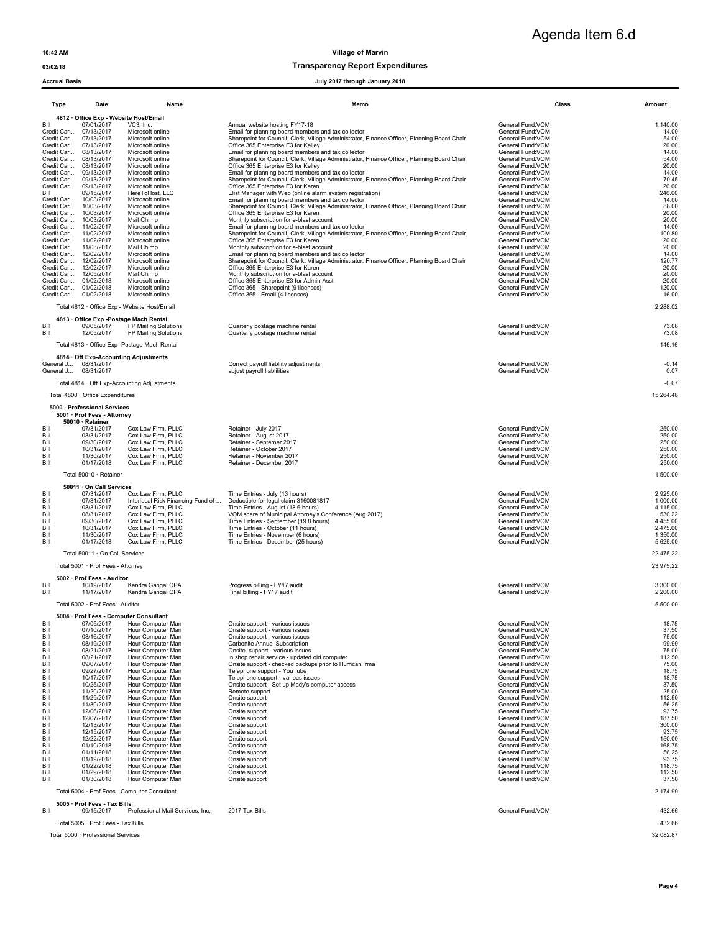03/02/18 Transparency Report Expenditures

| <b>Accrual Basis</b>                                                                                                                                                                         |                                                                                                                                                                                                                                                                                                                                                                                                                                                                                  |                                                                                                                                                                                                                                                                                                                                                                                                                                                                                                                                                                      | July 2017 through January 2018                                                                                                                                                                                                                                                                                                                                                                                                                                                                                                                                                                                                                                                                                                                                                                                                                                                                                                                                                                                                                                                                                   |                                                                                                                                                                                                                                                                                                                                                                                                                                                                                                         |                                                                                                                                                                                                                                          |
|----------------------------------------------------------------------------------------------------------------------------------------------------------------------------------------------|----------------------------------------------------------------------------------------------------------------------------------------------------------------------------------------------------------------------------------------------------------------------------------------------------------------------------------------------------------------------------------------------------------------------------------------------------------------------------------|----------------------------------------------------------------------------------------------------------------------------------------------------------------------------------------------------------------------------------------------------------------------------------------------------------------------------------------------------------------------------------------------------------------------------------------------------------------------------------------------------------------------------------------------------------------------|------------------------------------------------------------------------------------------------------------------------------------------------------------------------------------------------------------------------------------------------------------------------------------------------------------------------------------------------------------------------------------------------------------------------------------------------------------------------------------------------------------------------------------------------------------------------------------------------------------------------------------------------------------------------------------------------------------------------------------------------------------------------------------------------------------------------------------------------------------------------------------------------------------------------------------------------------------------------------------------------------------------------------------------------------------------------------------------------------------------|---------------------------------------------------------------------------------------------------------------------------------------------------------------------------------------------------------------------------------------------------------------------------------------------------------------------------------------------------------------------------------------------------------------------------------------------------------------------------------------------------------|------------------------------------------------------------------------------------------------------------------------------------------------------------------------------------------------------------------------------------------|
| Type                                                                                                                                                                                         | Date                                                                                                                                                                                                                                                                                                                                                                                                                                                                             | Name                                                                                                                                                                                                                                                                                                                                                                                                                                                                                                                                                                 | Memo                                                                                                                                                                                                                                                                                                                                                                                                                                                                                                                                                                                                                                                                                                                                                                                                                                                                                                                                                                                                                                                                                                             | Class                                                                                                                                                                                                                                                                                                                                                                                                                                                                                                   | Amount                                                                                                                                                                                                                                   |
| Bill<br>Bill                                                                                                                                                                                 | 4812 Office Exp - Website Host/Email<br>07/01/2017<br>Credit Car 07/13/2017<br>Credit Car 07/13/2017<br>Credit Car 07/13/2017<br>Credit Car 08/13/2017<br>Credit Car 08/13/2017<br>Credit Car 08/13/2017<br>Credit Car 09/13/2017<br>Credit Car 09/13/2017<br>Credit Car 09/13/2017<br>09/15/2017<br>Credit Car 10/03/2017<br>Credit Car 10/03/2017<br>Credit Car 10/03/2017<br>Credit Car 10/03/2017<br>Credit Car 11/02/2017<br>Credit Car 11/02/2017<br>Credit Car 11/02/2017 | VC3, Inc.<br>Microsoft online<br>Microsoft online<br>Microsoft online<br>Microsoft online<br>Microsoft online<br>Microsoft online<br>Microsoft online<br>Microsoft online<br>Microsoft online<br>HereToHost, LLC<br>Microsoft online<br>Microsoft online<br>Microsoft online<br>Mail Chimp<br>Microsoft online<br>Microsoft online<br>Microsoft online                                                                                                                                                                                                               | Annual website hosting FY17-18<br>Email for planning board members and tax collector<br>Sharepoint for Council, Clerk, Village Administrator, Finance Officer, Planning Board Chair<br>Office 365 Enterprise E3 for Kelley<br>Email for planning board members and tax collector<br>Sharepoint for Council, Clerk, Village Administrator, Finance Officer, Planning Board Chair<br>Office 365 Enterprise E3 for Kelley<br>Email for planning board members and tax collector<br>Sharepoint for Council, Clerk, Village Administrator, Finance Officer, Planning Board Chair<br>Office 365 Enterprise E3 for Karen<br>Elist Manager with Web (online alarm system registration)<br>Email for planning board members and tax collector<br>Sharepoint for Council, Clerk, Village Administrator, Finance Officer, Planning Board Chair<br>Office 365 Enterprise E3 for Karen<br>Monthly subscription for e-blast account<br>Email for planning board members and tax collector<br>Sharepoint for Council, Clerk, Village Administrator, Finance Officer, Planning Board Chair<br>Office 365 Enterprise E3 for Karen | General Fund:VOM<br>General Fund:VOM<br>General Fund:VOM<br>General Fund: VOM<br>General Fund:VOM<br>General Fund:VOM<br>General Fund: VOM<br>General Fund:VOM<br>General Fund: VOM<br>General Fund: VOM<br>General Fund: VOM<br>General Fund:VOM<br>General Fund:VOM<br>General Fund: VOM<br>General Fund: VOM<br>General Fund:VOM<br>General Fund:VOM<br>General Fund: VOM                                                                                                                            | 1,140.00<br>14.00<br>54.00<br>20.00<br>14.00<br>54.00<br>20.00<br>14.00<br>70.45<br>20.00<br>240.00<br>14.00<br>88.00<br>20.00<br>20.00<br>14.00<br>100.80<br>20.00                                                                      |
|                                                                                                                                                                                              | Credit Car 11/03/2017<br>Credit Car 12/02/2017<br>Credit Car 12/02/2017<br>Credit Car 12/02/2017<br>Credit Car 12/05/2017<br>Credit Car 01/02/2018<br>Credit Car 01/02/2018<br>Credit Car 01/02/2018                                                                                                                                                                                                                                                                             | Mail Chimp<br>Microsoft online<br>Microsoft online<br>Microsoft online<br>Mail Chimp<br>Microsoft online<br>Microsoft online<br>Microsoft online<br>Total 4812 · Office Exp - Website Host/Email                                                                                                                                                                                                                                                                                                                                                                     | Monthly subscription for e-blast account<br>Email for planning board members and tax collector<br>Sharepoint for Council, Clerk, Village Administrator, Finance Officer, Planning Board Chair<br>Office 365 Enterprise E3 for Karen<br>Monthly subscription for e-blast account<br>Office 365 Enterprise E3 for Admin Asst<br>Office 365 - Sharepoint (9 licenses)<br>Office 365 - Email (4 licenses)                                                                                                                                                                                                                                                                                                                                                                                                                                                                                                                                                                                                                                                                                                            | General Fund: VOM<br>General Fund: VOM<br>General Fund: VOM<br>General Fund: VOM<br>General Fund: VOM<br>General Fund: VOM<br>General Fund: VOM<br>General Fund: VOM                                                                                                                                                                                                                                                                                                                                    | 20.00<br>14.00<br>120.77<br>20.00<br>20.00<br>20.00<br>120.00<br>16.00<br>2,288.02                                                                                                                                                       |
| Bill<br>Bill                                                                                                                                                                                 | 4813 Office Exp - Postage Mach Rental<br>09/05/2017<br>12/05/2017                                                                                                                                                                                                                                                                                                                                                                                                                | FP Mailing Solutions<br>FP Mailing Solutions<br>Total 4813 · Office Exp - Postage Mach Rental                                                                                                                                                                                                                                                                                                                                                                                                                                                                        | Quarterly postage machine rental<br>Quarterly postage machine rental                                                                                                                                                                                                                                                                                                                                                                                                                                                                                                                                                                                                                                                                                                                                                                                                                                                                                                                                                                                                                                             | General Fund: VOM<br>General Fund: VOM                                                                                                                                                                                                                                                                                                                                                                                                                                                                  | 73.08<br>73.08<br>146.16                                                                                                                                                                                                                 |
|                                                                                                                                                                                              | 4814 · Off Exp-Accounting Adjustments<br>General J 08/31/2017<br>General J 08/31/2017                                                                                                                                                                                                                                                                                                                                                                                            | Total 4814 · Off Exp-Accounting Adjustments                                                                                                                                                                                                                                                                                                                                                                                                                                                                                                                          | Correct payroll liabliity adjustments<br>adjust payroll liablilities                                                                                                                                                                                                                                                                                                                                                                                                                                                                                                                                                                                                                                                                                                                                                                                                                                                                                                                                                                                                                                             | General Fund: VOM<br>General Fund:VOM                                                                                                                                                                                                                                                                                                                                                                                                                                                                   | $-0.14$<br>0.07<br>$-0.07$                                                                                                                                                                                                               |
|                                                                                                                                                                                              | Total 4800 · Office Expenditures                                                                                                                                                                                                                                                                                                                                                                                                                                                 |                                                                                                                                                                                                                                                                                                                                                                                                                                                                                                                                                                      |                                                                                                                                                                                                                                                                                                                                                                                                                                                                                                                                                                                                                                                                                                                                                                                                                                                                                                                                                                                                                                                                                                                  |                                                                                                                                                                                                                                                                                                                                                                                                                                                                                                         | 15,264.48                                                                                                                                                                                                                                |
|                                                                                                                                                                                              | 5000 · Professional Services<br>5001 · Prof Fees - Attorney                                                                                                                                                                                                                                                                                                                                                                                                                      |                                                                                                                                                                                                                                                                                                                                                                                                                                                                                                                                                                      |                                                                                                                                                                                                                                                                                                                                                                                                                                                                                                                                                                                                                                                                                                                                                                                                                                                                                                                                                                                                                                                                                                                  |                                                                                                                                                                                                                                                                                                                                                                                                                                                                                                         |                                                                                                                                                                                                                                          |
| Bill<br>Bill<br>Bill<br>Bill<br>Bill<br>Bill                                                                                                                                                 | 50010 · Retainer<br>07/31/2017<br>08/31/2017<br>09/30/2017<br>10/31/2017<br>11/30/2017<br>01/17/2018                                                                                                                                                                                                                                                                                                                                                                             | Cox Law Firm, PLLC<br>Cox Law Firm, PLLC<br>Cox Law Firm, PLLC<br>Cox Law Firm, PLLC<br>Cox Law Firm, PLLC<br>Cox Law Firm, PLLC                                                                                                                                                                                                                                                                                                                                                                                                                                     | Retainer - July 2017<br>Retainer - August 2017<br>Retainer - Septemer 2017<br>Retainer - October 2017<br>Retainer - November 2017<br>Retainer - December 2017                                                                                                                                                                                                                                                                                                                                                                                                                                                                                                                                                                                                                                                                                                                                                                                                                                                                                                                                                    | General Fund:VOM<br>General Fund: VOM<br>General Fund: VOM<br>General Fund:VOM<br>General Fund: VOM<br>General Fund: VOM                                                                                                                                                                                                                                                                                                                                                                                | 250.00<br>250.00<br>250.00<br>250.00<br>250.00<br>250.00                                                                                                                                                                                 |
|                                                                                                                                                                                              | Total 50010 · Retainer                                                                                                                                                                                                                                                                                                                                                                                                                                                           |                                                                                                                                                                                                                                                                                                                                                                                                                                                                                                                                                                      |                                                                                                                                                                                                                                                                                                                                                                                                                                                                                                                                                                                                                                                                                                                                                                                                                                                                                                                                                                                                                                                                                                                  |                                                                                                                                                                                                                                                                                                                                                                                                                                                                                                         | 1,500.00                                                                                                                                                                                                                                 |
| Bill<br>Bill<br>Bill<br>Bill<br>Bill<br>Bill<br>Bill<br>Bill                                                                                                                                 | 50011 · On Call Services<br>07/31/2017<br>07/31/2017<br>08/31/2017<br>08/31/2017<br>09/30/2017<br>10/31/2017<br>11/30/2017<br>01/17/2018                                                                                                                                                                                                                                                                                                                                         | Cox Law Firm, PLLC<br>Interlocal Risk Financing Fund of<br>Cox Law Firm, PLLC<br>Cox Law Firm, PLLC<br>Cox Law Firm, PLLC<br>Cox Law Firm, PLLC<br>Cox Law Firm, PLLC<br>Cox Law Firm, PLLC                                                                                                                                                                                                                                                                                                                                                                          | Time Entries - July (13 hours)<br>Deductible for legal claim 3160081817<br>Time Entries - August (18.6 hours)<br>VOM share of Municipal Attorney's Conference (Aug 2017)<br>Time Entries - September (19.8 hours)<br>Time Entries - October (11 hours)<br>Time Entries - November (6 hours)<br>Time Entries - December (25 hours)                                                                                                                                                                                                                                                                                                                                                                                                                                                                                                                                                                                                                                                                                                                                                                                | General Fund:VOM<br>General Fund:VOM<br>General Fund: VOM<br>General Fund:VOM<br>General Fund: VOM<br>General Fund: VOM<br>General Fund: VOM<br>General Fund: VOM                                                                                                                                                                                                                                                                                                                                       | 2,925.00<br>1,000.00<br>4,115.00<br>530.22<br>4,455.00<br>2,475.00<br>1,350.00<br>5,625.00                                                                                                                                               |
|                                                                                                                                                                                              | Total 50011 · On Call Services                                                                                                                                                                                                                                                                                                                                                                                                                                                   |                                                                                                                                                                                                                                                                                                                                                                                                                                                                                                                                                                      |                                                                                                                                                                                                                                                                                                                                                                                                                                                                                                                                                                                                                                                                                                                                                                                                                                                                                                                                                                                                                                                                                                                  |                                                                                                                                                                                                                                                                                                                                                                                                                                                                                                         | 22,475.22                                                                                                                                                                                                                                |
|                                                                                                                                                                                              | Total 5001 · Prof Fees - Attorney                                                                                                                                                                                                                                                                                                                                                                                                                                                |                                                                                                                                                                                                                                                                                                                                                                                                                                                                                                                                                                      |                                                                                                                                                                                                                                                                                                                                                                                                                                                                                                                                                                                                                                                                                                                                                                                                                                                                                                                                                                                                                                                                                                                  |                                                                                                                                                                                                                                                                                                                                                                                                                                                                                                         | 23,975.22                                                                                                                                                                                                                                |
| Bill<br>Bill                                                                                                                                                                                 | 5002 · Prof Fees - Auditor<br>10/19/2017<br>11/17/2017<br>Total 5002 · Prof Fees - Auditor                                                                                                                                                                                                                                                                                                                                                                                       | Kendra Gangal CPA<br>Kendra Gangal CPA                                                                                                                                                                                                                                                                                                                                                                                                                                                                                                                               | Progress billing - FY17 audit<br>Final billing - FY17 audit                                                                                                                                                                                                                                                                                                                                                                                                                                                                                                                                                                                                                                                                                                                                                                                                                                                                                                                                                                                                                                                      | General Fund:VOM<br>General Fund: VOM                                                                                                                                                                                                                                                                                                                                                                                                                                                                   | 3,300.00<br>2,200.00                                                                                                                                                                                                                     |
|                                                                                                                                                                                              | 5004 · Prof Fees - Computer Consultant                                                                                                                                                                                                                                                                                                                                                                                                                                           |                                                                                                                                                                                                                                                                                                                                                                                                                                                                                                                                                                      |                                                                                                                                                                                                                                                                                                                                                                                                                                                                                                                                                                                                                                                                                                                                                                                                                                                                                                                                                                                                                                                                                                                  |                                                                                                                                                                                                                                                                                                                                                                                                                                                                                                         | 5,500.00                                                                                                                                                                                                                                 |
| Bill<br>Bill<br>Bill<br>Bill<br>Bill<br>Bill<br>Bill<br>Bill<br>Bill<br>Bill<br>Bill<br>Bill<br>Bill<br>Bill<br>Bill<br>Bill<br>Bill<br>Bill<br>Bill<br>Bill<br>Bill<br>Bill<br>Bill<br>Bill | 07/05/2017<br>07/10/2017<br>08/16/2017<br>08/19/2017<br>08/21/2017<br>08/21/2017<br>09/07/2017<br>09/27/2017<br>10/17/2017<br>10/25/2017<br>11/20/2017<br>11/29/2017<br>11/30/2017<br>12/06/2017<br>12/07/2017<br>12/13/2017<br>12/15/2017<br>12/22/2017<br>01/10/2018<br>01/11/2018<br>01/19/2018<br>01/22/2018<br>01/29/2018<br>01/30/2018                                                                                                                                     | Hour Computer Man<br>Hour Computer Man<br>Hour Computer Man<br>Hour Computer Man<br>Hour Computer Man<br>Hour Computer Man<br>Hour Computer Man<br>Hour Computer Man<br>Hour Computer Man<br>Hour Computer Man<br>Hour Computer Man<br>Hour Computer Man<br>Hour Computer Man<br>Hour Computer Man<br>Hour Computer Man<br>Hour Computer Man<br>Hour Computer Man<br>Hour Computer Man<br>Hour Computer Man<br>Hour Computer Man<br>Hour Computer Man<br>Hour Computer Man<br>Hour Computer Man<br>Hour Computer Man<br>Total 5004 · Prof Fees - Computer Consultant | Onsite support - various issues<br>Onsite support - various issues<br>Onsite support - various issues<br>Carbonite Annual Subscription<br>Onsite support - various issues<br>In shop repair service - updated old computer<br>Onsite support - checked backups prior to Hurrican Irma<br>Telephone support - YouTube<br>Telephone support - various issues<br>Onsite support - Set up Mady's computer access<br>Remote support<br>Onsite support<br>Onsite support<br>Onsite support<br>Onsite support<br>Onsite support<br>Onsite support<br>Onsite support<br>Onsite support<br>Onsite support<br>Onsite support<br>Onsite support<br>Onsite support<br>Onsite support                                                                                                                                                                                                                                                                                                                                                                                                                                         | General Fund:VOM<br>General Fund:VOM<br>General Fund:VOM<br>General Fund: VOM<br>General Fund: VOM<br>General Fund: VOM<br>General Fund: VOM<br>General Fund: VOM<br>General Fund: VOM<br>General Fund:VOM<br>General Fund: VOM<br>General Fund: VOM<br>General Fund:VOM<br>General Fund:VOM<br>General Fund:VOM<br>General Fund:VOM<br>General Fund:VOM<br>General Fund:VOM<br>General Fund:VOM<br>General Fund: VOM<br>General Fund:VOM<br>General Fund: VOM<br>General Fund:VOM<br>General Fund: VOM | 18.75<br>37.50<br>75.00<br>99.99<br>75.00<br>112.50<br>75.00<br>18.75<br>18.75<br>37.50<br>25.00<br>112.50<br>56.25<br>93.75<br>187.50<br>300.00<br>93.75<br>150.00<br>168.75<br>56.25<br>93.75<br>118.75<br>112.50<br>37.50<br>2,174.99 |
| Bill                                                                                                                                                                                         | 5005 · Prof Fees - Tax Bills<br>09/15/2017                                                                                                                                                                                                                                                                                                                                                                                                                                       | Professional Mail Services, Inc.                                                                                                                                                                                                                                                                                                                                                                                                                                                                                                                                     | 2017 Tax Bills                                                                                                                                                                                                                                                                                                                                                                                                                                                                                                                                                                                                                                                                                                                                                                                                                                                                                                                                                                                                                                                                                                   | General Fund:VOM                                                                                                                                                                                                                                                                                                                                                                                                                                                                                        | 432.66                                                                                                                                                                                                                                   |
|                                                                                                                                                                                              | Total 5005 · Prof Fees - Tax Bills                                                                                                                                                                                                                                                                                                                                                                                                                                               |                                                                                                                                                                                                                                                                                                                                                                                                                                                                                                                                                                      |                                                                                                                                                                                                                                                                                                                                                                                                                                                                                                                                                                                                                                                                                                                                                                                                                                                                                                                                                                                                                                                                                                                  |                                                                                                                                                                                                                                                                                                                                                                                                                                                                                                         | 432.66                                                                                                                                                                                                                                   |
|                                                                                                                                                                                              | Total 5000 · Professional Services                                                                                                                                                                                                                                                                                                                                                                                                                                               |                                                                                                                                                                                                                                                                                                                                                                                                                                                                                                                                                                      |                                                                                                                                                                                                                                                                                                                                                                                                                                                                                                                                                                                                                                                                                                                                                                                                                                                                                                                                                                                                                                                                                                                  |                                                                                                                                                                                                                                                                                                                                                                                                                                                                                                         | 32,082.87                                                                                                                                                                                                                                |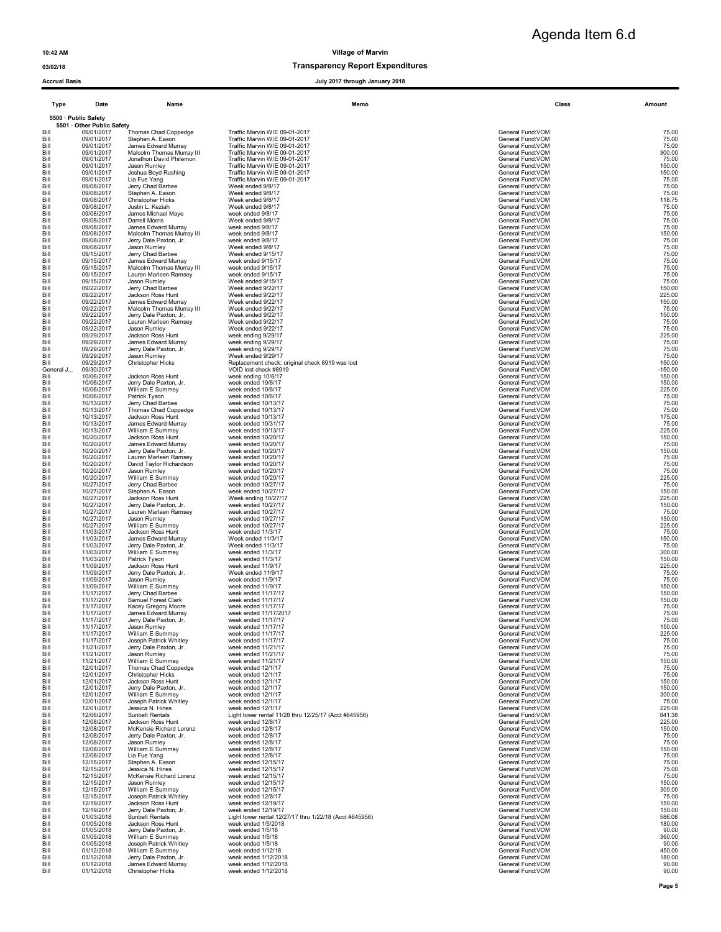# Agenda Item 6.d

### 03/02/18 Transparency Report Expenditures

| <b>Accrual Basis</b> |                                          |                                                      | July 2017 through January 2018                                              |                                        |                  |
|----------------------|------------------------------------------|------------------------------------------------------|-----------------------------------------------------------------------------|----------------------------------------|------------------|
| <b>Type</b>          | Date                                     | Name                                                 | Memo                                                                        | Class                                  | Amount           |
|                      | 5500 · Public Safety                     |                                                      |                                                                             |                                        |                  |
| Bill                 | 5501 · Other Public Safety<br>09/01/2017 | <b>Thomas Chad Coppedge</b>                          | Traffic Marvin W/E 09-01-2017                                               | General Fund:VOM                       | 75.00            |
| Bill                 | 09/01/2017                               | Stephen A. Eason                                     | Traffic Marvin W/E 09-01-2017                                               | General Fund: VOM                      | 75.00            |
| Bill                 | 09/01/2017                               | James Edward Murray                                  | Traffic Marvin W/E 09-01-2017                                               | General Fund:VOM                       | 75.00            |
| Bill<br>Bill         | 09/01/2017<br>09/01/2017                 | Malcolm Thomas Murray III<br>Jonathon David Philemon | Traffic Marvin W/E 09-01-2017<br>Traffic Marvin W/E 09-01-2017              | General Fund:VOM<br>General Fund:VOM   | 300.00<br>75.00  |
| Bill                 | 09/01/2017                               | Jason Rumley                                         | Traffic Marvin W/E 09-01-2017                                               | General Fund:VOM                       | 150.00           |
| Bill                 | 09/01/2017                               | Joshua Boyd Rushing                                  | Traffic Marvin W/E 09-01-2017                                               | General Fund: VOM                      | 150.00           |
| Bill<br>Bill         | 09/01/2017<br>09/08/2017                 | Lia Fue Yang<br>Jerry Chad Barbee                    | Traffic Marvin W/E 09-01-2017<br>Week ended 9/8/17                          | General Fund: VOM<br>General Fund: VOM | 75.00<br>75.00   |
| Bill                 | 09/08/2017                               | Stephen A. Eason                                     | Week ended 9/8/17                                                           | General Fund: VOM                      | 75.00            |
| Bill<br>Bill         | 09/08/2017<br>09/08/2017                 | <b>Christopher Hicks</b><br>Justin L. Keziah         | Week ended 9/8/17<br>Week ended 9/8/17                                      | General Fund: VOM<br>General Fund: VOM | 118.75<br>75.00  |
| Bill                 | 09/08/2017                               | James Michael Mave                                   | week ended 9/8/17                                                           | General Fund: VOM                      | 75.00            |
| Bill                 | 09/08/2017                               | Darrell Morris                                       | Week ended 9/8/17                                                           | General Fund: VOM                      | 75.00            |
| Bill<br>Bill         | 09/08/2017<br>09/08/2017                 | James Edward Murray<br>Malcolm Thomas Murray III     | week ended 9/8/17<br>week ended 9/8/17                                      | General Fund: VOM<br>General Fund:VOM  | 75.00<br>150.00  |
| Bill                 | 09/08/2017                               | Jerry Dale Paxton, Jr.                               | week ended 9/8/17                                                           | General Fund: VOM                      | 75.00            |
| Bill                 | 09/08/2017                               | Jason Rumley                                         | Week ended 9/8/17                                                           | General Fund: VOM                      | 75.00            |
| Bill<br>Bill         | 09/15/2017<br>09/15/2017                 | Jerry Chad Barbee<br>James Edward Murray             | Week ended 9/15/17<br>week ended 9/15/17                                    | General Fund: VOM<br>General Fund: VOM | 75.00<br>75.00   |
| Bill                 | 09/15/2017                               | Malcolm Thomas Murray III                            | week ended 9/15/17                                                          | General Fund: VOM                      | 75.00            |
| Bill                 | 09/15/2017                               | Lauren Marleen Ramsey                                | week ended 9/15/17                                                          | General Fund: VOM                      | 75.00            |
| Bill<br>Bill         | 09/15/2017<br>09/22/2017                 | Jason Rumley<br>Jerry Chad Barbee                    | Week ended 9/15/17<br>Week ended 9/22/17                                    | General Fund:VOM<br>General Fund: VOM  | 75.00<br>150.00  |
| Bill                 | 09/22/2017                               | Jackson Ross Hunt                                    | Week ended 9/22/17                                                          | General Fund:VOM                       | 225.00           |
| Bill                 | 09/22/2017                               | James Edward Murray                                  | Week ended 9/22/17                                                          | General Fund: VOM                      | 150.00           |
| Bill<br>Bill         | 09/22/2017<br>09/22/2017                 | Malcolm Thomas Murray III<br>Jerry Dale Paxton, Jr.  | Week ended 9/22/17<br>Week ended 9/22/17                                    | General Fund: VOM<br>General Fund: VOM | 75.00<br>150.00  |
| Bill                 | 09/22/2017                               | Lauren Marleen Ramsey                                | Week ended 9/22/17                                                          | General Fund: VOM                      | 75.00            |
| Bill<br>Bill         | 09/22/2017<br>09/29/2017                 | Jason Rumley<br>Jackson Ross Hunt                    | Week ended 9/22/17                                                          | General Fund:VOM<br>General Fund: VOM  | 75.00<br>225.00  |
| Bill                 | 09/29/2017                               | James Edward Murray                                  | week ending 9/29/17<br>week ending 9/29/17                                  | General Fund:VOM                       | 75.00            |
| Bill                 | 09/29/2017                               | Jerry Dale Paxton, Jr.                               | week ending 9/29/17                                                         | General Fund: VOM                      | 75.00            |
| Bill<br>Bill         | 09/29/2017<br>09/29/2017                 | Jason Rumley<br><b>Christopher Hicks</b>             | Week ended 9/29/17<br>Replacement check; original check 8919 was lost       | General Fund: VOM<br>General Fund: VOM | 75.00<br>150.00  |
| General J            | 09/30/2017                               |                                                      | VOID lost check #8919                                                       | General Fund: VOM                      | $-150.00$        |
| Bill                 | 10/06/2017                               | Jackson Ross Hunt                                    | week ending 10/6/17                                                         | General Fund: VOM                      | 150.00           |
| Bill<br>Bill         | 10/06/2017<br>10/06/2017                 | Jerry Dale Paxton, Jr.<br>William E Summey           | week ended 10/6/17<br>week ended 10/6/17                                    | General Fund: VOM<br>General Fund: VOM | 150.00<br>225.00 |
| Bill                 | 10/06/2017                               | Patrick Tyson                                        | week ended 10/6/17                                                          | General Fund: VOM                      | 75.00            |
| Bill                 | 10/13/2017                               | Jerry Chad Barbee                                    | week ended 10/13/17                                                         | General Fund:VOM                       | 75.00            |
| Bill<br>Bill         | 10/13/2017<br>10/13/2017                 | Thomas Chad Coppedge<br>Jackson Ross Hunt            | week ended 10/13/17<br>week ended 10/13/17                                  | General Fund: VOM<br>General Fund: VOM | 75.00<br>175.00  |
| Bill                 | 10/13/2017                               | James Edward Murray                                  | week ended 10/31/17                                                         | General Fund:VOM                       | 75.00            |
| Bill                 | 10/13/2017                               | William E Summey                                     | week ended 10/13/17                                                         | General Fund: VOM                      | 225.00           |
| Bill<br>Bill         | 10/20/2017<br>10/20/2017                 | Jackson Ross Hunt<br>James Edward Murray             | week ended 10/20/17<br>week ended 10/20/17                                  | General Fund: VOM<br>General Fund: VOM | 150.00<br>75.00  |
| Bill                 | 10/20/2017                               | Jerry Dale Paxton, Jr.                               | week ended 10/20/17                                                         | General Fund: VOM                      | 150.00           |
| Bill                 | 10/20/2017                               | Lauren Marleen Ramsey                                | week ended 10/20/17                                                         | General Fund: VOM                      | 75.00            |
| Bill<br>Bill         | 10/20/2017<br>10/20/2017                 | David Taylor Richardson<br>Jason Rumley              | week ended 10/20/17<br>week ended 10/20/17                                  | General Fund:VOM<br>General Fund: VOM  | 75.00<br>75.00   |
| Bill                 | 10/20/2017                               | William E Summey                                     | week ended 10/20/17                                                         | General Fund: VOM                      | 225.00           |
| Bill                 | 10/27/2017                               | Jerry Chad Barbee                                    | week ended 10/27/17                                                         | General Fund: VOM                      | 75.00            |
| Bill<br>Bill         | 10/27/2017<br>10/27/2017                 | Stephen A. Eason<br>Jackson Ross Hunt                | week ended 10/27/17<br>Week ending 10/27/17                                 | General Fund: VOM<br>General Fund:VOM  | 150.00<br>225.00 |
| Bill                 | 10/27/2017                               | Jerry Dale Paxton, Jr.                               | week ended 10/27/17                                                         | General Fund: VOM                      | 150.00           |
| Bill<br>Bill         | 10/27/2017<br>10/27/2017                 | Lauren Marleen Ramsey<br>Jason Rumley                | week ended 10/27/17<br>week ended 10/27/17                                  | General Fund: VOM<br>General Fund: VOM | 75.00<br>150.00  |
| Bill                 | 10/27/2017                               | William E Summey                                     | week ended 10/27/17                                                         | General Fund: VOM                      | 225.00           |
| Bill                 | 11/03/2017                               | Jackson Ross Hunt                                    | week ended 11/3/17                                                          | General Fund: VOM                      | 75.00            |
| Bill<br>Bill         | 11/03/2017<br>11/03/2017                 | James Edward Murray<br>Jerry Dale Paxton, Jr.        | Week ended 11/3/17<br>Week ended 11/3/17                                    | General Fund: VOM<br>General Fund: VOM | 150.00<br>75.00  |
| Bill                 | 11/03/2017                               | William E Summey                                     | week ended 11/3/17                                                          | General Fund: VOM                      | 300.00           |
| Bill                 | 11/03/2017                               | Patrick Tyson                                        | week ended 11/3/17                                                          | General Fund: VOM                      | 150.00           |
| Bill<br>Bill         | 11/09/2017<br>11/09/2017                 | Jackson Ross Hunt<br>Jerry Dale Paxton, Jr.          | week ended 11/9/17<br>Week ended 11/9/17                                    | General Fund: VOM<br>General Fund: VOM | 225.00<br>75.00  |
| Bill                 | 11/09/2017                               | Jason Rumley                                         | week ended 11/9/17                                                          | General Fund:VOM                       | 75.00            |
| Bill<br>Bill         | 11/09/2017<br>11/17/2017                 | William E Summey<br>Jerry Chad Barbee                | week ended 11/9/17                                                          | General Fund:VOM<br>General Fund:VOM   | 150.00           |
| Bill                 | 11/17/2017                               | Samuel Forest Clark                                  | week ended 11/17/17<br>week ended 11/17/17                                  | General Fund: VOM                      | 150.00<br>150.00 |
| Bill                 | 11/17/2017                               | Kacey Gregory Moore                                  | week ended 11/17/17                                                         | General Fund:VOM                       | 75.00            |
| Bill<br>Bill         | 11/17/2017<br>11/17/2017                 | James Edward Murray<br>Jerry Dale Paxton, Jr.        | week ended 11/17/2017<br>week ended 11/17/17                                | General Fund: VOM<br>General Fund: VOM | 75.00<br>75.00   |
| Bill                 | 11/17/2017                               | Jason Rumley                                         | week ended 11/17/17                                                         | General Fund: VOM                      | 150.00           |
| Bill                 | 11/17/2017                               | William E Summey                                     | week ended 11/17/17                                                         | General Fund: VOM                      | 225.00           |
| Bill<br>Bill         | 11/17/2017<br>11/21/2017                 | Joseph Patrick Whitley<br>Jerry Dale Paxton, Jr.     | week ended 11/17/17<br>week ended 11/21/17                                  | General Fund: VOM<br>General Fund: VOM | 75.00<br>75.00   |
| Bill                 | 11/21/2017                               | Jason Rumley                                         | week ended 11/21/17                                                         | General Fund: VOM                      | 75.00            |
| Bill                 | 11/21/2017                               | William E Summey                                     | week ended 11/21/17                                                         | General Fund: VOM                      | 150.00           |
| Bill<br>Bill         | 12/01/2017<br>12/01/2017                 | Thomas Chad Coppedge<br><b>Christopher Hicks</b>     | week ended 12/1/17<br>week ended 12/1/17                                    | General Fund: VOM<br>General Fund: VOM | 75.00<br>75.00   |
| Bill                 | 12/01/2017                               | Jackson Ross Hunt                                    | week ended 12/1/17                                                          | General Fund: VOM                      | 150.00           |
| Bill                 | 12/01/2017                               | Jerry Dale Paxton, Jr.                               | week ended 12/1/17                                                          | General Fund: VOM                      | 150.00           |
| Bill<br>Bill         | 12/01/2017<br>12/01/2017                 | William E Summey<br>Joseph Patrick Whitley           | week ended 12/1/17<br>week ended 12/1/17                                    | General Fund: VOM<br>General Fund: VOM | 300.00<br>75.00  |
| Bill                 | 12/01/2017                               | Jessica N. Hines                                     | week ended 12/1/17                                                          | General Fund:VOM                       | 225.00           |
| Bill                 | 12/06/2017<br>12/08/2017                 | Sunbelt Rentals<br>Jackson Ross Hunt                 | Light tower rental 11/28 thru 12/25/17 (Acct #645956)<br>week ended 12/8/17 | General Fund: VOM<br>General Fund: VOM | 841.38<br>225.00 |
| Bill<br>Bill         | 12/08/2017                               | McKensie Richard Lorenz                              | week ended 12/8/17                                                          | General Fund: VOM                      | 150.00           |
| Bill                 | 12/08/2017                               | Jerry Dale Paxton, Jr.                               | week ended 12/8/17                                                          | General Fund: VOM                      | 75.00            |
| Bill<br>Bill         | 12/08/2017<br>12/08/2017                 | Jason Rumley<br>William E Summey                     | week ended 12/8/17<br>week ended 12/8/17                                    | General Fund: VOM<br>General Fund: VOM | 75.00<br>150.00  |
| Bill                 | 12/08/2017                               | Lia Fue Yang                                         | week ended 12/8/17                                                          | General Fund: VOM                      | 75.00            |
| Bill                 | 12/15/2017                               | Stephen A. Eason                                     | week ended 12/15/17                                                         | General Fund:VOM                       | 75.00            |
| Bill<br>Bill         | 12/15/2017<br>12/15/2017                 | Jessica N. Hines<br>McKensie Richard Lorenz          | week ended 12/15/17<br>week ended 12/15/17                                  | General Fund: VOM<br>General Fund: VOM | 75.00<br>75.00   |
| Bill                 | 12/15/2017                               | Jason Rumley                                         | week ended 12/15/17                                                         | General Fund: VOM                      | 150.00           |
| Bill                 | 12/15/2017                               | William E Summey                                     | week ended 12/15/17                                                         | General Fund: VOM                      | 300.00           |
| Bill<br>Bill         | 12/15/2017<br>12/19/2017                 | Joseph Patrick Whitley<br>Jackson Ross Hunt          | week ended 12/8/17<br>week ended 12/19/17                                   | General Fund: VOM<br>General Fund: VOM | 75.00<br>150.00  |
| Bill                 | 12/19/2017                               | Jerry Dale Paxton, Jr.                               | week ended 12/19/17                                                         | General Fund: VOM                      | 150.00           |
| Bill                 | 01/03/2018<br>01/05/2018                 | Sunbelt Rentals                                      | Light tower rental 12/27/17 thru 1/22/18 (Acct #645956)                     | General Fund: VOM                      | 586.08<br>180.00 |
| Bill<br>Bill         | 01/05/2018                               | Jackson Ross Hunt<br>Jerry Dale Paxton, Jr.          | week ended 1/5/2018<br>week ended 1/5/18                                    | General Fund: VOM<br>General Fund:VOM  | 90.00            |
| Bill                 | 01/05/2018                               | William E Summey                                     | week ended 1/5/18                                                           | General Fund: VOM                      | 360.00           |
| Bill<br>Bill         | 01/05/2018<br>01/12/2018                 | Joseph Patrick Whitley<br>William E Summey           | week ended 1/5/18<br>week ended 1/12/18                                     | General Fund: VOM<br>General Fund: VOM | 90.00<br>450.00  |
| Bill                 | 01/12/2018                               | Jerry Dale Paxton, Jr.                               | week ended 1/12/2018                                                        | General Fund: VOM                      | 180.00           |
| Bill                 | 01/12/2018                               | James Edward Murray                                  | week ended 1/12/2018                                                        | General Fund: VOM                      | 90.00            |

Bill 01/12/2018 Christopher Hicks week ended 1/12/2018 General Fund:VOM General Fund:VOM 90.00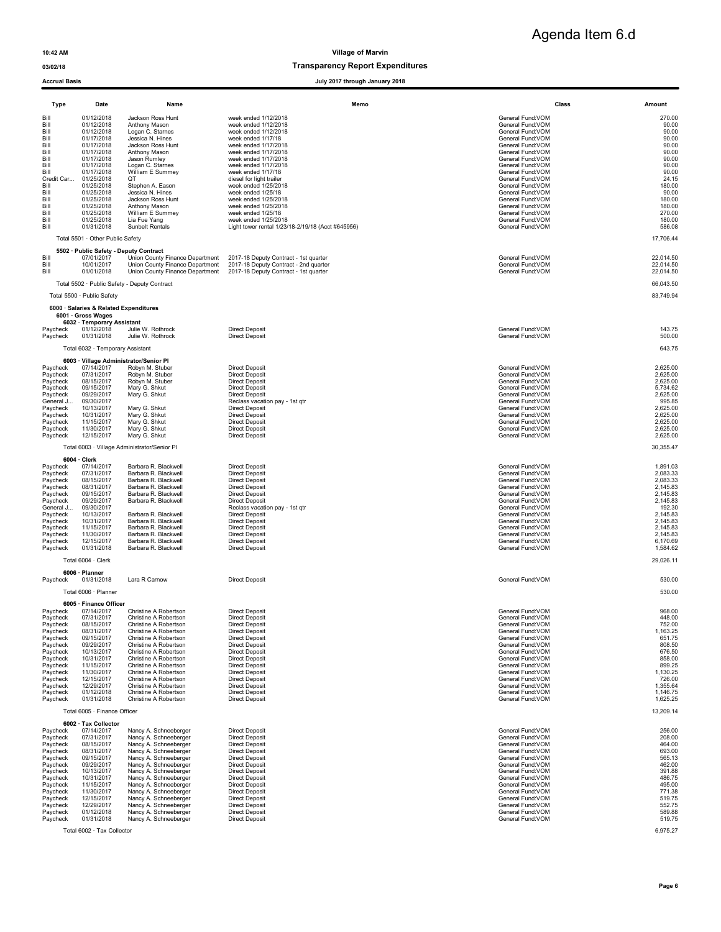# Agenda Item 6.d

### 03/02/18 Transparency Report Expenditures

| <b>Accrual Basis</b>                                                                                                                                                            |                                                                                                                                                                                                                                                                                                                                                                                                                                                                                                                                                                                                                                                  | July 2017 through January 2018                                                                                                                                                                                                                                                                                                                                                                                                                |                                                                                                                                                                                                                                                                                                                                                            |                                                                                                                                                                           |
|---------------------------------------------------------------------------------------------------------------------------------------------------------------------------------|--------------------------------------------------------------------------------------------------------------------------------------------------------------------------------------------------------------------------------------------------------------------------------------------------------------------------------------------------------------------------------------------------------------------------------------------------------------------------------------------------------------------------------------------------------------------------------------------------------------------------------------------------|-----------------------------------------------------------------------------------------------------------------------------------------------------------------------------------------------------------------------------------------------------------------------------------------------------------------------------------------------------------------------------------------------------------------------------------------------|------------------------------------------------------------------------------------------------------------------------------------------------------------------------------------------------------------------------------------------------------------------------------------------------------------------------------------------------------------|---------------------------------------------------------------------------------------------------------------------------------------------------------------------------|
| Type                                                                                                                                                                            | Date<br>Name                                                                                                                                                                                                                                                                                                                                                                                                                                                                                                                                                                                                                                     | Memo                                                                                                                                                                                                                                                                                                                                                                                                                                          | Class                                                                                                                                                                                                                                                                                                                                                      | Amount                                                                                                                                                                    |
| Bill<br>Bill<br>Bill<br>Bill<br>Bill<br>Bill<br>Bill<br>Bill<br>Bill<br>Credit Car<br>Bill<br>Bill<br>Bill<br>Bill<br>Bill<br>Bill<br>Bill                                      | 01/12/2018<br>Jackson Ross Hunt<br>Anthony Mason<br>01/12/2018<br>Logan C. Starnes<br>01/12/2018<br>01/17/2018<br>Jessica N. Hines<br>01/17/2018<br>Jackson Ross Hunt<br>01/17/2018<br>Anthony Mason<br>01/17/2018<br>Jason Rumley<br>01/17/2018<br>Logan C. Starnes<br>01/17/2018<br>William E Summey<br>01/25/2018<br>QT<br>01/25/2018<br>Stephen A. Eason<br>01/25/2018<br>Jessica N. Hines<br>01/25/2018<br>Jackson Ross Hunt<br>01/25/2018<br>Anthony Mason<br>William E Summey<br>01/25/2018<br>01/25/2018<br>Lia Fue Yang<br>01/31/2018<br>Sunbelt Rentals<br>Total 5501 · Other Public Safety                                            | week ended 1/12/2018<br>week ended 1/12/2018<br>week ended 1/12/2018<br>week ended 1/17/18<br>week ended 1/17/2018<br>week ended 1/17/2018<br>week ended 1/17/2018<br>week ended 1/17/2018<br>week ended 1/17/18<br>diesel for light trailer<br>week ended 1/25/2018<br>week ended 1/25/18<br>week ended 1/25/2018<br>week ended 1/25/2018<br>week ended 1/25/18<br>week ended 1/25/2018<br>Light tower rental 1/23/18-2/19/18 (Acct #645956) | General Fund:VOM<br>General Fund:VOM<br>General Fund:VOM<br>General Fund: VOM<br>General Fund: VOM<br>General Fund:VOM<br>General Fund: VOM<br>General Fund: VOM<br>General Fund: VOM<br>General Fund:VOM<br>General Fund: VOM<br>General Fund: VOM<br>General Fund: VOM<br>General Fund: VOM<br>General Fund:VOM<br>General Fund: VOM<br>General Fund:VOM | 270.00<br>90.00<br>90.00<br>90.00<br>90.00<br>90.00<br>90.00<br>90.00<br>90.00<br>24.15<br>180.00<br>90.00<br>180.00<br>180.00<br>270.00<br>180.00<br>586.08<br>17,706.44 |
| Bill                                                                                                                                                                            | 5502 · Public Safety - Deputy Contract<br>07/01/2017<br>Union County Finance Department                                                                                                                                                                                                                                                                                                                                                                                                                                                                                                                                                          | 2017-18 Deputy Contract - 1st quarter                                                                                                                                                                                                                                                                                                                                                                                                         | General Fund:VOM                                                                                                                                                                                                                                                                                                                                           | 22.014.50                                                                                                                                                                 |
| Bill<br>Bill<br>Total 5500 · Public Safety                                                                                                                                      | 10/01/2017<br>Union County Finance Department<br>01/01/2018<br>Union County Finance Department<br>Total 5502 · Public Safety - Deputy Contract<br>6000 · Salaries & Related Expenditures                                                                                                                                                                                                                                                                                                                                                                                                                                                         | 2017-18 Deputy Contract - 2nd quarter<br>2017-18 Deputy Contract - 1st quarter                                                                                                                                                                                                                                                                                                                                                                | General Fund:VOM<br>General Fund:VOM                                                                                                                                                                                                                                                                                                                       | 22,014.50<br>22,014.50<br>66,043.50<br>83,749.94                                                                                                                          |
| 6001 · Gross Wages                                                                                                                                                              | 6032 · Temporary Assistant                                                                                                                                                                                                                                                                                                                                                                                                                                                                                                                                                                                                                       |                                                                                                                                                                                                                                                                                                                                                                                                                                               |                                                                                                                                                                                                                                                                                                                                                            |                                                                                                                                                                           |
| Paycheck<br>Paycheck                                                                                                                                                            | Julie W. Rothrock<br>01/12/2018<br>Julie W. Rothrock<br>01/31/2018                                                                                                                                                                                                                                                                                                                                                                                                                                                                                                                                                                               | <b>Direct Deposit</b><br><b>Direct Deposit</b>                                                                                                                                                                                                                                                                                                                                                                                                | General Fund:VOM<br>General Fund: VOM                                                                                                                                                                                                                                                                                                                      | 143.75<br>500.00                                                                                                                                                          |
|                                                                                                                                                                                 | Total 6032 · Temporary Assistant                                                                                                                                                                                                                                                                                                                                                                                                                                                                                                                                                                                                                 |                                                                                                                                                                                                                                                                                                                                                                                                                                               |                                                                                                                                                                                                                                                                                                                                                            | 643.75                                                                                                                                                                    |
| Paycheck<br>Paycheck<br>Paycheck<br>Paycheck<br>Paycheck<br>General J<br>Paycheck<br>Paycheck<br>Paycheck<br>Paycheck<br>Paycheck                                               | 6003 · Village Administrator/Senior Pl<br>07/14/2017<br>Robyn M. Stuber<br>07/31/2017<br>Robyn M. Stuber<br>08/15/2017<br>Robyn M. Stuber<br>Mary G. Shkut<br>09/15/2017<br>Mary G. Shkut<br>09/29/2017<br>09/30/2017<br>10/13/2017<br>Mary G. Shkut<br>Mary G. Shkut<br>10/31/2017<br>11/15/2017<br>Mary G. Shkut<br>Mary G. Shkut<br>11/30/2017<br>Mary G. Shkut<br>12/15/2017                                                                                                                                                                                                                                                                 | <b>Direct Deposit</b><br><b>Direct Deposit</b><br><b>Direct Deposit</b><br><b>Direct Deposit</b><br><b>Direct Deposit</b><br>Reclass vacation pay - 1st qtr<br><b>Direct Deposit</b><br><b>Direct Deposit</b><br><b>Direct Deposit</b><br><b>Direct Deposit</b><br><b>Direct Deposit</b>                                                                                                                                                      | General Fund:VOM<br>General Fund: VOM<br>General Fund:VOM<br>General Fund: VOM<br>General Fund: VOM<br>General Fund: VOM<br>General Fund:VOM<br>General Fund: VOM<br>General Fund:VOM<br>General Fund: VOM<br>General Fund: VOM                                                                                                                            | 2,625.00<br>2,625.00<br>2,625.00<br>5,734.62<br>2,625.00<br>995.85<br>2,625.00<br>2.625.00<br>2,625.00<br>2,625.00<br>2,625.00                                            |
|                                                                                                                                                                                 | Total 6003 · Village Administrator/Senior Pl                                                                                                                                                                                                                                                                                                                                                                                                                                                                                                                                                                                                     |                                                                                                                                                                                                                                                                                                                                                                                                                                               |                                                                                                                                                                                                                                                                                                                                                            | 30,355.47                                                                                                                                                                 |
| $6004 \cdot$ Clerk<br>Paycheck<br>Paycheck<br>Paycheck<br>Paycheck<br>Paycheck<br>Paycheck<br>General J<br>Paycheck<br>Paycheck<br>Paycheck<br>Paycheck<br>Paycheck<br>Paycheck | 07/14/2017<br>Barbara R. Blackwell<br>07/31/2017<br>Barbara R. Blackwell<br>08/15/2017<br>Barbara R. Blackwell<br>08/31/2017<br>Barbara R. Blackwell<br>09/15/2017<br>Barbara R. Blackwell<br>09/29/2017<br>Barbara R. Blackwell<br>09/30/2017<br>10/13/2017<br>Barbara R. Blackwell<br>10/31/2017<br>Barbara R. Blackwell<br>11/15/2017<br>Barbara R. Blackwell<br>11/30/2017<br>Barbara R. Blackwell<br>Barbara R. Blackwell<br>12/15/2017<br>01/31/2018<br>Barbara R. Blackwell                                                                                                                                                               | <b>Direct Deposit</b><br><b>Direct Deposit</b><br><b>Direct Deposit</b><br><b>Direct Deposit</b><br><b>Direct Deposit</b><br><b>Direct Deposit</b><br>Reclass vacation pay - 1st qtr<br><b>Direct Deposit</b><br><b>Direct Deposit</b><br><b>Direct Deposit</b><br><b>Direct Deposit</b><br><b>Direct Deposit</b><br><b>Direct Deposit</b>                                                                                                    | General Fund: VOM<br>General Fund:VOM<br>General Fund:VOM<br>General Fund:VOM<br>General Fund:VOM<br>General Fund: VOM<br>General Fund:VOM<br>General Fund: VOM<br>General Fund: VOM<br>General Fund: VOM<br>General Fund: VOM<br>General Fund: VOM<br>General Fund:VOM                                                                                    | 1,891.03<br>2,083.33<br>2,083.33<br>2,145.83<br>2,145.83<br>2,145.83<br>192.30<br>2,145.83<br>2,145.83<br>2,145.83<br>2,145.83<br>6,170.69<br>1,584.62                    |
| 6006 · Planner                                                                                                                                                                  | Total 6004 · Clerk                                                                                                                                                                                                                                                                                                                                                                                                                                                                                                                                                                                                                               |                                                                                                                                                                                                                                                                                                                                                                                                                                               |                                                                                                                                                                                                                                                                                                                                                            | 29,026.11                                                                                                                                                                 |
| Paycheck                                                                                                                                                                        | Lara R Carnow<br>01/31/2018                                                                                                                                                                                                                                                                                                                                                                                                                                                                                                                                                                                                                      | <b>Direct Deposit</b>                                                                                                                                                                                                                                                                                                                                                                                                                         | General Fund:VOM                                                                                                                                                                                                                                                                                                                                           | 530.00                                                                                                                                                                    |
| Paycheck<br>Paycheck<br>Paycheck<br>Paycheck<br>Paycheck<br>Paycheck<br>Paycheck<br>Paycheck<br>Paycheck<br>Paycheck<br>Paycheck<br>Paycheck<br>Paycheck<br>Paycheck            | Total 6006 · Planner<br>6005 · Finance Officer<br>07/14/2017<br>Christine A Robertson<br>07/31/2017<br>Christine A Robertson<br>08/15/2017<br>Christine A Robertson<br>08/31/2017<br>Christine A Robertson<br>09/15/2017<br>Christine A Robertson<br>09/29/2017<br>Christine A Robertson<br>10/13/2017<br>Christine A Robertson<br>10/31/2017<br>Christine A Robertson<br>11/15/2017<br>Christine A Robertson<br>11/30/2017<br>Christine A Robertson<br>Christine A Robertson<br>12/15/2017<br>12/29/2017<br>Christine A Robertson<br>01/12/2018<br>Christine A Robertson<br>01/31/2018<br>Christine A Robertson<br>Total 6005 · Finance Officer | <b>Direct Deposit</b><br>Direct Deposit<br><b>Direct Deposit</b><br><b>Direct Deposit</b><br><b>Direct Deposit</b><br><b>Direct Deposit</b><br><b>Direct Deposit</b><br><b>Direct Deposit</b><br><b>Direct Deposit</b><br><b>Direct Deposit</b><br><b>Direct Deposit</b><br><b>Direct Deposit</b><br><b>Direct Deposit</b><br><b>Direct Deposit</b>                                                                                           | General Fund:VOM<br>General Fund:VOM<br>General Fund:VOM<br>General Fund: VOM<br>General Fund: VOM<br>General Fund: VOM<br>General Fund: VOM<br>General Fund:VOM<br>General Fund:VOM<br>General Fund: VOM<br>General Fund: VOM<br>General Fund: VOM<br>General Fund: VOM<br>General Fund:VOM                                                               | 530.00<br>968.00<br>448.00<br>752.00<br>1,163.25<br>651.75<br>808.50<br>676.50<br>858.00<br>899.25<br>1,130.25<br>726.00<br>1,355.64<br>1,146.75<br>1,625.25<br>13,209.14 |
|                                                                                                                                                                                 | 6002 · Tax Collector                                                                                                                                                                                                                                                                                                                                                                                                                                                                                                                                                                                                                             |                                                                                                                                                                                                                                                                                                                                                                                                                                               |                                                                                                                                                                                                                                                                                                                                                            |                                                                                                                                                                           |
| Paycheck<br>Paycheck<br>Paycheck<br>Paycheck<br>Paycheck<br>Paycheck<br>Paycheck<br>Paycheck<br>Paycheck<br>Paycheck<br>Paycheck<br>Paycheck<br>Paycheck<br>Paycheck            | 07/14/2017<br>Nancy A. Schneeberger<br>07/31/2017<br>Nancy A. Schneeberger<br>08/15/2017<br>Nancy A. Schneeberger<br>08/31/2017<br>Nancy A. Schneeberger<br>09/15/2017<br>Nancy A. Schneeberger<br>09/29/2017<br>Nancy A. Schneeberger<br>10/13/2017<br>Nancy A. Schneeberger<br>10/31/2017<br>Nancy A. Schneeberger<br>11/15/2017<br>Nancy A. Schneeberger<br>11/30/2017<br>Nancy A. Schneeberger<br>12/15/2017<br>Nancy A. Schneeberger<br>12/29/2017<br>Nancy A. Schneeberger<br>Nancy A. Schneeberger<br>01/12/2018<br>01/31/2018<br>Nancy A. Schneeberger<br>Total 6002 · Tax Collector                                                     | <b>Direct Deposit</b><br><b>Direct Deposit</b><br><b>Direct Deposit</b><br><b>Direct Deposit</b><br><b>Direct Deposit</b><br><b>Direct Deposit</b><br><b>Direct Deposit</b><br><b>Direct Deposit</b><br><b>Direct Deposit</b><br><b>Direct Deposit</b><br><b>Direct Deposit</b><br><b>Direct Deposit</b><br><b>Direct Deposit</b><br><b>Direct Deposit</b>                                                                                    | General Fund:VOM<br>General Fund:VOM<br>General Fund:VOM<br>General Fund:VOM<br>General Fund:VOM<br>General Fund: VOM<br>General Fund:VOM<br>General Fund: VOM<br>General Fund:VOM<br>General Fund:VOM<br>General Fund:VOM<br>General Fund:VOM<br>General Fund:VOM<br>General Fund: VOM                                                                    | 256.00<br>208.00<br>464.00<br>693.00<br>565.13<br>462.00<br>391.88<br>486.75<br>495.00<br>771.38<br>519.75<br>552.75<br>589.88<br>519.75<br>6,975.27                      |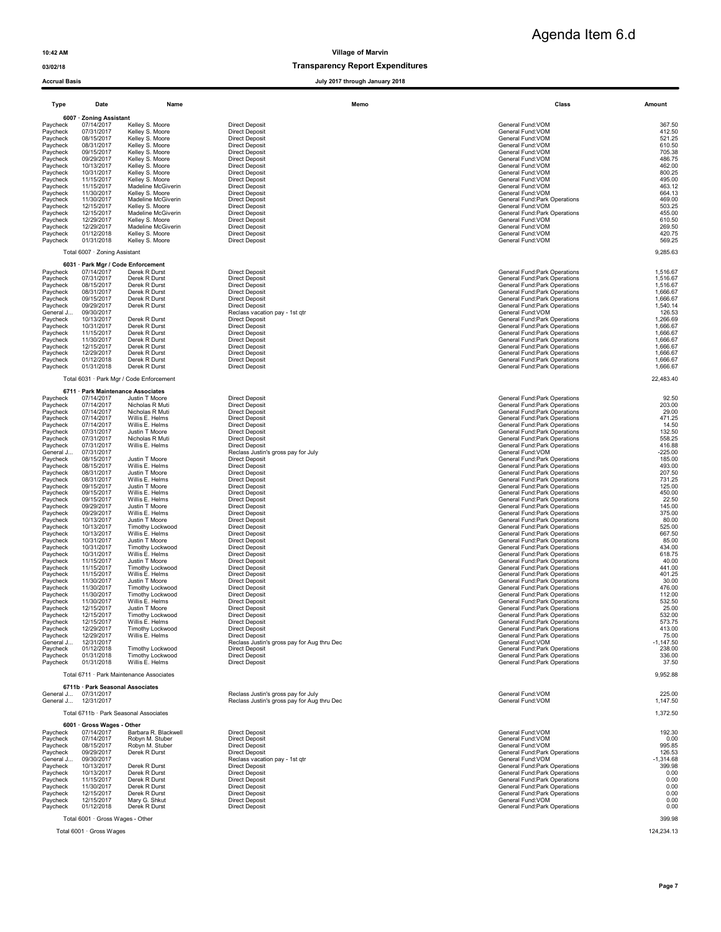### 03/02/18 Transparency Report Expenditures

| Type                   | Date                                             | Name                                     | Memo                                                                 | Class                                                          | Amount               |
|------------------------|--------------------------------------------------|------------------------------------------|----------------------------------------------------------------------|----------------------------------------------------------------|----------------------|
|                        | 6007 · Zoning Assistant                          |                                          |                                                                      |                                                                |                      |
| Paycheck               | 07/14/2017                                       | Kelley S. Moore                          | <b>Direct Deposit</b>                                                | General Fund:VOM                                               | 367.50               |
| Paycheck<br>Paycheck   | 07/31/2017<br>08/15/2017                         | Kelley S. Moore<br>Kelley S. Moore       | <b>Direct Deposit</b><br><b>Direct Deposit</b>                       | General Fund:VOM<br>General Fund:VOM                           | 412.50<br>521.25     |
| Paycheck               | 08/31/2017                                       | Kelley S. Moore                          | <b>Direct Deposit</b>                                                | General Fund: VOM                                              | 610.50               |
| Paycheck               | 09/15/2017                                       | Kelley S. Moore                          | <b>Direct Deposit</b>                                                | General Fund:VOM                                               | 705.38               |
| Paycheck<br>Paycheck   | 09/29/2017<br>10/13/2017                         | Kelley S. Moore<br>Kelley S. Moore       | <b>Direct Deposit</b><br><b>Direct Deposit</b>                       | General Fund: VOM<br>General Fund: VOM                         | 486.75<br>462.00     |
| Paycheck               | 10/31/2017                                       | Kelley S. Moore                          | <b>Direct Deposit</b>                                                | General Fund: VOM                                              | 800.25               |
| Paycheck               | 11/15/2017                                       | Kelley S. Moore                          | <b>Direct Deposit</b>                                                | General Fund: VOM                                              | 495.00               |
| Paycheck<br>Paycheck   | 11/15/2017<br>11/30/2017                         | Madeline McGiverin<br>Kelley S. Moore    | <b>Direct Deposit</b><br><b>Direct Deposit</b>                       | General Fund: VOM<br>General Fund: VOM                         | 463.12<br>664.13     |
| Paycheck               | 11/30/2017                                       | Madeline McGiverin                       | <b>Direct Deposit</b>                                                | General Fund: Park Operations                                  | 469.00               |
| Paycheck               | 12/15/2017                                       | Kelley S. Moore                          | <b>Direct Deposit</b>                                                | General Fund:VOM                                               | 503.25               |
| Paycheck               | 12/15/2017<br>12/29/2017                         | Madeline McGiverin<br>Kelley S. Moore    | <b>Direct Deposit</b><br><b>Direct Deposit</b>                       | General Fund:Park Operations<br>General Fund:VOM               | 455.00<br>610.50     |
| Paycheck<br>Paycheck   | 12/29/2017                                       | Madeline McGiverin                       | <b>Direct Deposit</b>                                                | General Fund:VOM                                               | 269.50               |
| Paycheck               | 01/12/2018                                       | Kelley S. Moore                          | <b>Direct Deposit</b>                                                | General Fund: VOM                                              | 420.75               |
| Paycheck               | 01/31/2018                                       | Kelley S. Moore                          | <b>Direct Deposit</b>                                                | General Fund: VOM                                              | 569.25               |
|                        | Total 6007 · Zoning Assistant                    |                                          |                                                                      |                                                                | 9,285.63             |
| Paycheck               | 6031 · Park Mgr / Code Enforcement<br>07/14/2017 | Derek R Durst                            | <b>Direct Deposit</b>                                                | General Fund: Park Operations                                  | 1,516.67             |
| Paycheck               | 07/31/2017                                       | Derek R Durst                            | <b>Direct Deposit</b>                                                | General Fund: Park Operations                                  | 1,516.67             |
| Paycheck               | 08/15/2017                                       | Derek R Durst                            | <b>Direct Deposit</b>                                                | General Fund: Park Operations                                  | 1,516.67             |
| Paycheck               | 08/31/2017                                       | Derek R Durst                            | <b>Direct Deposit</b>                                                | General Fund: Park Operations                                  | 1,666.67             |
| Paycheck<br>Paycheck   | 09/15/2017<br>09/29/2017                         | Derek R Durst<br>Derek R Durst           | <b>Direct Deposit</b><br><b>Direct Deposit</b>                       | General Fund: Park Operations<br>General Fund: Park Operations | 1,666.67<br>1,540.14 |
| General J              | 09/30/2017                                       |                                          | Reclass vacation pay - 1st qtr                                       | General Fund: VOM                                              | 126.53               |
| Paycheck               | 10/13/2017                                       | Derek R Durst                            | <b>Direct Deposit</b>                                                | General Fund:Park Operations                                   | 1,266.69             |
| Paycheck<br>Paycheck   | 10/31/2017<br>11/15/2017                         | Derek R Durst<br>Derek R Durst           | <b>Direct Deposit</b><br><b>Direct Deposit</b>                       | General Fund: Park Operations<br>General Fund:Park Operations  | 1,666.67<br>1,666.67 |
| Paycheck               | 11/30/2017                                       | Derek R Durst                            | <b>Direct Deposit</b>                                                | General Fund: Park Operations                                  | 1,666.67             |
| Paycheck               | 12/15/2017                                       | Derek R Durst                            | <b>Direct Deposit</b>                                                | General Fund:Park Operations                                   | 1,666.67             |
| Paycheck               | 12/29/2017                                       | Derek R Durst                            | <b>Direct Deposit</b>                                                | General Fund:Park Operations                                   | 1,666.67             |
| Paycheck               | 01/12/2018<br>01/31/2018                         | Derek R Durst<br>Derek R Durst           | <b>Direct Deposit</b><br><b>Direct Deposit</b>                       | General Fund: Park Operations<br>General Fund:Park Operations  | 1,666.67<br>1,666.67 |
| Paycheck               |                                                  | Total 6031 · Park Mgr / Code Enforcement |                                                                      |                                                                | 22,483.40            |
|                        | 6711 · Park Maintenance Associates               |                                          |                                                                      |                                                                |                      |
| Paycheck               | 07/14/2017                                       | Justin T Moore                           | <b>Direct Deposit</b>                                                | General Fund:Park Operations                                   | 92.50                |
| Paycheck               | 07/14/2017                                       | Nicholas R Muti                          | <b>Direct Deposit</b>                                                | General Fund: Park Operations                                  | 203.00               |
| Paycheck               | 07/14/2017                                       | Nicholas R Muti                          | <b>Direct Deposit</b>                                                | General Fund: Park Operations                                  | 29.00                |
| Paycheck<br>Paycheck   | 07/14/2017<br>07/14/2017                         | Willis E. Helms<br>Willis E. Helms       | <b>Direct Deposit</b><br><b>Direct Deposit</b>                       | General Fund:Park Operations<br>General Fund: Park Operations  | 471.25<br>14.50      |
| Paycheck               | 07/31/2017                                       | Justin T Moore                           | <b>Direct Deposit</b>                                                | General Fund: Park Operations                                  | 132.50               |
| Paycheck               | 07/31/2017                                       | Nicholas R Muti                          | <b>Direct Deposit</b>                                                | General Fund: Park Operations                                  | 558.25               |
| Paycheck               | 07/31/2017<br>07/31/2017                         | Willis E. Helms                          | <b>Direct Deposit</b>                                                | General Fund: Park Operations<br>General Fund: VOM             | 416.88<br>$-225.00$  |
| General J…<br>Paycheck | 08/15/2017                                       | Justin T Moore                           | Reclass Justin's gross pay for July<br><b>Direct Deposit</b>         | General Fund:Park Operations                                   | 185.00               |
| Paycheck               | 08/15/2017                                       | Willis E. Helms                          | <b>Direct Deposit</b>                                                | General Fund: Park Operations                                  | 493.00               |
| Paycheck               | 08/31/2017                                       | Justin T Moore                           | <b>Direct Deposit</b>                                                | General Fund: Park Operations                                  | 207.50               |
| Paycheck<br>Paycheck   | 08/31/2017<br>09/15/2017                         | Willis E. Helms<br>Justin T Moore        | <b>Direct Deposit</b><br><b>Direct Deposit</b>                       | General Fund: Park Operations<br>General Fund:Park Operations  | 731.25<br>125.00     |
| Paycheck               | 09/15/2017                                       | Willis E. Helms                          | <b>Direct Deposit</b>                                                | General Fund:Park Operations                                   | 450.00               |
| Paycheck               | 09/15/2017                                       | Willis E. Helms                          | <b>Direct Deposit</b>                                                | General Fund: Park Operations                                  | 22.50                |
| Paycheck               | 09/29/2017                                       | Justin T Moore                           | <b>Direct Deposit</b>                                                | General Fund:Park Operations                                   | 145.00               |
| Paycheck<br>Paycheck   | 09/29/2017<br>10/13/2017                         | Willis E. Helms<br>Justin T Moore        | <b>Direct Deposit</b><br><b>Direct Deposit</b>                       | General Fund:Park Operations<br>General Fund:Park Operations   | 375.00<br>80.00      |
| Paycheck               | 10/13/2017                                       | <b>Timothy Lockwood</b>                  | <b>Direct Deposit</b>                                                | General Fund:Park Operations                                   | 525.00               |
| Paycheck               | 10/13/2017                                       | Willis E. Helms                          | <b>Direct Deposit</b>                                                | General Fund:Park Operations                                   | 667.50               |
| Paycheck<br>Paycheck   | 10/31/2017<br>10/31/2017                         | Justin T Moore<br>Timothy Lockwood       | <b>Direct Deposit</b><br><b>Direct Deposit</b>                       | General Fund: Park Operations<br>General Fund:Park Operations  | 85.00<br>434.00      |
| Paycheck               | 10/31/2017                                       | Willis E. Helms                          | <b>Direct Deposit</b>                                                | General Fund:Park Operations                                   | 618.75               |
| Paycheck               | 11/15/2017                                       | Justin T Moore                           | <b>Direct Deposit</b>                                                | General Fund: Park Operations                                  | 40.00                |
| Paycheck               | 11/15/2017                                       | <b>Timothy Lockwood</b>                  | <b>Direct Deposit</b>                                                | General Fund:Park Operations                                   | 441.00               |
| Paycheck<br>Paycheck   | 11/15/2017<br>11/30/2017                         | Willis E. Helms<br>Justin T Moore        | <b>Direct Deposit</b><br><b>Direct Deposit</b>                       | General Fund:Park Operations<br>General Fund:Park Operations   | 401.25<br>30.00      |
| Paycheck               | 11/30/2017                                       | <b>Timothy Lockwood</b>                  | <b>Direct Deposit</b>                                                | General Fund:Park Operations                                   | 476.00               |
| Paycheck               | 11/30/2017                                       | Timothy Lockwood                         | <b>Direct Deposit</b>                                                | General Fund:Park Operations                                   | 112.00               |
| Paycheck<br>Paycheck   | 11/30/2017<br>12/15/2017                         | Willis E. Helms<br>Justin T Moore        | <b>Direct Deposit</b><br><b>Direct Deposit</b>                       | General Fund:Park Operations<br>General Fund: Park Operations  | 532.50<br>25.00      |
| Paycheck               | 12/15/2017                                       | <b>Timothy Lockwood</b>                  | <b>Direct Deposit</b>                                                | General Fund:Park Operations                                   | 532.00               |
| Paycheck               | 12/15/2017                                       | Willis E. Helms                          | <b>Direct Deposit</b>                                                | General Fund:Park Operations                                   | 573.75               |
| Paycheck               | 12/29/2017                                       | <b>Timothy Lockwood</b>                  | <b>Direct Deposit</b>                                                | General Fund:Park Operations                                   | 413.00               |
| Paycheck<br>General J  | 12/29/2017<br>12/31/2017                         | Willis E. Helms                          | <b>Direct Deposit</b><br>Reclass Justin's gross pay for Aug thru Dec | General Fund: Park Operations<br>General Fund: VOM             | 75.00<br>$-1,147.50$ |
| Paycheck               | 01/12/2018                                       | Timothy Lockwood                         | <b>Direct Deposit</b>                                                | General Fund: Park Operations                                  | 238.00               |
| Paycheck               | 01/31/2018                                       | <b>Timothy Lockwood</b>                  | <b>Direct Deposit</b>                                                | General Fund: Park Operations                                  | 336.00               |
| Paycheck               | 01/31/2018                                       | Willis E. Helms                          | <b>Direct Deposit</b>                                                | General Fund: Park Operations                                  | 37.50                |
|                        |                                                  | Total 6711 · Park Maintenance Associates |                                                                      |                                                                | 9,952.88             |
| General J 07/31/2017   | 6711b · Park Seasonal Associates                 |                                          | Reclass Justin's gross pay for July                                  | General Fund: VOM                                              | 225.00               |
| General J., 12/31/2017 |                                                  |                                          | Reclass Justin's gross pay for Aug thru Dec                          | General Fund: VOM                                              | 1,147.50             |
|                        |                                                  | Total 6711b · Park Seasonal Associates   |                                                                      |                                                                | 1,372.50             |
|                        | 6001 · Gross Wages - Other                       |                                          |                                                                      |                                                                |                      |
| Paycheck               | 07/14/2017<br>07/14/2017                         | Barbara R. Blackwell<br>Robyn M. Stuber  | <b>Direct Deposit</b><br><b>Direct Deposit</b>                       | General Fund: VOM<br>General Fund: VOM                         | 192.30<br>0.00       |
| Paycheck<br>Paycheck   | 08/15/2017                                       | Robyn M. Stuber                          | <b>Direct Deposit</b>                                                | General Fund: VOM                                              | 995.85               |
| Paycheck               | 09/29/2017                                       | Derek R Durst                            | <b>Direct Deposit</b>                                                | General Fund: Park Operations                                  | 126.53               |
| General J              | 09/30/2017                                       |                                          | Reclass vacation pay - 1st qtr                                       | General Fund: VOM                                              | $-1,314.68$          |
| Paycheck<br>Paycheck   | 10/13/2017<br>10/13/2017                         | Derek R Durst<br>Derek R Durst           | <b>Direct Deposit</b>                                                | General Fund: Park Operations                                  | 399.98<br>0.00       |
| Paycheck               | 11/15/2017                                       | Derek R Durst                            | <b>Direct Deposit</b><br><b>Direct Deposit</b>                       | General Fund: Park Operations<br>General Fund:Park Operations  | 0.00                 |
| Paycheck               | 11/30/2017                                       | Derek R Durst                            | <b>Direct Deposit</b>                                                | General Fund: Park Operations                                  | 0.00                 |
| Paycheck               | 12/15/2017                                       | Derek R Durst                            | <b>Direct Deposit</b>                                                | General Fund: Park Operations                                  | 0.00                 |
| Paycheck<br>Paycheck   | 12/15/2017<br>01/12/2018                         | Mary G. Shkut<br>Derek R Durst           | <b>Direct Deposit</b><br><b>Direct Deposit</b>                       | General Fund: VOM<br>General Fund: Park Operations             | 0.00<br>0.00         |
|                        |                                                  |                                          |                                                                      |                                                                |                      |
|                        | Total 6001 · Gross Wages - Other                 |                                          |                                                                      |                                                                | 399.98               |
|                        | Total 6001 · Gross Wages                         |                                          |                                                                      |                                                                | 124,234.13           |
|                        |                                                  |                                          |                                                                      |                                                                |                      |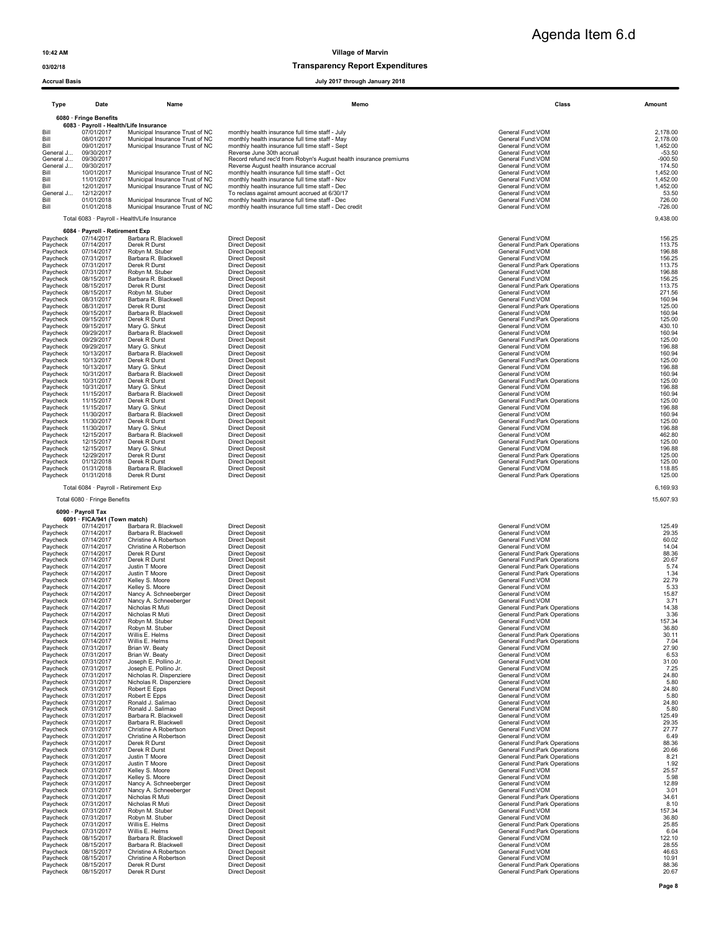### 03/02/18 Transparency Report Expenditures

### Accrual Basis July 2017 through January 2018

| Type      | Date                            | Name                                         | Memo                                                              | Class                               | Amount    |
|-----------|---------------------------------|----------------------------------------------|-------------------------------------------------------------------|-------------------------------------|-----------|
|           | 6080 · Fringe Benefits          |                                              |                                                                   |                                     |           |
|           |                                 | 6083 · Payroll - Health/Life Insurance       |                                                                   |                                     |           |
| Bill      | 07/01/2017                      | Municipal Insurance Trust of NC              | monthly health insurance full time staff - July                   | General Fund: VOM                   | 2.178.00  |
| Bill      | 08/01/2017                      | Municipal Insurance Trust of NC              | monthly health insurance full time staff - May                    | General Fund: VOM                   | 2.178.00  |
| Bill      | 09/01/2017                      | Municipal Insurance Trust of NC              | monthly health insurance full time staff - Sept                   | General Fund: VOM                   | 1.452.00  |
| General J | 09/30/2017                      |                                              | Reverse June 30th accrual                                         | General Fund: VOM                   | $-53.50$  |
| General J | 09/30/2017                      |                                              | Record refund rec'd from Robyn's August health insurance premiums | General Fund: VOM                   | $-900.50$ |
| General J | 09/30/2017                      |                                              | Reverse August health insurance accrual                           | General Fund: VOM                   | 174.50    |
| Bill      | 10/01/2017                      | Municipal Insurance Trust of NC              | monthly health insurance full time staff - Oct                    | General Fund: VOM                   | 1.452.00  |
| Bill      | 11/01/2017                      | Municipal Insurance Trust of NC              | monthly health insurance full time staff - Nov                    | General Fund: VOM                   | 1.452.00  |
| Bill      | 12/01/2017                      | Municipal Insurance Trust of NC              | monthly health insurance full time staff - Dec                    | General Fund: VOM                   | 1.452.00  |
| General J | 12/12/2017                      |                                              | To reclass against amount accrued at 6/30/17                      | General Fund: VOM                   | 53.50     |
| Bill      | 01/01/2018                      | Municipal Insurance Trust of NC              | monthly health insurance full time staff - Dec                    | General Fund: VOM                   | 726.00    |
| Bill      | 01/01/2018                      | Municipal Insurance Trust of NC              | monthly health insurance full time staff - Dec credit             | General Fund: VOM                   | $-726.00$ |
|           |                                 | Total 6083 · Payroll - Health/Life Insurance |                                                                   |                                     | 9,438.00  |
|           | 6084 · Payroll - Retirement Exp |                                              |                                                                   |                                     |           |
| Paycheck  | 07/14/2017                      | Barbara R. Blackwell                         | <b>Direct Deposit</b>                                             | General Fund: VOM                   | 156.25    |
| Paycheck  | 07/14/2017                      | Derek R Durst                                | <b>Direct Deposit</b>                                             | General Fund: Park Operations       | 113.75    |
| Paycheck  | 07/14/2017                      | Robyn M. Stuber                              | <b>Direct Deposit</b>                                             | General Fund: VOM                   | 196.88    |
| Paycheck  | 07/31/2017                      | Barbara R. Blackwell                         | <b>Direct Deposit</b>                                             | General Fund: VOM                   | 156.25    |
| Paycheck  | 07/31/2017                      | Derek R Durst                                | <b>Direct Deposit</b>                                             | General Fund: Park Operations       | 113.75    |
| Paycheck  | 07/31/2017                      | Robyn M. Stuber                              | <b>Direct Deposit</b>                                             | General Fund: VOM                   | 196.88    |
| Paycheck  | 08/15/2017                      | Barbara R. Blackwell                         | <b>Direct Deposit</b>                                             | General Fund: VOM                   | 156.25    |
| Paycheck  | 08/15/2017                      | Derek R Durst                                | <b>Direct Deposit</b>                                             | <b>General Fund:Park Operations</b> | 113.75    |
| Paycheck  | 08/15/2017                      | Robyn M. Stuber                              | <b>Direct Deposit</b>                                             | General Fund: VOM                   | 271.56    |
| Paycheck  | 08/31/2017                      | Barbara R. Blackwell                         | <b>Direct Deposit</b>                                             | General Fund: VOM                   | 160.94    |
| Paycheck  | 08/31/2017                      | Derek R Durst                                | <b>Direct Deposit</b>                                             | General Fund: Park Operations       | 125.00    |
| Paycheck  | 09/15/2017                      | Barbara R. Blackwell                         | <b>Direct Deposit</b>                                             | General Fund: VOM                   | 160.94    |
| Paycheck  | 09/15/2017                      | Derek R Durst                                | <b>Direct Deposit</b>                                             | General Fund: Park Operations       | 125.00    |
| Paycheck  | 09/15/2017                      | Mary G. Shkut                                | <b>Direct Deposit</b>                                             | General Fund: VOM                   | 430.10    |
| Paycheck  | 09/29/2017                      | Barbara R. Blackwell                         | <b>Direct Deposit</b>                                             | General Fund: VOM                   | 160.94    |

Paycheck 09/29/2017 Derek R Durst Direct Deposit General Fund:Park Operations 125.00 Paycheck 09/29/2017 Mary G. Shkut Direct Deposit General Fund:VOM 196.88 Paycheck 10/13/2017 Barbara R. Blackwell Direct Deposit General Fund:VOM 160.94 Paycheck 10/13/2017 Derek R Durst Direct Deposit General Fund:Park Operations 125.00 Paycheck 10/13/2017 Mary G. Shkut Direct Deposit General Fund:VOM 196.88 Paycheck 10/31/2017 Barbara R. Blackwell Direct Deposit General Fund:VOM 160.94 Paycheck 10/32017 Derek R Durst Direct Deposit<br>
Paycheck 10/31/2017 Derek R Durst Direct Deposit<br>
Paycheck 10/31/2017 Mary G. Shkut Direct Deposit<br>
Paycheck 10/31/2017 Derek R Durst Direct Deposit<br>
Paycheck 10/31/2017 Dere Paycheck 10/31/2017 Mary G. Shkut Direct Deposit Direct Deposit General Fund:VOM General Fund:VOM 196.88 Paycheck 11/15/2017 Barbara R. Blackwell Direct Deposit<br>Paycheck 11/15/2017 Derek R Durst Development Deposit Marchaeology of the State of General Fund:Park Operations<br>Paycheck 11/15/2017 Mary G. Shkut Direct Deposit Paycheck 11/30/2017 Barbara R. Blackwell Direct Deposit General Fund:VOM 160.94 Paycheck 11/30/2017 Derek R Durst Direct Deposit General Fund:Park Operations 125.00 Paycheck 11/30/2017 Mary G. Shkut Direct Deposit General Fund:VOM 196.88 Paycheck 12/15/2017 Barbara R. Blackwell Direct Deposit General Fund:VOM 462.80 Paycheck 12/15/2017 Derek R Durst Direct Deposit General Fund:Park Operations 125.00

| Paycheck | 12/15/2017 | Mary G. Shkut        | Direct Deposit        | General Fund: VOM             | 196.88 |
|----------|------------|----------------------|-----------------------|-------------------------------|--------|
| Pavcheck | 12/29/2017 | Derek R Durst        | <b>Direct Deposit</b> | General Fund: Park Operations | 125.00 |
| Paycheck | 01/12/2018 | Derek R Durst        | <b>Direct Deposit</b> | General Fund: Park Operations | 125.00 |
| Pavcheck | 01/31/2018 | Barbara R. Blackwell | <b>Direct Deposit</b> | General Fund: VOM             | 118.85 |
| Paycheck | 01/31/2018 | Derek R Durst        | <b>Direct Deposit</b> | General Fund: Park Operations | 125.00 |

### Total 6084 · Payroll - Retirement Exp 6,169.93

Total 6080 · Fringe Benefits **15,607.93 15,607.93 15,607.93** 

# 6090 · Payroll Tax 6091 · FICA/941 (Town match)

| Paycheck | 07/14/2017 | Barbara R. Blackwell    | <b>Direct Deposit</b> | General Fund: VOM                   | 125.49 |
|----------|------------|-------------------------|-----------------------|-------------------------------------|--------|
| Paycheck | 07/14/2017 | Barbara R. Blackwell    | <b>Direct Deposit</b> | General Fund: VOM                   | 29.35  |
| Paycheck | 07/14/2017 | Christine A Robertson   | <b>Direct Deposit</b> | General Fund: VOM                   | 60.02  |
| Paycheck | 07/14/2017 | Christine A Robertson   | <b>Direct Deposit</b> | General Fund: VOM                   | 14.04  |
| Paycheck | 07/14/2017 | Derek R Durst           | <b>Direct Deposit</b> | General Fund: Park Operations       | 88.36  |
| Paycheck | 07/14/2017 | Derek R Durst           | <b>Direct Deposit</b> | General Fund: Park Operations       | 20.67  |
| Paycheck | 07/14/2017 | Justin T Moore          | <b>Direct Deposit</b> | <b>General Fund:Park Operations</b> | 5.74   |
| Paycheck | 07/14/2017 | Justin T Moore          | <b>Direct Deposit</b> | General Fund: Park Operations       | 1.34   |
| Paycheck | 07/14/2017 | Kelley S. Moore         | <b>Direct Deposit</b> | General Fund: VOM                   | 22.79  |
| Paycheck | 07/14/2017 | Kelley S. Moore         | <b>Direct Deposit</b> | General Fund: VOM                   | 5.33   |
| Paycheck | 07/14/2017 | Nancy A. Schneeberger   | <b>Direct Deposit</b> | General Fund: VOM                   | 15.87  |
| Paycheck | 07/14/2017 | Nancy A. Schneeberger   | <b>Direct Deposit</b> | General Fund: VOM                   | 3.71   |
| Paycheck | 07/14/2017 | Nicholas R Muti         | <b>Direct Deposit</b> | General Fund: Park Operations       | 14.38  |
| Paycheck | 07/14/2017 | Nicholas R Muti         | <b>Direct Deposit</b> | General Fund: Park Operations       | 3.36   |
| Paycheck | 07/14/2017 | Robyn M. Stuber         | <b>Direct Deposit</b> | General Fund: VOM                   | 157.34 |
| Paycheck | 07/14/2017 | Robyn M. Stuber         | <b>Direct Deposit</b> | General Fund: VOM                   | 36.80  |
| Paycheck | 07/14/2017 | Willis E. Helms         | <b>Direct Deposit</b> | General Fund: Park Operations       | 30.11  |
|          |            |                         |                       |                                     | 7.04   |
| Paycheck | 07/14/2017 | Willis E. Helms         | <b>Direct Deposit</b> | General Fund: Park Operations       | 27.90  |
| Paycheck | 07/31/2017 | Brian W. Beaty          | <b>Direct Deposit</b> | General Fund: VOM                   |        |
| Paycheck | 07/31/2017 | Brian W. Beaty          | <b>Direct Deposit</b> | General Fund: VOM                   | 6.53   |
| Paycheck | 07/31/2017 | Joseph E. Pollino Jr.   | <b>Direct Deposit</b> | General Fund: VOM                   | 31.00  |
| Paycheck | 07/31/2017 | Joseph E. Pollino Jr.   | <b>Direct Deposit</b> | General Fund: VOM                   | 7.25   |
| Paycheck | 07/31/2017 | Nicholas R. Dispenziere | <b>Direct Deposit</b> | General Fund: VOM                   | 24.80  |
| Paycheck | 07/31/2017 | Nicholas R. Dispenziere | <b>Direct Deposit</b> | General Fund: VOM                   | 5.80   |
| Paycheck | 07/31/2017 | Robert E Epps           | <b>Direct Deposit</b> | General Fund: VOM                   | 24.80  |
| Paycheck | 07/31/2017 | Robert E Epps           | <b>Direct Deposit</b> | General Fund: VOM                   | 5.80   |
| Paycheck | 07/31/2017 | Ronald J. Salimao       | <b>Direct Deposit</b> | General Fund: VOM                   | 24.80  |
| Paycheck | 07/31/2017 | Ronald J. Salimao       | <b>Direct Deposit</b> | General Fund: VOM                   | 5.80   |
| Paycheck | 07/31/2017 | Barbara R. Blackwell    | <b>Direct Deposit</b> | General Fund: VOM                   | 125.49 |
| Paycheck | 07/31/2017 | Barbara R. Blackwell    | <b>Direct Deposit</b> | General Fund: VOM                   | 29.35  |
| Paycheck | 07/31/2017 | Christine A Robertson   | <b>Direct Deposit</b> | General Fund: VOM                   | 27.77  |
| Paycheck | 07/31/2017 | Christine A Robertson   | <b>Direct Deposit</b> | General Fund: VOM                   | 6.49   |
| Paycheck | 07/31/2017 | Derek R Durst           | <b>Direct Deposit</b> | General Fund: Park Operations       | 88.36  |
| Paycheck | 07/31/2017 | Derek R Durst           | <b>Direct Deposit</b> | General Fund: Park Operations       | 20.66  |
| Paycheck | 07/31/2017 | Justin T Moore          | <b>Direct Deposit</b> | General Fund: Park Operations       | 8.21   |
| Paycheck | 07/31/2017 | Justin T Moore          | <b>Direct Deposit</b> | General Fund: Park Operations       | 1.92   |
| Paycheck | 07/31/2017 | Kelley S. Moore         | <b>Direct Deposit</b> | General Fund: VOM                   | 25.57  |
| Paycheck | 07/31/2017 | Kelley S. Moore         | <b>Direct Deposit</b> | General Fund: VOM                   | 5.98   |
| Paycheck | 07/31/2017 | Nancy A. Schneeberger   | <b>Direct Deposit</b> | General Fund: VOM                   | 12.89  |
| Paycheck | 07/31/2017 | Nancy A. Schneeberger   | <b>Direct Deposit</b> | General Fund: VOM                   | 3.01   |
| Paycheck | 07/31/2017 | Nicholas R Muti         | <b>Direct Deposit</b> | General Fund: Park Operations       | 34.61  |
| Paycheck | 07/31/2017 | Nicholas R Muti         | <b>Direct Deposit</b> | General Fund: Park Operations       | 8.10   |
| Paycheck | 07/31/2017 | Robyn M. Stuber         | <b>Direct Deposit</b> | General Fund: VOM                   | 157.34 |
| Paycheck | 07/31/2017 | Robyn M. Stuber         | <b>Direct Deposit</b> | General Fund: VOM                   | 36.80  |
| Paycheck | 07/31/2017 | Willis E. Helms         | <b>Direct Deposit</b> | General Fund: Park Operations       | 25.85  |
| Paycheck | 07/31/2017 | Willis E. Helms         | <b>Direct Deposit</b> | <b>General Fund:Park Operations</b> | 6.04   |
| Paycheck | 08/15/2017 | Barbara R. Blackwell    | <b>Direct Deposit</b> | General Fund: VOM                   | 122.10 |
| Paycheck | 08/15/2017 | Barbara R. Blackwell    | <b>Direct Deposit</b> | General Fund: VOM                   | 28.55  |
| Paycheck | 08/15/2017 | Christine A Robertson   | <b>Direct Deposit</b> | General Fund: VOM                   | 46.63  |
| Paycheck | 08/15/2017 | Christine A Robertson   | <b>Direct Deposit</b> | General Fund: VOM                   | 10.91  |
| Paycheck | 08/15/2017 | Derek R Durst           | <b>Direct Deposit</b> | General Fund: Park Operations       | 88.36  |
| Paycheck | 08/15/2017 | Derek R Durst           | <b>Direct Deposit</b> | General Fund:Park Operations        | 20.67  |
|          |            |                         |                       |                                     |        |

| <b>Deposit</b>                   | General Fund: VOM                   | 125.49        |
|----------------------------------|-------------------------------------|---------------|
| <b>Deposit</b>                   | General Fund: VOM                   | 29.35         |
| <b>Deposit</b>                   | General Fund: VOM                   | 60.02         |
| <b>Deposit</b>                   | General Fund: VOM                   | 14.04         |
| <b>Deposit</b>                   | General Fund:Park Operations        | 88.36         |
| <b>Deposit</b>                   | General Fund:Park Operations        | 20.67         |
| <b>Deposit</b>                   | General Fund: Park Operations       | 5.74          |
| <b>Deposit</b>                   | General Fund:Park Operations        | 1.34          |
| <b>Deposit</b>                   | General Fund: VOM                   | 22.79         |
| <b>Deposit</b>                   | General Fund: VOM                   | 5.33          |
| <b>Deposit</b>                   | General Fund: VOM                   | 15.87         |
| <b>Deposit</b>                   | General Fund: VOM                   | 3.71          |
| <b>Deposit</b>                   | General Fund: Park Operations       | 14.38         |
| <b>Deposit</b>                   | General Fund: Park Operations       | 3.36          |
| <b>Deposit</b>                   | General Fund: VOM                   | 157.34        |
| <b>Deposit</b>                   | General Fund: VOM                   | 36.80         |
| <b>Deposit</b>                   | General Fund:Park Operations        | 30.11         |
| Deposit                          | <b>General Fund:Park Operations</b> | 7.04          |
| <b>Deposit</b>                   | General Fund: VOM                   | 27.90         |
| <b>Deposit</b>                   | General Fund: VOM                   | 6.53          |
|                                  | General Fund: VOM                   | 31.00         |
| <b>Deposit</b>                   | General Fund: VOM                   | 7.25          |
| <b>Deposit</b><br><b>Deposit</b> | General Fund: VOM                   | 24.80         |
|                                  | General Fund: VOM                   | 5.80          |
| <b>Deposit</b>                   |                                     |               |
| <b>Deposit</b>                   | General Fund: VOM                   | 24.80<br>5.80 |
| <b>Deposit</b>                   | General Fund: VOM                   |               |
| <b>Deposit</b>                   | General Fund: VOM                   | 24.80         |
| <b>Deposit</b>                   | General Fund: VOM                   | 5.80          |
| <b>Deposit</b>                   | General Fund: VOM                   | 125.49        |
| <b>Deposit</b>                   | General Fund: VOM                   | 29.35         |
| <b>Deposit</b>                   | General Fund: VOM                   | 27.77         |
| <b>Deposit</b>                   | General Fund: VOM                   | 6.49          |
| <b>Deposit</b>                   | General Fund:Park Operations        | 88.36         |
| <b>Deposit</b>                   | General Fund:Park Operations        | 20.66         |
| <b>Deposit</b>                   | General Fund:Park Operations        | 8.21          |
| <b>Deposit</b>                   | General Fund:Park Operations        | 1.92          |
| <b>Deposit</b>                   | General Fund: VOM                   | 25.57         |
| <b>Deposit</b>                   | General Fund: VOM                   | 5.98          |
| <b>Deposit</b>                   | General Fund: VOM                   | 12.89         |
| <b>Deposit</b>                   | General Fund: VOM                   | 3.01          |
| <b>Deposit</b>                   | General Fund: Park Operations       | 34.61         |
| <b>Deposit</b>                   | General Fund: Park Operations       | 8.10          |
| <b>Deposit</b>                   | General Fund: VOM                   | 157.34        |
| <b>Deposit</b>                   | General Fund: VOM                   | 36.80         |
| <b>Deposit</b>                   | General Fund:Park Operations        | 25.85         |
| <b>Deposit</b>                   | General Fund:Park Operations        | 6.04          |
| <b>Deposit</b>                   | General Fund: VOM                   | 122.10        |
| <b>Deposit</b>                   | General Fund: VOM                   | 28.55         |
| <b>Deposit</b>                   | General Fund: VOM                   | 46.63         |
| <b>Deposit</b>                   | General Fund: VOM                   | 10.91         |
| )eposit                          | General Fund:Park Operations        | 88.36         |
| <b>Jennsit</b>                   | General Fund Park Onerations        | 20.67         |

Agenda Item 6.d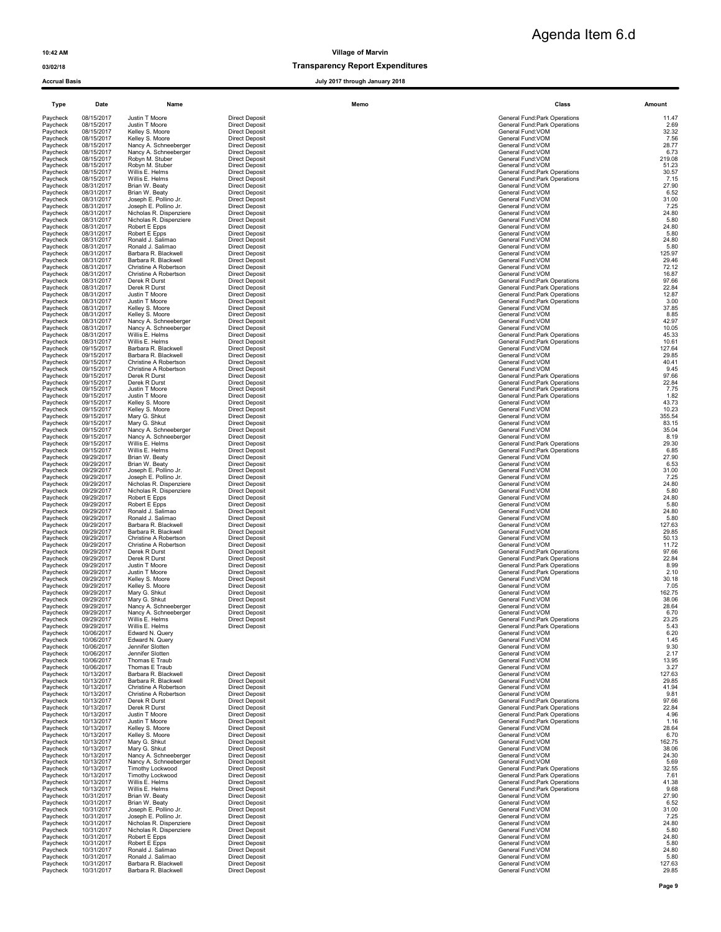### 03/02/18 03/02/18

| Type                 | Date                     | Name                                             | Memo                                           |                                        | Class                                                          | Amount          |
|----------------------|--------------------------|--------------------------------------------------|------------------------------------------------|----------------------------------------|----------------------------------------------------------------|-----------------|
| Paycheck             | 08/15/2017               | Justin T Moore                                   | <b>Direct Deposit</b>                          |                                        | General Fund: Park Operations                                  | 11.47           |
| Paycheck             | 08/15/2017               | Justin T Moore                                   | <b>Direct Deposit</b>                          |                                        | <b>General Fund:Park Operations</b>                            | 2.69            |
| Paycheck             | 08/15/2017               | Kelley S. Moore                                  | <b>Direct Deposit</b>                          | General Fund: VOM                      |                                                                | 32.32           |
| Paycheck             | 08/15/2017               | Kelley S. Moore                                  | <b>Direct Deposit</b>                          | General Fund: VOM                      |                                                                | 7.56            |
| Paycheck             | 08/15/2017               | Nancy A. Schneeberger                            | <b>Direct Deposit</b>                          | General Fund:VOM                       |                                                                | 28.77           |
| Paycheck             | 08/15/2017               | Nancy A. Schneeberger                            | <b>Direct Deposit</b>                          | General Fund:VOM                       |                                                                | 6.73            |
| Paycheck             | 08/15/2017               | Robyn M. Stuber                                  | <b>Direct Deposit</b>                          | General Fund:VOM                       |                                                                | 219.08          |
| Paycheck<br>Paycheck | 08/15/2017<br>08/15/2017 | Robyn M. Stuber<br>Willis E. Helms               | <b>Direct Deposit</b><br><b>Direct Deposit</b> | General Fund: VOM                      | General Fund: Park Operations                                  | 51.23<br>30.57  |
| Paycheck             | 08/15/2017               | Willis E. Helms                                  | <b>Direct Deposit</b>                          |                                        | General Fund: Park Operations                                  | 7.15            |
| Paycheck             | 08/31/2017               | Brian W. Beaty                                   | <b>Direct Deposit</b>                          | General Fund: VOM                      |                                                                | 27.90           |
| Paycheck             | 08/31/2017               | Brian W. Beaty                                   | <b>Direct Deposit</b>                          | General Fund:VOM                       |                                                                | 6.52            |
| Paycheck             | 08/31/2017               | Joseph E. Pollino Jr.                            | <b>Direct Deposit</b>                          | General Fund:VOM                       |                                                                | 31.00           |
| Paycheck             | 08/31/2017               | Joseph E. Pollino Jr.                            | <b>Direct Deposit</b>                          | General Fund:VOM                       |                                                                | 7.25            |
| Paycheck             | 08/31/2017               | Nicholas R. Dispenziere                          | <b>Direct Deposit</b>                          | General Fund:VOM                       |                                                                | 24.80           |
| Paycheck             | 08/31/2017               | Nicholas R. Dispenziere                          | <b>Direct Deposit</b>                          | General Fund: VOM                      |                                                                | 5.80            |
| Paycheck             | 08/31/2017               | Robert E Epps                                    | <b>Direct Deposit</b>                          | General Fund: VOM                      |                                                                | 24.80           |
| Paycheck             | 08/31/2017               | Robert E Epps                                    | <b>Direct Deposit</b>                          | General Fund:VOM                       |                                                                | 5.80            |
| Paycheck             | 08/31/2017               | Ronald J. Salimao                                | <b>Direct Deposit</b>                          | General Fund:VOM                       |                                                                | 24.80           |
| Paycheck             | 08/31/2017               | Ronald J. Salimao                                | <b>Direct Deposit</b>                          | General Fund: VOM                      |                                                                | 5.80            |
| Paycheck             | 08/31/2017               | Barbara R. Blackwell                             | <b>Direct Deposit</b>                          | General Fund:VOM                       |                                                                | 125.97          |
| Paycheck             | 08/31/2017               | Barbara R. Blackwell                             | <b>Direct Deposit</b>                          | General Fund: VOM                      |                                                                | 29.46           |
| Paycheck             | 08/31/2017               | Christine A Robertson                            | <b>Direct Deposit</b>                          | General Fund:VOM                       |                                                                | 72.12           |
| Paycheck             | 08/31/2017               | Christine A Robertson                            | <b>Direct Deposit</b>                          | General Fund: VOM                      |                                                                | 16.87           |
| Paycheck             | 08/31/2017               | Derek R Durst                                    | <b>Direct Deposit</b>                          |                                        | General Fund: Park Operations                                  | 97.66           |
| Paycheck             | 08/31/2017               | Derek R Durst                                    | <b>Direct Deposit</b>                          |                                        | General Fund: Park Operations                                  | 22.84           |
| Paycheck             | 08/31/2017               | Justin T Moore                                   | <b>Direct Deposit</b>                          |                                        | General Fund: Park Operations                                  | 12.87           |
| Paycheck             | 08/31/2017               | Justin T Moore                                   | <b>Direct Deposit</b>                          |                                        | General Fund: Park Operations                                  | 3.00            |
| Paycheck             | 08/31/2017               | Kelley S. Moore                                  | <b>Direct Deposit</b>                          | General Fund: VOM                      |                                                                | 37.85           |
| Paycheck             | 08/31/2017               | Kelley S. Moore                                  | <b>Direct Deposit</b>                          | General Fund:VOM                       |                                                                | 8.85            |
| Paycheck             | 08/31/2017               | Nancy A. Schneeberger                            | <b>Direct Deposit</b>                          | General Fund:VOM                       |                                                                | 42.97           |
| Paycheck<br>Paycheck | 08/31/2017<br>08/31/2017 | Nancy A. Schneeberger<br>Willis E. Helms         | <b>Direct Deposit</b><br><b>Direct Deposit</b> | General Fund:VOM                       | General Fund:Park Operations                                   | 10.05<br>45.33  |
| Paycheck             | 08/31/2017<br>09/15/2017 | Willis E. Helms<br>Barbara R. Blackwell          | <b>Direct Deposit</b><br><b>Direct Deposit</b> | General Fund:VOM                       | General Fund: Park Operations                                  | 10.61<br>127.64 |
| Paycheck<br>Paycheck | 09/15/2017               | Barbara R. Blackwell                             | <b>Direct Deposit</b>                          | General Fund: VOM                      |                                                                | 29.85           |
| Paycheck             | 09/15/2017               | Christine A Robertson                            | <b>Direct Deposit</b>                          | General Fund:VOM                       |                                                                | 40.41           |
| Paycheck             | 09/15/2017               | Christine A Robertson                            | <b>Direct Deposit</b>                          | General Fund:VOM                       |                                                                | 9.45            |
| Paycheck             | 09/15/2017               | Derek R Durst                                    | <b>Direct Deposit</b>                          |                                        | General Fund: Park Operations                                  | 97.66           |
| Paycheck             | 09/15/2017               | Derek R Durst                                    | <b>Direct Deposit</b>                          |                                        | General Fund: Park Operations                                  | 22.84           |
| Paycheck             | 09/15/2017               | Justin T Moore                                   | <b>Direct Deposit</b>                          |                                        | General Fund:Park Operations                                   | 7.75            |
| Paycheck<br>Paycheck | 09/15/2017<br>09/15/2017 | Justin T Moore<br>Kelley S. Moore                | <b>Direct Deposit</b><br><b>Direct Deposit</b> | General Fund:VOM                       | General Fund: Park Operations                                  | 1.82<br>43.73   |
| Paycheck             | 09/15/2017               | Kelley S. Moore                                  | <b>Direct Deposit</b>                          | General Fund:VOM                       |                                                                | 10.23           |
| Paycheck             | 09/15/2017               | Mary G. Shkut                                    | <b>Direct Deposit</b>                          | General Fund: VOM                      |                                                                | 355.54          |
| Paycheck             | 09/15/2017               | Mary G. Shkut                                    | <b>Direct Deposit</b>                          | General Fund:VOM                       |                                                                | 83.15           |
| Paycheck             | 09/15/2017               | Nancy A. Schneeberger                            | <b>Direct Deposit</b>                          | General Fund: VOM                      |                                                                | 35.04           |
| Paycheck             | 09/15/2017               | Nancy A. Schneeberger                            | <b>Direct Deposit</b>                          | General Fund: VOM                      |                                                                | 8.19            |
| Paycheck             | 09/15/2017               | Willis E. Helms                                  | <b>Direct Deposit</b>                          |                                        | General Fund: Park Operations                                  | 29.30           |
| Paycheck             | 09/15/2017               | Willis E. Helms                                  | <b>Direct Deposit</b>                          |                                        | General Fund: Park Operations                                  | 6.85            |
| Paycheck             | 09/29/2017               | Brian W. Beaty                                   | <b>Direct Deposit</b>                          | General Fund: VOM                      |                                                                | 27.90           |
| Paycheck             | 09/29/2017               | Brian W. Beaty                                   | <b>Direct Deposit</b>                          | General Fund:VOM                       |                                                                | 6.53            |
| Paycheck             | 09/29/2017               | Joseph E. Pollino Jr.                            | <b>Direct Deposit</b>                          | General Fund: VOM                      |                                                                | 31.00<br>7.25   |
| Paycheck<br>Paycheck | 09/29/2017<br>09/29/2017 | Joseph E. Pollino Jr.<br>Nicholas R. Dispenziere | <b>Direct Deposit</b><br><b>Direct Deposit</b> | General Fund: VOM<br>General Fund: VOM |                                                                | 24.80           |
| Paycheck             | 09/29/2017               | Nicholas R. Dispenziere                          | <b>Direct Deposit</b>                          | General Fund:VOM                       |                                                                | 5.80            |
| Paycheck             | 09/29/2017               | Robert E Epps                                    | <b>Direct Deposit</b>                          | General Fund:VOM                       |                                                                | 24.80           |
| Paycheck             | 09/29/2017               | Robert E Epps                                    | <b>Direct Deposit</b>                          | General Fund:VOM                       |                                                                | 5.80            |
| Paycheck             | 09/29/2017               | Ronald J. Salimao                                | <b>Direct Deposit</b>                          | General Fund: VOM                      |                                                                | 24.80           |
| Paycheck             | 09/29/2017               | Ronald J. Salimao                                | <b>Direct Deposit</b>                          | General Fund:VOM                       |                                                                | 5.80            |
| Paycheck             | 09/29/2017               | Barbara R. Blackwell                             | <b>Direct Deposit</b>                          | General Fund:VOM                       |                                                                | 127.63          |
| Paycheck             | 09/29/2017               | Barbara R. Blackwell                             | <b>Direct Deposit</b>                          | General Fund:VOM                       |                                                                | 29.85           |
| Paycheck             | 09/29/2017               | Christine A Robertson                            | <b>Direct Deposit</b>                          | General Fund: VOM                      |                                                                | 50.13           |
| Paycheck             | 09/29/2017               | Christine A Robertson                            | <b>Direct Deposit</b>                          | General Fund:VOM                       |                                                                | 11.72           |
| Paycheck             | 09/29/2017               | Derek R Durst                                    | <b>Direct Deposit</b>                          |                                        | General Fund:Park Operations                                   | 97.66           |
| Paycheck             | 09/29/2017               | Derek R Durst                                    | <b>Direct Deposit</b>                          |                                        | General Fund: Park Operations                                  | 22.84           |
| Paycheck             | 09/29/2017<br>09/29/2017 | Justin T Moore                                   | <b>Direct Deposit</b>                          |                                        | General Fund: Park Operations<br>General Fund: Park Operations | 8.99<br>2.10    |
| Paycheck<br>Paycheck | 09/29/2017               | Justin T Moore<br>Kelley S. Moore                | <b>Direct Deposit</b><br><b>Direct Deposit</b> | General Fund: VOM                      |                                                                | 30.18           |
| Paycheck             | 09/29/2017               | Kelley S. Moore                                  | <b>Direct Deposit</b>                          | General Fund:VOM                       |                                                                | 7.05            |
| Paycheck             | 09/29/2017               | Mary G. Shkut                                    | <b>Direct Deposit</b>                          | General Fund:VOM                       |                                                                | 162.75          |
| Paycheck             | 09/29/2017               | Mary G. Shkut                                    | <b>Direct Deposit</b>                          | General Fund: VOM                      |                                                                | 38.06           |
| Paycheck             | 09/29/2017               | Nancy A. Schneeberger                            | <b>Direct Deposit</b>                          | General Fund: VOM                      |                                                                | 28.64           |
| Paycheck             | 09/29/2017               | Nancy A. Schneeberger<br>Willis F Helms          | <b>Direct Deposit</b>                          | General Fund: VOM                      |                                                                | 6.70            |
| Paycheck<br>Paycheck | 09/29/2017<br>09/29/2017 | Willis E. Helms                                  | <b>Direct Deposit</b><br><b>Direct Deposit</b> |                                        | General Fund:Park Operations<br>General Fund:Park Operations   | 23.25<br>5.43   |
| Paycheck<br>Paycheck | 10/06/2017<br>10/06/2017 | Edward N. Query<br>Edward N. Query               |                                                | General Fund:VOM<br>General Fund: VOM  |                                                                | 6.20<br>1.45    |
| Paycheck<br>Paycheck | 10/06/2017<br>10/06/2017 | Jennifer Slotten<br>Jennifer Slotten             |                                                | General Fund:VOM<br>General Fund:VOM   |                                                                | 9.30<br>2.17    |
| Paycheck             | 10/06/2017               | Thomas E Traub                                   |                                                | General Fund: VOM                      |                                                                | 13.95           |
| Paycheck<br>Paycheck | 10/06/2017<br>10/13/2017 | Thomas E Traub<br>Barbara R. Blackwell           | <b>Direct Deposit</b>                          | General Fund: VOM<br>General Fund:VOM  |                                                                | 3.27<br>127.63  |
| Paycheck             | 10/13/2017               | Barbara R. Blackwell                             | <b>Direct Deposit</b>                          | General Fund: VOM                      |                                                                | 29.85           |
| Paycheck             | 10/13/2017               | Christine A Robertson                            | <b>Direct Deposit</b>                          | General Fund: VOM                      |                                                                | 41.94           |
| Paycheck<br>Paycheck | 10/13/2017<br>10/13/2017 | Christine A Robertson<br>Derek R Durst           | <b>Direct Deposit</b><br><b>Direct Deposit</b> | General Fund: VOM                      | General Fund: Park Operations                                  | 9.81<br>97.66   |
| Paycheck             | 10/13/2017               | Derek R Durst                                    | <b>Direct Deposit</b>                          |                                        | General Fund:Park Operations                                   | 22.84           |
| Paycheck             | 10/13/2017               | Justin T Moore                                   | <b>Direct Deposit</b>                          |                                        | General Fund: Park Operations                                  | 4.96            |
| Paycheck             | 10/13/2017               | Justin T Moore                                   | <b>Direct Deposit</b>                          |                                        | General Fund:Park Operations                                   | 1.16            |
| Paycheck             | 10/13/2017               | Kelley S. Moore                                  | <b>Direct Deposit</b>                          | General Fund: VOM                      |                                                                | 28.64           |
| Paycheck             | 10/13/2017               | Kelley S. Moore                                  | <b>Direct Deposit</b>                          | General Fund:VOM                       |                                                                | 6.70            |
| Paycheck             | 10/13/2017<br>10/13/2017 | Mary G. Shkut<br>Mary G. Shkut                   | <b>Direct Deposit</b><br><b>Direct Deposit</b> | General Fund:VOM<br>General Fund:VOM   |                                                                | 162.75<br>38.06 |
| Paycheck<br>Paycheck | 10/13/2017               | Nancy A. Schneeberger                            | <b>Direct Deposit</b>                          | General Fund:VOM                       |                                                                | 24.30           |
| Paycheck<br>Paycheck | 10/13/2017<br>10/13/2017 | Nancy A. Schneeberger<br>Timothy Lockwood        | <b>Direct Deposit</b><br><b>Direct Deposit</b> | General Fund: VOM                      | General Fund: Park Operations                                  | 5.69<br>32.55   |
| Paycheck             | 10/13/2017               | Timothy Lockwood                                 | <b>Direct Deposit</b>                          |                                        | General Fund: Park Operations                                  | 7.61            |
| Paycheck             | 10/13/2017               | Willis E. Helms                                  | <b>Direct Deposit</b>                          |                                        | General Fund: Park Operations                                  | 41.38           |
| Paycheck             | 10/13/2017               | Willis E. Helms                                  | <b>Direct Deposit</b>                          |                                        | General Fund: Park Operations                                  | 9.68            |
| Paycheck             | 10/31/2017               | Brian W. Beaty                                   | <b>Direct Deposit</b>                          | General Fund: VOM                      |                                                                | 27.90           |
| Paycheck             | 10/31/2017               | Brian W. Beaty                                   | <b>Direct Deposit</b>                          | General Fund:VOM                       |                                                                | 6.52            |
| Paycheck             | 10/31/2017               | Joseph E. Pollino Jr.                            | <b>Direct Deposit</b>                          | General Fund: VOM                      |                                                                | 31.00           |
| Paycheck             | 10/31/2017               | Joseph E. Pollino Jr.                            | <b>Direct Deposit</b>                          | General Fund: VOM                      |                                                                | 7.25            |
| Paycheck             | 10/31/2017               | Nicholas R. Dispenziere                          | <b>Direct Deposit</b>                          | General Fund:VOM                       |                                                                | 24.80           |
| Paycheck             | 10/31/2017               | Nicholas R. Dispenziere                          | <b>Direct Deposit</b>                          | General Fund: VOM                      |                                                                | 5.80            |
| Paycheck             | 10/31/2017               | Robert E Epps                                    | <b>Direct Deposit</b>                          | General Fund: VOM                      |                                                                | 24.80           |
| Paycheck             | 10/31/2017               | Robert E Epps                                    | <b>Direct Deposit</b>                          | General Fund: VOM                      |                                                                | 5.80            |
| Paycheck             | 10/31/2017               | Ronald J. Salimao                                | <b>Direct Deposit</b>                          | General Fund: VOM                      |                                                                | 24.80           |
| Paycheck             | 10/31/2017               | Ronald J. Salimao                                | <b>Direct Deposit</b>                          | General Fund: VOM                      |                                                                | 5.80            |
| Paycheck             | 10/31/2017               | Barbara R. Blackwell                             | <b>Direct Deposit</b>                          | General Fund:VOM                       |                                                                | 127.63          |
| Paycheck             | 10/31/2017               | Barbara R. Blackwell                             | <b>Direct Deposit</b>                          | General Fund:VOM                       |                                                                | 29.85           |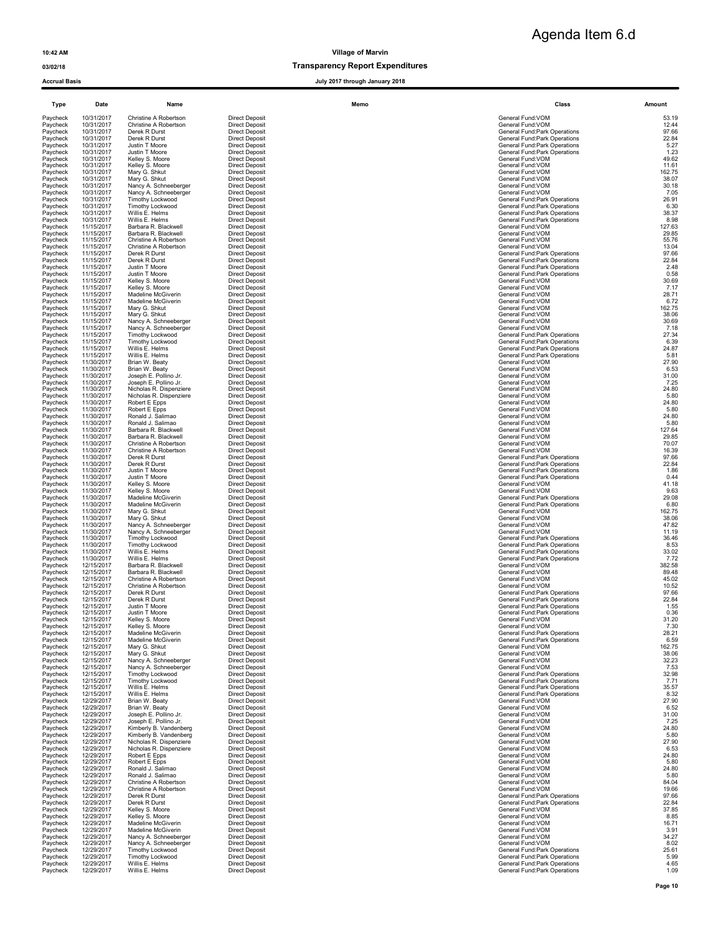### 03/02/18 Transparency Report Expenditures

| Type                 | Date                     | Name                                               |                                                | Memo | Class                                                               | Amount          |
|----------------------|--------------------------|----------------------------------------------------|------------------------------------------------|------|---------------------------------------------------------------------|-----------------|
| Paycheck             | 10/31/2017               | Christine A Robertson                              | <b>Direct Deposit</b>                          |      | General Fund:VOM                                                    | 53.19           |
| Paycheck<br>Paycheck | 10/31/2017<br>10/31/2017 | Christine A Robertson<br>Derek R Durst             | <b>Direct Deposit</b><br><b>Direct Deposit</b> |      | General Fund: VOM<br>General Fund: Park Operations                  | 12.44<br>97.66  |
| Paycheck             | 10/31/2017               | Derek R Durst                                      | <b>Direct Deposit</b>                          |      | General Fund:Park Operations                                        | 22.84           |
| Paycheck<br>Paycheck | 10/31/2017<br>10/31/2017 | Justin T Moore                                     | <b>Direct Deposit</b><br><b>Direct Deposit</b> |      | General Fund: Park Operations                                       | 5.27<br>1.23    |
| Paycheck             | 10/31/2017               | Justin T Moore<br>Kelley S. Moore                  | <b>Direct Deposit</b>                          |      | General Fund: Park Operations<br>General Fund: VOM                  | 49.62           |
| Paycheck             | 10/31/2017               | Kelley S. Moore                                    | <b>Direct Deposit</b>                          |      | General Fund: VOM                                                   | 11.61           |
| Paycheck<br>Paycheck | 10/31/2017<br>10/31/2017 | Mary G. Shkut<br>Mary G. Shkut                     | <b>Direct Deposit</b><br><b>Direct Deposit</b> |      | General Fund: VOM<br>General Fund: VOM                              | 162.75<br>38.07 |
| Paycheck             | 10/31/2017               | Nancy A. Schneeberger                              | <b>Direct Deposit</b>                          |      | General Fund: VOM                                                   | 30.18           |
| Paycheck<br>Paycheck | 10/31/2017<br>10/31/2017 | Nancy A. Schneeberger                              | <b>Direct Deposit</b><br><b>Direct Deposit</b> |      | General Fund: VOM                                                   | 7.05            |
| Paycheck             | 10/31/2017               | Timothy Lockwood<br>Timothy Lockwood               | <b>Direct Deposit</b>                          |      | General Fund: Park Operations<br>General Fund: Park Operations      | 26.91<br>6.30   |
| Paycheck             | 10/31/2017               | Willis E. Helms                                    | <b>Direct Deposit</b>                          |      | General Fund: Park Operations                                       | 38.37           |
| Paycheck<br>Paycheck | 10/31/2017<br>11/15/2017 | Willis E. Helms<br>Barbara R. Blackwell            | <b>Direct Deposit</b><br><b>Direct Deposit</b> |      | General Fund: Park Operations<br>General Fund: VOM                  | 8.98<br>127.63  |
| Paycheck             | 11/15/2017               | Barbara R. Blackwell                               | <b>Direct Deposit</b>                          |      | General Fund: VOM                                                   | 29.85           |
| Paycheck<br>Paycheck | 11/15/2017<br>11/15/2017 | Christine A Robertson<br>Christine A Robertson     | <b>Direct Deposit</b><br><b>Direct Deposit</b> |      | General Fund: VOM<br>General Fund: VOM                              | 55.76<br>13.04  |
| Paycheck             | 11/15/2017               | Derek R Durst                                      | <b>Direct Deposit</b>                          |      | General Fund:Park Operations                                        | 97.66           |
| Paycheck             | 11/15/2017               | Derek R Durst                                      | <b>Direct Deposit</b>                          |      | General Fund: Park Operations                                       | 22.84           |
| Paycheck<br>Paycheck | 11/15/2017<br>11/15/2017 | Justin T Moore<br>Justin T Moore                   | <b>Direct Deposit</b><br><b>Direct Deposit</b> |      | General Fund: Park Operations<br>General Fund: Park Operations      | 2.48<br>0.58    |
| Paycheck             | 11/15/2017               | Kelley S. Moore                                    | <b>Direct Deposit</b>                          |      | General Fund: VOM                                                   | 30.69           |
| Paycheck<br>Paycheck | 11/15/2017<br>11/15/2017 | Kelley S. Moore<br>Madeline McGiverin              | <b>Direct Deposit</b><br><b>Direct Deposit</b> |      | General Fund: VOM<br>General Fund: VOM                              | 7.17<br>28.71   |
| Paycheck             | 11/15/2017               | Madeline McGiverin                                 | <b>Direct Deposit</b>                          |      | General Fund: VOM                                                   | 6.72            |
| Paycheck<br>Paycheck | 11/15/2017<br>11/15/2017 | Mary G. Shkut<br>Mary G. Shkut                     | <b>Direct Deposit</b><br><b>Direct Deposit</b> |      | General Fund:VOM<br>General Fund: VOM                               | 162.75<br>38.06 |
| Paycheck             | 11/15/2017               | Nancy A. Schneeberger                              | <b>Direct Deposit</b>                          |      | General Fund: VOM                                                   | 30.69           |
| Paycheck             | 11/15/2017               | Nancy A. Schneeberger                              | <b>Direct Deposit</b><br><b>Direct Deposit</b> |      | General Fund: VOM                                                   | 7.18            |
| Paycheck<br>Paycheck | 11/15/2017<br>11/15/2017 | Timothy Lockwood<br><b>Timothy Lockwood</b>        | <b>Direct Deposit</b>                          |      | General Fund: Park Operations<br>General Fund:Park Operations       | 27.34<br>6.39   |
| Paycheck             | 11/15/2017               | Willis E. Helms                                    | <b>Direct Deposit</b>                          |      | General Fund: Park Operations                                       | 24.87           |
| Paycheck<br>Paycheck | 11/15/2017<br>11/30/2017 | Willis E. Helms<br>Brian W. Beaty                  | <b>Direct Deposit</b><br><b>Direct Deposit</b> |      | General Fund: Park Operations<br>General Fund: VOM                  | 5.81<br>27.90   |
| Paycheck             | 11/30/2017               | Brian W. Beaty                                     | <b>Direct Deposit</b>                          |      | General Fund: VOM                                                   | 6.53            |
| Paycheck<br>Paycheck | 11/30/2017<br>11/30/2017 | Joseph E. Pollino Jr.<br>Joseph E. Pollino Jr.     | <b>Direct Deposit</b><br><b>Direct Deposit</b> |      | General Fund: VOM<br>General Fund: VOM                              | 31.00<br>7.25   |
| Paycheck             | 11/30/2017               | Nicholas R. Dispenziere                            | <b>Direct Deposit</b>                          |      | General Fund: VOM                                                   | 24.80           |
| Paycheck             | 11/30/2017               | Nicholas R. Dispenziere                            | <b>Direct Deposit</b>                          |      | General Fund: VOM                                                   | 5.80            |
| Paycheck<br>Paycheck | 11/30/2017<br>11/30/2017 | Robert E Epps<br>Robert E Epps                     | <b>Direct Deposit</b><br><b>Direct Deposit</b> |      | General Fund: VOM<br>General Fund: VOM                              | 24.80<br>5.80   |
| Paycheck             | 11/30/2017               | Ronald J. Salimao                                  | <b>Direct Deposit</b>                          |      | General Fund: VOM                                                   | 24.80           |
| Paycheck<br>Paycheck | 11/30/2017<br>11/30/2017 | Ronald J. Salimao<br>Barbara R. Blackwell          | <b>Direct Deposit</b><br><b>Direct Deposit</b> |      | General Fund: VOM<br>General Fund:VOM                               | 5.80<br>127.64  |
| Paycheck             | 11/30/2017               | Barbara R. Blackwell                               | <b>Direct Deposit</b>                          |      | General Fund: VOM                                                   | 29.85           |
| Paycheck             | 11/30/2017               | Christine A Robertson                              | <b>Direct Deposit</b>                          |      | General Fund: VOM                                                   | 70.07           |
| Paycheck<br>Paycheck | 11/30/2017<br>11/30/2017 | Christine A Robertson<br>Derek R Durst             | <b>Direct Deposit</b><br><b>Direct Deposit</b> |      | General Fund: VOM<br>General Fund: Park Operations                  | 16.39<br>97.66  |
| Paycheck             | 11/30/2017               | Derek R Durst                                      | <b>Direct Deposit</b>                          |      | General Fund: Park Operations                                       | 22.84           |
| Paycheck<br>Paycheck | 11/30/2017<br>11/30/2017 | Justin T Moore<br>Justin T Moore                   | <b>Direct Deposit</b><br><b>Direct Deposit</b> |      | General Fund:Park Operations<br>General Fund: Park Operations       | 1.86<br>0.44    |
| Paycheck             | 11/30/2017               | Kelley S. Moore                                    | <b>Direct Deposit</b>                          |      | General Fund: VOM                                                   | 41.18           |
| Paycheck<br>Paycheck | 11/30/2017<br>11/30/2017 | Kelley S. Moore<br>Madeline McGiverin              | <b>Direct Deposit</b><br><b>Direct Deposit</b> |      | General Fund: VOM<br>General Fund: Park Operations                  | 9.63<br>29.08   |
| Paycheck             | 11/30/2017               | Madeline McGiverin                                 | <b>Direct Deposit</b>                          |      | General Fund: Park Operations                                       | 6.80            |
| Paycheck             | 11/30/2017               | Mary G. Shkut                                      | <b>Direct Deposit</b>                          |      | General Fund:VOM                                                    | 162.75          |
| Paycheck<br>Paycheck | 11/30/2017<br>11/30/2017 | Mary G. Shkut<br>Nancy A. Schneeberger             | <b>Direct Deposit</b><br><b>Direct Deposit</b> |      | General Fund: VOM<br>General Fund: VOM                              | 38.06<br>47.82  |
| Paycheck             | 11/30/2017               | Nancy A. Schneeberger                              | <b>Direct Deposit</b>                          |      | General Fund: VOM                                                   | 11.19           |
| Paycheck<br>Paycheck | 11/30/2017<br>11/30/2017 | Timothy Lockwood<br>Timothy Lockwood               | <b>Direct Deposit</b><br><b>Direct Deposit</b> |      | General Fund: Park Operations<br>General Fund: Park Operations      | 36.46<br>8.53   |
| Paycheck             | 11/30/2017               | Willis E. Helms                                    | <b>Direct Deposit</b>                          |      | General Fund: Park Operations                                       | 33.02           |
| Paycheck<br>Paycheck | 11/30/2017<br>12/15/2017 | Willis E. Helms<br>Barbara R. Blackwell            | <b>Direct Deposit</b><br><b>Direct Deposit</b> |      | General Fund: Park Operations<br>General Fund: VOM                  | 7.72<br>382.58  |
| Paycheck             | 12/15/2017               | Barbara R. Blackwell                               | <b>Direct Deposit</b>                          |      | General Fund: VOM                                                   | 89.48           |
| Paycheck             | 12/15/2017               | Christine A Robertson                              | <b>Direct Deposit</b>                          |      | General Fund: VOM                                                   | 45.02           |
| Paycheck<br>Paycheck | 12/15/2017<br>12/15/2017 | Christine A Robertson<br>Derek R Durst             | <b>Direct Deposit</b><br><b>Direct Deposit</b> |      | General Fund: VOM<br><b>General Fund:Park Operations</b>            | 10.52<br>97.66  |
| Paycheck             | 12/15/2017               | Derek R Durst                                      | <b>Direct Deposit</b>                          |      | General Fund: Park Operations                                       | 22.84           |
| Paycheck<br>Paycheck | 12/15/2017<br>12/15/2017 | Justin T Moore<br>Justin T Moore                   | <b>Direct Deposit</b><br><b>Direct Deposit</b> |      | <b>General Fund:Park Operations</b><br>General Fund:Park Operations | 1.55<br>0.36    |
| Paycheck             | 12/15/2017               | Kelley S. Moore                                    | <b>Direct Deposi</b>                           |      | General Fund:VOM                                                    | 31.20           |
| Paycheck<br>Paycheck | 12/15/2017<br>12/15/2017 | Kelley S. Moore<br>Madeline McGiverin              | <b>Direct Deposit</b><br><b>Direct Deposit</b> |      | General Fund: VOM<br>General Fund: Park Operations                  | 7.30<br>28.21   |
| Paycheck             | 12/15/2017               | Madeline McGiverin                                 | <b>Direct Deposit</b>                          |      | General Fund: Park Operations                                       | 6.59            |
| Paycheck             | 12/15/2017               | Mary G. Shkut                                      | <b>Direct Deposit</b>                          |      | General Fund: VOM                                                   | 162.75          |
| Paycheck<br>Paycheck | 12/15/2017<br>12/15/2017 | Mary G. Shkut<br>Nancy A. Schneeberger             | <b>Direct Deposit</b><br><b>Direct Deposit</b> |      | General Fund:VOM<br>General Fund: VOM                               | 38.06<br>32.23  |
| Paycheck             | 12/15/2017               | Nancy A. Schneeberger                              | <b>Direct Deposit</b>                          |      | General Fund:VOM                                                    | 7.53            |
| Paycheck<br>Paycheck | 12/15/2017<br>12/15/2017 | Timothy Lockwood<br><b>Timothy Lockwood</b>        | <b>Direct Deposit</b><br><b>Direct Deposit</b> |      | General Fund: Park Operations<br>General Fund:Park Operations       | 32.98<br>7.71   |
| Paycheck             | 12/15/2017               | Willis E. Helms                                    | <b>Direct Deposit</b>                          |      | General Fund:Park Operations                                        | 35.57           |
| Paycheck             | 12/15/2017               | Willis E. Helms<br>Brian W. Beaty                  | <b>Direct Deposit</b><br><b>Direct Deposit</b> |      | General Fund:Park Operations<br>General Fund: VOM                   | 8.32<br>27.90   |
| Paycheck<br>Paycheck | 12/29/2017<br>12/29/2017 | Brian W. Beaty                                     | <b>Direct Deposit</b>                          |      | General Fund:VOM                                                    | 6.52            |
| Paycheck             | 12/29/2017               | Joseph E. Pollino Jr.                              | <b>Direct Deposit</b>                          |      | General Fund: VOM                                                   | 31.00           |
| Paycheck<br>Paycheck | 12/29/2017<br>12/29/2017 | Joseph E. Pollino Jr.<br>Kimberly B. Vandenberg    | <b>Direct Deposit</b><br><b>Direct Deposit</b> |      | General Fund: VOM<br>General Fund: VOM                              | $7.25$<br>24.80 |
| Paycheck             | 12/29/2017               | Kimberly B. Vandenberg                             | <b>Direct Deposit</b>                          |      | General Fund: VOM                                                   | 5.80            |
| Paycheck<br>Paycheck | 12/29/2017<br>12/29/2017 | Nicholas R. Dispenziere<br>Nicholas R. Dispenziere | <b>Direct Deposit</b><br><b>Direct Deposit</b> |      | General Fund: VOM<br>General Fund: VOM                              | 27.90<br>6.53   |
| Paycheck             | 12/29/2017               | Robert E Epps                                      | <b>Direct Deposit</b>                          |      | General Fund: VOM                                                   | 24.80           |
| Paycheck<br>Paycheck | 12/29/2017<br>12/29/2017 | Robert E Epps<br>Ronald J. Salimao                 | <b>Direct Deposit</b><br><b>Direct Deposit</b> |      | General Fund:VOM<br>General Fund: VOM                               | 5.80<br>24.80   |
| Paycheck             | 12/29/2017               | Ronald J. Salimao                                  | <b>Direct Deposit</b>                          |      | General Fund: VOM                                                   | 5.80            |
| Paycheck             | 12/29/2017               | Christine A Robertson                              | <b>Direct Deposit</b>                          |      | General Fund: VOM                                                   | 84.04           |
| Paycheck<br>Paycheck | 12/29/2017<br>12/29/2017 | Christine A Robertson<br>Derek R Durst             | <b>Direct Deposit</b><br><b>Direct Deposit</b> |      | General Fund: VOM<br>General Fund: Park Operations                  | 19.66<br>97.66  |
| Paycheck             | 12/29/2017               | Derek R Durst                                      | <b>Direct Deposit</b>                          |      | General Fund: Park Operations                                       | 22.84           |
| Paycheck<br>Paycheck | 12/29/2017<br>12/29/2017 | Kelley S. Moore<br>Kelley S. Moore                 | <b>Direct Deposit</b><br><b>Direct Deposit</b> |      | General Fund: VOM<br>General Fund: VOM                              | 37.85<br>8.85   |
| Paycheck             | 12/29/2017               | Madeline McGiverin                                 | <b>Direct Deposit</b>                          |      | General Fund: VOM                                                   | 16.71           |
| Paycheck<br>Paycheck | 12/29/2017<br>12/29/2017 | Madeline McGiverin<br>Nancy A. Schneeberger        | <b>Direct Deposit</b><br><b>Direct Deposit</b> |      | General Fund: VOM<br>General Fund: VOM                              | 3.91<br>34.27   |
| Paycheck             | 12/29/2017               | Nancy A. Schneeberger                              | <b>Direct Deposit</b>                          |      | General Fund:VOM                                                    | 8.02            |
| Paycheck             | 12/29/2017<br>12/29/2017 | Timothy Lockwood                                   | <b>Direct Deposit</b><br><b>Direct Deposit</b> |      | General Fund:Park Operations<br>General Fund: Park Operations       | 25.61<br>5.99   |
| Paycheck<br>Paycheck | 12/29/2017               | Timothy Lockwood<br>Willis E. Helms                | <b>Direct Deposit</b>                          |      | General Fund: Park Operations                                       | 4.65            |
| Paycheck             | 12/29/2017               | Willis E. Helms                                    | <b>Direct Deposit</b>                          |      | General Fund: Park Operations                                       | 1.09            |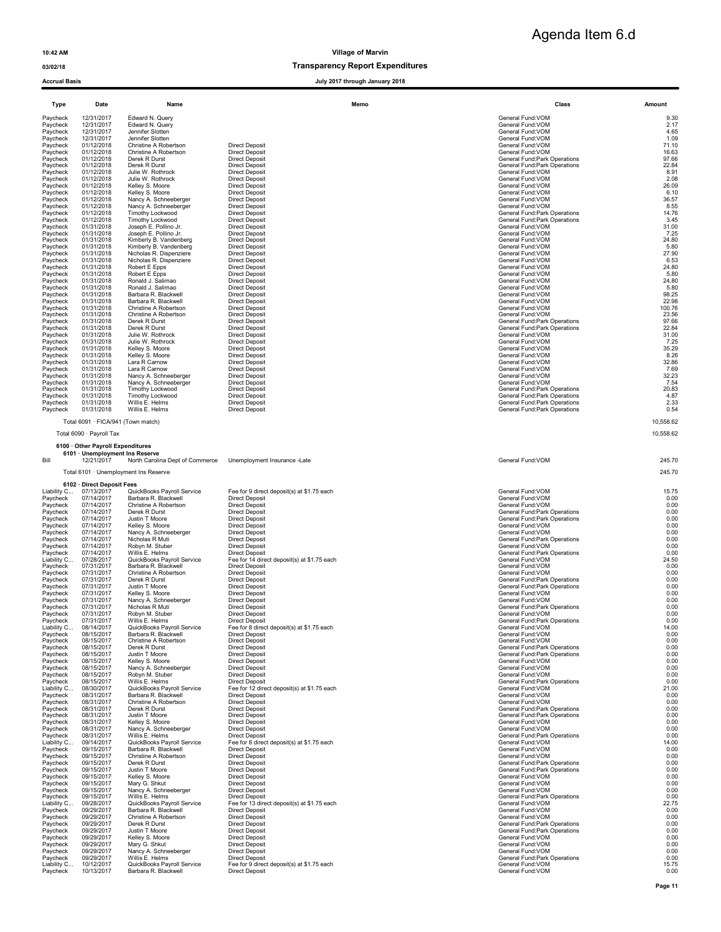### 03/02/18 **Transparency Report Expenditures** Transparency Report Expenditures

Accrual Basis **Accrual Basis Accrual Basis Accrual Basis July 2017** through January 2017 through January 2017

| vin                 |                   |        |
|---------------------|-------------------|--------|
| <b>Expenditures</b> |                   |        |
| uary 2018           |                   |        |
|                     | Class             | Amount |
|                     | General Fund: VOM |        |

Agenda Item 6.d

| Type                    | Date                                     | Name                                               | Memo                                                                 | Class                                                          | Amount         |
|-------------------------|------------------------------------------|----------------------------------------------------|----------------------------------------------------------------------|----------------------------------------------------------------|----------------|
| Paycheck                | 12/31/2017                               | Edward N. Query                                    |                                                                      | General Fund: VOM                                              | 9.30           |
| Paycheck<br>Paycheck    | 12/31/2017<br>12/31/2017                 | Edward N. Query<br>Jennifer Slotten                |                                                                      | General Fund:VOM<br>General Fund:VOM                           | 2.17<br>4.65   |
| Paycheck                | 12/31/2017                               | Jennifer Slotten                                   |                                                                      | General Fund:VOM                                               | 1.09           |
| Paycheck<br>Paycheck    | 01/12/2018<br>01/12/2018                 | Christine A Robertson<br>Christine A Robertson     | <b>Direct Deposit</b><br><b>Direct Deposit</b>                       | General Fund: VOM<br>General Fund: VOM                         | 71.10<br>16.63 |
| Paycheck                | 01/12/2018                               | Derek R Durst                                      | <b>Direct Deposit</b>                                                | General Fund: Park Operations                                  | 97.66          |
| Paycheck<br>Paycheck    | 01/12/2018<br>01/12/2018                 | Derek R Durst<br>Julie W. Rothrock                 | <b>Direct Deposit</b><br><b>Direct Deposit</b>                       | General Fund: Park Operations<br>General Fund:VOM              | 22.84<br>8.91  |
| Paycheck                | 01/12/2018                               | Julie W. Rothrock                                  | <b>Direct Deposit</b>                                                | General Fund:VOM                                               | 2.08           |
| Paycheck<br>Paycheck    | 01/12/2018<br>01/12/2018                 | Kelley S. Moore<br>Kelley S. Moore                 | <b>Direct Deposit</b><br><b>Direct Deposit</b>                       | General Fund:VOM<br>General Fund:VOM                           | 26.09<br>6.10  |
| Paycheck<br>Paycheck    | 01/12/2018<br>01/12/2018                 | Nancy A. Schneeberger<br>Nancy A. Schneeberger     | <b>Direct Deposit</b><br><b>Direct Deposit</b>                       | General Fund:VOM<br>General Fund:VOM                           | 36.57<br>8.55  |
| Paycheck                | 01/12/2018                               | Timothy Lockwood                                   | <b>Direct Deposit</b>                                                | General Fund: Park Operations                                  | 14.76          |
| Paycheck<br>Paycheck    | 01/12/2018<br>01/31/2018                 | Timothy Lockwood<br>Joseph E. Pollino Jr.          | <b>Direct Deposit</b><br><b>Direct Deposit</b>                       | General Fund:Park Operations<br>General Fund:VOM               | 3.45<br>31.00  |
| Paycheck                | 01/31/2018                               | Joseph E. Pollino Jr.                              | <b>Direct Deposit</b>                                                | General Fund:VOM                                               | 7.25           |
| Paycheck<br>Paycheck    | 01/31/2018<br>01/31/2018                 | Kimberly B. Vandenberg<br>Kimberly B. Vandenberg   | <b>Direct Deposit</b><br><b>Direct Deposit</b>                       | General Fund: VOM<br>General Fund: VOM                         | 24.80<br>5.80  |
| Paycheck                | 01/31/2018                               | Nicholas R. Dispenziere                            | <b>Direct Deposit</b>                                                | General Fund: VOM                                              | 27.90          |
| Paycheck<br>Paycheck    | 01/31/2018<br>01/31/2018                 | Nicholas R. Dispenziere<br>Robert E Epps           | <b>Direct Deposit</b><br><b>Direct Deposit</b>                       | General Fund: VOM<br>General Fund: VOM                         | 6.53<br>24.80  |
| Paycheck                | 01/31/2018                               | Robert E Epps                                      | <b>Direct Deposit</b>                                                | General Fund:VOM                                               | 5.80           |
| Paycheck<br>Paycheck    | 01/31/2018<br>01/31/2018                 | Ronald J. Salimao<br>Ronald J. Salimao             | <b>Direct Deposit</b><br><b>Direct Deposit</b>                       | General Fund:VOM<br>General Fund:VOM                           | 24.80<br>5.80  |
| Paycheck<br>Paycheck    | 01/31/2018<br>01/31/2018                 | Barbara R. Blackwell<br>Barbara R. Blackwell       | <b>Direct Deposit</b><br><b>Direct Deposit</b>                       | General Fund:VOM<br>General Fund:VOM                           | 98.25<br>22.98 |
| Paycheck                | 01/31/2018                               | Christine A Robertson                              | <b>Direct Deposit</b>                                                | General Fund:VOM                                               | 100.76         |
| Paycheck<br>Paycheck    | 01/31/2018<br>01/31/2018                 | Christine A Robertson<br>Derek R Durst             | <b>Direct Deposit</b><br><b>Direct Deposit</b>                       | General Fund: VOM<br>General Fund: Park Operations             | 23.56<br>97.66 |
| Paycheck                | 01/31/2018                               | Derek R Durst                                      | <b>Direct Deposit</b>                                                | General Fund:Park Operations                                   | 22.84          |
| Paycheck<br>Paycheck    | 01/31/2018<br>01/31/2018                 | Julie W. Rothrock<br>Julie W. Rothrock             | <b>Direct Deposit</b><br><b>Direct Deposit</b>                       | General Fund:VOM<br>General Fund:VOM                           | 31.00<br>7.25  |
| Paycheck                | 01/31/2018                               | Kelley S. Moore                                    | <b>Direct Deposit</b>                                                | General Fund:VOM                                               | 35.29          |
| Paycheck<br>Paycheck    | 01/31/2018<br>01/31/2018                 | Kelley S. Moore<br>Lara R Carnow                   | <b>Direct Deposit</b><br><b>Direct Deposit</b>                       | General Fund:VOM<br>General Fund:VOM                           | 8.26<br>32.86  |
| Paycheck                | 01/31/2018                               | Lara R Carnow                                      | <b>Direct Deposit</b>                                                | General Fund:VOM                                               | 7.69           |
| Paycheck<br>Paycheck    | 01/31/2018<br>01/31/2018                 | Nancy A. Schneeberger<br>Nancy A. Schneeberger     | <b>Direct Deposit</b><br><b>Direct Deposit</b>                       | General Fund:VOM<br>General Fund:VOM                           | 32.23<br>7.54  |
| Paycheck                | 01/31/2018                               | Timothy Lockwood                                   | <b>Direct Deposit</b>                                                | General Fund:Park Operations                                   | 20.83          |
| Paycheck<br>Paycheck    | 01/31/2018<br>01/31/2018                 | Timothy Lockwood<br>Willis E. Helms                | <b>Direct Deposit</b><br><b>Direct Deposit</b>                       | General Fund: Park Operations<br>General Fund:Park Operations  | 4.87<br>2.33   |
| Paycheck                | 01/31/2018                               | Willis E. Helms                                    | <b>Direct Deposit</b>                                                | General Fund: Park Operations                                  | 0.54           |
|                         | Total 6091 · FICA/941 (Town match)       |                                                    |                                                                      |                                                                | 10,558.62      |
|                         | Total 6090 · Payroll Tax                 |                                                    |                                                                      |                                                                | 10,558.62      |
|                         | 6100 Other Payroll Expenditures          |                                                    |                                                                      |                                                                |                |
|                         | 6101 · Unemployment Ins Reserve          |                                                    |                                                                      |                                                                |                |
| Bill                    | 12/21/2017                               | North Carolina Dept of Commerce                    | Unemployment Insurance -Late                                         | General Fund: VOM                                              | 245.70         |
|                         |                                          | Total 6101 · Unemployment Ins Reserve              |                                                                      |                                                                | 245.70         |
| Liability C             | 6102 · Direct Deposit Fees<br>07/13/2017 | QuickBooks Payroll Service                         | Fee for 9 direct deposit(s) at \$1.75 each                           | General Fund: VOM                                              | 15.75          |
| Paycheck                | 07/14/2017                               | Barbara R. Blackwell                               | <b>Direct Deposit</b>                                                | General Fund:VOM                                               | 0.00           |
| Paycheck<br>Paycheck    | 07/14/2017<br>07/14/2017                 | Christine A Robertson<br>Derek R Durst             | <b>Direct Deposit</b><br><b>Direct Deposit</b>                       | General Fund: VOM<br>General Fund: Park Operations             | 0.00<br>0.00   |
| Paycheck                | 07/14/2017                               | Justin T Moore                                     | <b>Direct Deposit</b>                                                | General Fund: Park Operations                                  | 0.00           |
| Paycheck<br>Paycheck    | 07/14/2017<br>07/14/2017                 | Kelley S. Moore<br>Nancy A. Schneeberger           | <b>Direct Deposit</b><br><b>Direct Deposit</b>                       | General Fund:VOM<br>General Fund:VOM                           | 0.00<br>0.00   |
| Paycheck                | 07/14/2017                               | Nicholas R Muti                                    | <b>Direct Deposit</b>                                                | General Fund: Park Operations                                  | 0.00           |
| Paycheck<br>Paycheck    | 07/14/2017<br>07/14/2017                 | Robyn M. Stuber<br>Willis E. Helms                 | <b>Direct Deposit</b><br><b>Direct Deposit</b>                       | General Fund: VOM<br>General Fund: Park Operations             | 0.00<br>0.00   |
| Liability C<br>Paycheck | 07/28/2017<br>07/31/2017                 | QuickBooks Payroll Service<br>Barbara R. Blackwell | Fee for 14 direct deposit(s) at \$1.75 each<br><b>Direct Deposit</b> | General Fund:VOM<br>General Fund:VOM                           | 24.50<br>0.00  |
| Paycheck                | 07/31/2017                               | Christine A Robertson                              | Direct Deposit                                                       | General Fund:VOM                                               | 0.00           |
| Paycheck<br>Paycheck    | 07/31/2017<br>07/31/2017                 | Derek R Durst<br>Justin T Moore                    | <b>Direct Deposit</b><br><b>Direct Deposit</b>                       | General Fund:Park Operations<br>General Fund: Park Operations  | 0.00<br>0.00   |
| Paycheck                | 07/31/2017                               | Kelley S. Moore                                    | <b>Direct Deposit</b>                                                | General Fund:VOM                                               | 0.00           |
| Paycheck<br>Paycheck    | 07/31/2017<br>07/31/2017                 | Nancy A. Schneeberger<br>Nicholas R Muti           | <b>Direct Deposit</b><br><b>Direct Deposit</b>                       | General Fund:VOM<br>General Fund: Park Operations              | 0.00<br>0.00   |
| Paycheck                | 07/31/2017                               | Robyn M. Stuber                                    | <b>Direct Deposit</b>                                                | General Fund:VOM                                               | 0.00           |
| Paycheck<br>Liability C | 07/31/2017<br>08/14/2017                 | Willis E. Helms<br>QuickBooks Payroll Service      | <b>Direct Deposit</b><br>Fee for 8 direct deposit(s) at \$1.75 each  | General Fund: Park Operations<br>General Fund: VOM             | 0.00<br>14.00  |
| Paycheck<br>Paycheck    | 08/15/2017<br>08/15/2017                 | Barbara R. Blackwell<br>Christine A Robertson      | <b>Direct Deposit</b><br><b>Direct Deposit</b>                       | General Fund:VOM<br>General Fund:VOM                           | 0.00<br>0.00   |
| Paycheck                | 08/15/2017                               | Derek R Durst                                      | <b>Direct Deposit</b>                                                | General Fund:Park Operations                                   | 0.00           |
| Paycheck<br>Paycheck    | 08/15/2017<br>08/15/2017                 | Justin T Moore<br>Kelley S. Moore                  | <b>Direct Deposit</b><br><b>Direct Deposit</b>                       | General Fund: Park Operations<br>General Fund:VOM              | 0.00<br>0.00   |
| Paycheck                | 08/15/2017                               | Nancy A. Schneeberger                              | <b>Direct Deposit</b>                                                | General Fund:VOM                                               | 0.00           |
| Paycheck<br>Paycheck    | 08/15/2017<br>08/15/2017                 | Robyn M. Stuber<br>Willis E. Helms                 | <b>Direct Deposit</b><br><b>Direct Deposit</b>                       | General Fund:VOM<br>General Fund:Park Operations               | 0.00<br>0.00   |
| Liability C             | 08/30/2017                               | QuickBooks Payroll Service                         | Fee for 12 direct deposit(s) at \$1.75 each                          | General Fund:VOM                                               | 21.00          |
| Paycheck<br>Paycheck    | 08/31/2017<br>08/31/2017                 | Barbara R. Blackwell<br>Christine A Robertson      | <b>Direct Deposit</b><br><b>Direct Deposit</b>                       | General Fund: VOM<br>General Fund:VOM                          | 0.00<br>0.00   |
| Paycheck<br>Paycheck    | 08/31/2017<br>08/31/2017                 | Derek R Durst<br>Justin T Moore                    | <b>Direct Deposit</b><br><b>Direct Deposit</b>                       | General Fund: Park Operations<br>General Fund:Park Operations  | 0.00<br>0.00   |
| Paycheck                | 08/31/2017                               | Kelley S. Moore                                    | <b>Direct Deposit</b>                                                | General Fund:VOM                                               | 0.00           |
| Paycheck<br>Paycheck    | 08/31/2017<br>08/31/2017                 | Nancy A. Schneeberger<br>Willis E. Helms           | <b>Direct Deposit</b><br><b>Direct Deposit</b>                       | General Fund:VOM<br>General Fund: Park Operations              | 0.00<br>0.00   |
| Liability C             | 09/14/2017                               | QuickBooks Payroll Service                         | Fee for 8 direct deposit(s) at \$1.75 each                           | General Fund: VOM                                              | 14.00          |
| Paycheck<br>Paycheck    | 09/15/2017<br>09/15/2017                 | Barbara R. Blackwell<br>Christine A Robertson      | <b>Direct Deposit</b><br><b>Direct Deposit</b>                       | General Fund:VOM<br>General Fund:VOM                           | 0.00<br>0.00   |
| Paycheck                | 09/15/2017                               | Derek R Durst                                      | <b>Direct Deposit</b>                                                | General Fund: Park Operations                                  | 0.00           |
| Paycheck<br>Paycheck    | 09/15/2017<br>09/15/2017                 | Justin T Moore<br>Kelley S. Moore                  | <b>Direct Deposit</b><br><b>Direct Deposit</b>                       | General Fund: Park Operations<br>General Fund:VOM              | 0.00<br>0.00   |
| Paycheck                | 09/15/2017                               | Mary G. Shkut                                      | <b>Direct Deposit</b>                                                | General Fund: VOM                                              | 0.00           |
| Paycheck<br>Paycheck    | 09/15/2017<br>09/15/2017                 | Nancy A. Schneeberger<br>Willis E. Helms           | <b>Direct Deposit</b><br><b>Direct Deposit</b>                       | General Fund:VOM<br>General Fund:Park Operations               | 0.00<br>0.00   |
| Liability C<br>Paycheck | 09/28/2017<br>09/29/2017                 | QuickBooks Payroll Service<br>Barbara R. Blackwell | Fee for 13 direct deposit(s) at \$1.75 each<br><b>Direct Deposit</b> | General Fund:VOM<br>General Fund:VOM                           | 22.75<br>0.00  |
| Paycheck                | 09/29/2017                               | Christine A Robertson                              | <b>Direct Deposit</b>                                                | General Fund:VOM                                               | 0.00           |
| Paycheck<br>Paycheck    | 09/29/2017<br>09/29/2017                 | Derek R Durst<br>Justin T Moore                    | <b>Direct Deposit</b><br><b>Direct Deposit</b>                       | General Fund: Park Operations<br>General Fund: Park Operations | 0.00<br>0.00   |
| Paycheck                | 09/29/2017                               | Kelley S. Moore                                    | <b>Direct Deposit</b>                                                | General Fund:VOM                                               | 0.00           |
| Paycheck<br>Paycheck    | 09/29/2017<br>09/29/2017                 | Mary G. Shkut<br>Nancy A. Schneeberger             | <b>Direct Deposit</b><br><b>Direct Deposit</b>                       | General Fund:VOM<br>General Fund:VOM                           | 0.00<br>0.00   |
| Paycheck                | 09/29/2017                               | Willis E. Helms                                    | <b>Direct Deposit</b>                                                | General Fund: Park Operations                                  | 0.00           |
| Liability C<br>Paycheck | 10/12/2017<br>10/13/2017                 | QuickBooks Payroll Service<br>Barbara R. Blackwell | Fee for 9 direct deposit(s) at \$1.75 each<br><b>Direct Deposit</b>  | General Fund: VOM<br>General Fund:VOM                          | 15.75<br>0.00  |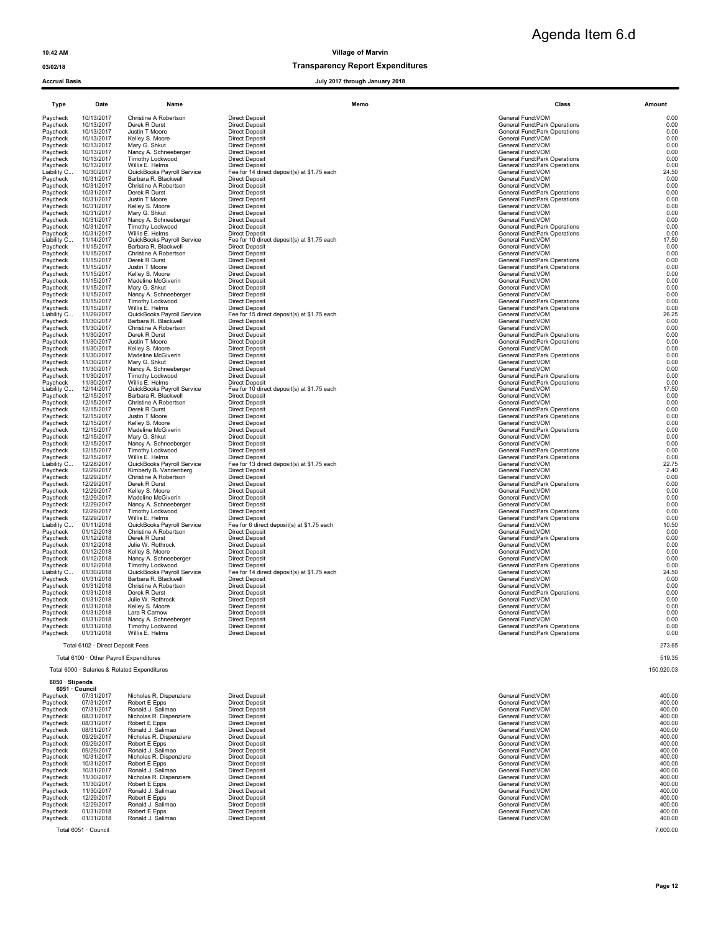### 03/02/18 Transparency Report Expenditures

| <b>Accrual Basis</b>    |                                         |                                                    | July 2017 through January 2018                                       |                                                    |               |
|-------------------------|-----------------------------------------|----------------------------------------------------|----------------------------------------------------------------------|----------------------------------------------------|---------------|
|                         |                                         |                                                    |                                                                      |                                                    |               |
| <b>Type</b>             | Date                                    | Name                                               | Memo                                                                 | Class                                              | Amount        |
| Paycheck                | 10/13/2017                              | Christine A Robertson                              | <b>Direct Deposit</b>                                                | General Fund: VOM                                  | 0.00          |
| Paycheck                | 10/13/2017<br>10/13/2017                | Derek R Durst<br>Justin T Moore                    | Direct Deposit                                                       | General Fund: Park Operations                      | 0.00<br>0.00  |
| Paycheck<br>Paycheck    | 10/13/2017                              | Kelley S. Moore                                    | <b>Direct Deposit</b><br><b>Direct Deposit</b>                       | General Fund:Park Operations<br>General Fund:VOM   | 0.00          |
| Paycheck                | 10/13/2017                              | Mary G. Shkut                                      | <b>Direct Deposit</b>                                                | General Fund:VOM                                   | 0.00          |
| Paycheck                | 10/13/2017                              | Nancy A. Schneeberger                              | <b>Direct Deposit</b>                                                | General Fund: VOM                                  | 0.00          |
| Paycheck                | 10/13/2017                              | Timothy Lockwood                                   | <b>Direct Deposit</b>                                                | General Fund:Park Operations                       | 0.00          |
| Paycheck<br>Liability C | 10/13/2017<br>10/30/2017                | Willis E. Helms<br>QuickBooks Payroll Service      | <b>Direct Deposit</b><br>Fee for 14 direct deposit(s) at \$1.75 each | General Fund:Park Operations<br>General Fund:VOM   | 0.00<br>24.50 |
| Paycheck                | 10/31/2017                              | Barbara R. Blackwell                               | <b>Direct Deposit</b>                                                | General Fund:VOM                                   | 0.00          |
| Paycheck                | 10/31/2017                              | Christine A Robertson                              | <b>Direct Deposit</b>                                                | General Fund: VOM                                  | 0.00          |
| Paycheck                | 10/31/2017                              | Derek R Durst                                      | <b>Direct Deposit</b>                                                | General Fund: Park Operations                      | 0.00          |
| Paycheck                | 10/31/2017                              | Justin T Moore                                     | <b>Direct Deposit</b>                                                | General Fund:Park Operations                       | 0.00          |
| Paycheck<br>Paycheck    | 10/31/2017<br>10/31/2017                | Kelley S. Moore<br>Mary G. Shkut                   | <b>Direct Deposit</b><br><b>Direct Deposit</b>                       | General Fund: VOM<br>General Fund:VOM              | 0.00<br>0.00  |
| Paycheck                | 10/31/2017                              | Nancy A. Schneeberger                              | <b>Direct Deposit</b>                                                | General Fund:VOM                                   | 0.00          |
| Paycheck                | 10/31/2017                              | Timothy Lockwood                                   | <b>Direct Deposit</b>                                                | General Fund:Park Operations                       | 0.00          |
| Paycheck                | 10/31/2017                              | Willis E. Helms                                    | <b>Direct Deposit</b>                                                | General Fund: Park Operations                      | 0.00          |
| Liability C<br>Paycheck | 11/14/2017<br>11/15/2017                | QuickBooks Payroll Service<br>Barbara R. Blackwell | Fee for 10 direct deposit(s) at \$1.75 each<br><b>Direct Deposit</b> | General Fund:VOM<br>General Fund: VOM              | 17.50<br>0.00 |
| Paycheck                | 11/15/2017                              | Christine A Robertson                              | <b>Direct Deposit</b>                                                | General Fund:VOM                                   | 0.00          |
| Paycheck                | 11/15/2017                              | Derek R Durst                                      | <b>Direct Deposit</b>                                                | <b>General Fund:Park Operations</b>                | 0.00          |
| Paycheck                | 11/15/2017                              | Justin T Moore                                     | <b>Direct Deposit</b>                                                | General Fund: Park Operations                      | 0.00          |
| Paycheck                | 11/15/2017                              | Kelley S. Moore                                    | Direct Deposit                                                       | General Fund:VOM                                   | 0.00          |
| Paycheck                | 11/15/2017                              | Madeline McGiverin                                 | <b>Direct Deposit</b>                                                | General Fund:VOM                                   | 0.00          |
| Paycheck<br>Paycheck    | 11/15/2017<br>11/15/2017                | Mary G. Shkut<br>Nancy A. Schneeberger             | <b>Direct Deposit</b><br><b>Direct Deposit</b>                       | General Fund:VOM<br>General Fund: VOM              | 0.00<br>0.00  |
| Paycheck                | 11/15/2017                              | Timothy Lockwood                                   | <b>Direct Deposit</b>                                                | General Fund: Park Operations                      | 0.00          |
| Paycheck                | 11/15/2017                              | Willis E. Helms                                    | <b>Direct Deposit</b>                                                | General Fund:Park Operations                       | 0.00          |
| Liability C             | 11/29/2017                              | QuickBooks Payroll Service                         | Fee for 15 direct deposit(s) at \$1.75 each                          | General Fund:VOM                                   | 26.25         |
| Paycheck                | 11/30/2017                              | Barbara R. Blackwell                               | <b>Direct Deposit</b>                                                | General Fund:VOM                                   | 0.00          |
| Paycheck<br>Paycheck    | 11/30/2017<br>11/30/2017                | Christine A Robertson<br>Derek R Durst             | <b>Direct Deposit</b><br><b>Direct Deposit</b>                       | General Fund:VOM<br>General Fund: Park Operations  | 0.00<br>0.00  |
| Paycheck                | 11/30/2017                              | Justin T Moore                                     | Direct Deposit                                                       | General Fund: Park Operations                      | 0.00          |
| Paycheck                | 11/30/2017                              | Kelley S. Moore                                    | <b>Direct Deposit</b>                                                | General Fund: VOM                                  | 0.00          |
| Paycheck                | 11/30/2017                              | Madeline McGiverin                                 | <b>Direct Deposit</b>                                                | General Fund: Park Operations                      | 0.00          |
| Paycheck<br>Paycheck    | 11/30/2017<br>11/30/2017                | Mary G. Shkut                                      | <b>Direct Deposit</b><br>Direct Deposit                              | General Fund: VOM<br>General Fund:VOM              | 0.00          |
| Paycheck                | 11/30/2017                              | Nancy A. Schneeberger<br>Timothy Lockwood          | <b>Direct Deposit</b>                                                | General Fund:Park Operations                       | 0.00<br>0.00  |
| Paycheck                | 11/30/2017                              | Willis E. Helms                                    | <b>Direct Deposit</b>                                                | General Fund:Park Operations                       | 0.00          |
| Liability C             | 12/14/2017                              | QuickBooks Payroll Service                         | Fee for 10 direct deposit(s) at \$1.75 each                          | General Fund:VOM                                   | 17.50         |
| Paycheck                | 12/15/2017                              | Barbara R. Blackwell                               | <b>Direct Deposit</b>                                                | General Fund: VOM                                  | 0.00          |
| Paycheck<br>Paycheck    | 12/15/2017<br>12/15/2017                | Christine A Robertson<br>Derek R Durst             | <b>Direct Deposit</b><br><b>Direct Deposit</b>                       | General Fund:VOM<br>General Fund:Park Operations   | 0.00<br>0.00  |
| Paycheck                | 12/15/2017                              | Justin T Moore                                     | <b>Direct Deposit</b>                                                | General Fund:Park Operations                       | 0.00          |
| Paycheck                | 12/15/2017                              | Kelley S. Moore                                    | <b>Direct Deposit</b>                                                | General Fund:VOM                                   | 0.00          |
| Paycheck                | 12/15/2017                              | Madeline McGiverin                                 | <b>Direct Deposit</b>                                                | General Fund:Park Operations                       | 0.00          |
| Paycheck                | 12/15/2017                              | Mary G. Shkut                                      | <b>Direct Deposit</b>                                                | General Fund:VOM                                   | 0.00          |
| Paycheck<br>Paycheck    | 12/15/2017<br>12/15/2017                | Nancy A. Schneeberger<br>Timothy Lockwood          | <b>Direct Deposit</b><br><b>Direct Deposit</b>                       | General Fund: VOM<br>General Fund: Park Operations | 0.00<br>0.00  |
| Paycheck                | 12/15/2017                              | Willis E. Helms                                    | <b>Direct Deposit</b>                                                | General Fund: Park Operations                      | 0.00          |
| Liability C             | 12/28/2017                              | QuickBooks Payroll Service                         | Fee for 13 direct deposit(s) at \$1.75 each                          | General Fund:VOM                                   | 22.75         |
| Paycheck                | 12/29/2017                              | Kimberly B. Vandenberg                             | <b>Direct Deposit</b>                                                | General Fund: VOM                                  | 2.40          |
| Paycheck<br>Paycheck    | 12/29/2017<br>12/29/2017                | Christine A Robertson<br>Derek R Durst             | <b>Direct Deposit</b><br><b>Direct Deposit</b>                       | General Fund:VOM<br>General Fund: Park Operations  | 0.00<br>0.00  |
| Paycheck                | 12/29/2017                              | Kelley S. Moore                                    | <b>Direct Deposit</b>                                                | General Fund: VOM                                  | 0.00          |
| Paycheck                | 12/29/2017                              | Madeline McGiverin                                 | <b>Direct Deposit</b>                                                | General Fund:VOM                                   | 0.00          |
| Paycheck                | 12/29/2017                              | Nancy A. Schneeberger                              | <b>Direct Deposit</b>                                                | General Fund: VOM                                  | 0.00          |
| Paycheck                | 12/29/2017                              | Timothy Lockwood                                   | <b>Direct Deposit</b>                                                | General Fund: Park Operations                      | 0.00          |
| Paycheck<br>Liability C | 12/29/2017<br>01/11/2018                | Willis E. Helms<br>QuickBooks Payroll Service      | <b>Direct Deposit</b><br>Fee for 6 direct deposit(s) at \$1.75 each  | General Fund: Park Operations<br>General Fund: VOM | 0.00<br>10.50 |
| Paycheck                | 01/12/2018                              | Christine A Robertson                              | <b>Direct Deposit</b>                                                | General Fund: VOM                                  | 0.00          |
| Paycheck                | 01/12/2018                              | Derek R Durst                                      | Direct Deposit                                                       | General Fund:Park Operations                       | 0.00          |
| Paycheck                | 01/12/2018                              | Julie W. Rothrock                                  | <b>Direct Deposit</b>                                                | General Fund:VOM                                   | 0.00          |
| Paycheck                | 01/12/2018                              | Kelley S. Moore                                    | <b>Direct Deposit</b>                                                | General Fund: VOM                                  | 0.00          |
| Paycheck<br>Paycheck    | 01/12/2018<br>01/12/2018                | Nancy A. Schneeberger<br>Timothy Lockwood          | <b>Direct Deposit</b><br><b>Direct Deposit</b>                       | General Fund:VOM<br>General Fund:Park Operations   | 0.00<br>0.00  |
| Liability C.,           | 01/30/2018                              | QuickBooks Payroll Service                         | Fee for 14 direct deposit(s) at \$1.75 each                          | General Fund:VOM                                   | 24.50         |
| Paycheck                | 01/31/2018                              | Barbara R. Blackwell                               | <b>Direct Deposit</b>                                                | General Fund: VOM                                  | 0.00          |
| Paycheck                | 01/31/2018                              | Christine A Robertson                              | Direct Deposit                                                       | General Fund: VOM                                  | 0.00          |
| Paycheck                | 01/31/2018                              | Derek R Durst                                      | <b>Direct Deposit</b>                                                | General Fund:Park Operations                       | 0.00          |
| Paycheck<br>Paycheck    | 01/31/2018<br>01/31/2018                | Julie W. Rothrock<br>Kelley S. Moore               | <b>Direct Deposit</b><br><b>Direct Deposit</b>                       | General Fund: VOM<br>General Fund: VOM             | 0.00<br>0.00  |
| Paycheck                | 01/31/2018                              | Lara R Carnow                                      | <b>Direct Deposit</b>                                                | General Fund: VOM                                  | 0.00          |
| Paycheck                | 01/31/2018                              | Nancy A. Schneeberger                              | <b>Direct Deposit</b>                                                | General Fund:VOM                                   | 0.00          |
| Paycheck                | 01/31/2018                              | Timothy Lockwood                                   | <b>Direct Deposit</b>                                                | General Fund:Park Operations                       | 0.00          |
| Paycheck                | 01/31/2018                              | Willis E. Helms                                    | <b>Direct Deposit</b>                                                | General Fund: Park Operations                      | 0.00          |
|                         | Total 6102 · Direct Deposit Fees        |                                                    |                                                                      |                                                    | 273.65        |
|                         | Total 6100 · Other Payroll Expenditures |                                                    |                                                                      |                                                    | 519.35        |

Total 6000 · Salaries & Related Expenditures 150,920.03

### 6050 · Stipends 6051 · Council

| 07/31/2017<br>Robert E Epps<br><b>Direct Deposit</b><br>General Fund: VOM<br>Paycheck<br>07/31/2017<br><b>Direct Deposit</b><br>Ronald J. Salimao<br>General Fund: VOM<br>Paycheck<br>08/31/2017<br><b>Direct Deposit</b><br>Nicholas R. Dispenziere<br>General Fund: VOM<br>Paycheck<br>08/31/2017<br>Robert E Epps<br><b>Direct Deposit</b><br>Paycheck<br>General Fund: VOM<br>08/31/2017<br><b>Direct Deposit</b><br>General Fund: VOM<br>Paycheck<br>Ronald J. Salimao<br>09/29/2017<br>Nicholas R. Dispenziere<br><b>Direct Deposit</b><br>General Fund: VOM<br>Paycheck<br>09/29/2017<br>Robert E Epps<br><b>Direct Deposit</b><br>General Fund: VOM<br>Paycheck<br>09/29/2017<br><b>Direct Deposit</b><br>General Fund: VOM<br>Paycheck<br>Ronald J. Salimao<br>10/31/2017<br><b>Direct Deposit</b><br>General Fund: VOM<br>Paycheck<br>Nicholas R. Dispenziere<br>10/31/2017<br>Robert E Epps<br><b>Direct Deposit</b><br>Paycheck<br>General Fund: VOM<br>10/31/2017<br><b>Direct Deposit</b><br>General Fund: VOM<br>Paycheck<br>Ronald J. Salimao<br>11/30/2017<br><b>Direct Deposit</b><br>Paycheck<br>Nicholas R. Dispenziere<br>General Fund: VOM<br>11/30/2017<br>Robert E Epps<br><b>Direct Deposit</b><br>Paycheck<br>General Fund: VOM<br>11/30/2017<br>Paycheck<br>Ronald J. Salimao<br><b>Direct Deposit</b><br>General Fund: VOM<br>12/29/2017<br>Robert E Epps<br><b>Direct Deposit</b><br>General Fund: VOM<br>Paycheck<br>12/29/2017<br><b>Direct Deposit</b><br>Paycheck<br>Ronald J. Salimao<br>General Fund: VOM<br>01/31/2018<br>Robert E Epps<br><b>Direct Deposit</b><br>General Fund: VOM<br>Paycheck |
|---------------------------------------------------------------------------------------------------------------------------------------------------------------------------------------------------------------------------------------------------------------------------------------------------------------------------------------------------------------------------------------------------------------------------------------------------------------------------------------------------------------------------------------------------------------------------------------------------------------------------------------------------------------------------------------------------------------------------------------------------------------------------------------------------------------------------------------------------------------------------------------------------------------------------------------------------------------------------------------------------------------------------------------------------------------------------------------------------------------------------------------------------------------------------------------------------------------------------------------------------------------------------------------------------------------------------------------------------------------------------------------------------------------------------------------------------------------------------------------------------------------------------------------------------------------------------------------------------------------------------------------|
|                                                                                                                                                                                                                                                                                                                                                                                                                                                                                                                                                                                                                                                                                                                                                                                                                                                                                                                                                                                                                                                                                                                                                                                                                                                                                                                                                                                                                                                                                                                                                                                                                                       |
|                                                                                                                                                                                                                                                                                                                                                                                                                                                                                                                                                                                                                                                                                                                                                                                                                                                                                                                                                                                                                                                                                                                                                                                                                                                                                                                                                                                                                                                                                                                                                                                                                                       |
|                                                                                                                                                                                                                                                                                                                                                                                                                                                                                                                                                                                                                                                                                                                                                                                                                                                                                                                                                                                                                                                                                                                                                                                                                                                                                                                                                                                                                                                                                                                                                                                                                                       |
|                                                                                                                                                                                                                                                                                                                                                                                                                                                                                                                                                                                                                                                                                                                                                                                                                                                                                                                                                                                                                                                                                                                                                                                                                                                                                                                                                                                                                                                                                                                                                                                                                                       |
|                                                                                                                                                                                                                                                                                                                                                                                                                                                                                                                                                                                                                                                                                                                                                                                                                                                                                                                                                                                                                                                                                                                                                                                                                                                                                                                                                                                                                                                                                                                                                                                                                                       |
|                                                                                                                                                                                                                                                                                                                                                                                                                                                                                                                                                                                                                                                                                                                                                                                                                                                                                                                                                                                                                                                                                                                                                                                                                                                                                                                                                                                                                                                                                                                                                                                                                                       |
|                                                                                                                                                                                                                                                                                                                                                                                                                                                                                                                                                                                                                                                                                                                                                                                                                                                                                                                                                                                                                                                                                                                                                                                                                                                                                                                                                                                                                                                                                                                                                                                                                                       |
|                                                                                                                                                                                                                                                                                                                                                                                                                                                                                                                                                                                                                                                                                                                                                                                                                                                                                                                                                                                                                                                                                                                                                                                                                                                                                                                                                                                                                                                                                                                                                                                                                                       |
|                                                                                                                                                                                                                                                                                                                                                                                                                                                                                                                                                                                                                                                                                                                                                                                                                                                                                                                                                                                                                                                                                                                                                                                                                                                                                                                                                                                                                                                                                                                                                                                                                                       |
|                                                                                                                                                                                                                                                                                                                                                                                                                                                                                                                                                                                                                                                                                                                                                                                                                                                                                                                                                                                                                                                                                                                                                                                                                                                                                                                                                                                                                                                                                                                                                                                                                                       |
|                                                                                                                                                                                                                                                                                                                                                                                                                                                                                                                                                                                                                                                                                                                                                                                                                                                                                                                                                                                                                                                                                                                                                                                                                                                                                                                                                                                                                                                                                                                                                                                                                                       |
|                                                                                                                                                                                                                                                                                                                                                                                                                                                                                                                                                                                                                                                                                                                                                                                                                                                                                                                                                                                                                                                                                                                                                                                                                                                                                                                                                                                                                                                                                                                                                                                                                                       |
|                                                                                                                                                                                                                                                                                                                                                                                                                                                                                                                                                                                                                                                                                                                                                                                                                                                                                                                                                                                                                                                                                                                                                                                                                                                                                                                                                                                                                                                                                                                                                                                                                                       |
|                                                                                                                                                                                                                                                                                                                                                                                                                                                                                                                                                                                                                                                                                                                                                                                                                                                                                                                                                                                                                                                                                                                                                                                                                                                                                                                                                                                                                                                                                                                                                                                                                                       |
|                                                                                                                                                                                                                                                                                                                                                                                                                                                                                                                                                                                                                                                                                                                                                                                                                                                                                                                                                                                                                                                                                                                                                                                                                                                                                                                                                                                                                                                                                                                                                                                                                                       |
|                                                                                                                                                                                                                                                                                                                                                                                                                                                                                                                                                                                                                                                                                                                                                                                                                                                                                                                                                                                                                                                                                                                                                                                                                                                                                                                                                                                                                                                                                                                                                                                                                                       |
|                                                                                                                                                                                                                                                                                                                                                                                                                                                                                                                                                                                                                                                                                                                                                                                                                                                                                                                                                                                                                                                                                                                                                                                                                                                                                                                                                                                                                                                                                                                                                                                                                                       |
| 01/31/2018<br><b>Direct Deposit</b><br>Ronald J. Salimao<br>General Fund: VOM<br>Paycheck                                                                                                                                                                                                                                                                                                                                                                                                                                                                                                                                                                                                                                                                                                                                                                                                                                                                                                                                                                                                                                                                                                                                                                                                                                                                                                                                                                                                                                                                                                                                             |
|                                                                                                                                                                                                                                                                                                                                                                                                                                                                                                                                                                                                                                                                                                                                                                                                                                                                                                                                                                                                                                                                                                                                                                                                                                                                                                                                                                                                                                                                                                                                                                                                                                       |

Total 6051 · Council 7,600.00

| ype          | Date                                    | Name                                               | Memo                                           | Class                                              | Amount        |
|--------------|-----------------------------------------|----------------------------------------------------|------------------------------------------------|----------------------------------------------------|---------------|
| heck         | 10/13/2017                              | Christine A Robertson                              | <b>Direct Deposit</b>                          | General Fund:VOM                                   | 0.00          |
| าeck         | 10/13/2017                              | Derek R Durst                                      | <b>Direct Deposit</b>                          | General Fund: Park Operations                      | 0.00          |
| heck         | 10/13/2017                              | Justin T Moore                                     | <b>Direct Deposit</b>                          | General Fund: Park Operations                      | 0.00          |
| heck         | 10/13/2017                              | Kelley S. Moore                                    | <b>Direct Deposit</b>                          | General Fund:VOM                                   | 0.00          |
| าeck         | 10/13/2017<br>10/13/2017                | Mary G. Shkut                                      | <b>Direct Deposit</b>                          | General Fund: VOM<br>General Fund: VOM             | 0.00<br>0.00  |
| heck<br>าeck | 10/13/2017                              | Nancy A. Schneeberger<br>Timothy Lockwood          | <b>Direct Deposit</b><br><b>Direct Deposit</b> | General Fund: Park Operations                      | 0.00          |
| heck         | 10/13/2017                              | Willis E. Helms                                    | <b>Direct Deposit</b>                          | General Fund: Park Operations                      | 0.00          |
| ity C…       | 10/30/2017                              | QuickBooks Payroll Service                         | Fee for 14 direct deposit(s) at \$1.75 each    | General Fund:VOM                                   | 24.50         |
| heck         | 10/31/2017                              | Barbara R. Blackwell                               | <b>Direct Deposit</b>                          | General Fund:VOM                                   | 0.00          |
| าeck         | 10/31/2017                              | Christine A Robertson                              | <b>Direct Deposit</b>                          | General Fund: VOM                                  | 0.00          |
| าeck         | 10/31/2017                              | Derek R Durst                                      | <b>Direct Deposit</b>                          | General Fund: Park Operations                      | 0.00          |
| heck         | 10/31/2017                              | Justin T Moore                                     | <b>Direct Deposit</b>                          | General Fund: Park Operations                      | 0.00          |
| heck         | 10/31/2017                              | Kelley S. Moore                                    | <b>Direct Deposit</b>                          | General Fund:VOM                                   | 0.00          |
| heck<br>าeck | 10/31/2017<br>10/31/2017                | Mary G. Shkut<br>Nancy A. Schneeberger             | <b>Direct Deposit</b><br><b>Direct Deposit</b> | General Fund:VOM<br>General Fund:VOM               | 0.00<br>0.00  |
| heck         | 10/31/2017                              | Timothy Lockwood                                   | <b>Direct Deposit</b>                          | General Fund: Park Operations                      | 0.00          |
| heck         | 10/31/2017                              | Willis E. Helms                                    | <b>Direct Deposit</b>                          | General Fund: Park Operations                      | 0.00          |
| ity C…       | 11/14/2017                              | QuickBooks Payroll Service                         | Fee for 10 direct deposit(s) at \$1.75 each    | General Fund:VOM                                   | 17.50         |
| าeck         | 11/15/2017                              | Barbara R. Blackwell                               | <b>Direct Deposit</b>                          | General Fund: VOM                                  | 0.00          |
| าeck         | 11/15/2017                              | Christine A Robertson                              | <b>Direct Deposit</b>                          | General Fund:VOM                                   | 0.00          |
| heck         | 11/15/2017                              | Derek R Durst                                      | <b>Direct Deposit</b>                          | General Fund: Park Operations                      | 0.00          |
| heck         | 11/15/2017                              | Justin T Moore                                     | <b>Direct Deposit</b>                          | General Fund:Park Operations                       | 0.00          |
| heck         | 11/15/2017                              | Kelley S. Moore                                    | <b>Direct Deposit</b>                          | General Fund:VOM                                   | 0.00          |
| heck         | 11/15/2017                              | Madeline McGiverin                                 | <b>Direct Deposit</b>                          | General Fund:VOM                                   | 0.00<br>0.00  |
| heck<br>าeck | 11/15/2017<br>11/15/2017                | Mary G. Shkut<br>Nancy A. Schneeberger             | <b>Direct Deposit</b><br><b>Direct Deposit</b> | General Fund:VOM<br>General Fund: VOM              | 0.00          |
| heck         | 11/15/2017                              | Timothy Lockwood                                   | <b>Direct Deposit</b>                          | General Fund: Park Operations                      | 0.00          |
| heck         | 11/15/2017                              | Willis E. Helms                                    | <b>Direct Deposit</b>                          | General Fund: Park Operations                      | 0.00          |
| ity C…       | 11/29/2017                              | QuickBooks Payroll Service                         | Fee for 15 direct deposit(s) at \$1.75 each    | General Fund:VOM                                   | 26.25         |
| heck         | 11/30/2017                              | Barbara R. Blackwell                               | <b>Direct Deposit</b>                          | General Fund: VOM                                  | 0.00          |
| heck         | 11/30/2017                              | Christine A Robertson                              | <b>Direct Deposit</b>                          | General Fund:VOM                                   | 0.00          |
| heck         | 11/30/2017                              | Derek R Durst                                      | <b>Direct Deposit</b>                          | General Fund: Park Operations                      | 0.00          |
| heck         | 11/30/2017                              | Justin T Moore                                     | <b>Direct Deposit</b>                          | General Fund: Park Operations                      | 0.00          |
| าeck         | 11/30/2017                              | Kelley S. Moore                                    | <b>Direct Deposit</b>                          | General Fund: VOM                                  | 0.00          |
| าeck         | 11/30/2017                              | Madeline McGiverin                                 | <b>Direct Deposit</b>                          | General Fund: Park Operations                      | 0.00          |
| heck         | 11/30/2017<br>11/30/2017                | Mary G. Shkut<br>Nancy A. Schneeberger             | <b>Direct Deposit</b><br><b>Direct Deposit</b> | General Fund:VOM<br>General Fund: VOM              | 0.00<br>0.00  |
| heck<br>heck | 11/30/2017                              | Timothy Lockwood                                   | <b>Direct Deposit</b>                          | General Fund: Park Operations                      | 0.00          |
| heck         | 11/30/2017                              | Willis E. Helms                                    | <b>Direct Deposit</b>                          | General Fund: Park Operations                      | 0.00          |
| ity C…       | 12/14/2017                              | QuickBooks Payroll Service                         | Fee for 10 direct deposit(s) at \$1.75 each    | General Fund:VOM                                   | 17.50         |
| าeck         | 12/15/2017                              | Barbara R. Blackwell                               | <b>Direct Deposit</b>                          | General Fund: VOM                                  | 0.00          |
| าeck         | 12/15/2017                              | Christine A Robertson                              | <b>Direct Deposit</b>                          | General Fund:VOM                                   | 0.00          |
| าeck         | 12/15/2017                              | Derek R Durst                                      | <b>Direct Deposit</b>                          | General Fund: Park Operations                      | 0.00          |
| าeck         | 12/15/2017                              | Justin T Moore                                     | <b>Direct Deposit</b>                          | General Fund: Park Operations                      | 0.00          |
| heck         | 12/15/2017                              | Kelley S. Moore                                    | <b>Direct Deposit</b>                          | General Fund:VOM                                   | 0.00          |
| าeck<br>heck | 12/15/2017<br>12/15/2017                | Madeline McGiverin<br>Mary G. Shkut                | <b>Direct Deposit</b><br><b>Direct Deposit</b> | General Fund: Park Operations<br>General Fund: VOM | 0.00<br>0.00  |
| าeck         | 12/15/2017                              | Nancy A. Schneeberger                              | <b>Direct Deposit</b>                          | General Fund:VOM                                   | 0.00          |
| heck         | 12/15/2017                              | Timothy Lockwood                                   | <b>Direct Deposit</b>                          | General Fund: Park Operations                      | 0.00          |
| heck         | 12/15/2017                              | Willis E. Helms                                    | <b>Direct Deposit</b>                          | General Fund: Park Operations                      | 0.00          |
| ity C…       | 12/28/2017                              | QuickBooks Payroll Service                         | Fee for 13 direct deposit(s) at \$1.75 each    | General Fund:VOM                                   | 22.75         |
| heck         | 12/29/2017                              | Kimberly B. Vandenberg                             | <b>Direct Deposit</b>                          | General Fund: VOM                                  | 2.40          |
| าeck         | 12/29/2017                              | Christine A Robertson                              | <b>Direct Deposit</b>                          | General Fund: VOM                                  | 0.00          |
| heck         | 12/29/2017                              | Derek R Durst                                      | <b>Direct Deposit</b>                          | General Fund: Park Operations                      | 0.00          |
| heck         | 12/29/2017                              | Kelley S. Moore                                    | <b>Direct Deposit</b>                          | General Fund:VOM                                   | 0.00          |
| heck         | 12/29/2017<br>12/29/2017                | Madeline McGiverin                                 | <b>Direct Deposit</b>                          | General Fund:VOM<br>General Fund: VOM              | 0.00<br>0.00  |
| heck<br>heck | 12/29/2017                              | Nancy A. Schneeberger<br>Timothy Lockwood          | <b>Direct Deposit</b><br><b>Direct Deposit</b> | General Fund: Park Operations                      | 0.00          |
| heck         | 12/29/2017                              | Willis E. Helms                                    | <b>Direct Deposit</b>                          | General Fund: Park Operations                      | 0.00          |
| ity C…       | 01/11/2018                              | QuickBooks Payroll Service                         | Fee for 6 direct deposit(s) at \$1.75 each     | General Fund: VOM                                  | 10.50         |
| heck         | 01/12/2018                              | Christine A Robertson                              | <b>Direct Deposit</b>                          | General Fund:VOM                                   | 0.00          |
| eck:         | 01/12/2018                              | Derek R Durst                                      | <b>Direct Deposit</b>                          | General Fund: Park Operations                      | 0.00          |
| heck         | 01/12/2018                              | Julie W. Rothrock                                  | <b>Direct Deposit</b>                          | General Fund: VOM                                  | 0.00          |
| heck         | 01/12/2018                              | Kelley S. Moore                                    | <b>Direct Deposit</b>                          | General Fund:VOM                                   | 0.00          |
| าeck         | 01/12/2018                              | Nancy A. Schneeberger                              | <b>Direct Deposit</b>                          | General Fund:VOM                                   | 0.00          |
| heck         | 01/12/2018                              | Timothy Lockwood                                   | <b>Direct Deposit</b>                          | General Fund: Park Operations                      | 0.00          |
| ity C        | 01/30/2018                              | QuickBooks Payroll Service<br>Barbara R. Blackwell | Fee for 14 direct deposit(s) at \$1.75 each    | General Fund:VOM<br>General Fund:VOM               | 24.50<br>0.00 |
| heck<br>heck | 01/31/2018<br>01/31/2018                | Christine A Robertson                              | <b>Direct Deposit</b><br><b>Direct Deposit</b> | General Fund: VOM                                  | 0.00          |
| าeck         | 01/31/2018                              | Derek R Durst                                      | <b>Direct Deposit</b>                          | General Fund: Park Operations                      | 0.00          |
| าeck         | 01/31/2018                              | Julie W. Rothrock                                  | <b>Direct Deposit</b>                          | General Fund: VOM                                  | 0.00          |
| heck         | 01/31/2018                              | Kelley S. Moore                                    | <b>Direct Deposit</b>                          | General Fund:VOM                                   | 0.00          |
| heck         | 01/31/2018                              | Lara R Carnow                                      | <b>Direct Deposit</b>                          | General Fund:VOM                                   | 0.00          |
| heck         | 01/31/2018                              | Nancy A. Schneeberger                              | <b>Direct Deposit</b>                          | General Fund:VOM                                   | 0.00          |
| heck         | 01/31/2018                              | Timothy Lockwood                                   | <b>Direct Deposit</b>                          | General Fund: Park Operations                      | 0.00          |
| heck         | 01/31/2018                              | Willis E. Helms                                    | <b>Direct Deposit</b>                          | General Fund:Park Operations                       | 0.00          |
|              | Total 6102 · Direct Deposit Fees        |                                                    |                                                |                                                    | 273.65        |
|              |                                         |                                                    |                                                |                                                    |               |
|              | Total 6100 · Other Payroll Expenditures |                                                    |                                                |                                                    | 519.35        |
|              |                                         |                                                    |                                                |                                                    |               |

| eral Fund:VOM | 400.  |
|---------------|-------|
| eral Fund:VOM | 400.1 |
| eral Fund:VOM | 400.1 |
| eral Fund:VOM | 400.  |
| eral Fund:VOM | 400.1 |
| eral Fund:VOM | 400.  |
| eral Fund:VOM | 400.  |
| eral Fund:VOM | 400.  |
| eral Fund:VOM | 400.  |
| eral Fund:VOM | 400.0 |
| eral Fund:VOM | 400.  |
| eral Fund:VOM | 400.  |
| eral Fund:VOM | 400.1 |
| eral Fund:VOM | 400.  |
| eral Fund:VOM | 400.  |
| eral Fund:VOM | 400.  |
| eral Fund:VOM | 400.  |
| eral Fund:VOM | 400.  |
| eral Fund:VOM | 400.  |
|               |       |

# Agenda Item 6.d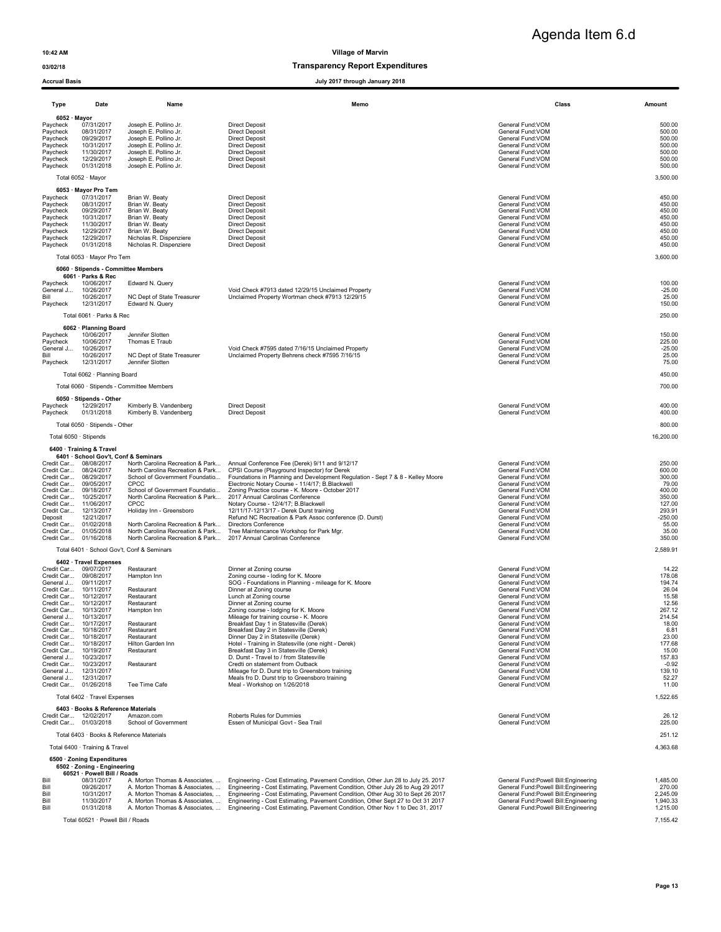### 03/02/18 Transparency Report Expenditures

| Type                                                                                         | Date                                                                                                                                                                                                                                                                                                                                                                                                                                                           | Name                                                                                                                                                                                                                                                                                                                                        | Memo                                                                                                                                                                                                                                                                                                                                                                                                                                                                                                                                                                                                                                                                                                                                      | Class                                                                                                                                                                                                                                                                                                                                                                               | Amount                                                                                                                                                                 |  |  |  |
|----------------------------------------------------------------------------------------------|----------------------------------------------------------------------------------------------------------------------------------------------------------------------------------------------------------------------------------------------------------------------------------------------------------------------------------------------------------------------------------------------------------------------------------------------------------------|---------------------------------------------------------------------------------------------------------------------------------------------------------------------------------------------------------------------------------------------------------------------------------------------------------------------------------------------|-------------------------------------------------------------------------------------------------------------------------------------------------------------------------------------------------------------------------------------------------------------------------------------------------------------------------------------------------------------------------------------------------------------------------------------------------------------------------------------------------------------------------------------------------------------------------------------------------------------------------------------------------------------------------------------------------------------------------------------------|-------------------------------------------------------------------------------------------------------------------------------------------------------------------------------------------------------------------------------------------------------------------------------------------------------------------------------------------------------------------------------------|------------------------------------------------------------------------------------------------------------------------------------------------------------------------|--|--|--|
| Pavcheck<br>Paycheck<br>Paycheck<br>Paycheck                                                 | 6052 · Mayor<br>07/31/2017<br>08/31/2017<br>09/29/2017<br>10/31/2017                                                                                                                                                                                                                                                                                                                                                                                           | Joseph E. Pollino Jr.<br>Joseph E. Pollino Jr.<br>Joseph E. Pollino Jr.<br>Joseph E. Pollino Jr.                                                                                                                                                                                                                                            | <b>Direct Deposit</b><br><b>Direct Deposit</b><br><b>Direct Deposit</b><br><b>Direct Deposit</b>                                                                                                                                                                                                                                                                                                                                                                                                                                                                                                                                                                                                                                          | General Fund: VOM<br>General Fund: VOM<br>General Fund: VOM<br>General Fund: VOM                                                                                                                                                                                                                                                                                                    | 500.00<br>500.00<br>500.00<br>500.00                                                                                                                                   |  |  |  |
| Paycheck<br>Paycheck<br>Paycheck                                                             | 11/30/2017<br>12/29/2017<br>01/31/2018                                                                                                                                                                                                                                                                                                                                                                                                                         | Joseph E. Pollino Jr.<br>Joseph E. Pollino Jr.<br>Joseph E. Pollino Jr.                                                                                                                                                                                                                                                                     | <b>Direct Deposit</b><br><b>Direct Deposit</b><br><b>Direct Deposit</b>                                                                                                                                                                                                                                                                                                                                                                                                                                                                                                                                                                                                                                                                   | General Fund: VOM<br>General Fund: VOM<br>General Fund: VOM                                                                                                                                                                                                                                                                                                                         | 500.00<br>500.00<br>500.00                                                                                                                                             |  |  |  |
|                                                                                              | Total 6052 · Mayor                                                                                                                                                                                                                                                                                                                                                                                                                                             |                                                                                                                                                                                                                                                                                                                                             |                                                                                                                                                                                                                                                                                                                                                                                                                                                                                                                                                                                                                                                                                                                                           |                                                                                                                                                                                                                                                                                                                                                                                     | 3,500.00                                                                                                                                                               |  |  |  |
| Paycheck<br>Paycheck<br>Paycheck<br>Paycheck<br>Paycheck<br>Paycheck<br>Paycheck<br>Paycheck | 6053 · Mayor Pro Tem<br>07/31/2017<br>08/31/2017<br>09/29/2017<br>10/31/2017<br>11/30/2017<br>12/29/2017<br>12/29/2017<br>01/31/2018                                                                                                                                                                                                                                                                                                                           | Brian W. Beaty<br>Brian W. Beaty<br>Brian W. Beaty<br>Brian W. Beaty<br>Brian W. Beaty<br>Brian W. Beaty<br>Nicholas R. Dispenziere<br>Nicholas R. Dispenziere                                                                                                                                                                              | <b>Direct Deposit</b><br><b>Direct Deposit</b><br><b>Direct Deposit</b><br><b>Direct Deposit</b><br><b>Direct Deposit</b><br><b>Direct Deposit</b><br><b>Direct Deposit</b><br><b>Direct Deposit</b>                                                                                                                                                                                                                                                                                                                                                                                                                                                                                                                                      | General Fund: VOM<br>General Fund:VOM<br>General Fund: VOM<br>General Fund: VOM<br>General Fund:VOM<br>General Fund:VOM<br>General Fund: VOM<br>General Fund: VOM                                                                                                                                                                                                                   | 450.00<br>450.00<br>450.00<br>450.00<br>450.00<br>450.00<br>450.00<br>450.00                                                                                           |  |  |  |
|                                                                                              | Total 6053 · Mayor Pro Tem                                                                                                                                                                                                                                                                                                                                                                                                                                     |                                                                                                                                                                                                                                                                                                                                             |                                                                                                                                                                                                                                                                                                                                                                                                                                                                                                                                                                                                                                                                                                                                           |                                                                                                                                                                                                                                                                                                                                                                                     | 3,600.00                                                                                                                                                               |  |  |  |
|                                                                                              | 6060 · Stipends - Committee Members<br>6061 · Parks & Rec                                                                                                                                                                                                                                                                                                                                                                                                      |                                                                                                                                                                                                                                                                                                                                             |                                                                                                                                                                                                                                                                                                                                                                                                                                                                                                                                                                                                                                                                                                                                           |                                                                                                                                                                                                                                                                                                                                                                                     |                                                                                                                                                                        |  |  |  |
| Paycheck<br>General J<br>Bill<br>Paycheck                                                    | 10/06/2017<br>10/26/2017<br>10/26/2017<br>12/31/2017                                                                                                                                                                                                                                                                                                                                                                                                           | Edward N. Query<br>NC Dept of State Treasurer<br>Edward N. Query                                                                                                                                                                                                                                                                            | Void Check #7913 dated 12/29/15 Unclaimed Property<br>Unclaimed Property Wortman check #7913 12/29/15                                                                                                                                                                                                                                                                                                                                                                                                                                                                                                                                                                                                                                     | General Fund: VOM<br>General Fund: VOM<br>General Fund:VOM<br>General Fund:VOM                                                                                                                                                                                                                                                                                                      | 100.00<br>$-25.00$<br>25.00<br>150.00                                                                                                                                  |  |  |  |
|                                                                                              | Total 6061 · Parks & Rec                                                                                                                                                                                                                                                                                                                                                                                                                                       |                                                                                                                                                                                                                                                                                                                                             |                                                                                                                                                                                                                                                                                                                                                                                                                                                                                                                                                                                                                                                                                                                                           |                                                                                                                                                                                                                                                                                                                                                                                     | 250.00                                                                                                                                                                 |  |  |  |
| Paycheck<br>Paycheck<br>General J<br>Bill                                                    | 6062 · Planning Board<br>10/06/2017<br>10/06/2017<br>10/26/2017<br>10/26/2017                                                                                                                                                                                                                                                                                                                                                                                  | Jennifer Slotten<br>Thomas E Traub<br>NC Dept of State Treasurer                                                                                                                                                                                                                                                                            | Void Check #7595 dated 7/16/15 Unclaimed Property<br>Unclaimed Property Behrens check #7595 7/16/15                                                                                                                                                                                                                                                                                                                                                                                                                                                                                                                                                                                                                                       | General Fund: VOM<br>General Fund:VOM<br>General Fund: VOM<br>General Fund: VOM                                                                                                                                                                                                                                                                                                     | 150.00<br>225.00<br>$-25.00$<br>25.00                                                                                                                                  |  |  |  |
| Paycheck                                                                                     | 12/31/2017<br>Total 6062 · Planning Board                                                                                                                                                                                                                                                                                                                                                                                                                      | Jennifer Slotten                                                                                                                                                                                                                                                                                                                            |                                                                                                                                                                                                                                                                                                                                                                                                                                                                                                                                                                                                                                                                                                                                           | General Fund:VOM                                                                                                                                                                                                                                                                                                                                                                    | 75.00<br>450.00                                                                                                                                                        |  |  |  |
|                                                                                              |                                                                                                                                                                                                                                                                                                                                                                                                                                                                | Total 6060 · Stipends - Committee Members                                                                                                                                                                                                                                                                                                   |                                                                                                                                                                                                                                                                                                                                                                                                                                                                                                                                                                                                                                                                                                                                           |                                                                                                                                                                                                                                                                                                                                                                                     | 700.00                                                                                                                                                                 |  |  |  |
| Paycheck<br>Paycheck                                                                         | 6050 · Stipends - Other<br>12/29/2017<br>01/31/2018                                                                                                                                                                                                                                                                                                                                                                                                            | Kimberly B. Vandenberg<br>Kimberly B. Vandenberg                                                                                                                                                                                                                                                                                            | <b>Direct Deposit</b><br><b>Direct Deposit</b>                                                                                                                                                                                                                                                                                                                                                                                                                                                                                                                                                                                                                                                                                            | General Fund: VOM<br>General Fund: VOM                                                                                                                                                                                                                                                                                                                                              | 400.00<br>400.00                                                                                                                                                       |  |  |  |
|                                                                                              | Total 6050 · Stipends - Other                                                                                                                                                                                                                                                                                                                                                                                                                                  |                                                                                                                                                                                                                                                                                                                                             |                                                                                                                                                                                                                                                                                                                                                                                                                                                                                                                                                                                                                                                                                                                                           |                                                                                                                                                                                                                                                                                                                                                                                     | 800.00                                                                                                                                                                 |  |  |  |
|                                                                                              | Total 6050 · Stipends                                                                                                                                                                                                                                                                                                                                                                                                                                          |                                                                                                                                                                                                                                                                                                                                             |                                                                                                                                                                                                                                                                                                                                                                                                                                                                                                                                                                                                                                                                                                                                           |                                                                                                                                                                                                                                                                                                                                                                                     | 16,200.00                                                                                                                                                              |  |  |  |
|                                                                                              | 6400 · Training & Travel                                                                                                                                                                                                                                                                                                                                                                                                                                       |                                                                                                                                                                                                                                                                                                                                             |                                                                                                                                                                                                                                                                                                                                                                                                                                                                                                                                                                                                                                                                                                                                           |                                                                                                                                                                                                                                                                                                                                                                                     |                                                                                                                                                                        |  |  |  |
| Credit Car<br>Deposit                                                                        | 6401 · School Gov't, Conf & Seminars<br>Credit Car 08/08/2017<br>08/24/2017<br>Credit Car 08/29/2017<br>Credit Car 09/05/2017<br>Credit Car 09/18/2017<br>Credit Car 10/25/2017<br>Credit Car 11/06/2017<br>Credit Car 12/13/2017<br>12/21/2017<br>Credit Car 01/02/2018<br>Credit Car 01/05/2018<br>Credit Car 01/16/2018                                                                                                                                     | North Carolina Recreation & Park<br>North Carolina Recreation & Park<br>School of Government Foundatio<br>CPCC<br>School of Government Foundatio<br>North Carolina Recreation & Park<br><b>CPCC</b><br>Holiday Inn - Greensboro<br>North Carolina Recreation & Park<br>North Carolina Recreation & Park<br>North Carolina Recreation & Park | Annual Conference Fee (Derek) 9/11 and 9/12/17<br>CPSI Course (Playground Inspector) for Derek<br>Foundations in Planning and Development Regulation - Sept 7 & 8 - Kelley Moore<br>Electronic Notary Course - 11/4/17; B.Blackwell<br>Zoning Practice course - K. Moore - October 2017<br>2017 Annual Carolinas Conference<br>Notary Course - 12/4/17; B.Blackwell<br>12/11/17-12/13/17 - Derek Durst training<br>Refund NC Recreation & Park Assoc conference (D. Durst)<br><b>Directors Conference</b><br>Tree Maintencance Workshop for Park Mgr.<br>2017 Annual Carolinas Conference                                                                                                                                                 | General Fund:VOM<br>General Fund:VOM<br>General Fund:VOM<br>General Fund:VOM<br>General Fund: VOM<br>General Fund: VOM<br>General Fund: VOM<br>General Fund:VOM<br>General Fund:VOM<br>General Fund:VOM<br>General Fund: VOM<br>General Fund: VOM                                                                                                                                   | 250.00<br>600.00<br>300.00<br>79.00<br>400.00<br>350.00<br>127.00<br>293.91<br>$-250.00$<br>55.00<br>35.00<br>350.00                                                   |  |  |  |
|                                                                                              |                                                                                                                                                                                                                                                                                                                                                                                                                                                                | Total 6401 · School Gov't, Conf & Seminars                                                                                                                                                                                                                                                                                                  |                                                                                                                                                                                                                                                                                                                                                                                                                                                                                                                                                                                                                                                                                                                                           |                                                                                                                                                                                                                                                                                                                                                                                     | 2,589.91                                                                                                                                                               |  |  |  |
| Credit Car<br>General J                                                                      | 6402 · Travel Expenses<br>Credit Car 09/07/2017<br>09/08/2017<br>09/11/2017<br>Credit Car 10/11/2017<br>Credit Car 10/12/2017<br>Credit Car 10/12/2017<br>Credit Car 10/13/2017<br>General J 10/13/2017<br>Credit Car 10/17/2017<br>Credit Car 10/18/2017<br>Credit Car 10/18/2017<br>Credit Car 10/18/2017<br>Credit Car 10/19/2017<br>General J 10/23/2017<br>Credit Car 10/23/2017<br>General J 12/31/2017<br>General J 12/31/2017<br>Credit Car 01/26/2018 | Restaurant<br>Hampton Inn<br>Restaurant<br>Restaurant<br>Restaurant<br>Hampton Inn<br>Restaurant<br>Restaurant<br>Restaurant<br>Hilton Garden Inn<br>Restaurant<br>Restaurant<br>Tee Time Cafe                                                                                                                                              | Dinner at Zoning course<br>Zoning course - loding for K. Moore<br>SOG - Foundations in Planning - mileage for K. Moore<br>Dinner at Zoning course<br>Lunch at Zoning course<br>Dinner at Zoning course<br>Zoning course - lodging for K. Moore<br>Mileage for training course - K. Moore<br>Breakfast Day 1 in Statesville (Derek)<br>Breakfast Day 2 in Statesville (Derek)<br>Dinner Day 2 in Statesville (Derek)<br>Hotel - Training in Statesville (one night - Derek)<br>Breakfast Day 3 in Statesville (Derek)<br>D. Durst - Travel to / from Statesville<br>Credti on statement from Outback<br>Mileage for D. Durst trip to Greensboro training<br>Meals fro D. Durst trip to Greensboro training<br>Meal - Workshop on 1/26/2018 | General Fund: VOM<br>General Fund: VOM<br>General Fund: VOM<br>General Fund:VOM<br>General Fund: VOM<br>General Fund: VOM<br>General Fund: VOM<br>General Fund:VOM<br>General Fund: VOM<br>General Fund: VOM<br>General Fund: VOM<br>General Fund: VOM<br>General Fund: VOM<br>General Fund:VOM<br>General Fund: VOM<br>General Fund: VOM<br>General Fund: VOM<br>General Fund: VOM | 14.22<br>178.08<br>194.74<br>26.04<br>15.58<br>12.56<br>267.12<br>214.54<br>18.00<br>6.81<br>23.00<br>177.68<br>15.00<br>157.83<br>$-0.92$<br>139.10<br>52.27<br>11.00 |  |  |  |
|                                                                                              | Total 6402 · Travel Expenses                                                                                                                                                                                                                                                                                                                                                                                                                                   |                                                                                                                                                                                                                                                                                                                                             |                                                                                                                                                                                                                                                                                                                                                                                                                                                                                                                                                                                                                                                                                                                                           |                                                                                                                                                                                                                                                                                                                                                                                     | 1,522.65                                                                                                                                                               |  |  |  |
|                                                                                              | 6403 · Books & Reference Materials<br>Credit Car 12/02/2017                                                                                                                                                                                                                                                                                                                                                                                                    | Amazon.com                                                                                                                                                                                                                                                                                                                                  | Roberts Rules for Dummies                                                                                                                                                                                                                                                                                                                                                                                                                                                                                                                                                                                                                                                                                                                 | General Fund: VOM                                                                                                                                                                                                                                                                                                                                                                   | 26.12                                                                                                                                                                  |  |  |  |
|                                                                                              | Credit Car 01/03/2018                                                                                                                                                                                                                                                                                                                                                                                                                                          | School of Government                                                                                                                                                                                                                                                                                                                        | Essen of Municipal Govt - Sea Trail                                                                                                                                                                                                                                                                                                                                                                                                                                                                                                                                                                                                                                                                                                       | General Fund: VOM                                                                                                                                                                                                                                                                                                                                                                   | 225.00                                                                                                                                                                 |  |  |  |
|                                                                                              | Total 6403 · Books & Reference Materials                                                                                                                                                                                                                                                                                                                                                                                                                       |                                                                                                                                                                                                                                                                                                                                             |                                                                                                                                                                                                                                                                                                                                                                                                                                                                                                                                                                                                                                                                                                                                           |                                                                                                                                                                                                                                                                                                                                                                                     | 251.12                                                                                                                                                                 |  |  |  |
|                                                                                              | Total 6400 · Training & Travel<br>4,363.68                                                                                                                                                                                                                                                                                                                                                                                                                     |                                                                                                                                                                                                                                                                                                                                             |                                                                                                                                                                                                                                                                                                                                                                                                                                                                                                                                                                                                                                                                                                                                           |                                                                                                                                                                                                                                                                                                                                                                                     |                                                                                                                                                                        |  |  |  |
|                                                                                              | 6500 · Zoning Expenditures<br>6502 · Zoning - Engineering                                                                                                                                                                                                                                                                                                                                                                                                      |                                                                                                                                                                                                                                                                                                                                             |                                                                                                                                                                                                                                                                                                                                                                                                                                                                                                                                                                                                                                                                                                                                           |                                                                                                                                                                                                                                                                                                                                                                                     |                                                                                                                                                                        |  |  |  |
| Bill<br>Bill<br>Bill<br>Bill<br>Bill                                                         | 60521 · Powell Bill / Roads<br>08/31/2017<br>09/26/2017<br>10/31/2017<br>11/30/2017<br>01/31/2018                                                                                                                                                                                                                                                                                                                                                              |                                                                                                                                                                                                                                                                                                                                             | A. Morton Thomas & Associates,  Engineering - Cost Estimating, Pavement Condition, Other Jun 28 to July 25. 2017<br>A. Morton Thomas & Associates,  Engineering - Cost Estimating, Pavement Condition, Other July 26 to Aug 29 2017<br>A. Morton Thomas & Associates,  Engineering - Cost Estimating, Pavement Condition, Other Aug 30 to Sept 26 2017<br>A. Morton Thomas & Associates,  Engineering - Cost Estimating, Pavement Condition, Other Sept 27 to Oct 31 2017<br>A. Morton Thomas & Associates,  Engineering - Cost Estimating, Pavement Condition, Other Nov 1 to Dec 31, 2017                                                                                                                                               | General Fund: Powell Bill: Engineering<br>General Fund:Powell Bill:Engineering<br>General Fund: Powell Bill: Engineering<br>General Fund:Powell Bill:Engineering<br>General Fund:Powell Bill:Engineering                                                                                                                                                                            | 1,485.00<br>270.00<br>2,245.09<br>1,940.33<br>1,215.00                                                                                                                 |  |  |  |
|                                                                                              | Total 60521 · Powell Bill / Roads                                                                                                                                                                                                                                                                                                                                                                                                                              |                                                                                                                                                                                                                                                                                                                                             |                                                                                                                                                                                                                                                                                                                                                                                                                                                                                                                                                                                                                                                                                                                                           |                                                                                                                                                                                                                                                                                                                                                                                     | 7,155.42                                                                                                                                                               |  |  |  |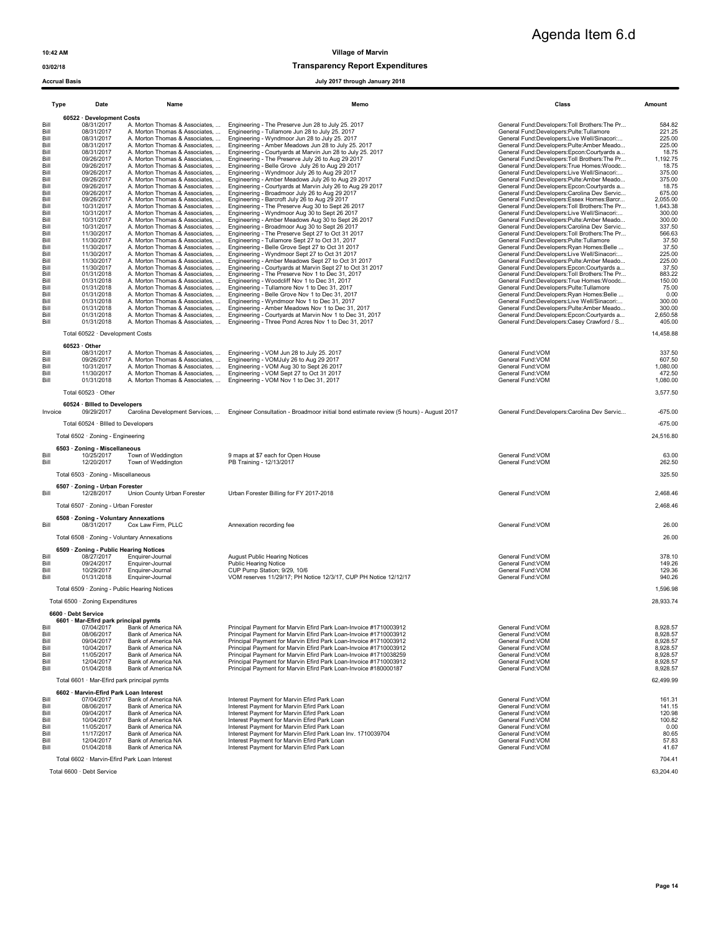03/02/18 Transparency Report Expenditures

Accrual Basis July 2017 through January 2018

|                                                              | Type<br>Date                                                                                                 | Name                                                                                                                                                                         | Memo                                                                                                                                                                                                                                                                                                                                                                                                 | Class                                                                                                                                                          | Amount                                                                  |
|--------------------------------------------------------------|--------------------------------------------------------------------------------------------------------------|------------------------------------------------------------------------------------------------------------------------------------------------------------------------------|------------------------------------------------------------------------------------------------------------------------------------------------------------------------------------------------------------------------------------------------------------------------------------------------------------------------------------------------------------------------------------------------------|----------------------------------------------------------------------------------------------------------------------------------------------------------------|-------------------------------------------------------------------------|
| Bill<br>Bill<br>Bill                                         | 60522 · Development Costs<br>08/31/2017<br>08/31/2017<br>08/31/2017                                          | A. Morton Thomas & Associates,<br>A. Morton Thomas & Associates,<br>A. Morton Thomas & Associates,                                                                           | Engineering - The Preserve Jun 28 to July 25. 2017<br>Engineering - Tullamore Jun 28 to July 25. 2017<br>Engineering - Wyndmoor Jun 28 to July 25. 2017                                                                                                                                                                                                                                              | General Fund:Developers:Toll Brothers:The Pr<br>General Fund:Developers:Pulte:Tullamore<br>General Fund:Developers:Live Well/Sinacori                          | 584.82<br>221.25<br>225.00                                              |
| Bill<br>Bill<br>Bill                                         | 08/31/2017<br>08/31/2017<br>09/26/2017                                                                       | A. Morton Thomas & Associates,<br>A. Morton Thomas & Associates,<br>A. Morton Thomas & Associates,                                                                           | Engineering - Amber Meadows Jun 28 to July 25. 2017<br>Engineering - Courtyards at Marvin Jun 28 to July 25. 2017<br>Engineering - The Preserve July 26 to Aug 29 2017                                                                                                                                                                                                                               | General Fund:Developers:Pulte:Amber Meado<br>General Fund:Developers:Epcon:Courtyards a<br>General Fund:Developers:Toll Brothers:The Pr                        | 225.00<br>18.75<br>1,192.75                                             |
| Bill<br>Bill<br>Bill                                         | 09/26/2017<br>09/26/2017<br>09/26/2017                                                                       | A. Morton Thomas & Associates.<br>A. Morton Thomas & Associates,<br>A. Morton Thomas & Associates,                                                                           | Engineering - Belle Grove July 26 to Aug 29 2017<br>Engineering - Wyndmoor July 26 to Aug 29 2017<br>Engineering - Amber Meadows July 26 to Aug 29 2017                                                                                                                                                                                                                                              | General Fund:Developers:True Homes:Woodc<br>General Fund:Developers:Live Well/Sinacori:<br>General Fund:Developers:Pulte:Amber Meado                           | 18.75<br>375.00<br>375.00                                               |
| Bill<br>Bill<br>Bill                                         | 09/26/2017<br>09/26/2017<br>09/26/2017                                                                       | A. Morton Thomas & Associates,<br>A. Morton Thomas & Associates,<br>A. Morton Thomas & Associates,                                                                           | Engineering - Courtyards at Marvin July 26 to Aug 29 2017<br>Engineering - Broadmoor July 26 to Aug 29 2017<br>Engineering - Barcroft July 26 to Aug 29 2017                                                                                                                                                                                                                                         | General Fund:Developers:Epcon:Courtyards a<br>General Fund:Developers:Carolina Dev Servic<br>General Fund:Developers:Essex Homes:Barcr                         | 18.75<br>675.00<br>2,055.00                                             |
| Bill<br>Bill                                                 | 10/31/2017<br>10/31/2017                                                                                     | A. Morton Thomas & Associates,<br>A. Morton Thomas & Associates,                                                                                                             | Engineering - The Preserve Aug 30 to Sept 26 2017<br>Engineering - Wyndmoor Aug 30 to Sept 26 2017                                                                                                                                                                                                                                                                                                   | General Fund:Developers:Toll Brothers:The Pr<br>General Fund:Developers:Live Well/Sinacori:                                                                    | 1,643.38<br>300.00                                                      |
| Bill<br>Bill<br>Bill                                         | 10/31/2017<br>10/31/2017<br>11/30/2017                                                                       | A. Morton Thomas & Associates,<br>A. Morton Thomas & Associates,<br>A. Morton Thomas & Associates,                                                                           | Engineering - Amber Meadows Aug 30 to Sept 26 2017<br>Engineering - Broadmoor Aug 30 to Sept 26 2017<br>Engineering - The Preserve Sept 27 to Oct 31 2017                                                                                                                                                                                                                                            | General Fund:Developers:Pulte:Amber Meado<br>General Fund:Developers:Carolina Dev Servic<br>General Fund:Developers:Toll Brothers:The Pr                       | 300.00<br>337.50<br>566.63                                              |
| Bill<br>Bill<br>Bill                                         | 11/30/2017<br>11/30/2017<br>11/30/2017                                                                       | A. Morton Thomas & Associates,<br>A. Morton Thomas & Associates,<br>A. Morton Thomas & Associates,                                                                           | Engineering - Tullamore Sept 27 to Oct 31, 2017<br>Engineering - Belle Grove Sept 27 to Oct 31 2017<br>Engineering - Wyndmoor Sept 27 to Oct 31 2017                                                                                                                                                                                                                                                 | General Fund:Developers:Pulte:Tullamore<br>General Fund:Developers:Ryan Homes:Belle<br>General Fund:Developers:Live Well/Sinacori:                             | 37.50<br>37.50<br>225.00                                                |
| Bill<br>Bill                                                 | 11/30/2017<br>11/30/2017                                                                                     | A. Morton Thomas & Associates,<br>A. Morton Thomas & Associates,                                                                                                             | Engineering - Amber Meadows Sept 27 to Oct 31 2017<br>Engineering - Courtyards at Marvin Sept 27 to Oct 31 2017                                                                                                                                                                                                                                                                                      | General Fund:Developers:Pulte:Amber Meado<br>General Fund:Developers:Epcon:Courtyards a                                                                        | 225.00<br>37.50                                                         |
| Bill<br>Bill<br>Bill                                         | 01/31/2018<br>01/31/2018<br>01/31/2018                                                                       | A. Morton Thomas & Associates,<br>A. Morton Thomas & Associates,<br>A. Morton Thomas & Associates,                                                                           | Engineering - The Preserve Nov 1 to Dec 31, 2017<br>Engineering - Woodcliff Nov 1 to Dec 31, 2017<br>Engineering - Tullamore Nov 1 to Dec 31, 2017                                                                                                                                                                                                                                                   | General Fund:Developers:Toll Brothers:The Pr<br>General Fund:Developers:True Homes:Woodc<br>General Fund:Developers:Pulte:Tullamore                            | 883.22<br>150.00<br>75.00                                               |
| Bill<br>Bill<br>Bill                                         | 01/31/2018<br>01/31/2018<br>01/31/2018                                                                       | A. Morton Thomas & Associates,<br>A. Morton Thomas & Associates,<br>A. Morton Thomas & Associates,                                                                           | Engineering - Belle Grove Nov 1 to Dec 31, 2017<br>Engineering - Wyndmoor Nov 1 to Dec 31, 2017<br>Engineering - Amber Meadows Nov 1 to Dec 31, 2017                                                                                                                                                                                                                                                 | General Fund:Developers:Ryan Homes:Belle<br>General Fund:Developers:Live Well/Sinacori:<br>General Fund:Developers:Pulte:Amber Meado                           | 0.00<br>300.00<br>300.00                                                |
| Bill<br>Bill                                                 | 01/31/2018<br>01/31/2018                                                                                     | A. Morton Thomas & Associates,<br>A. Morton Thomas & Associates,                                                                                                             | Engineering - Courtyards at Marvin Nov 1 to Dec 31, 2017<br>Engineering - Three Pond Acres Nov 1 to Dec 31, 2017                                                                                                                                                                                                                                                                                     | General Fund:Developers:Epcon:Courtyards a<br>General Fund:Developers:Casey Crawford / S                                                                       | 2,650.58<br>405.00                                                      |
|                                                              | Total 60522 · Development Costs<br>$60523 \cdot$ Other                                                       |                                                                                                                                                                              |                                                                                                                                                                                                                                                                                                                                                                                                      |                                                                                                                                                                | 14,458.88                                                               |
| Bill<br>Bill                                                 | 08/31/2017<br>09/26/2017                                                                                     | A. Morton Thomas & Associates,<br>A. Morton Thomas & Associates,                                                                                                             | Engineering - VOM Jun 28 to July 25. 2017<br>Engineering - VOMJuly 26 to Aug 29 2017                                                                                                                                                                                                                                                                                                                 | General Fund:VOM<br>General Fund:VOM                                                                                                                           | 337.50<br>607.50                                                        |
| Bill<br>Bill<br>Bill                                         | 10/31/2017<br>11/30/2017<br>01/31/2018                                                                       | A. Morton Thomas & Associates,<br>A. Morton Thomas & Associates,<br>A. Morton Thomas & Associates,                                                                           | Engineering - VOM Aug 30 to Sept 26 2017<br>Engineering - VOM Sept 27 to Oct 31 2017<br>Engineering - VOM Nov 1 to Dec 31, 2017                                                                                                                                                                                                                                                                      | General Fund: VOM<br>General Fund: VOM<br>General Fund: VOM                                                                                                    | 1,080.00<br>472.50<br>1,080.00                                          |
|                                                              | Total 60523 · Other                                                                                          |                                                                                                                                                                              |                                                                                                                                                                                                                                                                                                                                                                                                      |                                                                                                                                                                | 3,577.50                                                                |
| Invoice                                                      | 60524 · Billed to Developers<br>09/29/2017                                                                   | Carolina Development Services,                                                                                                                                               | Engineer Consultation - Broadmoor initial bond estimate review (5 hours) - August 2017                                                                                                                                                                                                                                                                                                               | General Fund:Developers:Carolina Dev Servic                                                                                                                    | $-675.00$                                                               |
|                                                              | Total 60524 · Billed to Developers<br>Total 6502 · Zoning - Engineering                                      |                                                                                                                                                                              |                                                                                                                                                                                                                                                                                                                                                                                                      |                                                                                                                                                                | $-675.00$<br>24,516.80                                                  |
|                                                              | 6503 · Zoning - Miscellaneous                                                                                |                                                                                                                                                                              |                                                                                                                                                                                                                                                                                                                                                                                                      |                                                                                                                                                                |                                                                         |
| Bill<br>Bill                                                 | 10/25/2017<br>12/20/2017                                                                                     | Town of Weddington<br>Town of Weddington                                                                                                                                     | 9 maps at \$7 each for Open House<br>PB Training - 12/13/2017                                                                                                                                                                                                                                                                                                                                        | General Fund:VOM<br>General Fund: VOM                                                                                                                          | 63.00<br>262.50                                                         |
|                                                              | Total 6503 · Zoning - Miscellaneous<br>6507 · Zoning - Urban Forester                                        |                                                                                                                                                                              |                                                                                                                                                                                                                                                                                                                                                                                                      |                                                                                                                                                                | 325.50                                                                  |
| Bill                                                         | 12/28/2017<br>Total 6507 · Zoning - Urban Forester                                                           | Union County Urban Forester                                                                                                                                                  | Urban Forester Billing for FY 2017-2018                                                                                                                                                                                                                                                                                                                                                              | General Fund: VOM                                                                                                                                              | 2,468.46<br>2,468.46                                                    |
| Bill                                                         | 6508 · Zoning - Voluntary Annexations<br>08/31/2017                                                          | Cox Law Firm, PLLC                                                                                                                                                           | Annexation recording fee                                                                                                                                                                                                                                                                                                                                                                             | General Fund: VOM                                                                                                                                              | 26.00                                                                   |
|                                                              | Total 6508 · Zoning - Voluntary Annexations                                                                  |                                                                                                                                                                              |                                                                                                                                                                                                                                                                                                                                                                                                      |                                                                                                                                                                | 26.00                                                                   |
| Bill<br>Bill                                                 | 6509 · Zoning - Public Hearing Notices<br>08/27/2017<br>09/24/2017                                           | Enquirer-Journal<br>Enquirer-Journal                                                                                                                                         | <b>August Public Hearing Notices</b><br><b>Public Hearing Notice</b>                                                                                                                                                                                                                                                                                                                                 | General Fund: VOM<br>General Fund: VOM                                                                                                                         | 378.10<br>149.26                                                        |
| Bill<br>Bill                                                 | 10/29/2017<br>01/31/2018                                                                                     | Enquirer-Journal<br>Enquirer-Journal                                                                                                                                         | CUP Pump Station; 9/29, 10/6<br>VOM reserves 11/29/17; PH Notice 12/3/17, CUP PH Notice 12/12/17                                                                                                                                                                                                                                                                                                     | General Fund: VOM<br>General Fund: VOM                                                                                                                         | 129.36<br>940.26                                                        |
|                                                              | Total 6509 · Zoning - Public Hearing Notices<br>Total 6500 · Zoning Expenditures                             |                                                                                                                                                                              |                                                                                                                                                                                                                                                                                                                                                                                                      |                                                                                                                                                                | 1,596.98<br>28,933.74                                                   |
|                                                              | 6600 · Debt Service                                                                                          |                                                                                                                                                                              |                                                                                                                                                                                                                                                                                                                                                                                                      |                                                                                                                                                                |                                                                         |
| Bill<br>Bill<br>Bill<br>Bill<br>Bill                         | 6601 · Mar-Efird park principal pymts<br>07/04/2017<br>08/06/2017<br>09/04/2017<br>10/04/2017<br>11/05/2017  | Bank of America NA<br>Bank of America NA<br>Bank of America NA<br>Bank of America NA<br>Bank of America NA                                                                   | Principal Payment for Marvin Efird Park Loan-Invoice #1710003912<br>Principal Payment for Marvin Efird Park Loan-Invoice #1710003912<br>Principal Payment for Marvin Efird Park Loan-Invoice #1710003912<br>Principal Payment for Marvin Efird Park Loan-Invoice #1710003912<br>Principal Payment for Marvin Efird Park Loan-Invoice #1710038259                                                     | General Fund: VOM<br>General Fund:VOM<br>General Fund: VOM<br>General Fund: VOM<br>General Fund:VOM                                                            | 8,928.57<br>8,928.57<br>8,928.57<br>8,928.57<br>8,928.57                |
| Bill<br>Bill                                                 | 12/04/2017<br>01/04/2018                                                                                     | Bank of America NA<br>Bank of America NA                                                                                                                                     | Principal Payment for Marvin Efird Park Loan-Invoice #1710003912<br>Principal Payment for Marvin Efird Park Loan-Invoice #180000187                                                                                                                                                                                                                                                                  | General Fund:VOM<br>General Fund: VOM                                                                                                                          | 8,928.57<br>8,928.57                                                    |
|                                                              | Total 6601 · Mar-Efird park principal pymts<br>6602 · Marvin-Efird Park Loan Interest                        |                                                                                                                                                                              |                                                                                                                                                                                                                                                                                                                                                                                                      |                                                                                                                                                                | 62,499.99                                                               |
| Bill<br>Bill<br>Bill<br>Bill<br>Bill<br>Bill<br>Bill<br>Bill | 07/04/2017<br>08/06/2017<br>09/04/2017<br>10/04/2017<br>11/05/2017<br>11/17/2017<br>12/04/2017<br>01/04/2018 | Bank of America NA<br>Bank of America NA<br>Bank of America NA<br>Bank of America NA<br>Bank of America NA<br>Bank of America NA<br>Bank of America NA<br>Bank of America NA | Interest Payment for Marvin Efird Park Loan<br>Interest Payment for Marvin Efird Park Loan<br>Interest Payment for Marvin Efird Park Loan<br>Interest Payment for Marvin Efird Park Loan<br>Interest Payment for Marvin Efird Park Loan<br>Interest Payment for Marvin Efird Park Loan Inv. 1710039704<br>Interest Payment for Marvin Efird Park Loan<br>Interest Payment for Marvin Efird Park Loan | General Fund:VOM<br>General Fund: VOM<br>General Fund:VOM<br>General Fund:VOM<br>General Fund: VOM<br>General Fund:VOM<br>General Fund:VOM<br>General Fund:VOM | 161.31<br>141.15<br>120.98<br>100.82<br>0.00<br>80.65<br>57.83<br>41.67 |
|                                                              | Total 6602 · Marvin-Efird Park Loan Interest                                                                 |                                                                                                                                                                              |                                                                                                                                                                                                                                                                                                                                                                                                      |                                                                                                                                                                | 704.41                                                                  |

Total 6600 · Debt Service 63,204.40 **63,204.40 63,204.40 63,204.40**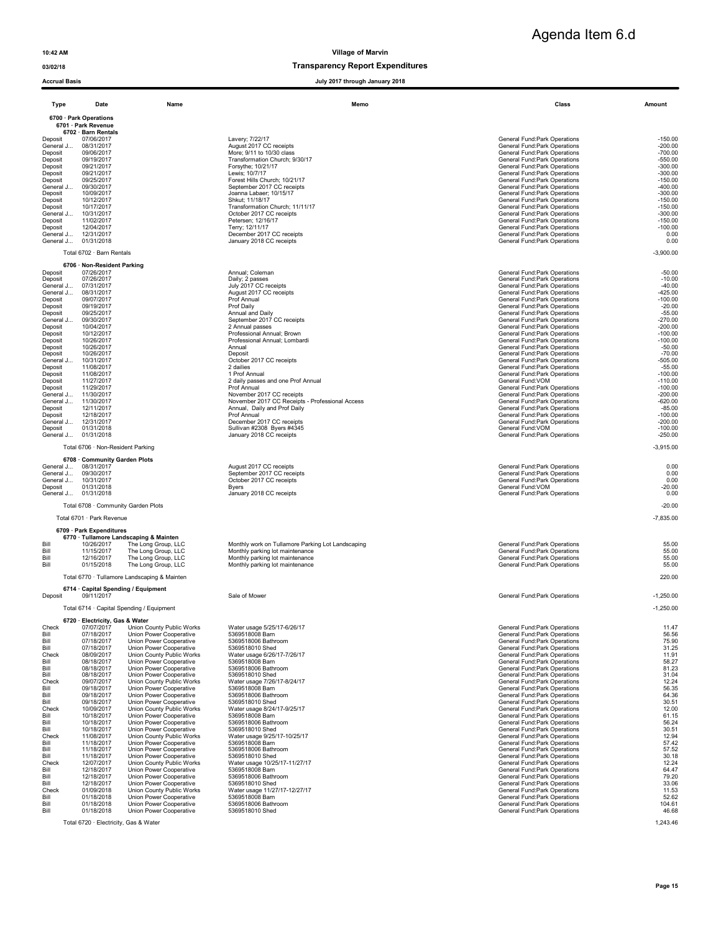Agenda Item 6.d

### 03/02/18 Transparency Report Expenditures

| <b>Accrual Basis</b>   |                                                   |                                                               | July 2017 through January 2018                                                  |                                                                |                        |  |  |  |  |  |
|------------------------|---------------------------------------------------|---------------------------------------------------------------|---------------------------------------------------------------------------------|----------------------------------------------------------------|------------------------|--|--|--|--|--|
| Type                   | Date                                              | Name                                                          | Memo                                                                            | Class                                                          | Amount                 |  |  |  |  |  |
|                        | 6700 · Park Operations                            |                                                               |                                                                                 |                                                                |                        |  |  |  |  |  |
|                        | 6701 · Park Revenue<br>6702 · Barn Rentals        |                                                               |                                                                                 |                                                                |                        |  |  |  |  |  |
| Deposit                | 07/06/2017                                        |                                                               | Lavery; 7/22/17                                                                 | General Fund:Park Operations                                   | $-150.00$              |  |  |  |  |  |
| General J<br>Deposit   | 08/31/2017<br>09/06/2017                          |                                                               | August 2017 CC receipts<br>More; 9/11 to 10/30 class                            | General Fund:Park Operations<br>General Fund: Park Operations  | $-200.00$<br>$-700.00$ |  |  |  |  |  |
| Deposit                | 09/19/2017                                        |                                                               | Transformation Church; 9/30/17                                                  | General Fund: Park Operations                                  | $-550.00$              |  |  |  |  |  |
| Deposit<br>Deposit     | 09/21/2017<br>09/21/2017                          |                                                               | Forsythe; 10/21/17<br>Lewis; 10/7/17                                            | General Fund: Park Operations<br>General Fund: Park Operations | $-300.00$<br>$-300.00$ |  |  |  |  |  |
| Deposit                | 09/25/2017                                        |                                                               | Forest Hills Church; 10/21/17                                                   | General Fund: Park Operations                                  | $-150.00$              |  |  |  |  |  |
| General J<br>Deposit   | 09/30/2017<br>10/09/2017                          |                                                               | September 2017 CC receipts<br>Joanna Labaer; 10/15/17                           | General Fund: Park Operations<br>General Fund:Park Operations  | $-400.00$<br>$-300.00$ |  |  |  |  |  |
| Deposit                | 10/12/2017                                        |                                                               | Shkut; 11/18/17                                                                 | General Fund: Park Operations                                  | $-150.00$              |  |  |  |  |  |
| Deposit<br>General J   | 10/17/2017<br>10/31/2017                          |                                                               | Transformation Church; 11/11/17<br>October 2017 CC receipts                     | General Fund: Park Operations<br>General Fund: Park Operations | $-150.00$<br>$-300.00$ |  |  |  |  |  |
| Deposit                | 11/02/2017                                        |                                                               | Petersen; 12/16/17                                                              | <b>General Fund:Park Operations</b>                            | $-150.00$              |  |  |  |  |  |
| Deposit<br>General J   | 12/04/2017<br>12/31/2017                          |                                                               | Terry; 12/11/17<br>December 2017 CC receipts                                    | General Fund:Park Operations<br>General Fund:Park Operations   | $-100.00$<br>0.00      |  |  |  |  |  |
| General J              | 01/31/2018                                        |                                                               | January 2018 CC receipts                                                        | General Fund: Park Operations                                  | 0.00                   |  |  |  |  |  |
|                        | Total 6702 · Barn Rentals                         |                                                               |                                                                                 |                                                                | $-3,900.00$            |  |  |  |  |  |
|                        | 6706 · Non-Resident Parking                       |                                                               |                                                                                 |                                                                |                        |  |  |  |  |  |
| Deposit<br>Deposit     | 07/26/2017<br>07/26/2017                          |                                                               | Annual; Coleman<br>Daily; 2 passes                                              | General Fund: Park Operations<br>General Fund: Park Operations | $-50.00$<br>$-10.00$   |  |  |  |  |  |
| General J              | 07/31/2017                                        |                                                               | July 2017 CC receipts                                                           | General Fund:Park Operations                                   | $-40.00$               |  |  |  |  |  |
| General J              | 08/31/2017                                        |                                                               | August 2017 CC receipts                                                         | General Fund: Park Operations                                  | $-425.00$              |  |  |  |  |  |
| Deposit<br>Deposit     | 09/07/2017<br>09/19/2017                          |                                                               | Prof Annual<br>Prof Daily                                                       | General Fund: Park Operations<br>General Fund:Park Operations  | $-100.00$<br>$-20.00$  |  |  |  |  |  |
| Deposit                | 09/25/2017                                        |                                                               | Annual and Daily                                                                | General Fund: Park Operations                                  | $-55.00$               |  |  |  |  |  |
| General J<br>Deposit   | 09/30/2017<br>10/04/2017                          |                                                               | September 2017 CC receipts<br>2 Annual passes                                   | General Fund: Park Operations<br>General Fund:Park Operations  | $-270.00$<br>$-200.00$ |  |  |  |  |  |
| Deposit                | 10/12/2017                                        |                                                               | Professional Annual: Brown                                                      | <b>General Fund:Park Operations</b>                            | $-100.00$              |  |  |  |  |  |
| Deposit<br>Deposit     | 10/26/2017<br>10/26/2017                          |                                                               | Professional Annual; Lombardi<br>Annual                                         | General Fund: Park Operations<br>General Fund: Park Operations | $-100.00$<br>$-50.00$  |  |  |  |  |  |
| Deposit                | 10/26/2017                                        |                                                               | Deposit                                                                         | General Fund: Park Operations                                  | $-70.00$               |  |  |  |  |  |
| General J<br>Deposit   | 10/31/2017<br>11/08/2017                          |                                                               | October 2017 CC receipts<br>2 dailies                                           | General Fund: Park Operations<br>General Fund: Park Operations | $-505.00$<br>$-55.00$  |  |  |  |  |  |
| Deposit                | 11/08/2017                                        |                                                               | 1 Prof Annual                                                                   | General Fund:Park Operations                                   | $-100.00$              |  |  |  |  |  |
| Deposit<br>Deposit     | 11/27/2017<br>11/29/2017                          |                                                               | 2 daily passes and one Prof Annual<br>Prof Annual                               | General Fund:VOM<br>General Fund: Park Operations              | $-110.00$<br>$-100.00$ |  |  |  |  |  |
| General J              | 11/30/2017                                        |                                                               | November 2017 CC receipts                                                       | General Fund: Park Operations                                  | $-200.00$              |  |  |  |  |  |
| General J<br>Deposit   | 11/30/2017<br>12/11/2017                          |                                                               | November 2017 CC Receipts - Professional Access<br>Annual, Daily and Prof Daily | General Fund: Park Operations<br>General Fund: Park Operations | $-620.00$<br>$-85.00$  |  |  |  |  |  |
| Deposit                | 12/18/2017                                        |                                                               | Prof Annual                                                                     | General Fund:Park Operations                                   | $-100.00$              |  |  |  |  |  |
| General J<br>Deposit   | 12/31/2017<br>01/31/2018                          |                                                               | December 2017 CC receipts<br>Sullivan #2308 Byers #4345                         | General Fund: Park Operations<br>General Fund: VOM             | $-200.00$<br>$-100.00$ |  |  |  |  |  |
| General J              | 01/31/2018                                        |                                                               | January 2018 CC receipts                                                        | General Fund: Park Operations                                  | $-250.00$              |  |  |  |  |  |
|                        | Total 6706 · Non-Resident Parking                 |                                                               |                                                                                 |                                                                | $-3,915.00$            |  |  |  |  |  |
|                        | 6708 Community Garden Plots                       |                                                               |                                                                                 |                                                                |                        |  |  |  |  |  |
| General J 08/31/2017   |                                                   |                                                               | August 2017 CC receipts                                                         | General Fund:Park Operations                                   | 0.00                   |  |  |  |  |  |
| General J<br>General J | 09/30/2017<br>10/31/2017                          |                                                               | September 2017 CC receipts<br>October 2017 CC receipts                          | General Fund: Park Operations<br>General Fund: Park Operations | 0.00<br>0.00           |  |  |  |  |  |
| Deposit                | 01/31/2018                                        |                                                               | <b>Byers</b>                                                                    | General Fund: VOM                                              | $-20.00$               |  |  |  |  |  |
| General J              | 01/31/2018                                        |                                                               | January 2018 CC receipts                                                        | General Fund: Park Operations                                  | 0.00                   |  |  |  |  |  |
|                        | Total 6708 · Community Garden Plots               |                                                               |                                                                                 |                                                                | $-20.00$               |  |  |  |  |  |
|                        | Total 6701 · Park Revenue                         |                                                               |                                                                                 |                                                                | $-7,835.00$            |  |  |  |  |  |
|                        | 6709 · Park Expenditures                          |                                                               |                                                                                 |                                                                |                        |  |  |  |  |  |
| Bill                   | 10/26/2017                                        | 6770 · Tullamore Landscaping & Mainten<br>The Long Group, LLC | Monthly work on Tullamore Parking Lot Landscaping                               | General Fund: Park Operations                                  | 55.00                  |  |  |  |  |  |
| Bill                   | 11/15/2017                                        | The Long Group, LLC                                           | Monthly parking lot maintenance                                                 | General Fund:Park Operations                                   | 55.00                  |  |  |  |  |  |
| Bill<br>Bill           | 12/16/2017<br>01/15/2018                          | The Long Group, LLC<br>The Long Group, LLC                    | Monthly parking lot maintenance<br>Monthly parking lot maintenance              | General Fund: Park Operations<br>General Fund:Park Operations  | 55.00<br>55.00         |  |  |  |  |  |
|                        |                                                   |                                                               |                                                                                 |                                                                |                        |  |  |  |  |  |
|                        |                                                   | Total 6770 · Tullamore Landscaping & Mainten                  |                                                                                 |                                                                | 220.00                 |  |  |  |  |  |
| Deposit                | 6714 · Capital Spending / Equipment<br>09/11/2017 |                                                               | Sale of Mower                                                                   | General Fund: Park Operations                                  | $-1,250.00$            |  |  |  |  |  |
|                        |                                                   | Total 6714 · Capital Spending / Equipment                     |                                                                                 |                                                                | -1,250.00              |  |  |  |  |  |
|                        | 6720 · Electricity, Gas & Water                   |                                                               |                                                                                 |                                                                |                        |  |  |  |  |  |
| Check<br>Bill          | 07/07/2017<br>07/18/2017                          | Union County Public Works<br>Union Power Cooperative          | Water usage 5/25/17-6/26/17<br>5369518008 Barn                                  | General Fund: Park Operations<br>General Fund:Park Operations  | 11.47<br>56.56         |  |  |  |  |  |
| Bill                   | 07/18/2017                                        | Union Power Cooperative                                       | 5369518006 Bathroom                                                             | General Fund:Park Operations                                   | 75.90                  |  |  |  |  |  |
| Bill                   | 07/18/2017                                        | Union Power Cooperative                                       | 5369518010 Shed                                                                 | General Fund: Park Operations                                  | 31.25                  |  |  |  |  |  |
| Check<br>Bill          | 08/09/2017<br>08/18/2017                          | Union County Public Works<br>Union Power Cooperative          | Water usage 6/26/17-7/26/17<br>5369518008 Barn                                  | General Fund: Park Operations<br>General Fund: Park Operations | 11.91<br>58.27         |  |  |  |  |  |
| Bill                   | 08/18/2017                                        | Union Power Cooperative                                       | 5369518006 Bathroom                                                             | General Fund: Park Operations                                  | 81.23                  |  |  |  |  |  |
| Bill<br>Check          | 08/18/2017<br>09/07/2017                          | Union Power Cooperative<br>Union County Public Works          | 5369518010 Shed<br>Water usage 7/26/17-8/24/17                                  | General Fund:Park Operations<br>General Fund: Park Operations  | 31.04<br>12.24         |  |  |  |  |  |
| Bill                   | 09/18/2017                                        | Union Power Cooperative                                       | 5369518008 Barn                                                                 | General Fund:Park Operations                                   | 56.35                  |  |  |  |  |  |
| Bill<br>Bill           | 09/18/2017<br>09/18/2017                          | Union Power Cooperative<br>Union Power Cooperative            | 5369518006 Bathroom<br>5369518010 Shed                                          | General Fund:Park Operations<br>General Fund: Park Operations  | 64.36<br>30.51         |  |  |  |  |  |
| Check                  | 10/09/2017                                        | Union County Public Works                                     | Water usage 8/24/17-9/25/17                                                     | General Fund: Park Operations                                  | 12.00                  |  |  |  |  |  |
| Bill<br>Bill           | 10/18/2017<br>10/18/2017                          | Union Power Cooperative<br>Union Power Cooperative            | 5369518008 Barn<br>5369518006 Bathroom                                          | General Fund: Park Operations<br>General Fund:Park Operations  | 61.15<br>56.24         |  |  |  |  |  |
| Bill                   | 10/18/2017                                        | Union Power Cooperative                                       | 5369518010 Shed                                                                 | General Fund:Park Operations                                   | 30.51                  |  |  |  |  |  |
| Check<br>Bill          | 11/08/2017<br>11/18/2017                          | Union County Public Works<br>Union Power Cooperative          | Water usage 9/25/17-10/25/17<br>5369518008 Barn                                 | General Fund: Park Operations<br>General Fund: Park Operations | 12.94<br>57.42         |  |  |  |  |  |
| Bill                   | 11/18/2017                                        | Union Power Cooperative                                       | 5369518006 Bathroom                                                             | <b>General Fund:Park Operations</b>                            | 57.52                  |  |  |  |  |  |
| Bill<br>Check          | 11/18/2017<br>12/07/2017                          | Union Power Cooperative<br>Union County Public Works          | 5369518010 Shed<br>Water usage 10/25/17-11/27/17                                | General Fund:Park Operations<br>General Fund:Park Operations   | 30.18<br>12.24         |  |  |  |  |  |
| Bill                   | 12/18/2017                                        | Union Power Cooperative                                       | 5369518008 Barn                                                                 | General Fund:Park Operations                                   | 64.47                  |  |  |  |  |  |
| Bill<br>Bill           | 12/18/2017<br>12/18/2017                          | Union Power Cooperative<br>Union Power Cooperative            | 5369518006 Bathroom<br>5369518010 Shed                                          | General Fund:Park Operations<br>General Fund: Park Operations  | 79.20<br>33.06         |  |  |  |  |  |
| Check                  | 01/09/2018                                        | Union County Public Works                                     | Water usage 11/27/17-12/27/17                                                   | General Fund:Park Operations                                   | 11.53                  |  |  |  |  |  |
| Bill<br>Bill           | 01/18/2018<br>01/18/2018                          | Union Power Cooperative<br>Union Power Cooperative            | 5369518008 Barn<br>5369518006 Bathroom                                          | General Fund: Park Operations<br>General Fund:Park Operations  | 52.62<br>104.61        |  |  |  |  |  |
| Bill                   | 01/18/2018                                        | Union Power Cooperative                                       | 5369518010 Shed                                                                 | General Fund:Park Operations                                   | 46.68                  |  |  |  |  |  |
|                        | Total 6720 · Electricity, Gas & Water             |                                                               |                                                                                 |                                                                | 1,243.46               |  |  |  |  |  |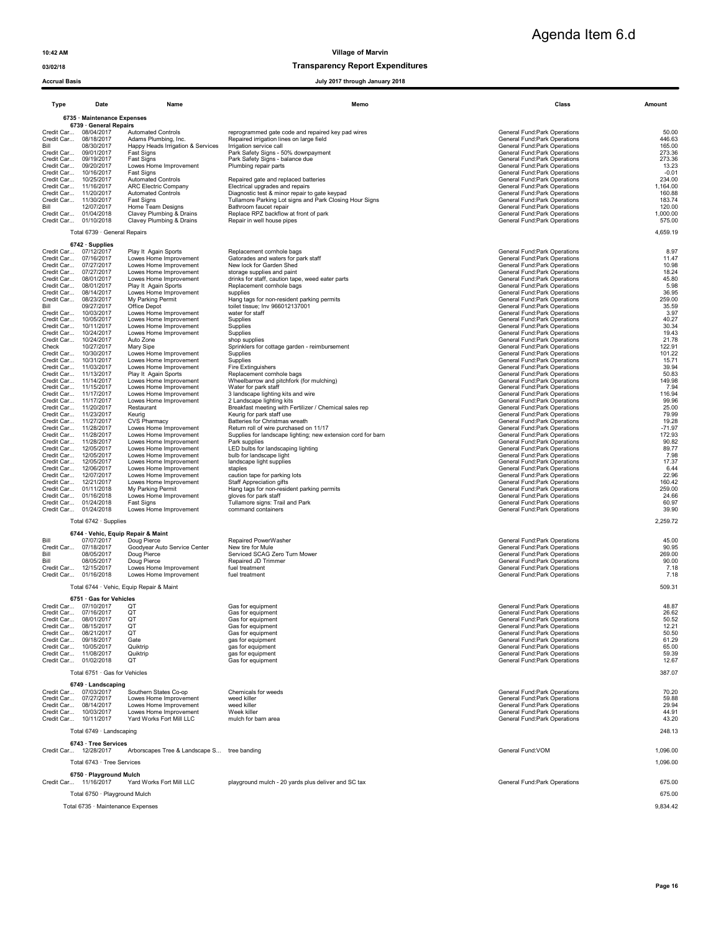Agenda Item 6.d

### 03/02/18 Transparency Report Expenditures

### Accrual Basis July 2017 through January 2018

| Type                                                 | Date                                                                          | Name                                                                                                               | Memo                                                                                                                                                                                               | Class                                                                                                                                                          | Amount                                        |  |  |  |
|------------------------------------------------------|-------------------------------------------------------------------------------|--------------------------------------------------------------------------------------------------------------------|----------------------------------------------------------------------------------------------------------------------------------------------------------------------------------------------------|----------------------------------------------------------------------------------------------------------------------------------------------------------------|-----------------------------------------------|--|--|--|
|                                                      | 6735 · Maintenance Expenses<br>6739 · General Repairs                         |                                                                                                                    |                                                                                                                                                                                                    |                                                                                                                                                                |                                               |  |  |  |
| Credit Car<br>Bill<br>Credit Car<br>Credit Car       | Credit Car 08/04/2017<br>08/18/2017<br>08/30/2017<br>09/01/2017<br>09/19/2017 | <b>Automated Controls</b><br>Adams Plumbing, Inc.<br>Happy Heads Irrigation & Services<br>Fast Signs<br>Fast Signs | reprogrammed gate code and repaired key pad wires<br>Repaired irrigation lines on large field<br>Irrigation service call<br>Park Safety Signs - 50% downpayment<br>Park Safety Signs - balance due | General Fund:Park Operations<br>General Fund: Park Operations<br>General Fund: Park Operations<br>General Fund:Park Operations<br>General Fund:Park Operations | 50.00<br>446.63<br>165.00<br>273.36<br>273.36 |  |  |  |
| Credit Car<br>Credit Car<br>Credit Car<br>Credit Car | 09/20/2017<br>10/16/2017<br>10/25/2017<br>11/16/2017                          | Lowes Home Improvement<br>Fast Signs<br><b>Automated Controls</b><br><b>ARC Electric Company</b>                   | Plumbing repair parts<br>Repaired gate and replaced batteries<br>Electrical upgrades and repairs                                                                                                   | General Fund: Park Operations<br>General Fund:Park Operations<br>General Fund: Park Operations<br>General Fund: Park Operations                                | 13.23<br>$-0.01$<br>234.00<br>1,164.00        |  |  |  |
| Credit Car<br>Bill                                   | 11/20/2017<br>Credit Car 11/30/2017<br>12/07/2017<br>Credit Car 01/04/2018    | <b>Automated Controls</b><br>Fast Signs<br>Home Team Designs<br>Clavey Plumbing & Drains                           | Diagnostic test & minor repair to gate keypad<br>Tullamore Parking Lot signs and Park Closing Hour Signs<br>Bathroom faucet repair<br>Replace RPZ backflow at front of park                        | General Fund: Park Operations<br>General Fund: Park Operations<br>General Fund: Park Operations<br>General Fund:Park Operations                                | 160.88<br>183.74<br>120.00<br>1,000.00        |  |  |  |
|                                                      | Credit Car 01/10/2018<br>Total 6739 · General Repairs                         | Clavey Plumbing & Drains                                                                                           | Repair in well house pipes                                                                                                                                                                         | General Fund:Park Operations                                                                                                                                   | 575.00<br>4,659.19                            |  |  |  |
|                                                      | $6742 \cdot$ Supplies                                                         |                                                                                                                    |                                                                                                                                                                                                    |                                                                                                                                                                |                                               |  |  |  |
| Credit Car                                           | Credit Car 07/12/2017<br>07/16/2017                                           | Play It Again Sports<br>Lowes Home Improvement                                                                     | Replacement cornhole bags<br>Gatorades and waters for park staff                                                                                                                                   | General Fund:Park Operations<br>General Fund: Park Operations                                                                                                  | 8.97<br>11.47                                 |  |  |  |
|                                                      | Credit Car 07/27/2017                                                         | Lowes Home Improvement                                                                                             | New lock for Garden Shed                                                                                                                                                                           | General Fund: Park Operations                                                                                                                                  | 10.98                                         |  |  |  |
| Credit Car<br>Credit Car                             | 07/27/2017<br>08/01/2017                                                      | Lowes Home Improvement<br>Lowes Home Improvement                                                                   | storage supplies and paint<br>drinks for staff, caution tape, weed eater parts                                                                                                                     | General Fund: Park Operations<br>General Fund: Park Operations                                                                                                 | 18.24<br>45.80                                |  |  |  |
| Credit Car<br>Credit Car                             | 08/01/2017<br>08/14/2017                                                      | Play It Again Sports<br>Lowes Home Improvement                                                                     | Replacement cornhole bags<br>supplies                                                                                                                                                              | General Fund: Park Operations<br>General Fund: Park Operations                                                                                                 | 5.98<br>36.95                                 |  |  |  |
| Credit Car                                           | 08/23/2017                                                                    | My Parking Permit                                                                                                  | Hang tags for non-resident parking permits                                                                                                                                                         | General Fund:Park Operations                                                                                                                                   | 259.00                                        |  |  |  |
| Bill<br>Credit Car                                   | 09/27/2017<br>10/03/2017                                                      | Office Depot<br>Lowes Home Improvement                                                                             | toilet tissue; Inv 966012137001<br>water for staff                                                                                                                                                 | General Fund: Park Operations<br>General Fund: Park Operations                                                                                                 | 35.59<br>3.97                                 |  |  |  |
| Credit Car<br>Credit Car                             | 10/05/2017<br>10/11/2017                                                      | Lowes Home Improvement<br>Lowes Home Improvement                                                                   | Supplies<br>Supplies                                                                                                                                                                               | General Fund: Park Operations<br>General Fund: Park Operations                                                                                                 | 40.27<br>30.34                                |  |  |  |
| Credit Car                                           | 10/24/2017                                                                    | Lowes Home Improvement                                                                                             | Supplies                                                                                                                                                                                           | General Fund: Park Operations                                                                                                                                  | 19.43                                         |  |  |  |
| Credit Car<br>Check                                  | 10/24/2017<br>10/27/2017                                                      | Auto Zone<br>Mary Sipe                                                                                             | shop supplies<br>Sprinklers for cottage garden - reimbursement                                                                                                                                     | General Fund: Park Operations<br>General Fund: Park Operations                                                                                                 | 21.78<br>122.91                               |  |  |  |
| Credit Car<br>Credit Car                             | 10/30/2017<br>10/31/2017                                                      | Lowes Home Improvement<br>Lowes Home Improvement                                                                   | Supplies<br>Supplies                                                                                                                                                                               | General Fund: Park Operations<br>General Fund: Park Operations                                                                                                 | 101.22<br>15.71                               |  |  |  |
|                                                      | Credit Car 11/03/2017                                                         | Lowes Home Improvement                                                                                             | Fire Extinguishers                                                                                                                                                                                 | General Fund: Park Operations                                                                                                                                  | 39.94                                         |  |  |  |
|                                                      | Credit Car 11/13/2017<br>Credit Car 11/14/2017                                | Play It Again Sports<br>Lowes Home Improvement                                                                     | Replacement cornhole bags<br>Wheelbarrow and pitchfork (for mulching)                                                                                                                              | General Fund:Park Operations<br>General Fund: Park Operations                                                                                                  | 50.83<br>149.98                               |  |  |  |
|                                                      | Credit Car 11/15/2017                                                         | Lowes Home Improvement                                                                                             | Water for park staff                                                                                                                                                                               | General Fund: Park Operations                                                                                                                                  | 7.94                                          |  |  |  |
|                                                      | Credit Car 11/17/2017<br>Credit Car 11/17/2017                                | Lowes Home Improvement<br>Lowes Home Improvement                                                                   | 3 landscape lighting kits and wire<br>2 Landscape lighting kits                                                                                                                                    | General Fund: Park Operations<br>General Fund: Park Operations                                                                                                 | 116.94<br>99.96                               |  |  |  |
|                                                      | Credit Car 11/20/2017<br>Credit Car 11/23/2017                                | Restaurant<br>Keurig                                                                                               | Breakfast meeting with Fertilizer / Chemical sales rep<br>Keurig for park staff use                                                                                                                | General Fund: Park Operations<br>General Fund: Park Operations                                                                                                 | 25.00<br>79.99                                |  |  |  |
|                                                      | Credit Car 11/27/2017                                                         | <b>CVS Pharmacy</b>                                                                                                | Batteries for Christmas wreath                                                                                                                                                                     | General Fund: Park Operations                                                                                                                                  | 19.28                                         |  |  |  |
| Credit Car                                           | 11/28/2017<br>Credit Car 11/28/2017                                           | Lowes Home Improvement<br>Lowes Home Improvement                                                                   | Return roll of wire purchased on 11/17<br>Supplies for landscape lighting; new extension cord for barn                                                                                             | General Fund: Park Operations<br>General Fund: Park Operations                                                                                                 | $-71.97$<br>172.93                            |  |  |  |
| Credit Car                                           | 11/28/2017                                                                    | Lowes Home Improvement                                                                                             | Park supplies                                                                                                                                                                                      | General Fund: Park Operations                                                                                                                                  | 90.82                                         |  |  |  |
| Credit Car<br>Credit Car                             | 12/05/2017<br>12/05/2017                                                      | Lowes Home Improvement<br>Lowes Home Improvement                                                                   | LED bulbs for landscaping lighting<br>bulb for landscape light                                                                                                                                     | General Fund:Park Operations<br>General Fund: Park Operations                                                                                                  | 89.77<br>7.98                                 |  |  |  |
| Credit Car<br>Credit Car                             | 12/05/2017<br>12/06/2017                                                      | Lowes Home Improvement<br>Lowes Home Improvement                                                                   | landscape light supplies<br>staples                                                                                                                                                                | General Fund: Park Operations<br>General Fund: Park Operations                                                                                                 | 17.37<br>6.44                                 |  |  |  |
| Credit Car                                           | 12/07/2017                                                                    | Lowes Home Improvement                                                                                             | caution tape for parking lots                                                                                                                                                                      | General Fund: Park Operations                                                                                                                                  | 22.96                                         |  |  |  |
|                                                      | Credit Car 12/21/2017<br>Credit Car 01/11/2018                                | Lowes Home Improvement<br>My Parking Permit                                                                        | Staff Appreciation gifts<br>Hang tags for non-resident parking permits                                                                                                                             | General Fund: Park Operations<br>General Fund:Park Operations                                                                                                  | 160.42<br>259.00                              |  |  |  |
|                                                      | Credit Car 01/16/2018                                                         | Lowes Home Improvement                                                                                             | gloves for park staff                                                                                                                                                                              | General Fund: Park Operations                                                                                                                                  | 24.66                                         |  |  |  |
|                                                      | Credit Car 01/24/2018<br>Credit Car 01/24/2018                                | Fast Signs<br>Lowes Home Improvement                                                                               | Tullamore signs: Trail and Park<br>command containers                                                                                                                                              | General Fund: Park Operations<br>General Fund: Park Operations                                                                                                 | 60.97<br>39.90                                |  |  |  |
|                                                      | Total 6742 · Supplies                                                         |                                                                                                                    |                                                                                                                                                                                                    |                                                                                                                                                                | 2,259.72                                      |  |  |  |
| Bill                                                 | 6744 · Vehic, Equip Repair & Maint<br>07/07/2017                              | Doug Pierce                                                                                                        | Repaired PowerWasher                                                                                                                                                                               | General Fund: Park Operations                                                                                                                                  | 45.00                                         |  |  |  |
| Credit Car                                           | 07/18/2017                                                                    | Goodyear Auto Service Center                                                                                       | New tire for Mule                                                                                                                                                                                  | General Fund: Park Operations                                                                                                                                  | 90.95                                         |  |  |  |
| Bill<br>Bill                                         | 08/05/2017<br>08/05/2017                                                      | Doug Pierce<br>Doug Pierce                                                                                         | Serviced SCAG Zero Turn Mower<br>Repaired JD Trimmer                                                                                                                                               | General Fund:Park Operations<br>General Fund: Park Operations                                                                                                  | 269.00<br>90.00                               |  |  |  |
| Credit Car<br>Credit Car                             | 12/15/2017<br>01/16/2018                                                      | Lowes Home Improvement<br>Lowes Home Improvement                                                                   | fuel treatment<br>fuel treatment                                                                                                                                                                   | General Fund: Park Operations<br>General Fund: Park Operations                                                                                                 | 7.18<br>7.18                                  |  |  |  |
|                                                      |                                                                               | Total 6744 · Vehic, Equip Repair & Maint                                                                           |                                                                                                                                                                                                    |                                                                                                                                                                | 509.31                                        |  |  |  |
|                                                      | 6751 · Gas for Vehicles                                                       |                                                                                                                    |                                                                                                                                                                                                    |                                                                                                                                                                |                                               |  |  |  |
|                                                      | Credit Car 07/10/2017<br>Credit Car 07/16/2017                                | QT<br>QT                                                                                                           | Gas for equipment<br>Gas for equipment                                                                                                                                                             | General Fund: Park Operations<br>General Fund: Park Operations                                                                                                 | 48.87<br>26.62                                |  |  |  |
|                                                      |                                                                               | QI                                                                                                                 | Gas for equipment                                                                                                                                                                                  | General Fund:Park Operations                                                                                                                                   | 50.52                                         |  |  |  |
|                                                      | Credit Car 08/15/2017<br>Credit Car 08/21/2017                                | QT<br>QT                                                                                                           | Gas for equipment<br>Gas for equipment                                                                                                                                                             | General Fund: Park Operations<br>General Fund: Park Operations                                                                                                 | 12.21<br>50.50                                |  |  |  |
|                                                      | Credit Car 09/18/2017                                                         | Gate                                                                                                               | gas for equipment                                                                                                                                                                                  | General Fund: Park Operations                                                                                                                                  | 61.29                                         |  |  |  |
|                                                      | Credit Car 10/05/2017<br>Credit Car 11/08/2017                                | Quiktrip<br>Quiktrip                                                                                               | gas for equipment<br>gas for equipment                                                                                                                                                             | General Fund: Park Operations<br>General Fund:Park Operations                                                                                                  | 65.00<br>59.39                                |  |  |  |
|                                                      | Credit Car 01/02/2018                                                         | QT                                                                                                                 | Gas for equipment                                                                                                                                                                                  | General Fund:Park Operations                                                                                                                                   | 12.67                                         |  |  |  |
|                                                      | Total 6751 · Gas for Vehicles<br>6749 · Landscaping                           |                                                                                                                    |                                                                                                                                                                                                    |                                                                                                                                                                | 387.07                                        |  |  |  |
|                                                      | Credit Car 07/03/2017                                                         | Southern States Co-op                                                                                              | Chemicals for weeds                                                                                                                                                                                | General Fund: Park Operations                                                                                                                                  | 70.20                                         |  |  |  |
|                                                      | Credit Car 07/27/2017<br>Credit Car 08/14/2017                                | Lowes Home Improvement<br>Lowes Home Improvement                                                                   | weed killer<br>weed killer                                                                                                                                                                         | General Fund:Park Operations<br>General Fund: Park Operations                                                                                                  | 59.88<br>29.94                                |  |  |  |
|                                                      | Credit Car 10/03/2017<br>Credit Car 10/11/2017                                | Lowes Home Improvement<br>Yard Works Fort Mill LLC                                                                 | Week killer<br>mulch for barn area                                                                                                                                                                 | General Fund: Park Operations<br>General Fund: Park Operations                                                                                                 | 44.91<br>43.20                                |  |  |  |
|                                                      | Total 6749 · Landscaping                                                      |                                                                                                                    |                                                                                                                                                                                                    |                                                                                                                                                                | 248.13                                        |  |  |  |
|                                                      | 6743 · Tree Services                                                          |                                                                                                                    |                                                                                                                                                                                                    |                                                                                                                                                                |                                               |  |  |  |
|                                                      | Credit Car 12/28/2017<br>Total 6743 · Tree Services                           | Arborscapes Tree & Landscape S tree banding                                                                        |                                                                                                                                                                                                    | General Fund: VOM                                                                                                                                              | 1,096.00<br>1,096.00                          |  |  |  |
|                                                      | 6750 · Playground Mulch                                                       |                                                                                                                    |                                                                                                                                                                                                    |                                                                                                                                                                |                                               |  |  |  |
|                                                      | Credit Car 11/16/2017<br>Total 6750 · Playground Mulch                        | Yard Works Fort Mill LLC                                                                                           | playground mulch - 20 yards plus deliver and SC tax                                                                                                                                                | General Fund:Park Operations                                                                                                                                   | 675.00<br>675.00                              |  |  |  |
|                                                      |                                                                               |                                                                                                                    |                                                                                                                                                                                                    |                                                                                                                                                                | 9,834.42                                      |  |  |  |
|                                                      | Total 6735 · Maintenance Expenses                                             |                                                                                                                    |                                                                                                                                                                                                    |                                                                                                                                                                |                                               |  |  |  |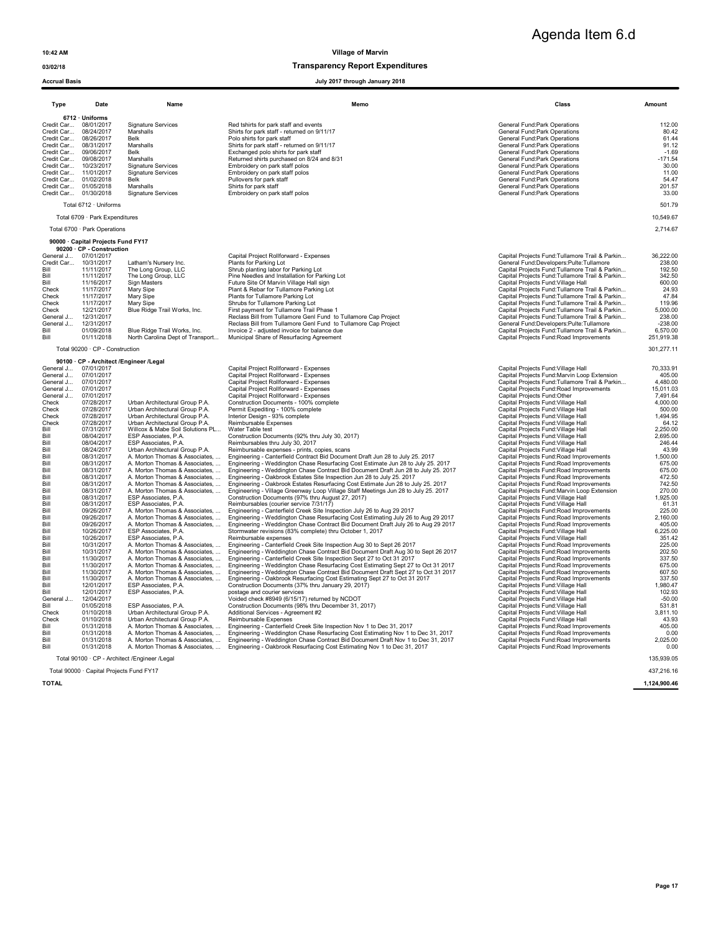### 03/02/18 Transparency Report Expenditures

Agenda Item 6.d

### Accrual Basis July 2017 through January 2018

| 6712 · Uniforms<br>General Fund: Park Operations<br>Credit Car 08/01/2017<br><b>Signature Services</b><br>Red tshirts for park staff and events<br>112.00<br>08/24/2017<br>General Fund: Park Operations<br>80.42<br>Credit Car<br>Marshalls<br>Shirts for park staff - returned on 9/11/17<br>08/26/2017<br>61.44<br>Credit Car<br><b>Belk</b><br>Polo shirts for park staff<br>General Fund: Park Operations<br>Credit Car 08/31/2017<br>Marshalls<br>Shirts for park staff - returned on 9/11/17<br><b>General Fund:Park Operations</b><br>91.12<br>Credit Car 09/06/2017<br>Belk<br>Exchanged polo shirts for park staff<br>General Fund: Park Operations<br>$-1.69$<br>Credit Car 09/08/2017<br>Marshalls<br>Returned shirts purchased on 8/24 and 8/31<br>$-171.54$<br>General Fund: Park Operations<br>Credit Car<br>10/23/2017<br><b>Signature Services</b><br>Embroidery on park staff polos<br>General Fund:Park Operations<br>30.00<br>Credit Car 11/01/2017<br>Embroidery on park staff polos<br><b>Signature Services</b><br>General Fund: Park Operations<br>11.00<br>Credit Car 01/02/2018<br>Pullovers for park staff<br>General Fund: Park Operations<br><b>Belk</b><br>54.47<br>Credit Car 01/05/2018<br>Marshalls<br>Shirts for park staff<br>General Fund: Park Operations<br>201.57<br>Credit Car 01/30/2018<br><b>Signature Services</b><br>Embroidery on park staff polos<br>General Fund: Park Operations<br>33.00<br>Total 6712 · Uniforms<br>501.79<br>Total 6709 · Park Expenditures<br>10,549.67<br>Total 6700 · Park Operations<br>2,714.67<br>90000 · Capital Projects Fund FY17<br>90200 · CP - Construction<br>07/01/2017<br>Capital Project Rollforward - Expenses<br>Capital Projects Fund: Tullamore Trail & Parkin<br>36,222.00<br>General J<br>10/31/2017<br>Latham's Nursery Inc.<br>Plants for Parking Lot<br>General Fund:Developers:Pulte:Tullamore<br>238.00<br>Credit Car<br>11/11/2017<br>Shrub planting labor for Parking Lot<br>Bill<br>The Long Group, LLC<br>Capital Projects Fund: Tullamore Trail & Parkin<br>192.50<br>Bill<br>11/11/2017<br>The Long Group, LLC<br>Pine Needles and Installation for Parking Lot<br>Capital Projects Fund: Tullamore Trail & Parkin<br>342.50<br>11/16/2017<br>Capital Projects Fund: Village Hall<br>Bill<br>Sign Masters<br>Future Site Of Marvin Village Hall sign<br>600.00<br>Check<br>11/17/2017<br>Mary Sipe<br>Plant & Rebar for Tullamore Parking Lot<br>Capital Projects Fund: Tullamore Trail & Parkin<br>24.93<br>Check<br>11/17/2017<br>Mary Sipe<br>Plants for Tullamore Parking Lot<br>Capital Projects Fund: Tullamore Trail & Parkin<br>47.84<br>11/17/2017<br>Shrubs for Tullamore Parking Lot<br>Capital Projects Fund: Tullamore Trail & Parkin<br>Check<br>119.96<br>Mary Sipe<br>12/21/2017<br>Blue Ridge Trail Works, Inc.<br>First payment for Tullamore Trail Phase 1<br>Capital Projects Fund: Tullamore Trail & Parkin<br>5,000.00<br>Check<br>12/31/2017<br>Reclass Bill from Tullamore Genl Fund to Tullamore Cap Project<br>Capital Projects Fund: Tullamore Trail & Parkin<br>238.00<br>General J<br>General Fund:Developers:Pulte:Tullamore<br>$-238.00$<br>General J<br>12/31/2017<br>Reclass Bill from Tullamore Genl Fund to Tullamore Cap Project<br>Bill<br>01/09/2018<br>Blue Ridge Trail Works, Inc.<br>Invoice 2 - adjusted invoice for balance due<br>Capital Projects Fund: Tullamore Trail & Parkin<br>6,570.00<br>01/11/2018<br>Municipal Share of Resurfacing Agreement<br>Capital Projects Fund: Road Improvements<br>251,919.38<br>Bill<br>North Carolina Dept of Transport<br>Total 90200 · CP - Construction<br>301,277.11<br>90100 · CP - Architect /Engineer /Legal<br>07/01/2017<br>Capital Project Rollforward - Expenses<br>Capital Projects Fund: Village Hall<br>70,333.91<br>General J<br>07/01/2017<br>405.00<br>General J<br>Capital Project Rollforward - Expenses<br>Capital Projects Fund: Marvin Loop Extension<br>07/01/2017<br>Capital Project Rollforward - Expenses<br>Capital Projects Fund: Tullamore Trail & Parkin<br>4,480.00<br>General J<br>07/01/2017<br>Capital Project Rollforward - Expenses<br>Capital Projects Fund: Road Improvements<br>General J<br>15,011.03<br>07/01/2017<br>Capital Project Rollforward - Expenses<br>Capital Projects Fund:Other<br>7.491.64<br>General J<br>Urban Architectural Group P.A.<br>Check<br>07/28/2017<br>Construction Documents - 100% complete<br>Capital Projects Fund: Village Hall<br>4,000.00<br>07/28/2017<br>Urban Architectural Group P.A.<br>Permit Expediting - 100% complete<br>Capital Projects Fund: Village Hall<br>500.00<br>Check<br>Check<br>07/28/2017<br>Urban Architectural Group P.A.<br>Interior Design - 93% complete<br>Capital Projects Fund: Village Hall<br>1,494.95<br>Reimbursable Expenses<br>Capital Projects Fund: Village Hall<br>Check<br>07/28/2017<br>Urban Architectural Group P.A.<br>64.12<br>Willcox & Mabe Soil Solutions PL<br>Capital Projects Fund: Village Hall<br>Bill<br>07/31/2017<br>Water Table test<br>2.250.00<br>ESP Associates, P.A.<br>Construction Documents (92% thru July 30, 2017)<br>Capital Projects Fund: Village Hall<br>Bill<br>08/04/2017<br>2,695.00<br>08/04/2017<br>Capital Projects Fund: Village Hall<br>Bill<br>ESP Associates, P.A.<br>Reimbursables thru July 30, 2017<br>246.44<br>Bill<br>08/24/2017<br>Urban Architectural Group P.A.<br>Reimbursable expenses - prints, copies, scans<br>Capital Projects Fund: Village Hall<br>43.99<br>Engineering - Canterfield Contract Bid Document Draft Jun 28 to July 25. 2017<br>Capital Projects Fund: Road Improvements<br>Bill<br>08/31/2017<br>A. Morton Thomas & Associates,<br>1,500.00<br>08/31/2017<br>A. Morton Thomas & Associates,<br>Engineering - Weddington Chase Resurfacing Cost Estimate Jun 28 to July 25. 2017<br>Capital Projects Fund: Road Improvements<br>675.00<br>Bill<br>08/31/2017<br>675.00<br>A. Morton Thomas & Associates,<br>Engineering - Weddington Chase Contract Bid Document Draft Jun 28 to July 25. 2017<br>Capital Projects Fund: Road Improvements<br>Bill<br>08/31/2017<br>Engineering - Oakbrook Estates Site Inspection Jun 28 to July 25. 2017<br>Capital Projects Fund: Road Improvements<br>Bill<br>A. Morton Thomas & Associates,<br>472.50<br>08/31/2017<br>Engineering - Oakbrook Estates Resurfacing Cost Estimate Jun 28 to July 25. 2017<br>Capital Projects Fund:Road Improvements<br>742.50<br>Bill<br>A. Morton Thomas & Associates,<br>08/31/2017<br>A. Morton Thomas & Associates,<br>Engineering - Village Greenway Loop Village Staff Meetings Jun 28 to July 25. 2017<br>Capital Projects Fund: Marvin Loop Extension<br>270.00<br>Bill<br>Construction Documents (97% thru August 27, 2017)<br>Bill<br>08/31/2017<br>ESP Associates, P.A.<br>Capital Projects Fund: Village Hall<br>1,925.00<br>08/31/2017<br>ESP Associates, P.A.<br>Reimbursables (courier service 7/31/17)<br>Capital Projects Fund: Village Hall<br>Bill<br>61.31<br>Bill<br>09/26/2017<br>A. Morton Thomas & Associates,<br>Engineering - Canterfield Creek Site Inspection July 26 to Aug 29 2017<br>Capital Projects Fund:Road Improvements<br>225.00<br>Engineering - Weddington Chase Resurfacing Cost Estimating July 26 to Aug 29 2017<br>Capital Projects Fund:Road Improvements<br>Bill<br>09/26/2017<br>A. Morton Thomas & Associates,<br>2,160.00<br>Bill<br>09/26/2017<br>A. Morton Thomas & Associates,<br>Engineering - Weddington Chase Contract Bid Document Draft July 26 to Aug 29 2017<br>Capital Projects Fund: Road Improvements<br>405.00<br>Stormwater revisions (83% complete) thru October 1, 2017<br>6,225.00<br>Bill<br>10/26/2017<br>ESP Associates, P.A.<br>Capital Projects Fund: Village Hall<br>Bill<br>10/26/2017<br>ESP Associates, P.A.<br>Reimbursable expenses<br>Capital Projects Fund: Village Hall<br>351.42<br>Bill<br>10/31/2017<br>A. Morton Thomas & Associates,<br>Engineering - Canterfield Creek Site Inspection Aug 30 to Sept 26 2017<br>Capital Projects Fund: Road Improvements<br>225.00<br>Engineering - Weddington Chase Contract Bid Document Draft Aug 30 to Sept 26 2017<br>10/31/2017<br>A. Morton Thomas & Associates,<br>Capital Projects Fund: Road Improvements<br>202.50<br>Rill<br>11/30/2017<br>A. Morton Thomas & Associates,<br>Engineering - Canterfield Creek Site Inspection Sept 27 to Oct 31 2017<br>Capital Projects Fund: Road Improvements<br>337.50<br>Bill<br>11/30/2017<br>A. Morton Thomas & Associates,<br>Engineering - Weddington Chase Resurfacing Cost Estimating Sept 27 to Oct 31 2017<br>Capital Projects Fund: Road Improvements<br>675.00<br>Bill<br>11/30/2017<br>Engineering - Weddington Chase Contract Bid Document Draft Sept 27 to Oct 31 2017<br>Capital Projects Fund: Road Improvements<br>Bill<br>A. Morton Thomas & Associates,<br>607.50<br>11/30/2017<br>Engineering - Oakbrook Resurfacing Cost Estimating Sept 27 to Oct 31 2017<br>337.50<br>Bill<br>A. Morton Thomas & Associates,<br>Capital Projects Fund: Road Improvements<br>12/01/2017<br>ESP Associates, P.A.<br>Construction Documents (37% thru January 29, 2017)<br>Capital Projects Fund: Village Hall<br>1,980.47<br>Bill<br>Bill<br>12/01/2017<br>ESP Associates, P.A.<br>postage and courier services<br>Capital Projects Fund: Village Hall<br>102.93<br>12/04/2017<br>Voided check #8949 (6/15/17) returned by NCDOT<br>General J<br>Capital Projects Fund: Village Hall<br>$-50.00$<br>01/05/2018<br>ESP Associates, P.A.<br>Construction Documents (98% thru December 31, 2017)<br>Capital Projects Fund: Village Hall<br>Bill<br>531.81<br>01/10/2018<br>Check<br>Urban Architectural Group P.A.<br>Additional Services - Agreement #2<br>Capital Projects Fund: Village Hall<br>3,811.10<br>Capital Projects Fund: Village Hall<br>Check<br>01/10/2018<br>Urban Architectural Group P.A.<br>Reimbursable Expenses<br>43.93<br>Engineering - Canterfield Creek Site Inspection Nov 1 to Dec 31, 2017<br>Bill<br>01/31/2018<br>A. Morton Thomas & Associates,<br>Capital Projects Fund: Road Improvements<br>405.00<br>Bill<br>01/31/2018<br>A. Morton Thomas & Associates,<br>Engineering - Weddington Chase Resurfacing Cost Estimating Nov 1 to Dec 31, 2017<br>Capital Projects Fund:Road Improvements<br>0.00<br>Bill<br>01/31/2018<br>A. Morton Thomas & Associates,<br>Engineering - Weddington Chase Contract Bid Document Draft Nov 1 to Dec 31, 2017<br>Capital Projects Fund: Road Improvements<br>2,025.00<br>Engineering - Oakbrook Resurfacing Cost Estimating Nov 1 to Dec 31, 2017<br>Bill<br>01/31/2018<br>A. Morton Thomas & Associates,<br>Capital Projects Fund: Road Improvements<br>0.00<br>Total 90100 · CP - Architect / Engineer / Legal | Type | Date | Name | Memo | Class | Amount     |  |
|---------------------------------------------------------------------------------------------------------------------------------------------------------------------------------------------------------------------------------------------------------------------------------------------------------------------------------------------------------------------------------------------------------------------------------------------------------------------------------------------------------------------------------------------------------------------------------------------------------------------------------------------------------------------------------------------------------------------------------------------------------------------------------------------------------------------------------------------------------------------------------------------------------------------------------------------------------------------------------------------------------------------------------------------------------------------------------------------------------------------------------------------------------------------------------------------------------------------------------------------------------------------------------------------------------------------------------------------------------------------------------------------------------------------------------------------------------------------------------------------------------------------------------------------------------------------------------------------------------------------------------------------------------------------------------------------------------------------------------------------------------------------------------------------------------------------------------------------------------------------------------------------------------------------------------------------------------------------------------------------------------------------------------------------------------------------------------------------------------------------------------------------------------------------------------------------------------------------------------------------------------------------------------------------------------------------------------------------------------------------------------------------------------------------------------------------------------------------------------------------------------------------------------------------------------------------------------------------------------------------------------------------------------------------------------------------------------------------------------------------------------------------------------------------------------------------------------------------------------------------------------------------------------------------------------------------------------------------------------------------------------------------------------------------------------------------------------------------------------------------------------------------------------------------------------------------------------------------------------------------------------------------------------------------------------------------------------------------------------------------------------------------------------------------------------------------------------------------------------------------------------------------------------------------------------------------------------------------------------------------------------------------------------------------------------------------------------------------------------------------------------------------------------------------------------------------------------------------------------------------------------------------------------------------------------------------------------------------------------------------------------------------------------------------------------------------------------------------------------------------------------------------------------------------------------------------------------------------------------------------------------------------------------------------------------------------------------------------------------------------------------------------------------------------------------------------------------------------------------------------------------------------------------------------------------------------------------------------------------------------------------------------------------------------------------------------------------------------------------------------------------------------------------------------------------------------------------------------------------------------------------------------------------------------------------------------------------------------------------------------------------------------------------------------------------------------------------------------------------------------------------------------------------------------------------------------------------------------------------------------------------------------------------------------------------------------------------------------------------------------------------------------------------------------------------------------------------------------------------------------------------------------------------------------------------------------------------------------------------------------------------------------------------------------------------------------------------------------------------------------------------------------------------------------------------------------------------------------------------------------------------------------------------------------------------------------------------------------------------------------------------------------------------------------------------------------------------------------------------------------------------------------------------------------------------------------------------------------------------------------------------------------------------------------------------------------------------------------------------------------------------------------------------------------------------------------------------------------------------------------------------------------------------------------------------------------------------------------------------------------------------------------------------------------------------------------------------------------------------------------------------------------------------------------------------------------------------------------------------------------------------------------------------------------------------------------------------------------------------------------------------------------------------------------------------------------------------------------------------------------------------------------------------------------------------------------------------------------------------------------------------------------------------------------------------------------------------------------------------------------------------------------------------------------------------------------------------------------------------------------------------------------------------------------------------------------------------------------------------------------------------------------------------------------------------------------------------------------------------------------------------------------------------------------------------------------------------------------------------------------------------------------------------------------------------------------------------------------------------------------------------------------------------------------------------------------------------------------------------------------------------------------------------------------------------------------------------------------------------------------------------------------------------------------------------------------------------------------------------------------------------------------------------------------------------------------------------------------------------------------------------------------------------------------------------------------------------------------------------------------------------------------------------------------------------------------------------------------------------------------------------------------------------------------------------------------------------------------------------------------------------------------------------------------------------------------------------------------------------------------------------------------------------------------------------------------------------------------------------------------------------------------------------------------------------------------------------------------------------------------------------------------------------------------------------------------------------------------------------------------------------------------------------------------------------------------------------------------------------------------------------------------------------------------------------------------------------------------------------------------------------------------------------------------------------------------------------------------------------------------------------------------------------------------------------------------------------------------------------------------------------------------------------------------------------------------------------------------------------------------------------------------------------------------------------------------------------------------------------------------------------------------------------------------------------------------------------------------------------------------------------------------------------------------------------------------------------------------------------------------------------------------------------------------------------------------------------------------------------------------------------------------------------------------------------------------------------------------------------------------------------------------------------------------------------------------------------------------------------------------------------------------------------------------------------------|------|------|------|------|-------|------------|--|
|                                                                                                                                                                                                                                                                                                                                                                                                                                                                                                                                                                                                                                                                                                                                                                                                                                                                                                                                                                                                                                                                                                                                                                                                                                                                                                                                                                                                                                                                                                                                                                                                                                                                                                                                                                                                                                                                                                                                                                                                                                                                                                                                                                                                                                                                                                                                                                                                                                                                                                                                                                                                                                                                                                                                                                                                                                                                                                                                                                                                                                                                                                                                                                                                                                                                                                                                                                                                                                                                                                                                                                                                                                                                                                                                                                                                                                                                                                                                                                                                                                                                                                                                                                                                                                                                                                                                                                                                                                                                                                                                                                                                                                                                                                                                                                                                                                                                                                                                                                                                                                                                                                                                                                                                                                                                                                                                                                                                                                                                                                                                                                                                                                                                                                                                                                                                                                                                                                                                                                                                                                                                                                                                                                                                                                                                                                                                                                                                                                                                                                                                                                                                                                                                                                                                                                                                                                                                                                                                                                                                                                                                                                                                                                                                                                                                                                                                                                                                                                                                                                                                                                                                                                                                                                                                                                                                                                                                                                                                                                                                                                                                                                                                                                                                                                                                                                                                                                                                                                                                                                                                                                                                                                                                                                                                                                                                                                                                                                                                                                                                                                                                                                                                                                                                                                                                                                                                                                                                                                                                                                                                                                                                                                                                                                                                                                                                                                                                                                                                                                                                                                                                                                                                                                                                                                                                                                                                                                                                                                                                                                                                                                                                                                                                                                                                                                                                               |      |      |      |      |       |            |  |
|                                                                                                                                                                                                                                                                                                                                                                                                                                                                                                                                                                                                                                                                                                                                                                                                                                                                                                                                                                                                                                                                                                                                                                                                                                                                                                                                                                                                                                                                                                                                                                                                                                                                                                                                                                                                                                                                                                                                                                                                                                                                                                                                                                                                                                                                                                                                                                                                                                                                                                                                                                                                                                                                                                                                                                                                                                                                                                                                                                                                                                                                                                                                                                                                                                                                                                                                                                                                                                                                                                                                                                                                                                                                                                                                                                                                                                                                                                                                                                                                                                                                                                                                                                                                                                                                                                                                                                                                                                                                                                                                                                                                                                                                                                                                                                                                                                                                                                                                                                                                                                                                                                                                                                                                                                                                                                                                                                                                                                                                                                                                                                                                                                                                                                                                                                                                                                                                                                                                                                                                                                                                                                                                                                                                                                                                                                                                                                                                                                                                                                                                                                                                                                                                                                                                                                                                                                                                                                                                                                                                                                                                                                                                                                                                                                                                                                                                                                                                                                                                                                                                                                                                                                                                                                                                                                                                                                                                                                                                                                                                                                                                                                                                                                                                                                                                                                                                                                                                                                                                                                                                                                                                                                                                                                                                                                                                                                                                                                                                                                                                                                                                                                                                                                                                                                                                                                                                                                                                                                                                                                                                                                                                                                                                                                                                                                                                                                                                                                                                                                                                                                                                                                                                                                                                                                                                                                                                                                                                                                                                                                                                                                                                                                                                                                                                                                                                               |      |      |      |      |       |            |  |
|                                                                                                                                                                                                                                                                                                                                                                                                                                                                                                                                                                                                                                                                                                                                                                                                                                                                                                                                                                                                                                                                                                                                                                                                                                                                                                                                                                                                                                                                                                                                                                                                                                                                                                                                                                                                                                                                                                                                                                                                                                                                                                                                                                                                                                                                                                                                                                                                                                                                                                                                                                                                                                                                                                                                                                                                                                                                                                                                                                                                                                                                                                                                                                                                                                                                                                                                                                                                                                                                                                                                                                                                                                                                                                                                                                                                                                                                                                                                                                                                                                                                                                                                                                                                                                                                                                                                                                                                                                                                                                                                                                                                                                                                                                                                                                                                                                                                                                                                                                                                                                                                                                                                                                                                                                                                                                                                                                                                                                                                                                                                                                                                                                                                                                                                                                                                                                                                                                                                                                                                                                                                                                                                                                                                                                                                                                                                                                                                                                                                                                                                                                                                                                                                                                                                                                                                                                                                                                                                                                                                                                                                                                                                                                                                                                                                                                                                                                                                                                                                                                                                                                                                                                                                                                                                                                                                                                                                                                                                                                                                                                                                                                                                                                                                                                                                                                                                                                                                                                                                                                                                                                                                                                                                                                                                                                                                                                                                                                                                                                                                                                                                                                                                                                                                                                                                                                                                                                                                                                                                                                                                                                                                                                                                                                                                                                                                                                                                                                                                                                                                                                                                                                                                                                                                                                                                                                                                                                                                                                                                                                                                                                                                                                                                                                                                                                                                               |      |      |      |      |       |            |  |
|                                                                                                                                                                                                                                                                                                                                                                                                                                                                                                                                                                                                                                                                                                                                                                                                                                                                                                                                                                                                                                                                                                                                                                                                                                                                                                                                                                                                                                                                                                                                                                                                                                                                                                                                                                                                                                                                                                                                                                                                                                                                                                                                                                                                                                                                                                                                                                                                                                                                                                                                                                                                                                                                                                                                                                                                                                                                                                                                                                                                                                                                                                                                                                                                                                                                                                                                                                                                                                                                                                                                                                                                                                                                                                                                                                                                                                                                                                                                                                                                                                                                                                                                                                                                                                                                                                                                                                                                                                                                                                                                                                                                                                                                                                                                                                                                                                                                                                                                                                                                                                                                                                                                                                                                                                                                                                                                                                                                                                                                                                                                                                                                                                                                                                                                                                                                                                                                                                                                                                                                                                                                                                                                                                                                                                                                                                                                                                                                                                                                                                                                                                                                                                                                                                                                                                                                                                                                                                                                                                                                                                                                                                                                                                                                                                                                                                                                                                                                                                                                                                                                                                                                                                                                                                                                                                                                                                                                                                                                                                                                                                                                                                                                                                                                                                                                                                                                                                                                                                                                                                                                                                                                                                                                                                                                                                                                                                                                                                                                                                                                                                                                                                                                                                                                                                                                                                                                                                                                                                                                                                                                                                                                                                                                                                                                                                                                                                                                                                                                                                                                                                                                                                                                                                                                                                                                                                                                                                                                                                                                                                                                                                                                                                                                                                                                                                                                               |      |      |      |      |       |            |  |
|                                                                                                                                                                                                                                                                                                                                                                                                                                                                                                                                                                                                                                                                                                                                                                                                                                                                                                                                                                                                                                                                                                                                                                                                                                                                                                                                                                                                                                                                                                                                                                                                                                                                                                                                                                                                                                                                                                                                                                                                                                                                                                                                                                                                                                                                                                                                                                                                                                                                                                                                                                                                                                                                                                                                                                                                                                                                                                                                                                                                                                                                                                                                                                                                                                                                                                                                                                                                                                                                                                                                                                                                                                                                                                                                                                                                                                                                                                                                                                                                                                                                                                                                                                                                                                                                                                                                                                                                                                                                                                                                                                                                                                                                                                                                                                                                                                                                                                                                                                                                                                                                                                                                                                                                                                                                                                                                                                                                                                                                                                                                                                                                                                                                                                                                                                                                                                                                                                                                                                                                                                                                                                                                                                                                                                                                                                                                                                                                                                                                                                                                                                                                                                                                                                                                                                                                                                                                                                                                                                                                                                                                                                                                                                                                                                                                                                                                                                                                                                                                                                                                                                                                                                                                                                                                                                                                                                                                                                                                                                                                                                                                                                                                                                                                                                                                                                                                                                                                                                                                                                                                                                                                                                                                                                                                                                                                                                                                                                                                                                                                                                                                                                                                                                                                                                                                                                                                                                                                                                                                                                                                                                                                                                                                                                                                                                                                                                                                                                                                                                                                                                                                                                                                                                                                                                                                                                                                                                                                                                                                                                                                                                                                                                                                                                                                                                                                               |      |      |      |      |       |            |  |
|                                                                                                                                                                                                                                                                                                                                                                                                                                                                                                                                                                                                                                                                                                                                                                                                                                                                                                                                                                                                                                                                                                                                                                                                                                                                                                                                                                                                                                                                                                                                                                                                                                                                                                                                                                                                                                                                                                                                                                                                                                                                                                                                                                                                                                                                                                                                                                                                                                                                                                                                                                                                                                                                                                                                                                                                                                                                                                                                                                                                                                                                                                                                                                                                                                                                                                                                                                                                                                                                                                                                                                                                                                                                                                                                                                                                                                                                                                                                                                                                                                                                                                                                                                                                                                                                                                                                                                                                                                                                                                                                                                                                                                                                                                                                                                                                                                                                                                                                                                                                                                                                                                                                                                                                                                                                                                                                                                                                                                                                                                                                                                                                                                                                                                                                                                                                                                                                                                                                                                                                                                                                                                                                                                                                                                                                                                                                                                                                                                                                                                                                                                                                                                                                                                                                                                                                                                                                                                                                                                                                                                                                                                                                                                                                                                                                                                                                                                                                                                                                                                                                                                                                                                                                                                                                                                                                                                                                                                                                                                                                                                                                                                                                                                                                                                                                                                                                                                                                                                                                                                                                                                                                                                                                                                                                                                                                                                                                                                                                                                                                                                                                                                                                                                                                                                                                                                                                                                                                                                                                                                                                                                                                                                                                                                                                                                                                                                                                                                                                                                                                                                                                                                                                                                                                                                                                                                                                                                                                                                                                                                                                                                                                                                                                                                                                                                                                               |      |      |      |      |       |            |  |
|                                                                                                                                                                                                                                                                                                                                                                                                                                                                                                                                                                                                                                                                                                                                                                                                                                                                                                                                                                                                                                                                                                                                                                                                                                                                                                                                                                                                                                                                                                                                                                                                                                                                                                                                                                                                                                                                                                                                                                                                                                                                                                                                                                                                                                                                                                                                                                                                                                                                                                                                                                                                                                                                                                                                                                                                                                                                                                                                                                                                                                                                                                                                                                                                                                                                                                                                                                                                                                                                                                                                                                                                                                                                                                                                                                                                                                                                                                                                                                                                                                                                                                                                                                                                                                                                                                                                                                                                                                                                                                                                                                                                                                                                                                                                                                                                                                                                                                                                                                                                                                                                                                                                                                                                                                                                                                                                                                                                                                                                                                                                                                                                                                                                                                                                                                                                                                                                                                                                                                                                                                                                                                                                                                                                                                                                                                                                                                                                                                                                                                                                                                                                                                                                                                                                                                                                                                                                                                                                                                                                                                                                                                                                                                                                                                                                                                                                                                                                                                                                                                                                                                                                                                                                                                                                                                                                                                                                                                                                                                                                                                                                                                                                                                                                                                                                                                                                                                                                                                                                                                                                                                                                                                                                                                                                                                                                                                                                                                                                                                                                                                                                                                                                                                                                                                                                                                                                                                                                                                                                                                                                                                                                                                                                                                                                                                                                                                                                                                                                                                                                                                                                                                                                                                                                                                                                                                                                                                                                                                                                                                                                                                                                                                                                                                                                                                                                               |      |      |      |      |       |            |  |
|                                                                                                                                                                                                                                                                                                                                                                                                                                                                                                                                                                                                                                                                                                                                                                                                                                                                                                                                                                                                                                                                                                                                                                                                                                                                                                                                                                                                                                                                                                                                                                                                                                                                                                                                                                                                                                                                                                                                                                                                                                                                                                                                                                                                                                                                                                                                                                                                                                                                                                                                                                                                                                                                                                                                                                                                                                                                                                                                                                                                                                                                                                                                                                                                                                                                                                                                                                                                                                                                                                                                                                                                                                                                                                                                                                                                                                                                                                                                                                                                                                                                                                                                                                                                                                                                                                                                                                                                                                                                                                                                                                                                                                                                                                                                                                                                                                                                                                                                                                                                                                                                                                                                                                                                                                                                                                                                                                                                                                                                                                                                                                                                                                                                                                                                                                                                                                                                                                                                                                                                                                                                                                                                                                                                                                                                                                                                                                                                                                                                                                                                                                                                                                                                                                                                                                                                                                                                                                                                                                                                                                                                                                                                                                                                                                                                                                                                                                                                                                                                                                                                                                                                                                                                                                                                                                                                                                                                                                                                                                                                                                                                                                                                                                                                                                                                                                                                                                                                                                                                                                                                                                                                                                                                                                                                                                                                                                                                                                                                                                                                                                                                                                                                                                                                                                                                                                                                                                                                                                                                                                                                                                                                                                                                                                                                                                                                                                                                                                                                                                                                                                                                                                                                                                                                                                                                                                                                                                                                                                                                                                                                                                                                                                                                                                                                                                                                               |      |      |      |      |       | 135,939.05 |  |

Total 90000 · Capital Projects Fund FY17 437,216.16

TOTAL 1,124,900.46